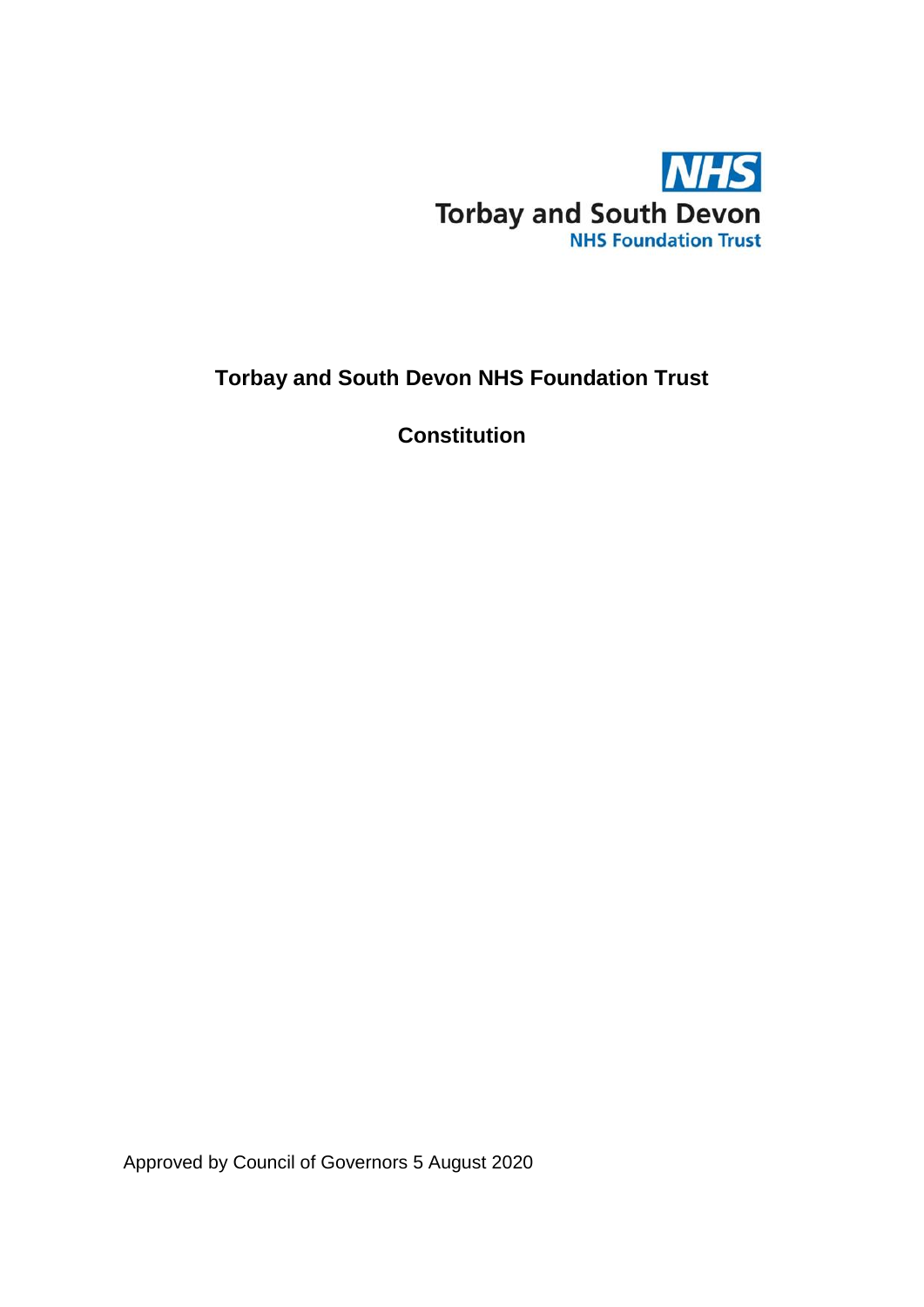

# **Torbay and South Devon NHS Foundation Trust**

**Constitution**

Approved by Council of Governors 5 August 2020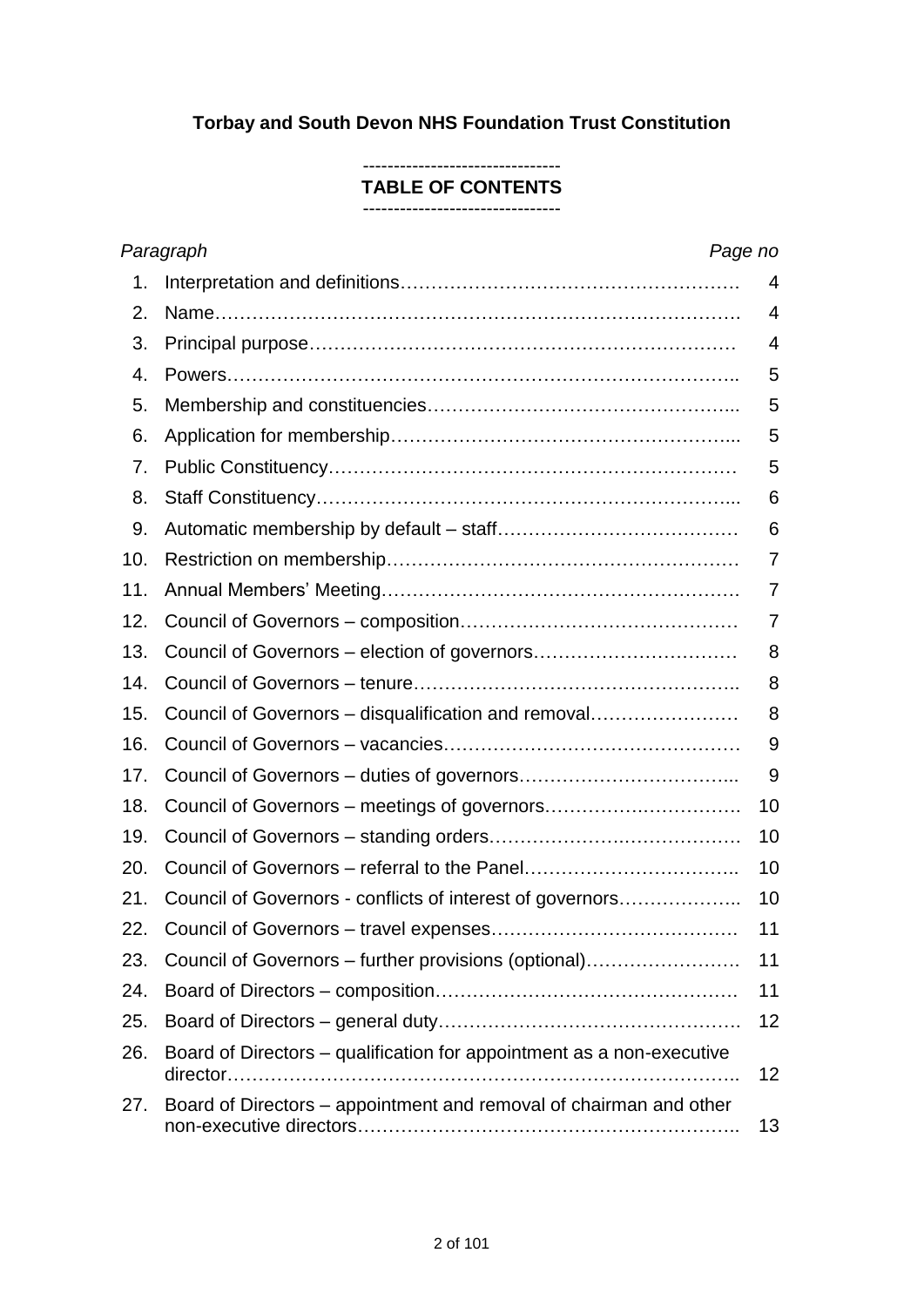# **Torbay and South Devon NHS Foundation Trust Constitution**

#### -------------------------------- **TABLE OF CONTENTS**

--------------------------------

|     | Paragraph<br>Page no                                                  |                 |
|-----|-----------------------------------------------------------------------|-----------------|
| 1.  |                                                                       | $\overline{4}$  |
| 2.  |                                                                       | 4               |
| 3.  |                                                                       | 4               |
| 4.  |                                                                       | 5               |
| 5.  |                                                                       | 5               |
| 6.  |                                                                       | 5               |
| 7.  |                                                                       | 5               |
| 8.  |                                                                       | 6               |
| 9.  |                                                                       | 6               |
| 10. |                                                                       | 7               |
| 11. |                                                                       | 7               |
| 12. |                                                                       | 7               |
| 13. |                                                                       | 8               |
| 14. |                                                                       | 8               |
| 15. | Council of Governors – disqualification and removal                   | 8               |
| 16. |                                                                       | 9               |
| 17. |                                                                       | 9               |
| 18. |                                                                       | 10              |
| 19. |                                                                       | 10              |
| 20. |                                                                       | 10              |
| 21. | Council of Governors - conflicts of interest of governors             | 10              |
| 22. |                                                                       | 11              |
| 23. | Council of Governors – further provisions (optional)                  | 11              |
| 24. |                                                                       | 11              |
| 25. |                                                                       | 12              |
| 26. | Board of Directors – qualification for appointment as a non-executive | 12 <sub>2</sub> |
| 27. | Board of Directors – appointment and removal of chairman and other    | 13              |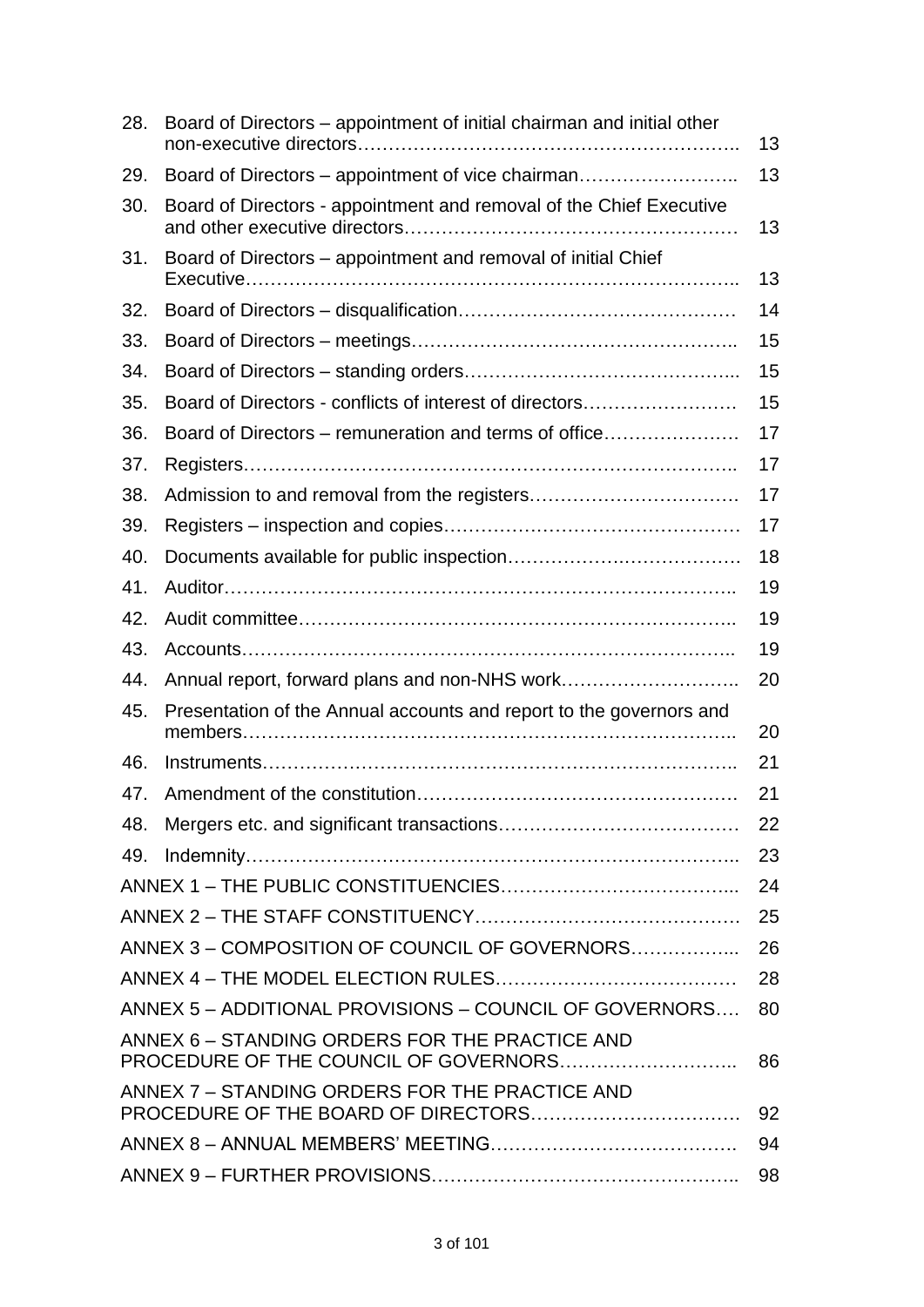| 28. | Board of Directors – appointment of initial chairman and initial other | 13 |
|-----|------------------------------------------------------------------------|----|
| 29. | Board of Directors – appointment of vice chairman                      | 13 |
| 30. | Board of Directors - appointment and removal of the Chief Executive    | 13 |
| 31. | Board of Directors – appointment and removal of initial Chief          | 13 |
| 32. |                                                                        | 14 |
| 33. |                                                                        | 15 |
| 34. |                                                                        | 15 |
| 35. | Board of Directors - conflicts of interest of directors                | 15 |
| 36. | Board of Directors – remuneration and terms of office                  | 17 |
| 37. |                                                                        | 17 |
| 38. |                                                                        | 17 |
| 39. |                                                                        | 17 |
| 40. |                                                                        | 18 |
| 41. |                                                                        | 19 |
| 42. |                                                                        | 19 |
| 43. |                                                                        | 19 |
| 44. |                                                                        | 20 |
| 45. | Presentation of the Annual accounts and report to the governors and    | 20 |
| 46. |                                                                        | 21 |
| 47. |                                                                        | 21 |
| 48. |                                                                        | 22 |
| 49. |                                                                        | 23 |
|     |                                                                        | 24 |
|     |                                                                        | 25 |
|     | ANNEX 3 - COMPOSITION OF COUNCIL OF GOVERNORS                          | 26 |
|     |                                                                        | 28 |
|     | ANNEX 5 - ADDITIONAL PROVISIONS - COUNCIL OF GOVERNORS                 | 80 |
|     | ANNEX 6 - STANDING ORDERS FOR THE PRACTICE AND                         | 86 |
|     | ANNEX 7 - STANDING ORDERS FOR THE PRACTICE AND                         | 92 |
|     |                                                                        | 94 |
|     |                                                                        | 98 |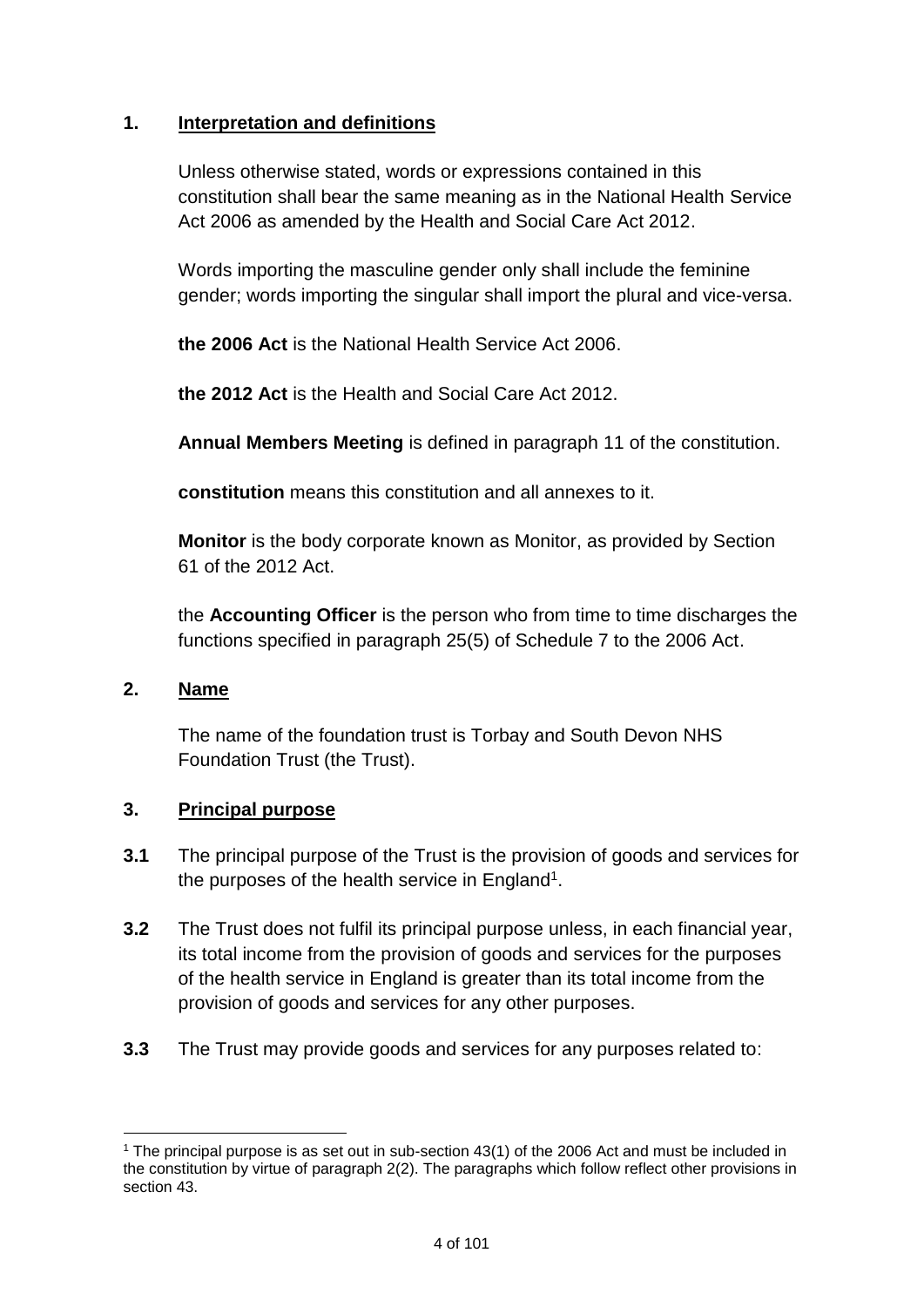# **1. Interpretation and definitions**

Unless otherwise stated, words or expressions contained in this constitution shall bear the same meaning as in the National Health Service Act 2006 as amended by the Health and Social Care Act 2012.

Words importing the masculine gender only shall include the feminine gender; words importing the singular shall import the plural and vice-versa.

**the 2006 Act** is the National Health Service Act 2006.

**the 2012 Act** is the Health and Social Care Act 2012.

**Annual Members Meeting** is defined in paragraph 11 of the constitution.

**constitution** means this constitution and all annexes to it.

**Monitor** is the body corporate known as Monitor, as provided by Section 61 of the 2012 Act.

the **Accounting Officer** is the person who from time to time discharges the functions specified in paragraph 25(5) of Schedule 7 to the 2006 Act.

# **2. Name**

The name of the foundation trust is Torbay and South Devon NHS Foundation Trust (the Trust).

# **3. Principal purpose**

- **3.1** The principal purpose of the Trust is the provision of goods and services for the purposes of the health service in England<sup>1</sup>.
- **3.2** The Trust does not fulfil its principal purpose unless, in each financial year, its total income from the provision of goods and services for the purposes of the health service in England is greater than its total income from the provision of goods and services for any other purposes.
- **3.3** The Trust may provide goods and services for any purposes related to:

<sup>&</sup>lt;u>.</u> <sup>1</sup> The principal purpose is as set out in sub-section 43(1) of the 2006 Act and must be included in the constitution by virtue of paragraph 2(2). The paragraphs which follow reflect other provisions in section 43.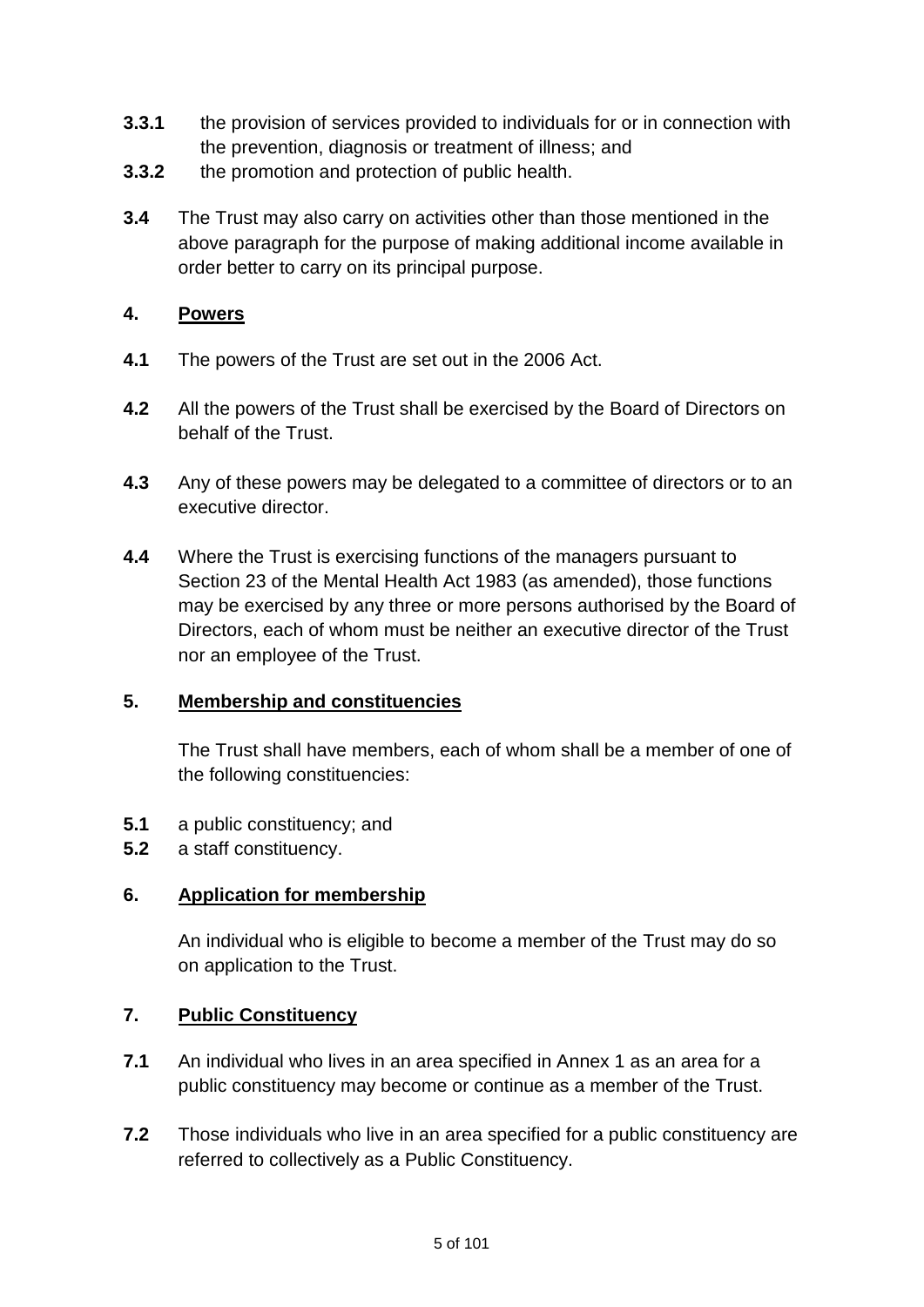- **3.3.1** the provision of services provided to individuals for or in connection with the prevention, diagnosis or treatment of illness; and
- **3.3.2** the promotion and protection of public health.
- **3.4** The Trust may also carry on activities other than those mentioned in the above paragraph for the purpose of making additional income available in order better to carry on its principal purpose.

### **4. Powers**

- **4.1** The powers of the Trust are set out in the 2006 Act.
- **4.2** All the powers of the Trust shall be exercised by the Board of Directors on behalf of the Trust.
- **4.3** Any of these powers may be delegated to a committee of directors or to an executive director.
- **4.4** Where the Trust is exercising functions of the managers pursuant to Section 23 of the Mental Health Act 1983 (as amended), those functions may be exercised by any three or more persons authorised by the Board of Directors, each of whom must be neither an executive director of the Trust nor an employee of the Trust.

# **5. Membership and constituencies**

The Trust shall have members, each of whom shall be a member of one of the following constituencies:

- **5.1** a public constituency; and
- **5.2** a staff constituency.

# **6. Application for membership**

An individual who is eligible to become a member of the Trust may do so on application to the Trust.

# **7. Public Constituency**

- **7.1** An individual who lives in an area specified in Annex 1 as an area for a public constituency may become or continue as a member of the Trust.
- **7.2** Those individuals who live in an area specified for a public constituency are referred to collectively as a Public Constituency.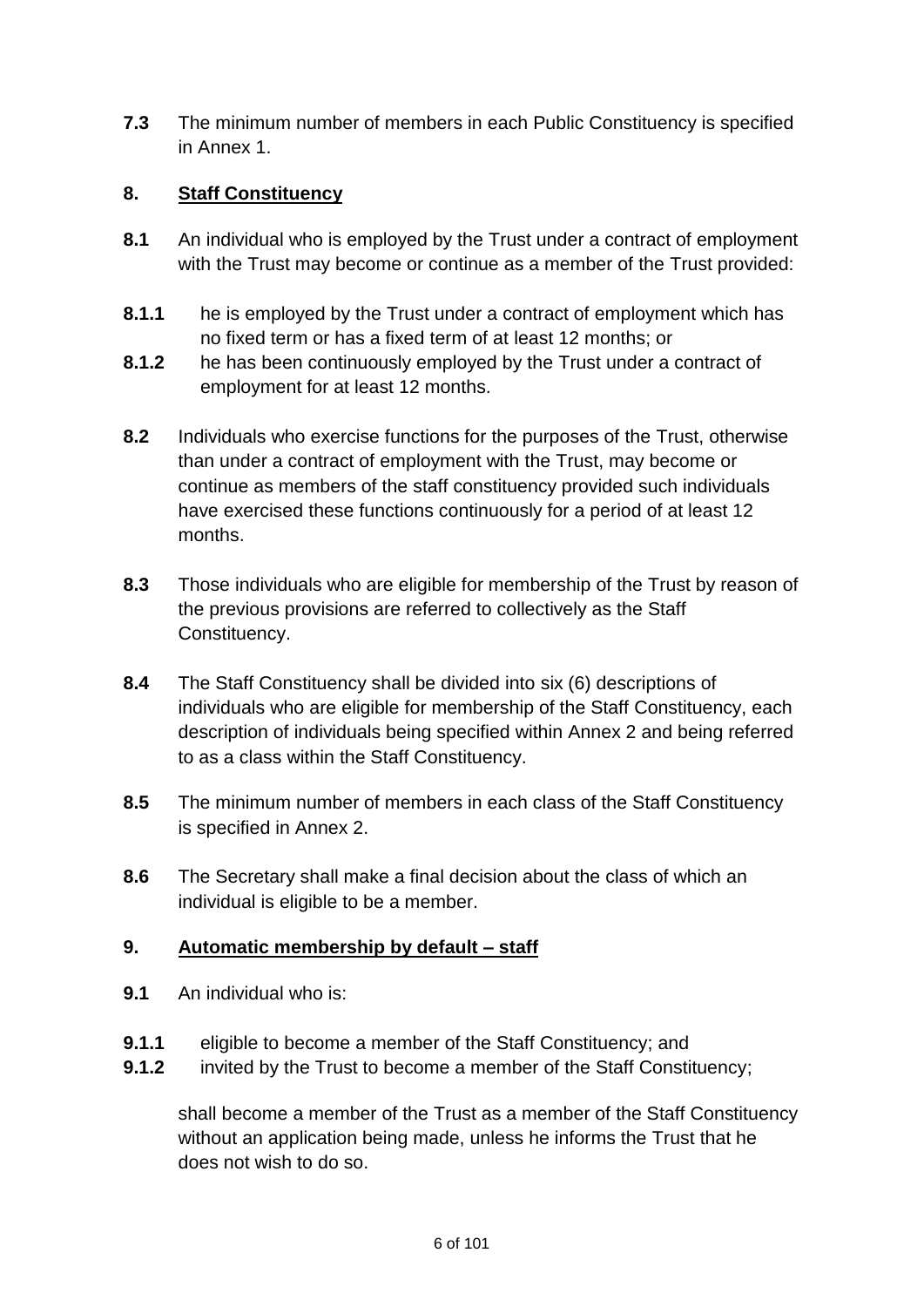**7.3** The minimum number of members in each Public Constituency is specified in Annex 1.

# **8. Staff Constituency**

- **8.1** An individual who is employed by the Trust under a contract of employment with the Trust may become or continue as a member of the Trust provided:
- **8.1.1** he is employed by the Trust under a contract of employment which has no fixed term or has a fixed term of at least 12 months; or
- **8.1.2** he has been continuously employed by the Trust under a contract of employment for at least 12 months.
- **8.2** Individuals who exercise functions for the purposes of the Trust, otherwise than under a contract of employment with the Trust, may become or continue as members of the staff constituency provided such individuals have exercised these functions continuously for a period of at least 12 months.
- **8.3** Those individuals who are eligible for membership of the Trust by reason of the previous provisions are referred to collectively as the Staff Constituency.
- **8.4** The Staff Constituency shall be divided into six (6) descriptions of individuals who are eligible for membership of the Staff Constituency, each description of individuals being specified within Annex 2 and being referred to as a class within the Staff Constituency.
- **8.5** The minimum number of members in each class of the Staff Constituency is specified in Annex 2.
- **8.6** The Secretary shall make a final decision about the class of which an individual is eligible to be a member.

# **9. Automatic membership by default – staff**

- **9.1** An individual who is:
- **9.1.1** eligible to become a member of the Staff Constituency; and
- **9.1.2** invited by the Trust to become a member of the Staff Constituency;

shall become a member of the Trust as a member of the Staff Constituency without an application being made, unless he informs the Trust that he does not wish to do so.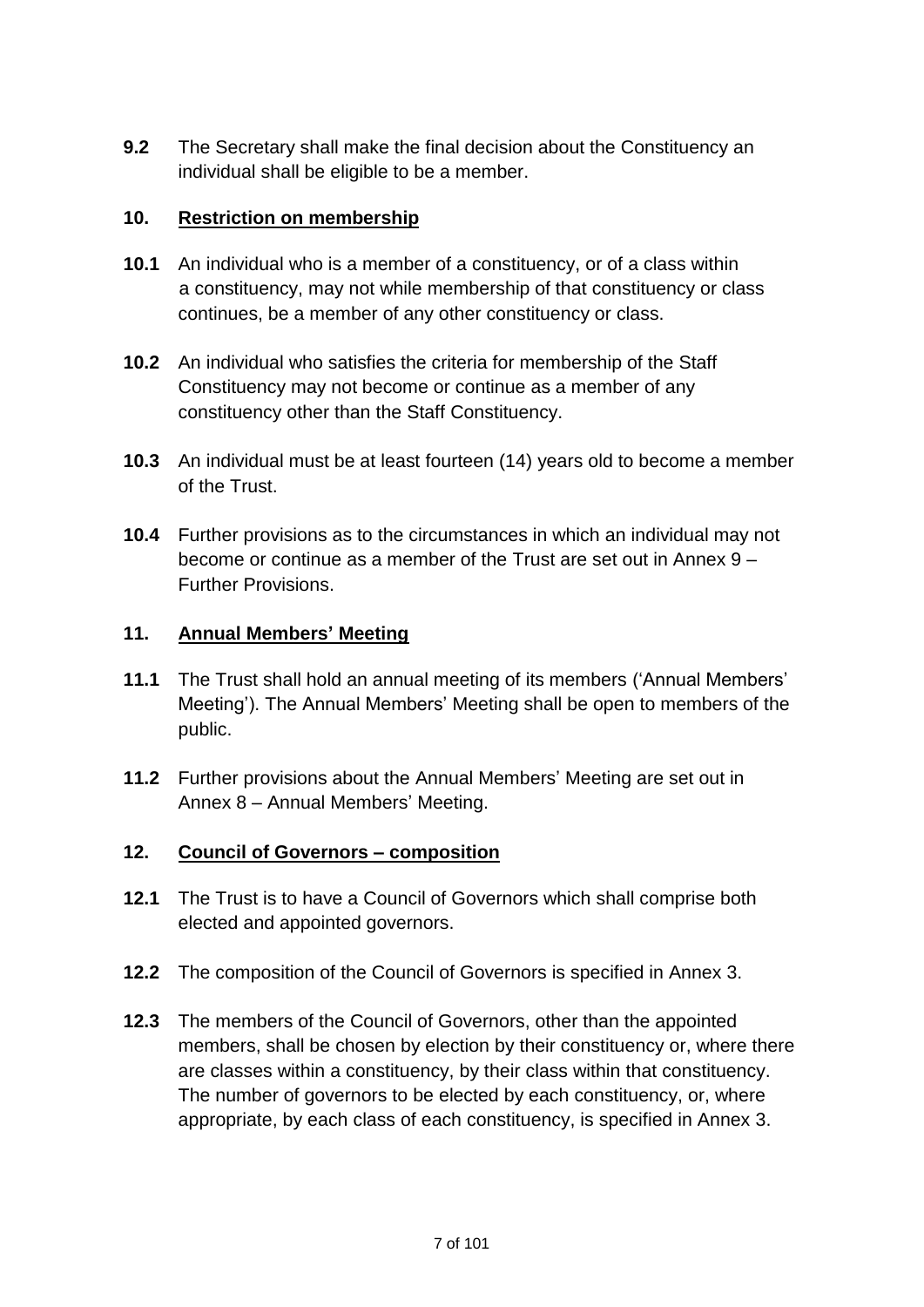**9.2** The Secretary shall make the final decision about the Constituency an individual shall be eligible to be a member.

### **10. Restriction on membership**

- **10.1** An individual who is a member of a constituency, or of a class within a constituency, may not while membership of that constituency or class continues, be a member of any other constituency or class.
- **10.2** An individual who satisfies the criteria for membership of the Staff Constituency may not become or continue as a member of any constituency other than the Staff Constituency.
- **10.3** An individual must be at least fourteen (14) years old to become a member of the Trust.
- **10.4** Further provisions as to the circumstances in which an individual may not become or continue as a member of the Trust are set out in Annex 9 – Further Provisions.

### **11. Annual Members' Meeting**

- **11.1** The Trust shall hold an annual meeting of its members ('Annual Members' Meeting'). The Annual Members' Meeting shall be open to members of the public.
- **11.2** Further provisions about the Annual Members' Meeting are set out in Annex 8 – Annual Members' Meeting.

# **12. Council of Governors – composition**

- **12.1** The Trust is to have a Council of Governors which shall comprise both elected and appointed governors.
- **12.2** The composition of the Council of Governors is specified in Annex 3.
- **12.3** The members of the Council of Governors, other than the appointed members, shall be chosen by election by their constituency or, where there are classes within a constituency, by their class within that constituency. The number of governors to be elected by each constituency, or, where appropriate, by each class of each constituency, is specified in Annex 3.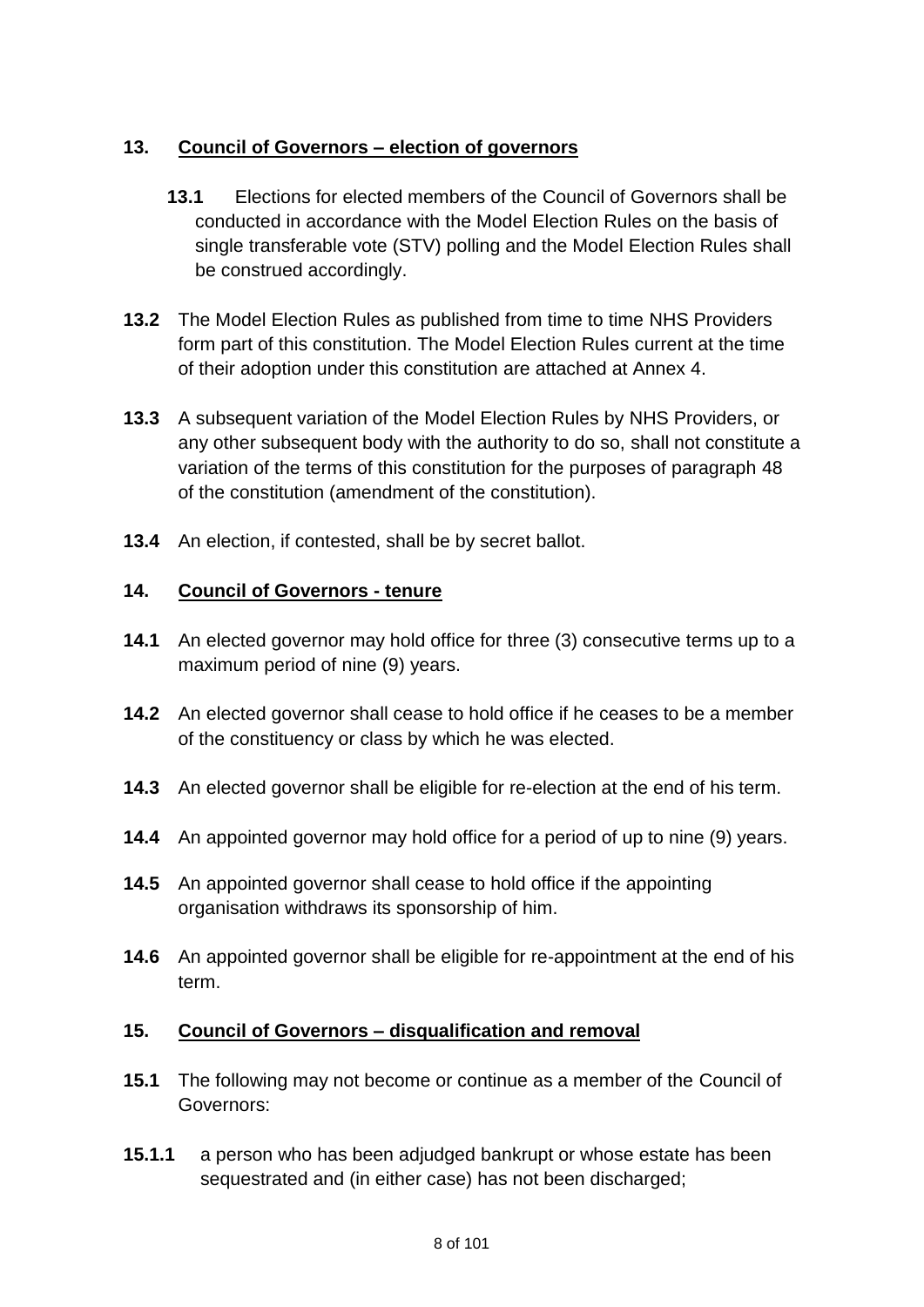# **13. Council of Governors – election of governors**

- **13.1** Elections for elected members of the Council of Governors shall be conducted in accordance with the Model Election Rules on the basis of single transferable vote (STV) polling and the Model Election Rules shall be construed accordingly.
- **13.2** The Model Election Rules as published from time to time NHS Providers form part of this constitution. The Model Election Rules current at the time of their adoption under this constitution are attached at Annex 4.
- **13.3** A subsequent variation of the Model Election Rules by NHS Providers, or any other subsequent body with the authority to do so, shall not constitute a variation of the terms of this constitution for the purposes of paragraph 48 of the constitution (amendment of the constitution).
- **13.4** An election, if contested, shall be by secret ballot.

# **14. Council of Governors - tenure**

- **14.1** An elected governor may hold office for three (3) consecutive terms up to a maximum period of nine (9) years.
- **14.2** An elected governor shall cease to hold office if he ceases to be a member of the constituency or class by which he was elected.
- **14.3** An elected governor shall be eligible for re-election at the end of his term.
- **14.4** An appointed governor may hold office for a period of up to nine (9) years.
- **14.5** An appointed governor shall cease to hold office if the appointing organisation withdraws its sponsorship of him.
- **14.6** An appointed governor shall be eligible for re-appointment at the end of his term.

#### **15. Council of Governors – disqualification and removal**

- **15.1** The following may not become or continue as a member of the Council of Governors:
- **15.1.1** a person who has been adjudged bankrupt or whose estate has been sequestrated and (in either case) has not been discharged;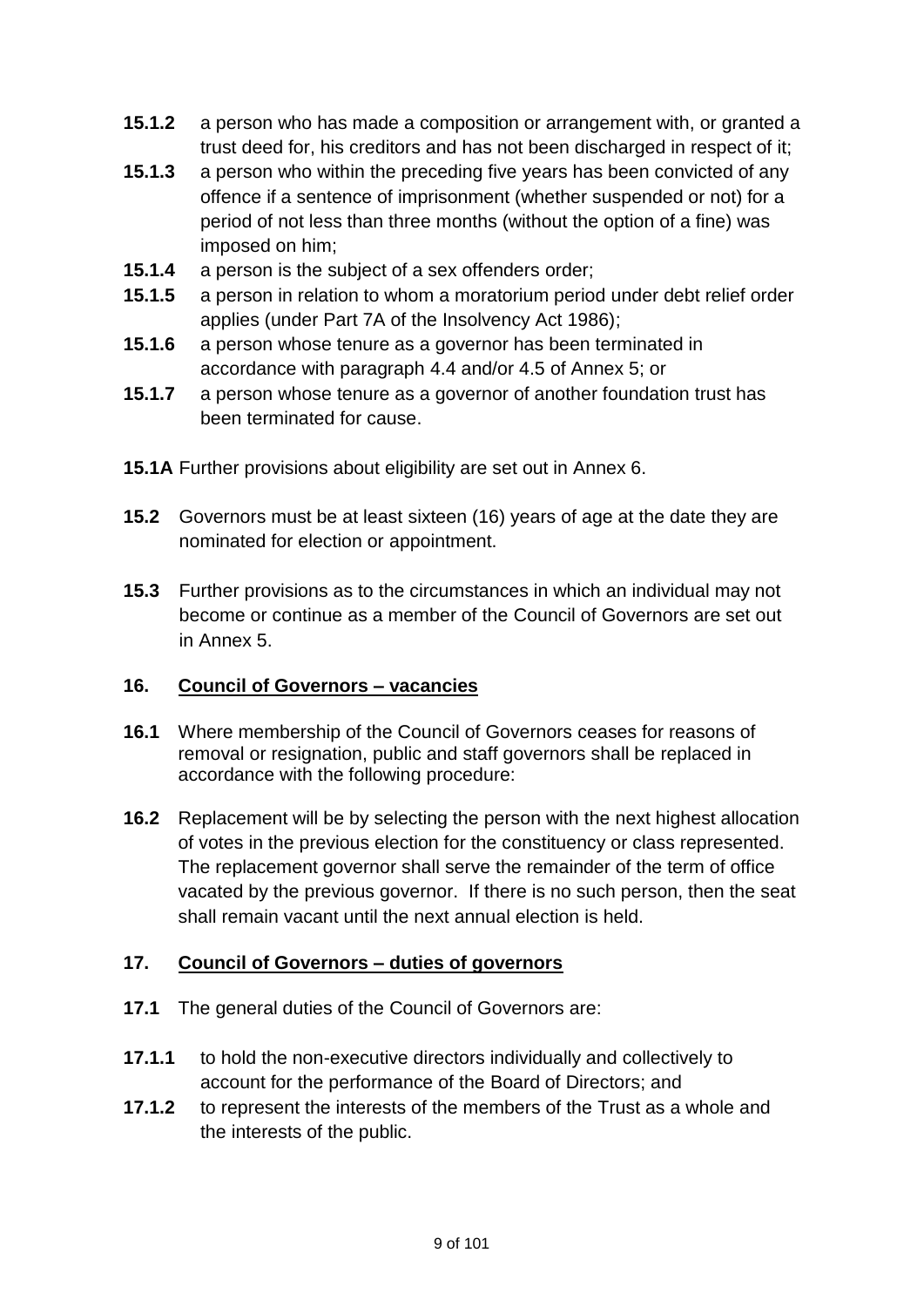- **15.1.2** a person who has made a composition or arrangement with, or granted a trust deed for, his creditors and has not been discharged in respect of it;
- **15.1.3** a person who within the preceding five years has been convicted of any offence if a sentence of imprisonment (whether suspended or not) for a period of not less than three months (without the option of a fine) was imposed on him;
- **15.1.4** a person is the subject of a sex offenders order;
- **15.1.5** a person in relation to whom a moratorium period under debt relief order applies (under Part 7A of the Insolvency Act 1986);
- **15.1.6** a person whose tenure as a governor has been terminated in accordance with paragraph 4.4 and/or 4.5 of Annex 5; or
- **15.1.7** a person whose tenure as a governor of another foundation trust has been terminated for cause.
- **15.1A** Further provisions about eligibility are set out in Annex 6.
- **15.2** Governors must be at least sixteen (16) years of age at the date they are nominated for election or appointment.
- **15.3** Further provisions as to the circumstances in which an individual may not become or continue as a member of the Council of Governors are set out in Annex 5.

#### **16. Council of Governors – vacancies**

- **16.1** Where membership of the Council of Governors ceases for reasons of removal or resignation, public and staff governors shall be replaced in accordance with the following procedure:
- **16.2** Replacement will be by selecting the person with the next highest allocation of votes in the previous election for the constituency or class represented. The replacement governor shall serve the remainder of the term of office vacated by the previous governor. If there is no such person, then the seat shall remain vacant until the next annual election is held.

# **17. Council of Governors – duties of governors**

- **17.1** The general duties of the Council of Governors are:
- **17.1.1** to hold the non-executive directors individually and collectively to account for the performance of the Board of Directors; and
- **17.1.2** to represent the interests of the members of the Trust as a whole and the interests of the public.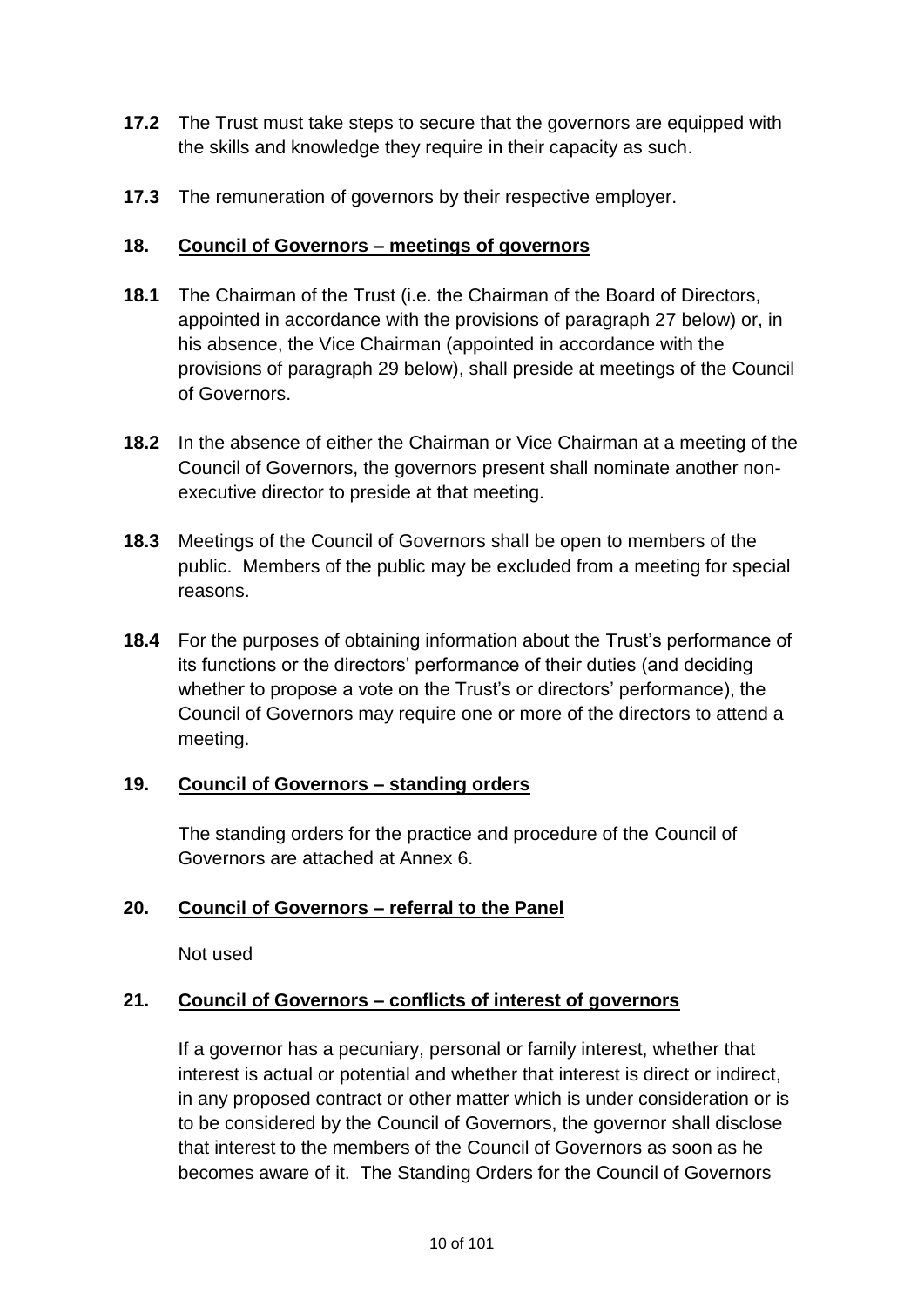- **17.2** The Trust must take steps to secure that the governors are equipped with the skills and knowledge they require in their capacity as such.
- **17.3** The remuneration of governors by their respective employer.

### **18. Council of Governors – meetings of governors**

- **18.1** The Chairman of the Trust (i.e. the Chairman of the Board of Directors, appointed in accordance with the provisions of paragraph 27 below) or, in his absence, the Vice Chairman (appointed in accordance with the provisions of paragraph 29 below), shall preside at meetings of the Council of Governors.
- **18.2** In the absence of either the Chairman or Vice Chairman at a meeting of the Council of Governors, the governors present shall nominate another nonexecutive director to preside at that meeting.
- **18.3** Meetings of the Council of Governors shall be open to members of the public. Members of the public may be excluded from a meeting for special reasons.
- **18.4** For the purposes of obtaining information about the Trust's performance of its functions or the directors' performance of their duties (and deciding whether to propose a vote on the Trust's or directors' performance), the Council of Governors may require one or more of the directors to attend a meeting.

# **19. Council of Governors – standing orders**

The standing orders for the practice and procedure of the Council of Governors are attached at Annex 6.

# **20. Council of Governors – referral to the Panel**

Not used

# **21. Council of Governors – conflicts of interest of governors**

If a governor has a pecuniary, personal or family interest, whether that interest is actual or potential and whether that interest is direct or indirect, in any proposed contract or other matter which is under consideration or is to be considered by the Council of Governors, the governor shall disclose that interest to the members of the Council of Governors as soon as he becomes aware of it. The Standing Orders for the Council of Governors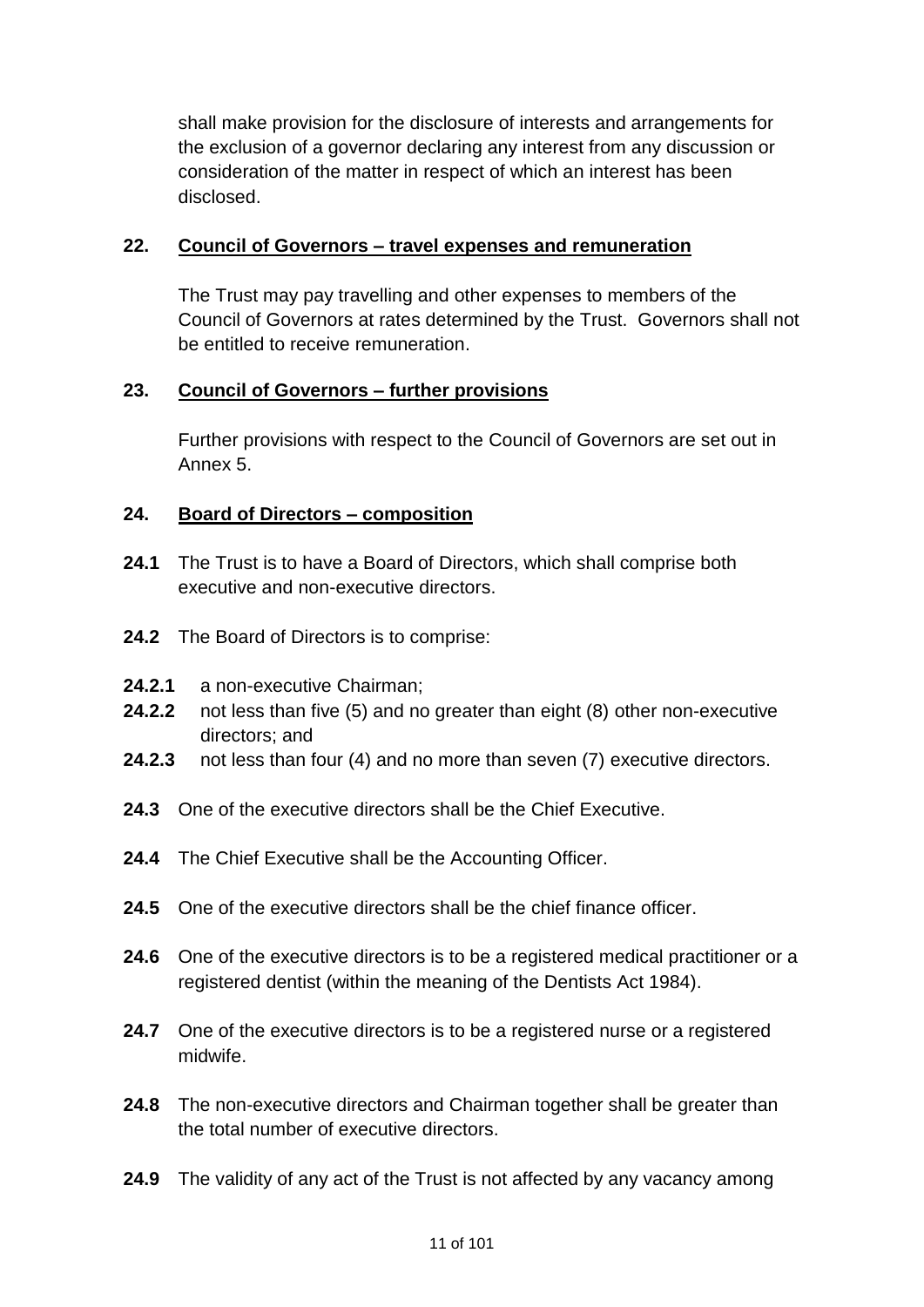shall make provision for the disclosure of interests and arrangements for the exclusion of a governor declaring any interest from any discussion or consideration of the matter in respect of which an interest has been disclosed.

### **22. Council of Governors – travel expenses and remuneration**

The Trust may pay travelling and other expenses to members of the Council of Governors at rates determined by the Trust. Governors shall not be entitled to receive remuneration.

# **23. Council of Governors – further provisions**

Further provisions with respect to the Council of Governors are set out in Annex 5.

### **24. Board of Directors – composition**

- **24.1** The Trust is to have a Board of Directors, which shall comprise both executive and non-executive directors.
- **24.2** The Board of Directors is to comprise:
- **24.2.1** a non-executive Chairman;
- **24.2.2** not less than five (5) and no greater than eight (8) other non-executive directors; and
- **24.2.3** not less than four (4) and no more than seven (7) executive directors.
- **24.3** One of the executive directors shall be the Chief Executive.
- **24.4** The Chief Executive shall be the Accounting Officer.
- **24.5** One of the executive directors shall be the chief finance officer.
- **24.6** One of the executive directors is to be a registered medical practitioner or a registered dentist (within the meaning of the Dentists Act 1984).
- **24.7** One of the executive directors is to be a registered nurse or a registered midwife.
- **24.8** The non-executive directors and Chairman together shall be greater than the total number of executive directors.
- **24.9** The validity of any act of the Trust is not affected by any vacancy among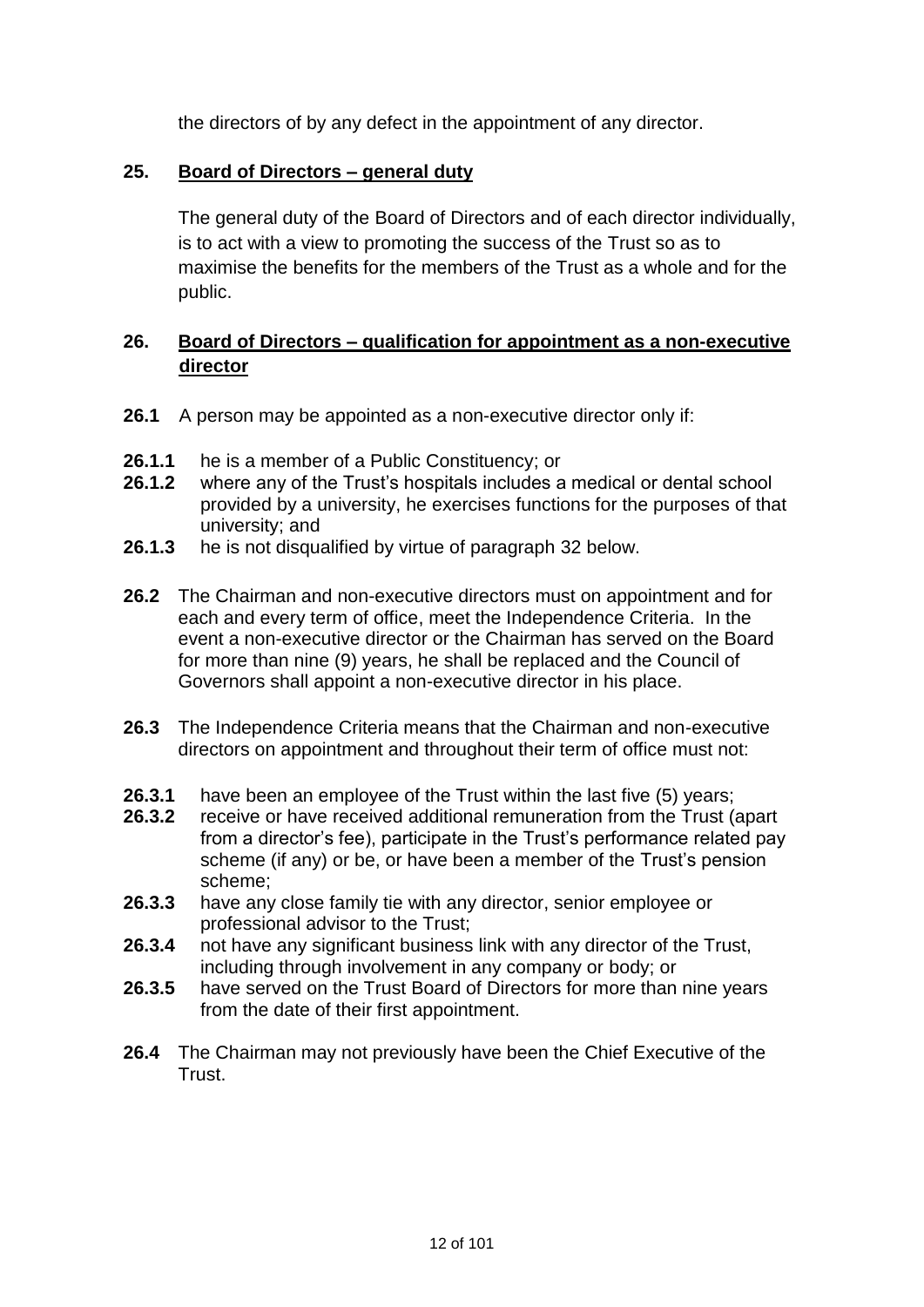the directors of by any defect in the appointment of any director.

### **25. Board of Directors – general duty**

The general duty of the Board of Directors and of each director individually, is to act with a view to promoting the success of the Trust so as to maximise the benefits for the members of the Trust as a whole and for the public.

# **26. Board of Directors – qualification for appointment as a non-executive director**

- **26.1** A person may be appointed as a non-executive director only if:
- **26.1.1** he is a member of a Public Constituency; or
- **26.1.2** where any of the Trust's hospitals includes a medical or dental school provided by a university, he exercises functions for the purposes of that university; and
- **26.1.3** he is not disqualified by virtue of paragraph 32 below.
- **26.2** The Chairman and non-executive directors must on appointment and for each and every term of office, meet the Independence Criteria. In the event a non-executive director or the Chairman has served on the Board for more than nine (9) years, he shall be replaced and the Council of Governors shall appoint a non-executive director in his place.
- **26.3** The Independence Criteria means that the Chairman and non-executive directors on appointment and throughout their term of office must not:
- **26.3.1** have been an employee of the Trust within the last five (5) years;<br>**26.3.2** receive or have received additional remuneration from the Trust (a
- **26.3.2** receive or have received additional remuneration from the Trust (apart from a director's fee), participate in the Trust's performance related pay scheme (if any) or be, or have been a member of the Trust's pension scheme;
- **26.3.3** have any close family tie with any director, senior employee or professional advisor to the Trust;
- **26.3.4** not have any significant business link with any director of the Trust, including through involvement in any company or body; or
- **26.3.5** have served on the Trust Board of Directors for more than nine years from the date of their first appointment.
- **26.4** The Chairman may not previously have been the Chief Executive of the Trust.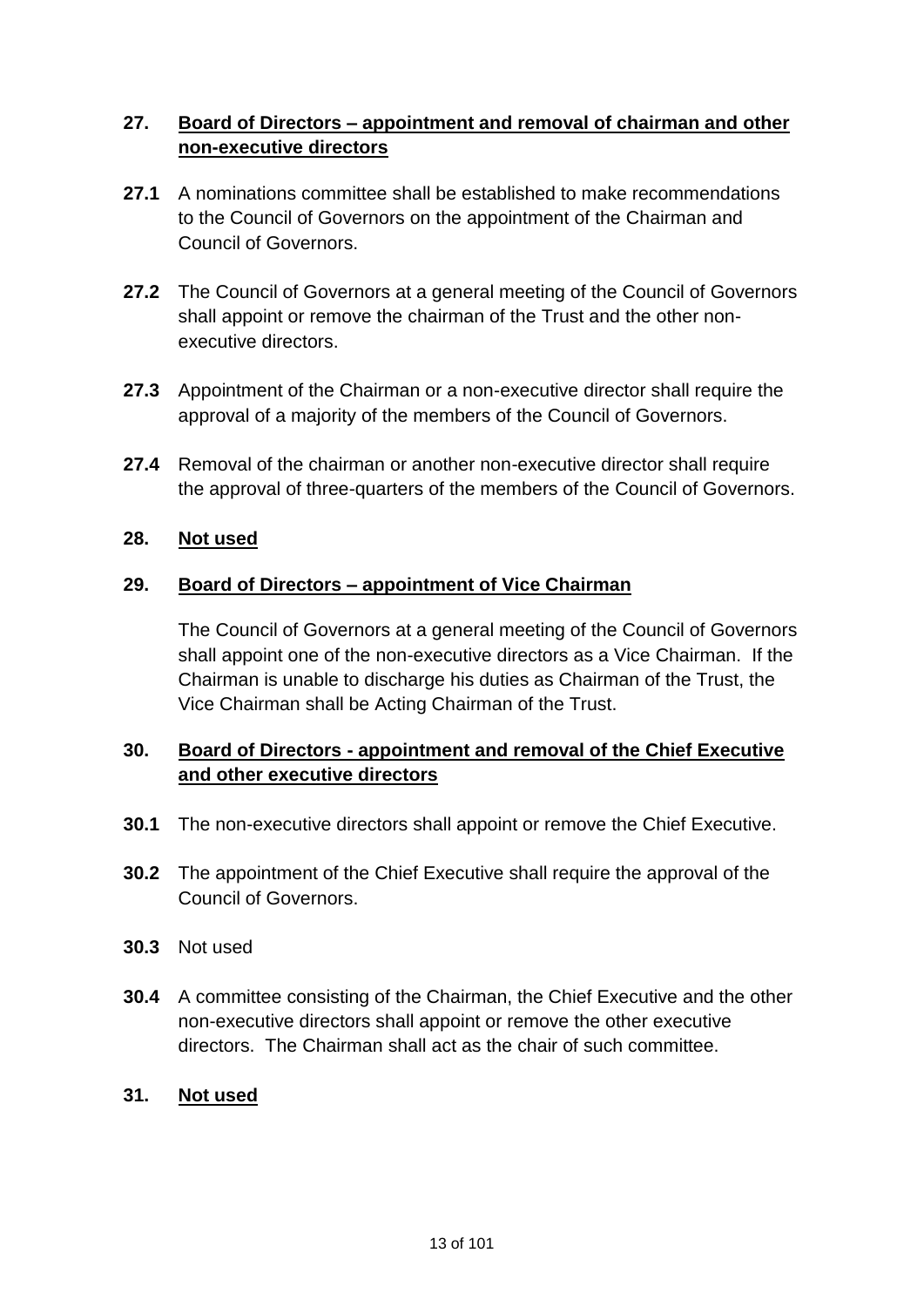# **27. Board of Directors – appointment and removal of chairman and other non-executive directors**

- **27.1** A nominations committee shall be established to make recommendations to the Council of Governors on the appointment of the Chairman and Council of Governors.
- **27.2** The Council of Governors at a general meeting of the Council of Governors shall appoint or remove the chairman of the Trust and the other nonexecutive directors.
- **27.3** Appointment of the Chairman or a non-executive director shall require the approval of a majority of the members of the Council of Governors.
- **27.4** Removal of the chairman or another non-executive director shall require the approval of three-quarters of the members of the Council of Governors.

### **28. Not used**

### **29. Board of Directors – appointment of Vice Chairman**

The Council of Governors at a general meeting of the Council of Governors shall appoint one of the non-executive directors as a Vice Chairman. If the Chairman is unable to discharge his duties as Chairman of the Trust, the Vice Chairman shall be Acting Chairman of the Trust.

# **30. Board of Directors - appointment and removal of the Chief Executive and other executive directors**

- **30.1** The non-executive directors shall appoint or remove the Chief Executive.
- **30.2** The appointment of the Chief Executive shall require the approval of the Council of Governors.
- **30.3** Not used
- **30.4** A committee consisting of the Chairman, the Chief Executive and the other non-executive directors shall appoint or remove the other executive directors. The Chairman shall act as the chair of such committee.

#### **31. Not used**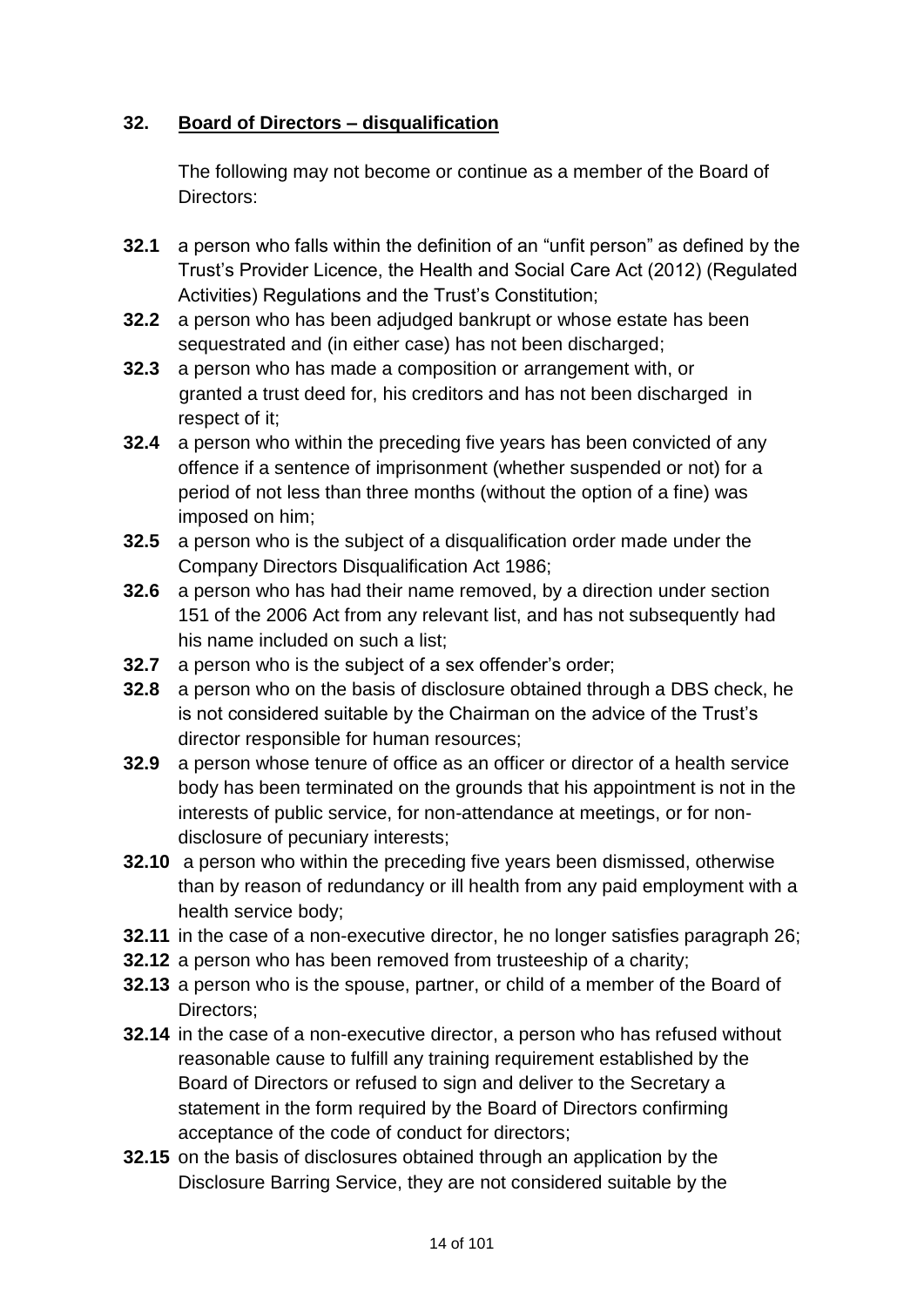# **32. Board of Directors – disqualification**

The following may not become or continue as a member of the Board of Directors:

- **32.1** a person who falls within the definition of an "unfit person" as defined by the Trust's Provider Licence, the Health and Social Care Act (2012) (Regulated Activities) Regulations and the Trust's Constitution;
- **32.2** a person who has been adjudged bankrupt or whose estate has been sequestrated and (in either case) has not been discharged;
- **32.3** a person who has made a composition or arrangement with, or granted a trust deed for, his creditors and has not been discharged in respect of it;
- **32.4** a person who within the preceding five years has been convicted of any offence if a sentence of imprisonment (whether suspended or not) for a period of not less than three months (without the option of a fine) was imposed on him;
- **32.5** a person who is the subject of a disqualification order made under the Company Directors Disqualification Act 1986;
- **32.6** a person who has had their name removed, by a direction under section 151 of the 2006 Act from any relevant list, and has not subsequently had his name included on such a list;
- **32.7** a person who is the subject of a sex offender's order;
- **32.8** a person who on the basis of disclosure obtained through a DBS check, he is not considered suitable by the Chairman on the advice of the Trust's director responsible for human resources;
- **32.9** a person whose tenure of office as an officer or director of a health service body has been terminated on the grounds that his appointment is not in the interests of public service, for non-attendance at meetings, or for nondisclosure of pecuniary interests;
- **32.10** a person who within the preceding five years been dismissed, otherwise than by reason of redundancy or ill health from any paid employment with a health service body;
- **32.11** in the case of a non-executive director, he no longer satisfies paragraph 26;
- **32.12** a person who has been removed from trusteeship of a charity;
- **32.13** a person who is the spouse, partner, or child of a member of the Board of Directors;
- **32.14** in the case of a non-executive director, a person who has refused without reasonable cause to fulfill any training requirement established by the Board of Directors or refused to sign and deliver to the Secretary a statement in the form required by the Board of Directors confirming acceptance of the code of conduct for directors;
- **32.15** on the basis of disclosures obtained through an application by the Disclosure Barring Service, they are not considered suitable by the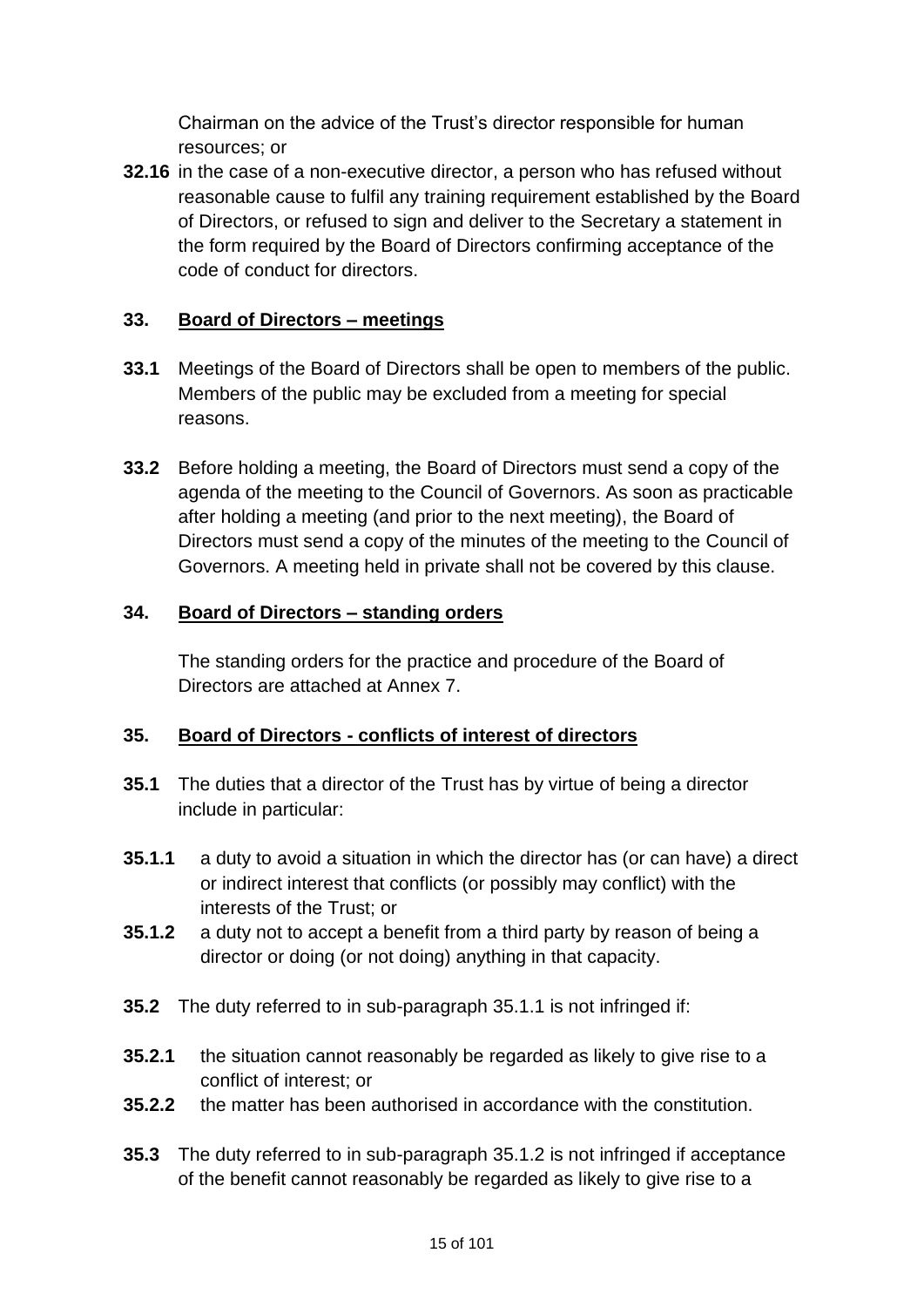Chairman on the advice of the Trust's director responsible for human resources; or

**32.16** in the case of a non-executive director, a person who has refused without reasonable cause to fulfil any training requirement established by the Board of Directors, or refused to sign and deliver to the Secretary a statement in the form required by the Board of Directors confirming acceptance of the code of conduct for directors.

# **33. Board of Directors – meetings**

- **33.1** Meetings of the Board of Directors shall be open to members of the public. Members of the public may be excluded from a meeting for special reasons.
- **33.2** Before holding a meeting, the Board of Directors must send a copy of the agenda of the meeting to the Council of Governors. As soon as practicable after holding a meeting (and prior to the next meeting), the Board of Directors must send a copy of the minutes of the meeting to the Council of Governors. A meeting held in private shall not be covered by this clause.

# **34. Board of Directors – standing orders**

The standing orders for the practice and procedure of the Board of Directors are attached at Annex 7.

# **35. Board of Directors - conflicts of interest of directors**

- **35.1** The duties that a director of the Trust has by virtue of being a director include in particular:
- **35.1.1** a duty to avoid a situation in which the director has (or can have) a direct or indirect interest that conflicts (or possibly may conflict) with the interests of the Trust; or
- **35.1.2** a duty not to accept a benefit from a third party by reason of being a director or doing (or not doing) anything in that capacity.
- **35.2** The duty referred to in sub-paragraph 35.1.1 is not infringed if:
- **35.2.1** the situation cannot reasonably be regarded as likely to give rise to a conflict of interest; or
- **35.2.2** the matter has been authorised in accordance with the constitution.
- **35.3** The duty referred to in sub-paragraph 35.1.2 is not infringed if acceptance of the benefit cannot reasonably be regarded as likely to give rise to a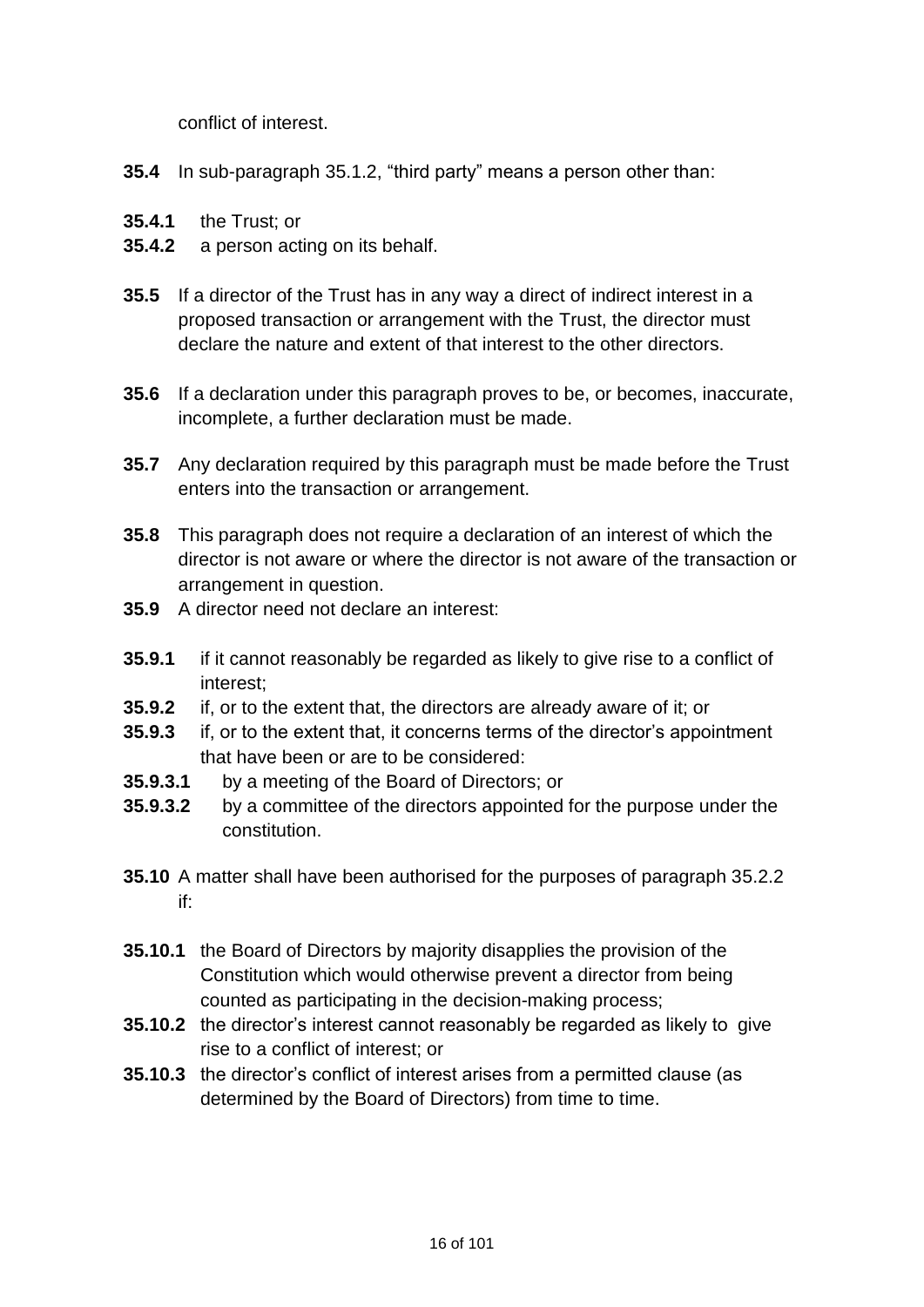conflict of interest.

- **35.4** In sub-paragraph 35.1.2, "third party" means a person other than:
- **35.4.1** the Trust; or
- **35.4.2** a person acting on its behalf.
- **35.5** If a director of the Trust has in any way a direct of indirect interest in a proposed transaction or arrangement with the Trust, the director must declare the nature and extent of that interest to the other directors.
- **35.6** If a declaration under this paragraph proves to be, or becomes, inaccurate, incomplete, a further declaration must be made.
- **35.7** Any declaration required by this paragraph must be made before the Trust enters into the transaction or arrangement.
- **35.8** This paragraph does not require a declaration of an interest of which the director is not aware or where the director is not aware of the transaction or arrangement in question.
- **35.9** A director need not declare an interest:
- **35.9.1** if it cannot reasonably be regarded as likely to give rise to a conflict of interest;
- **35.9.2** if, or to the extent that, the directors are already aware of it; or
- **35.9.3** if, or to the extent that, it concerns terms of the director's appointment that have been or are to be considered:
- **35.9.3.1** by a meeting of the Board of Directors; or
- **35.9.3.2** by a committee of the directors appointed for the purpose under the constitution.
- **35.10** A matter shall have been authorised for the purposes of paragraph 35.2.2 if:
- **35.10.1** the Board of Directors by majority disapplies the provision of the Constitution which would otherwise prevent a director from being counted as participating in the decision-making process;
- **35.10.2** the director's interest cannot reasonably be regarded as likely to give rise to a conflict of interest; or
- **35.10.3** the director's conflict of interest arises from a permitted clause (as determined by the Board of Directors) from time to time.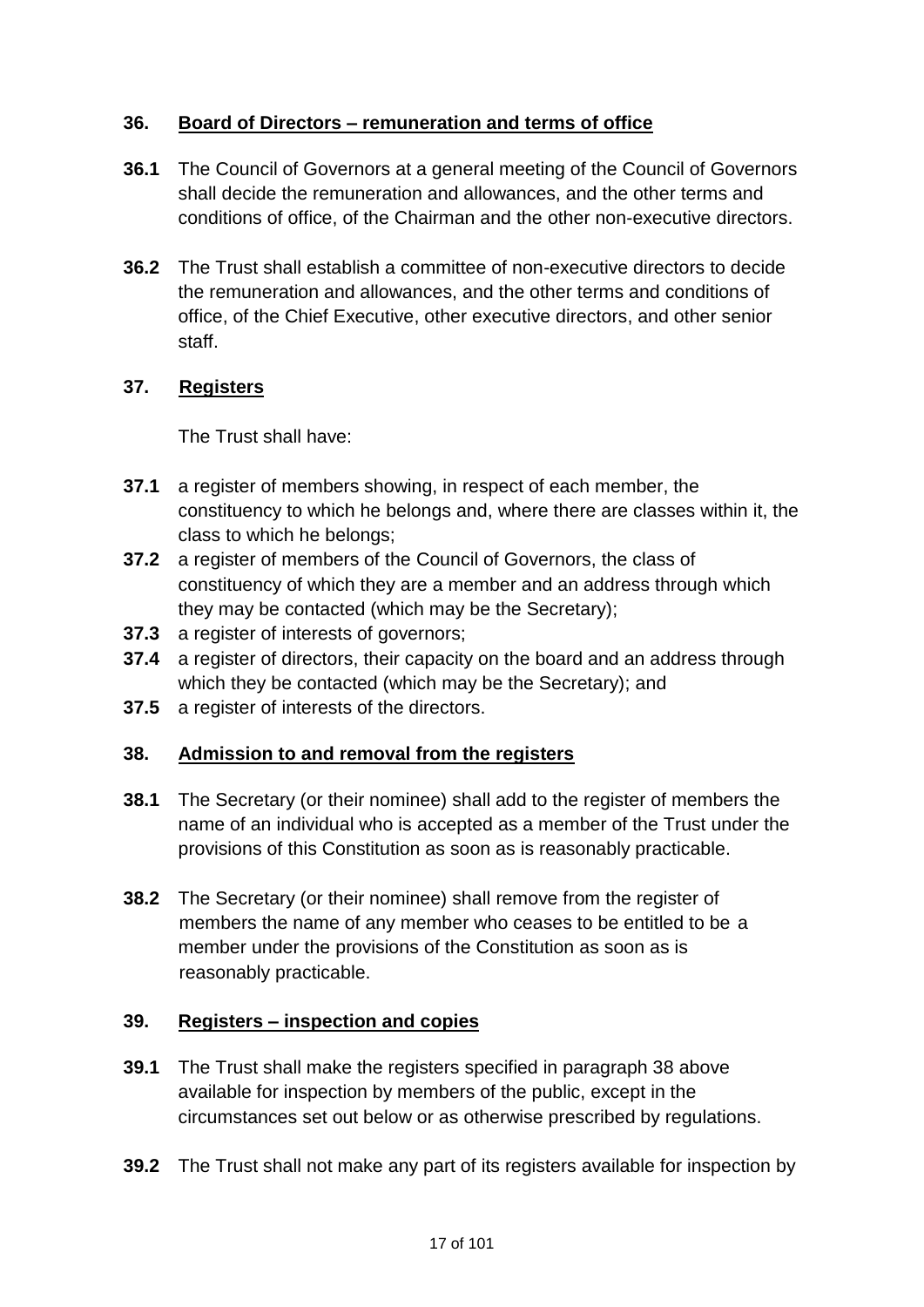# **36. Board of Directors – remuneration and terms of office**

- **36.1** The Council of Governors at a general meeting of the Council of Governors shall decide the remuneration and allowances, and the other terms and conditions of office, of the Chairman and the other non-executive directors.
- **36.2** The Trust shall establish a committee of non-executive directors to decide the remuneration and allowances, and the other terms and conditions of office, of the Chief Executive, other executive directors, and other senior staff.

# **37. Registers**

The Trust shall have:

- **37.1** a register of members showing, in respect of each member, the constituency to which he belongs and, where there are classes within it, the class to which he belongs;
- **37.2** a register of members of the Council of Governors, the class of constituency of which they are a member and an address through which they may be contacted (which may be the Secretary);
- **37.3** a register of interests of governors;
- **37.4** a register of directors, their capacity on the board and an address through which they be contacted (which may be the Secretary); and
- **37.5** a register of interests of the directors.

# **38. Admission to and removal from the registers**

- **38.1** The Secretary (or their nominee) shall add to the register of members the name of an individual who is accepted as a member of the Trust under the provisions of this Constitution as soon as is reasonably practicable.
- **38.2** The Secretary (or their nominee) shall remove from the register of members the name of any member who ceases to be entitled to be a member under the provisions of the Constitution as soon as is reasonably practicable.

# **39. Registers – inspection and copies**

- **39.1** The Trust shall make the registers specified in paragraph 38 above available for inspection by members of the public, except in the circumstances set out below or as otherwise prescribed by regulations.
- **39.2** The Trust shall not make any part of its registers available for inspection by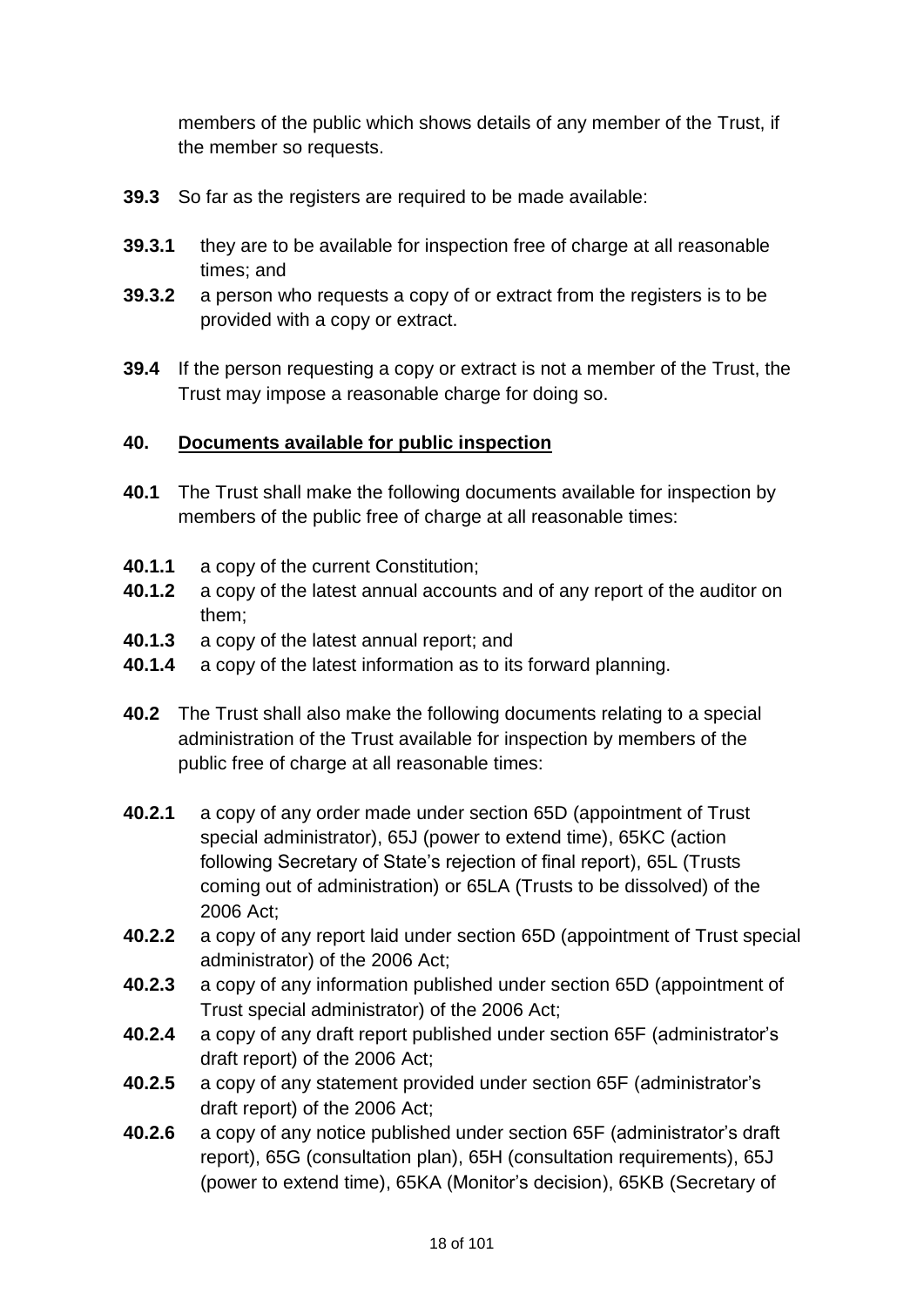members of the public which shows details of any member of the Trust, if the member so requests.

- **39.3** So far as the registers are required to be made available:
- **39.3.1** they are to be available for inspection free of charge at all reasonable times; and
- **39.3.2** a person who requests a copy of or extract from the registers is to be provided with a copy or extract.
- **39.4** If the person requesting a copy or extract is not a member of the Trust, the Trust may impose a reasonable charge for doing so.

# **40. Documents available for public inspection**

- **40.1** The Trust shall make the following documents available for inspection by members of the public free of charge at all reasonable times:
- **40.1.1** a copy of the current Constitution;
- **40.1.2** a copy of the latest annual accounts and of any report of the auditor on them;
- **40.1.3** a copy of the latest annual report; and
- **40.1.4** a copy of the latest information as to its forward planning.
- **40.2** The Trust shall also make the following documents relating to a special administration of the Trust available for inspection by members of the public free of charge at all reasonable times:
- **40.2.1** a copy of any order made under section 65D (appointment of Trust special administrator), 65J (power to extend time), 65KC (action following Secretary of State's rejection of final report), 65L (Trusts coming out of administration) or 65LA (Trusts to be dissolved) of the 2006 Act;
- **40.2.2** a copy of any report laid under section 65D (appointment of Trust special administrator) of the 2006 Act;
- **40.2.3** a copy of any information published under section 65D (appointment of Trust special administrator) of the 2006 Act;
- **40.2.4** a copy of any draft report published under section 65F (administrator's draft report) of the 2006 Act;
- **40.2.5** a copy of any statement provided under section 65F (administrator's draft report) of the 2006 Act;
- **40.2.6** a copy of any notice published under section 65F (administrator's draft report), 65G (consultation plan), 65H (consultation requirements), 65J (power to extend time), 65KA (Monitor's decision), 65KB (Secretary of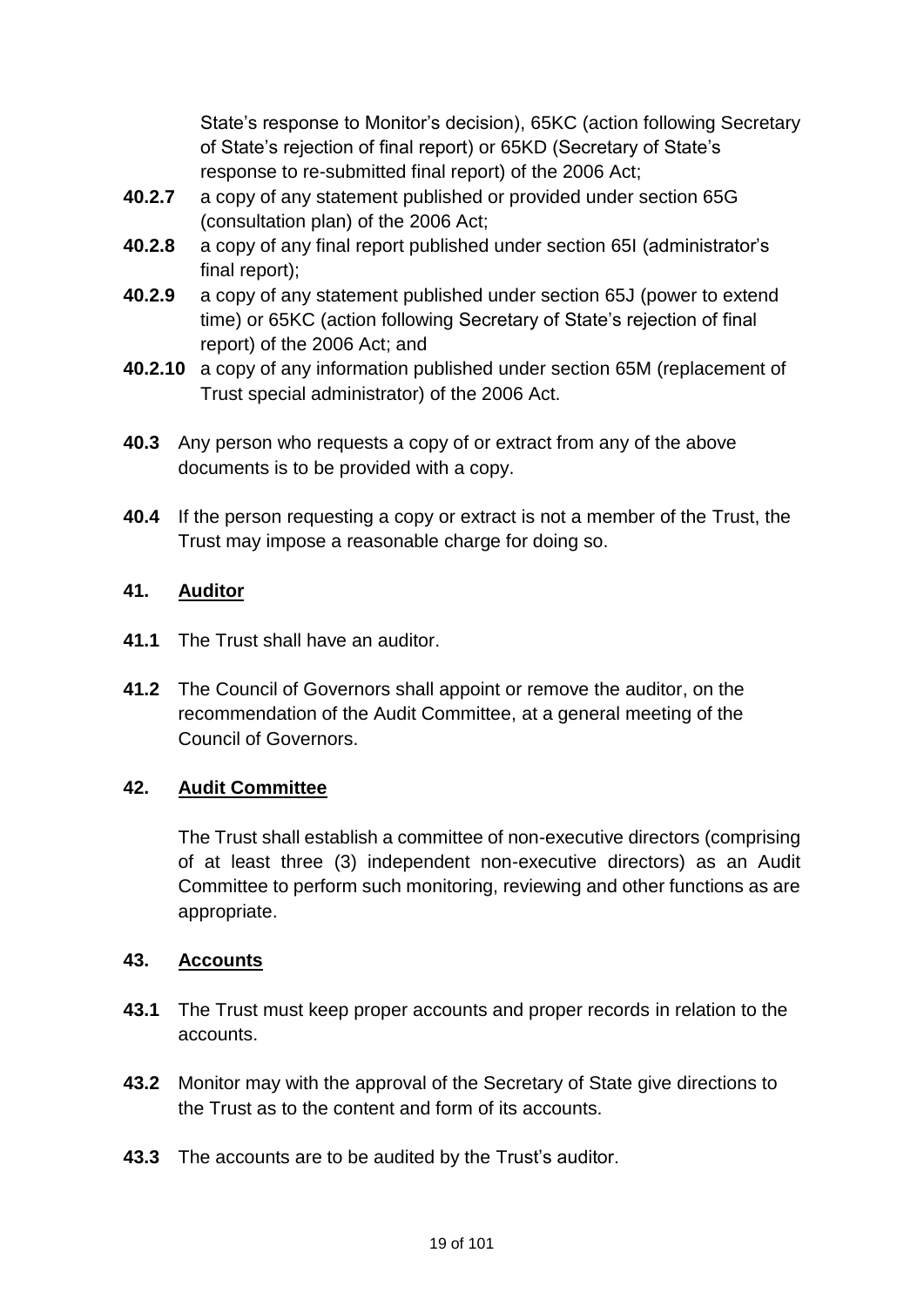State's response to Monitor's decision), 65KC (action following Secretary of State's rejection of final report) or 65KD (Secretary of State's response to re-submitted final report) of the 2006 Act;

- **40.2.7** a copy of any statement published or provided under section 65G (consultation plan) of the 2006 Act;
- **40.2.8** a copy of any final report published under section 65I (administrator's final report);
- **40.2.9** a copy of any statement published under section 65J (power to extend time) or 65KC (action following Secretary of State's rejection of final report) of the 2006 Act; and
- **40.2.10** a copy of any information published under section 65M (replacement of Trust special administrator) of the 2006 Act.
- **40.3** Any person who requests a copy of or extract from any of the above documents is to be provided with a copy.
- **40.4** If the person requesting a copy or extract is not a member of the Trust, the Trust may impose a reasonable charge for doing so.

# **41. Auditor**

- **41.1** The Trust shall have an auditor.
- **41.2** The Council of Governors shall appoint or remove the auditor, on the recommendation of the Audit Committee, at a general meeting of the Council of Governors.

# **42. Audit Committee**

The Trust shall establish a committee of non-executive directors (comprising of at least three (3) independent non-executive directors) as an Audit Committee to perform such monitoring, reviewing and other functions as are appropriate.

# **43. Accounts**

- **43.1** The Trust must keep proper accounts and proper records in relation to the accounts.
- **43.2** Monitor may with the approval of the Secretary of State give directions to the Trust as to the content and form of its accounts.
- **43.3** The accounts are to be audited by the Trust's auditor.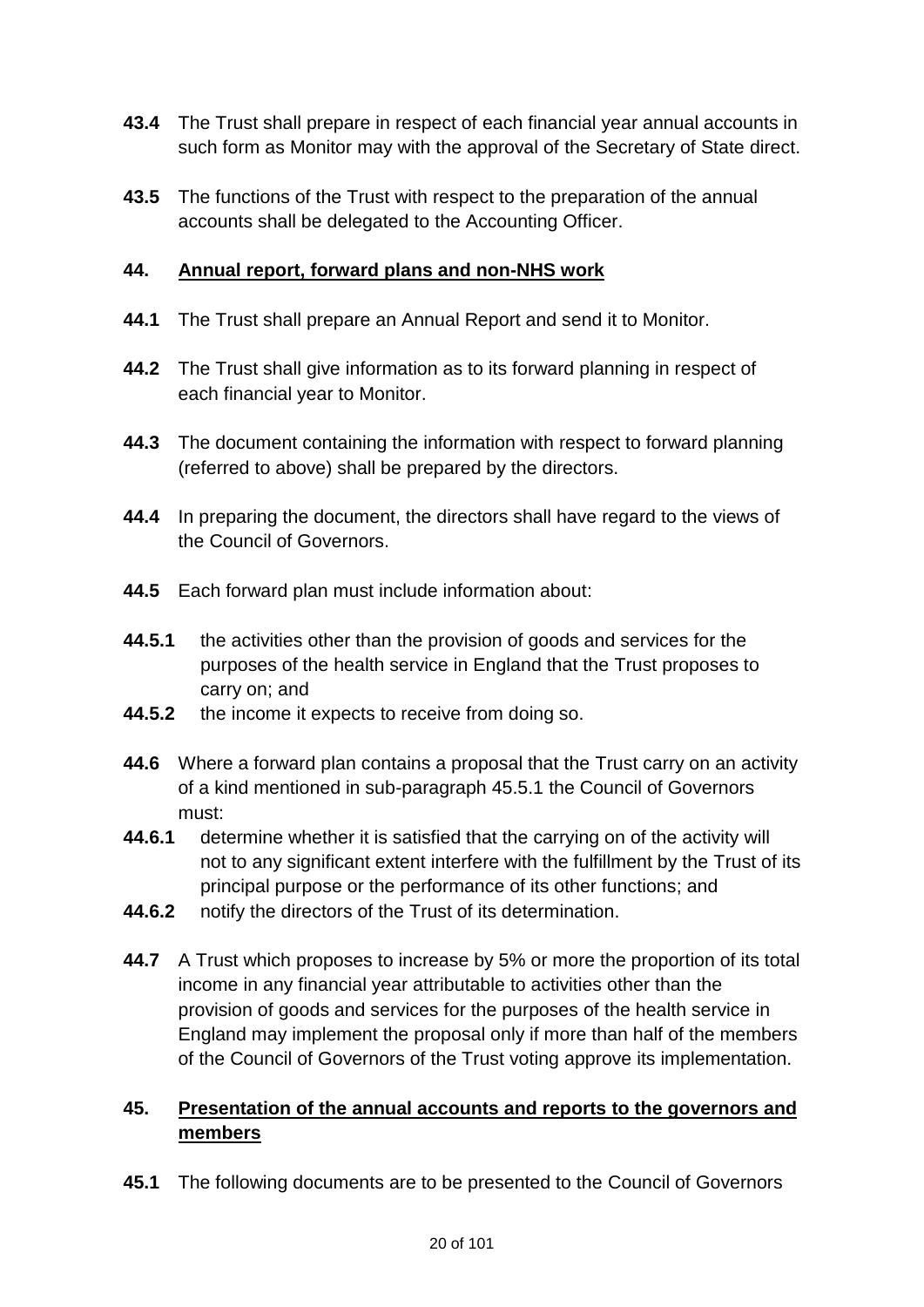- **43.4** The Trust shall prepare in respect of each financial year annual accounts in such form as Monitor may with the approval of the Secretary of State direct.
- **43.5** The functions of the Trust with respect to the preparation of the annual accounts shall be delegated to the Accounting Officer.

# **44. Annual report, forward plans and non-NHS work**

- **44.1** The Trust shall prepare an Annual Report and send it to Monitor.
- **44.2** The Trust shall give information as to its forward planning in respect of each financial year to Monitor.
- **44.3** The document containing the information with respect to forward planning (referred to above) shall be prepared by the directors.
- **44.4** In preparing the document, the directors shall have regard to the views of the Council of Governors.
- **44.5** Each forward plan must include information about:
- **44.5.1** the activities other than the provision of goods and services for the purposes of the health service in England that the Trust proposes to carry on; and
- **44.5.2** the income it expects to receive from doing so.
- **44.6** Where a forward plan contains a proposal that the Trust carry on an activity of a kind mentioned in sub-paragraph 45.5.1 the Council of Governors must:
- **44.6.1** determine whether it is satisfied that the carrying on of the activity will not to any significant extent interfere with the fulfillment by the Trust of its principal purpose or the performance of its other functions; and
- **44.6.2** notify the directors of the Trust of its determination.
- **44.7** A Trust which proposes to increase by 5% or more the proportion of its total income in any financial year attributable to activities other than the provision of goods and services for the purposes of the health service in England may implement the proposal only if more than half of the members of the Council of Governors of the Trust voting approve its implementation.

# **45. Presentation of the annual accounts and reports to the governors and members**

**45.1** The following documents are to be presented to the Council of Governors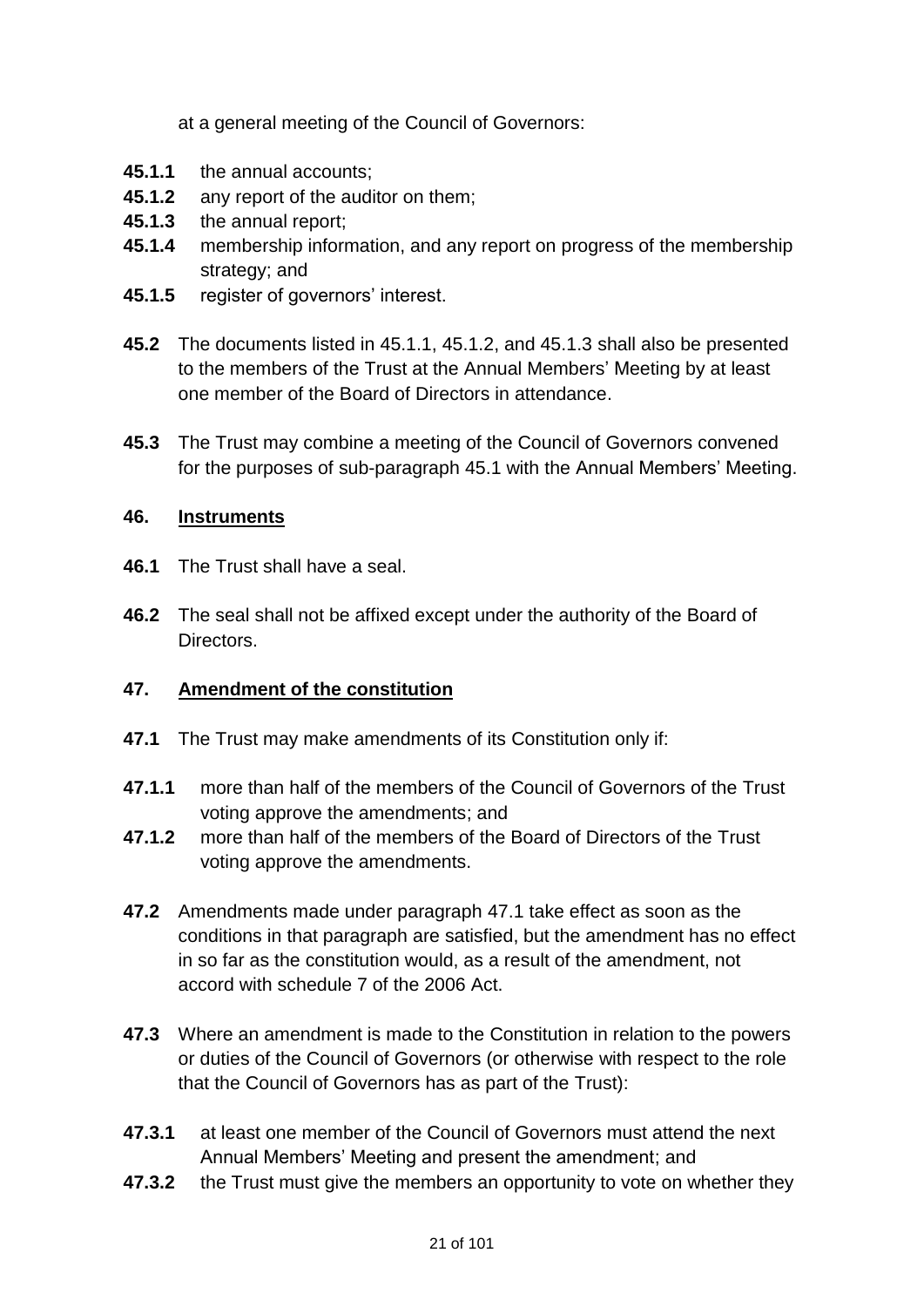at a general meeting of the Council of Governors:

- **45.1.1** the annual accounts;
- **45.1.2** any report of the auditor on them;
- **45.1.3** the annual report;
- **45.1.4** membership information, and any report on progress of the membership strategy; and
- **45.1.5** register of governors' interest.
- **45.2** The documents listed in 45.1.1, 45.1.2, and 45.1.3 shall also be presented to the members of the Trust at the Annual Members' Meeting by at least one member of the Board of Directors in attendance.
- **45.3** The Trust may combine a meeting of the Council of Governors convened for the purposes of sub-paragraph 45.1 with the Annual Members' Meeting.

### **46. Instruments**

- **46.1** The Trust shall have a seal.
- **46.2** The seal shall not be affixed except under the authority of the Board of Directors.

# **47. Amendment of the constitution**

- <span id="page-20-0"></span>**47.1** The Trust may make amendments of its Constitution only if:
- **47.1.1** more than half of the members of the Council of Governors of the Trust voting approve the amendments; and
- **47.1.2** more than half of the members of the Board of Directors of the Trust voting approve the amendments.
- **47.2** Amendments made under paragraph [47.1](#page-20-0) take effect as soon as the conditions in that paragraph are satisfied, but the amendment has no effect in so far as the constitution would, as a result of the amendment, not accord with schedule 7 of the 2006 Act.
- **47.3** Where an amendment is made to the Constitution in relation to the powers or duties of the Council of Governors (or otherwise with respect to the role that the Council of Governors has as part of the Trust):
- **47.3.1** at least one member of the Council of Governors must attend the next Annual Members' Meeting and present the amendment; and
- **47.3.2** the Trust must give the members an opportunity to vote on whether they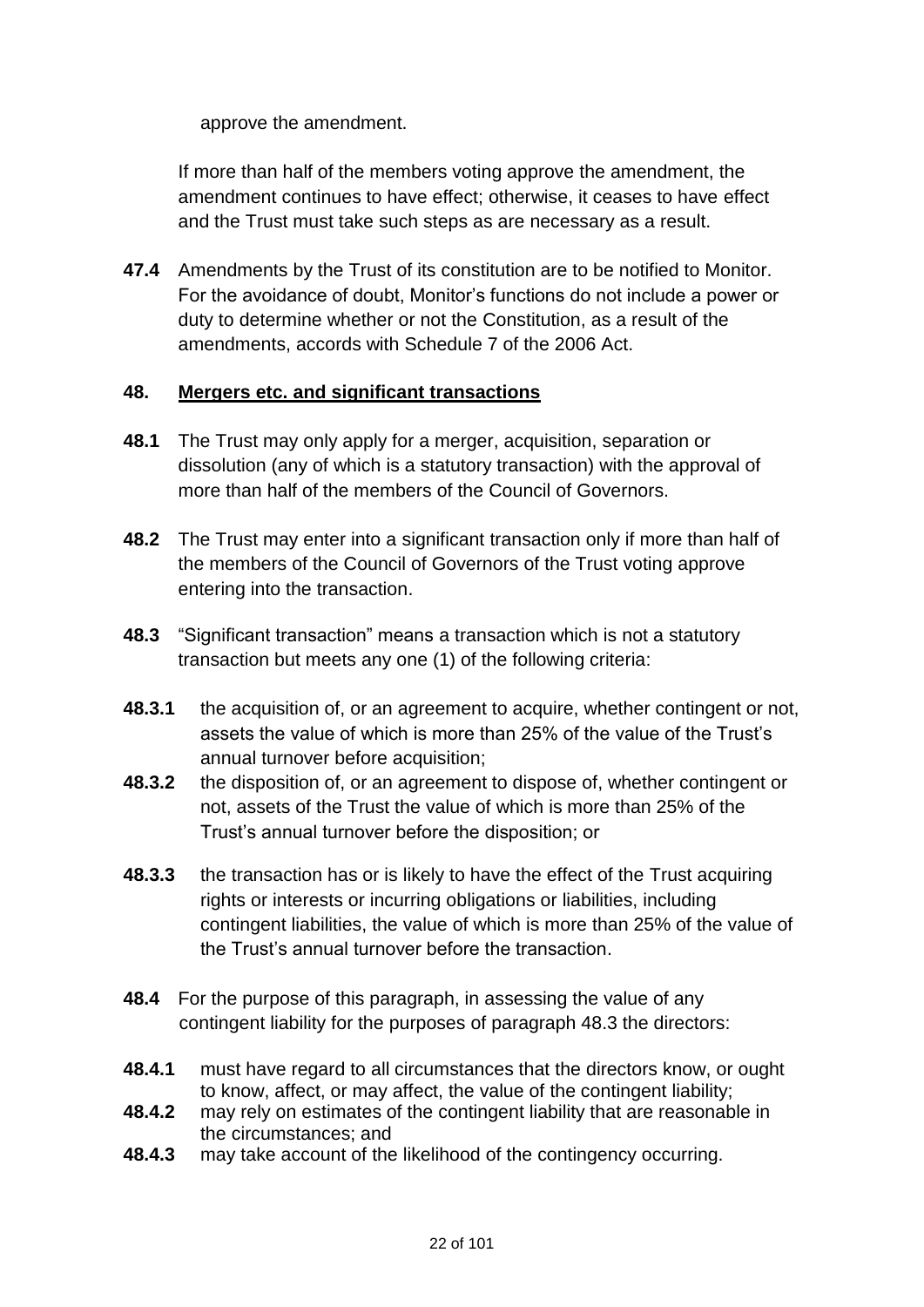approve the amendment.

If more than half of the members voting approve the amendment, the amendment continues to have effect; otherwise, it ceases to have effect and the Trust must take such steps as are necessary as a result.

**47.4** Amendments by the Trust of its constitution are to be notified to Monitor. For the avoidance of doubt, Monitor's functions do not include a power or duty to determine whether or not the Constitution, as a result of the amendments, accords with Schedule 7 of the 2006 Act.

### **48. Mergers etc. and significant transactions**

- **48.1** The Trust may only apply for a merger, acquisition, separation or dissolution (any of which is a statutory transaction) with the approval of more than half of the members of the Council of Governors.
- **48.2** The Trust may enter into a significant transaction only if more than half of the members of the Council of Governors of the Trust voting approve entering into the transaction.
- **48.3** "Significant transaction" means a transaction which is not a statutory transaction but meets any one (1) of the following criteria:
- **48.3.1** the acquisition of, or an agreement to acquire, whether contingent or not, assets the value of which is more than 25% of the value of the Trust's annual turnover before acquisition;
- **48.3.2** the disposition of, or an agreement to dispose of, whether contingent or not, assets of the Trust the value of which is more than 25% of the Trust's annual turnover before the disposition; or
- **48.3.3** the transaction has or is likely to have the effect of the Trust acquiring rights or interests or incurring obligations or liabilities, including contingent liabilities, the value of which is more than 25% of the value of the Trust's annual turnover before the transaction.
- **48.4** For the purpose of this paragraph, in assessing the value of any contingent liability for the purposes of paragraph 48.3 the directors:
- **48.4.1** must have regard to all circumstances that the directors know, or ought to know, affect, or may affect, the value of the contingent liability;
- **48.4.2** may rely on estimates of the contingent liability that are reasonable in the circumstances; and
- **48.4.3** may take account of the likelihood of the contingency occurring.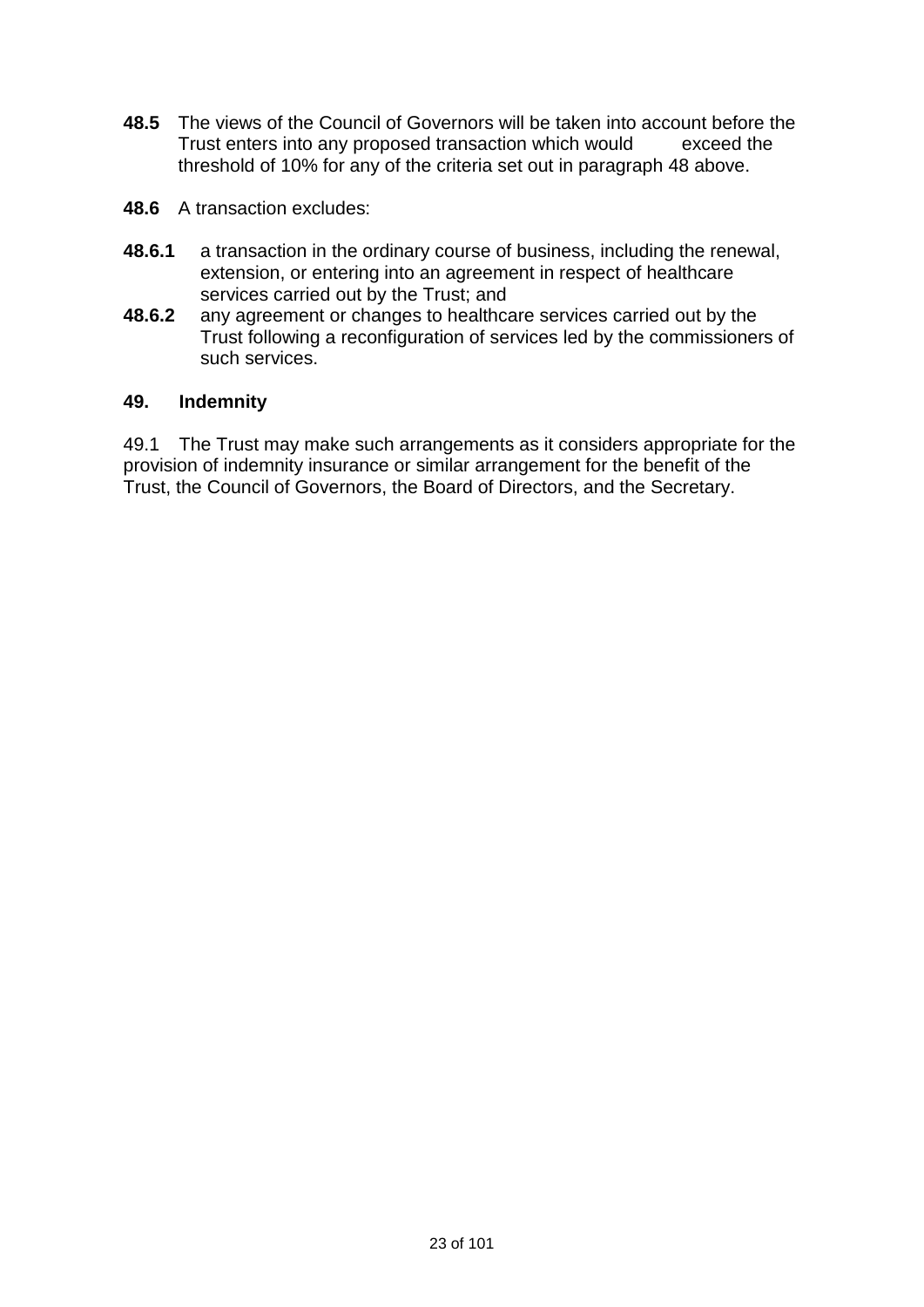- **48.5** The views of the Council of Governors will be taken into account before the Trust enters into any proposed transaction which would exceed the threshold of 10% for any of the criteria set out in paragraph 48 above.
- **48.6** A transaction excludes:
- **48.6.1** a transaction in the ordinary course of business, including the renewal, extension, or entering into an agreement in respect of healthcare services carried out by the Trust; and
- **48.6.2** any agreement or changes to healthcare services carried out by the Trust following a reconfiguration of services led by the commissioners of such services.

#### **49. Indemnity**

49.1 The Trust may make such arrangements as it considers appropriate for the provision of indemnity insurance or similar arrangement for the benefit of the Trust, the Council of Governors, the Board of Directors, and the Secretary.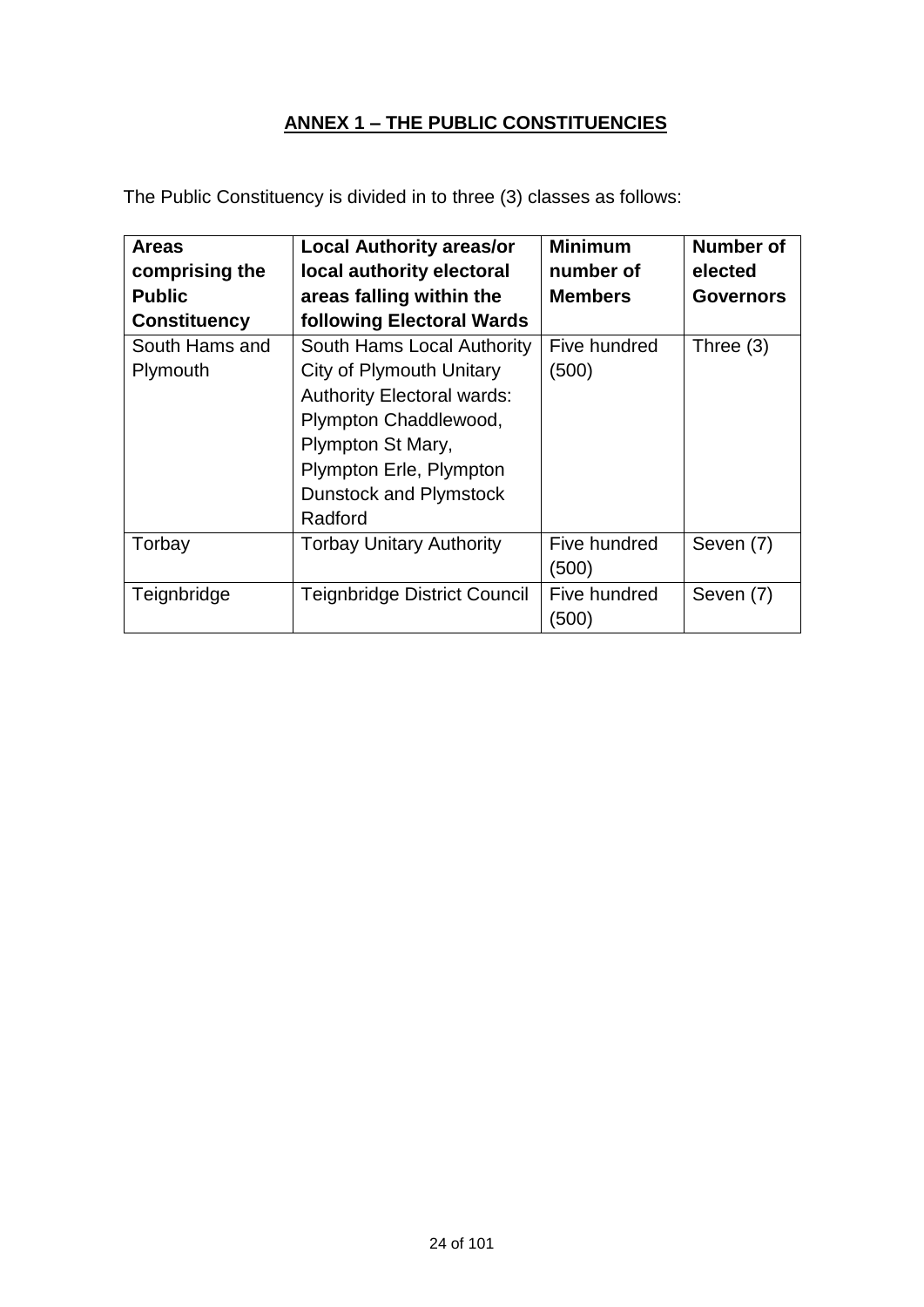# **ANNEX 1 – THE PUBLIC CONSTITUENCIES**

The Public Constituency is divided in to three (3) classes as follows:

| <b>Areas</b>        | <b>Local Authority areas/or</b>     | <b>Minimum</b> | Number of        |
|---------------------|-------------------------------------|----------------|------------------|
| comprising the      | local authority electoral           | number of      | elected          |
| <b>Public</b>       | areas falling within the            | <b>Members</b> | <b>Governors</b> |
| <b>Constituency</b> | following Electoral Wards           |                |                  |
| South Hams and      | South Hams Local Authority          | Five hundred   | Three (3)        |
| Plymouth            | City of Plymouth Unitary            | (500)          |                  |
|                     | <b>Authority Electoral wards:</b>   |                |                  |
|                     | Plympton Chaddlewood,               |                |                  |
|                     | Plympton St Mary,                   |                |                  |
|                     | Plympton Erle, Plympton             |                |                  |
|                     | <b>Dunstock and Plymstock</b>       |                |                  |
|                     | Radford                             |                |                  |
| Torbay              | <b>Torbay Unitary Authority</b>     | Five hundred   | Seven (7)        |
|                     |                                     | (500)          |                  |
| Teignbridge         | <b>Teignbridge District Council</b> | Five hundred   | Seven (7)        |
|                     |                                     | (500)          |                  |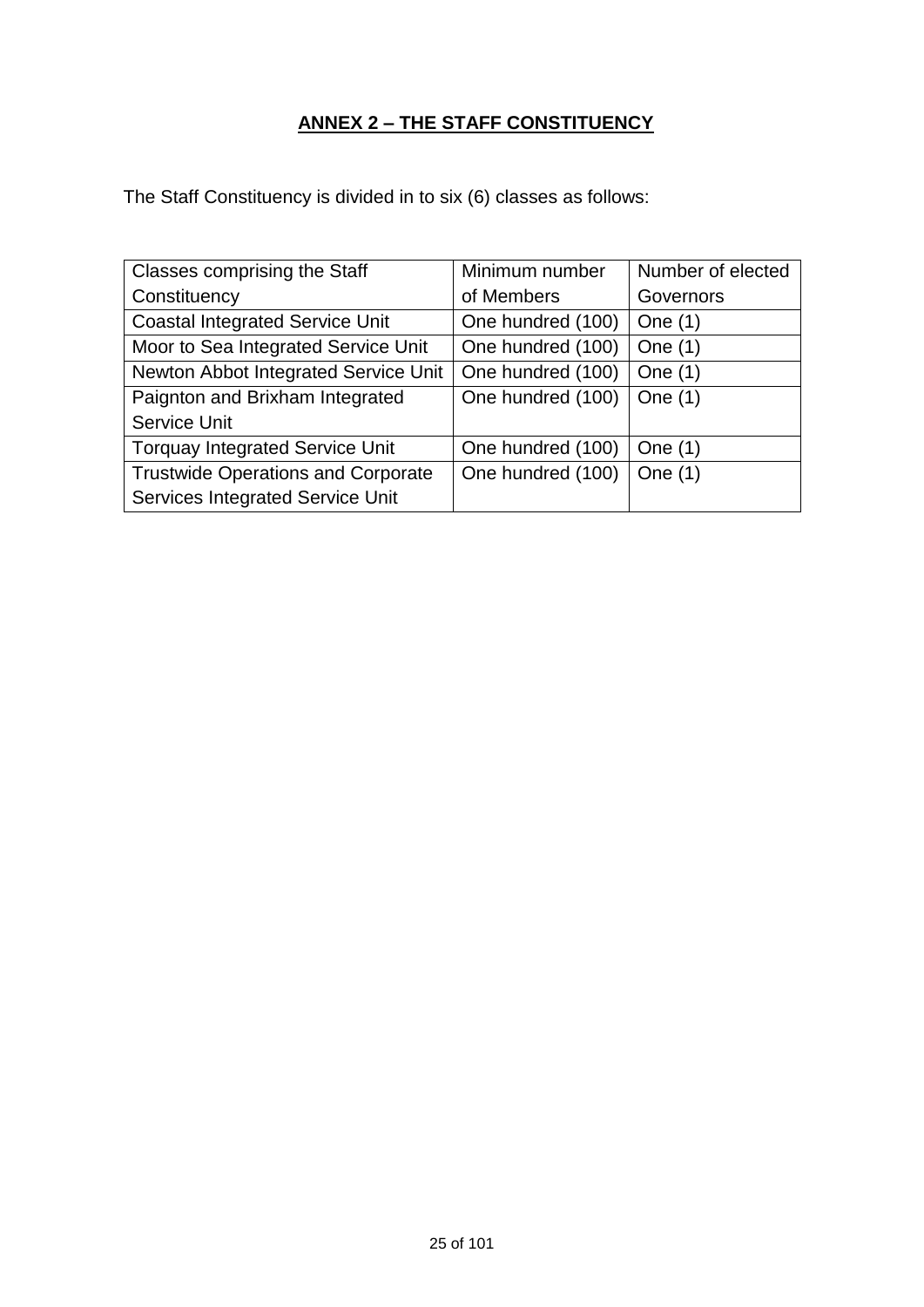# **ANNEX 2 – THE STAFF CONSTITUENCY**

The Staff Constituency is divided in to six (6) classes as follows:

| <b>Classes comprising the Staff</b>       | Minimum number    | Number of elected |
|-------------------------------------------|-------------------|-------------------|
| Constituency                              | of Members        | Governors         |
| <b>Coastal Integrated Service Unit</b>    | One hundred (100) | One $(1)$         |
| Moor to Sea Integrated Service Unit       | One hundred (100) | One $(1)$         |
| Newton Abbot Integrated Service Unit      | One hundred (100) | One $(1)$         |
| Paignton and Brixham Integrated           | One hundred (100) | One $(1)$         |
| <b>Service Unit</b>                       |                   |                   |
| <b>Torquay Integrated Service Unit</b>    | One hundred (100) | One $(1)$         |
| <b>Trustwide Operations and Corporate</b> | One hundred (100) | One $(1)$         |
| <b>Services Integrated Service Unit</b>   |                   |                   |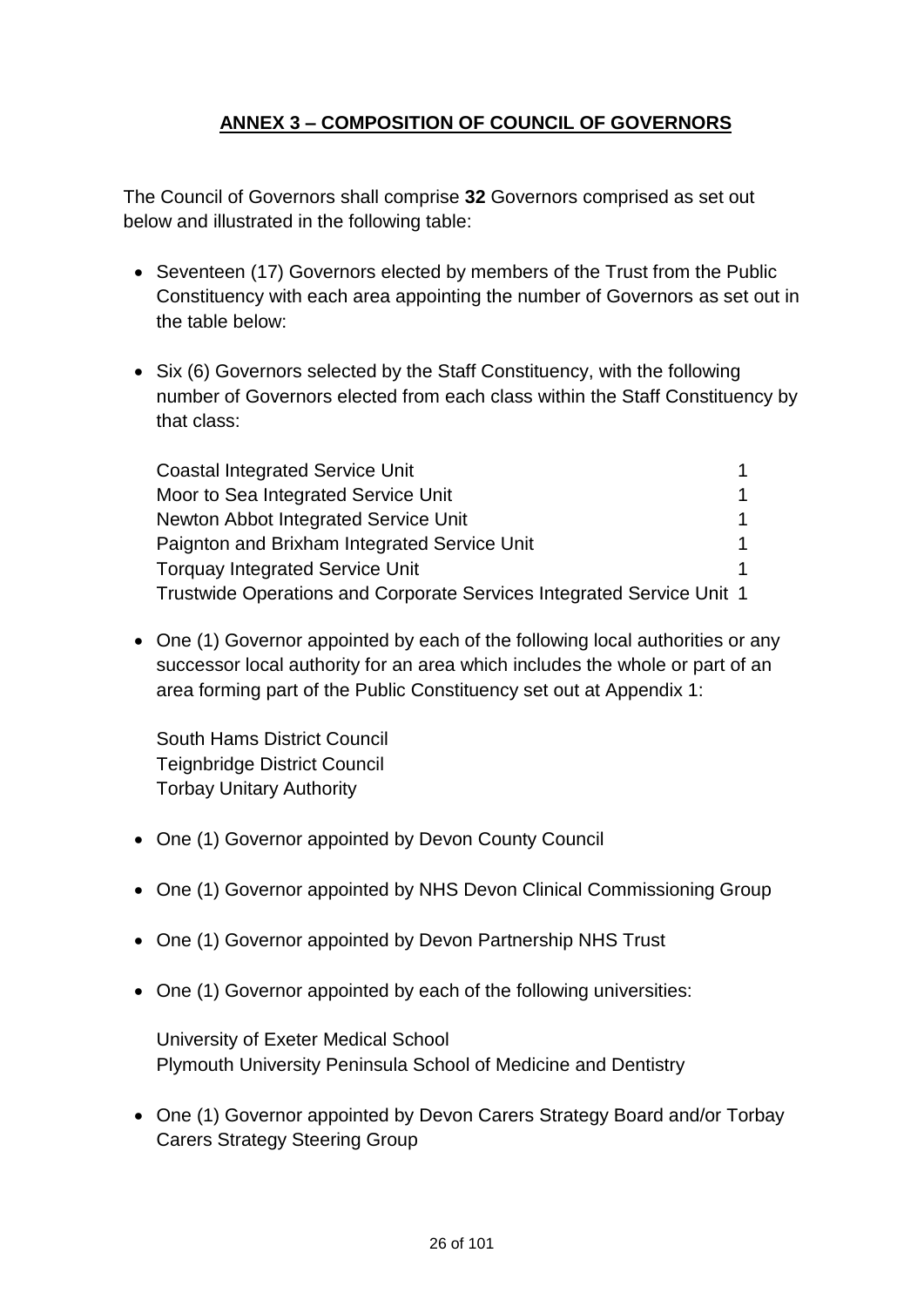# **ANNEX 3 – COMPOSITION OF COUNCIL OF GOVERNORS**

The Council of Governors shall comprise **32** Governors comprised as set out below and illustrated in the following table:

- Seventeen (17) Governors elected by members of the Trust from the Public Constituency with each area appointing the number of Governors as set out in the table below:
- Six (6) Governors selected by the Staff Constituency, with the following number of Governors elected from each class within the Staff Constituency by that class:

| <b>Coastal Integrated Service Unit</b>                                |  |
|-----------------------------------------------------------------------|--|
| Moor to Sea Integrated Service Unit                                   |  |
| Newton Abbot Integrated Service Unit                                  |  |
| Paignton and Brixham Integrated Service Unit                          |  |
| <b>Torquay Integrated Service Unit</b>                                |  |
| Trustwide Operations and Corporate Services Integrated Service Unit 1 |  |

• One (1) Governor appointed by each of the following local authorities or any successor local authority for an area which includes the whole or part of an area forming part of the Public Constituency set out at Appendix 1:

South Hams District Council Teignbridge District Council Torbay Unitary Authority

- One (1) Governor appointed by Devon County Council
- One (1) Governor appointed by NHS Devon Clinical Commissioning Group
- One (1) Governor appointed by Devon Partnership NHS Trust
- One (1) Governor appointed by each of the following universities:

University of Exeter Medical School Plymouth University Peninsula School of Medicine and Dentistry

• One (1) Governor appointed by Devon Carers Strategy Board and/or Torbay Carers Strategy Steering Group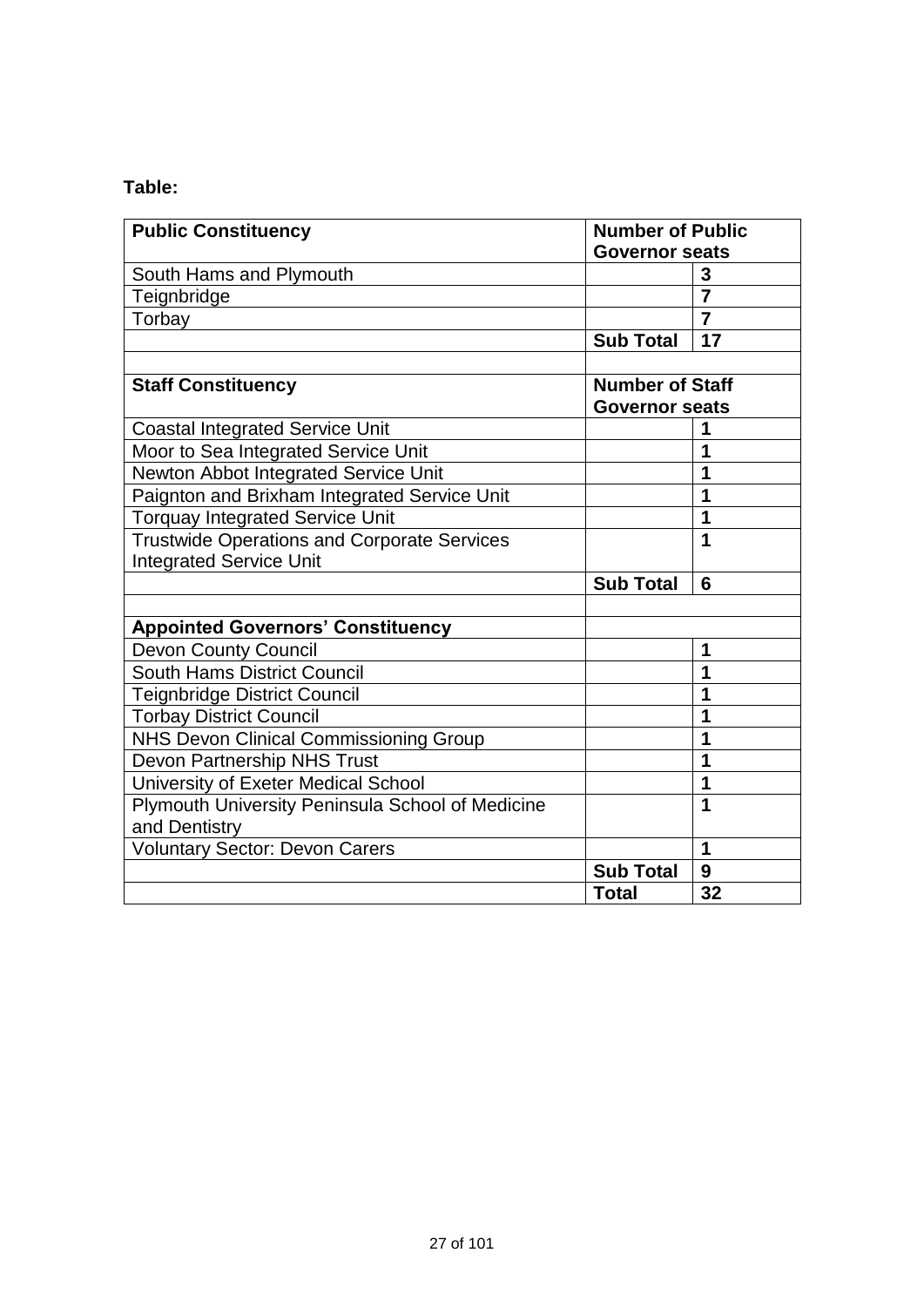# **Table:**

| <b>Public Constituency</b>                         | <b>Number of Public</b>                         |                |
|----------------------------------------------------|-------------------------------------------------|----------------|
|                                                    | <b>Governor seats</b>                           |                |
| South Hams and Plymouth                            |                                                 | 3              |
| Teignbridge                                        |                                                 | $\overline{7}$ |
| Torbay                                             |                                                 | $\overline{7}$ |
|                                                    | <b>Sub Total</b>                                | 17             |
|                                                    |                                                 |                |
| <b>Staff Constituency</b>                          | <b>Number of Staff</b><br><b>Governor seats</b> |                |
| <b>Coastal Integrated Service Unit</b>             |                                                 | 1              |
| Moor to Sea Integrated Service Unit                |                                                 | 1              |
| Newton Abbot Integrated Service Unit               |                                                 | 1              |
| Paignton and Brixham Integrated Service Unit       |                                                 | 1              |
| <b>Torquay Integrated Service Unit</b>             |                                                 | 1              |
| <b>Trustwide Operations and Corporate Services</b> |                                                 | 1              |
| <b>Integrated Service Unit</b>                     |                                                 |                |
|                                                    | <b>Sub Total</b>                                | 6              |
|                                                    |                                                 |                |
| <b>Appointed Governors' Constituency</b>           |                                                 |                |
| <b>Devon County Council</b>                        |                                                 | 1              |
| South Hams District Council                        |                                                 | 1              |
| <b>Teignbridge District Council</b>                |                                                 | 1              |
| <b>Torbay District Council</b>                     |                                                 | 1              |
| NHS Devon Clinical Commissioning Group             |                                                 | 1              |
| Devon Partnership NHS Trust                        |                                                 | 1              |
| University of Exeter Medical School                |                                                 | 1              |
| Plymouth University Peninsula School of Medicine   |                                                 | 1              |
| and Dentistry                                      |                                                 |                |
| Voluntary Sector: Devon Carers                     |                                                 | $\mathbf 1$    |
|                                                    | <b>Sub Total</b>                                | 9              |
|                                                    | <b>Total</b>                                    | 32             |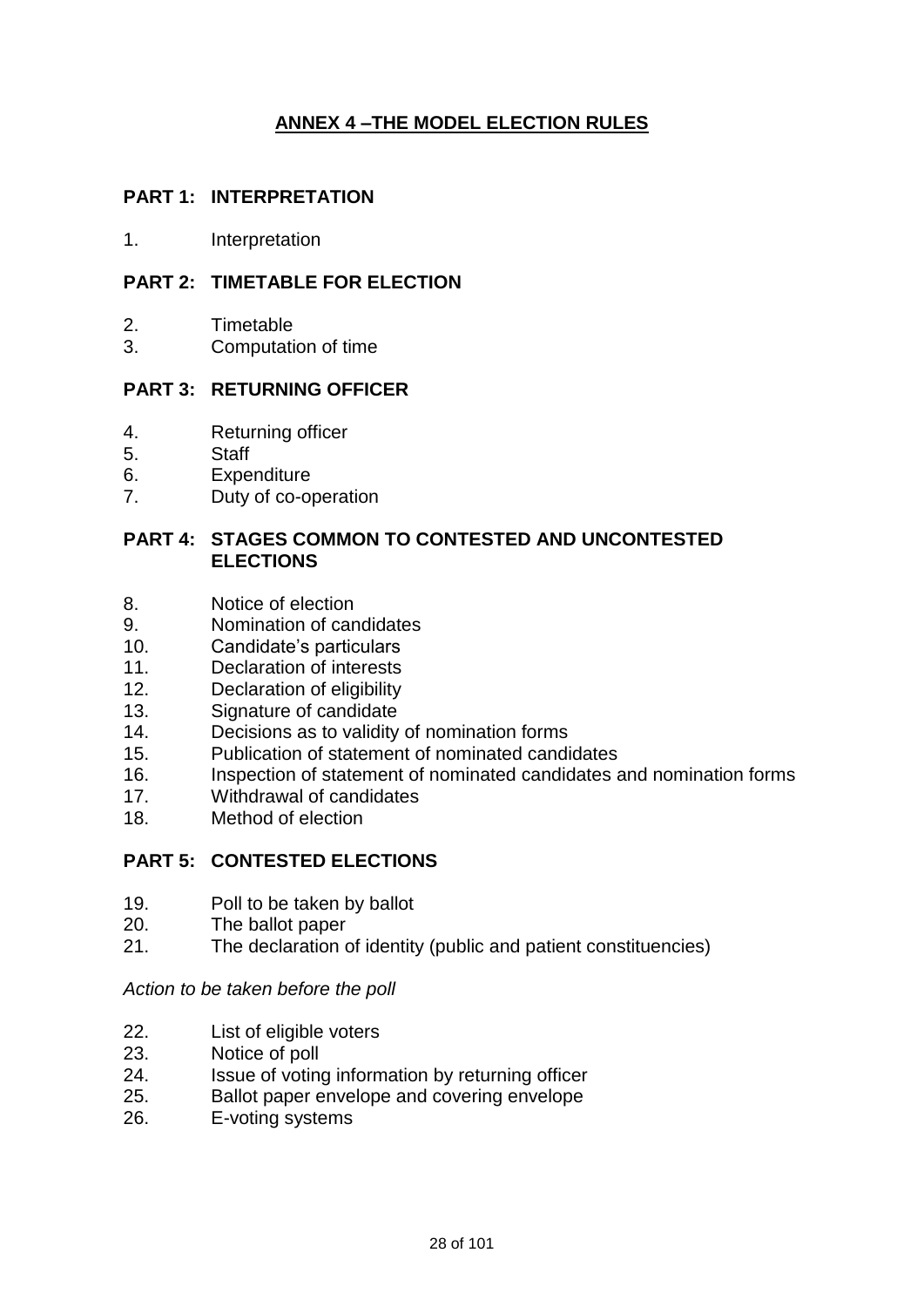# **ANNEX 4 –THE MODEL ELECTION RULES**

### **PART 1: INTERPRETATION**

1. Interpretation

#### **PART 2: TIMETABLE FOR ELECTION**

- 2. Timetable
- 3. Computation of time

#### **PART 3: RETURNING OFFICER**

- 4. Returning officer
- 5. Staff
- 6. Expenditure
- 7. Duty of co-operation

#### **PART 4: STAGES COMMON TO CONTESTED AND UNCONTESTED ELECTIONS**

- 8. Notice of election
- 9. Nomination of candidates
- 10. Candidate's particulars
- 11. Declaration of interests
- 12. Declaration of eligibility
- 13. Signature of candidate
- 14. Decisions as to validity of nomination forms
- 15. Publication of statement of nominated candidates
- 16. Inspection of statement of nominated candidates and nomination forms
- 17. Withdrawal of candidates
- 18. Method of election

#### **PART 5: CONTESTED ELECTIONS**

- 19. Poll to be taken by ballot
- 20. The ballot paper
- 21. The declaration of identity (public and patient constituencies)

#### *Action to be taken before the poll*

- 22. List of eligible voters
- 23. Notice of poll
- 24. Issue of voting information by returning officer
- 25. Ballot paper envelope and covering envelope
- 26. E-voting systems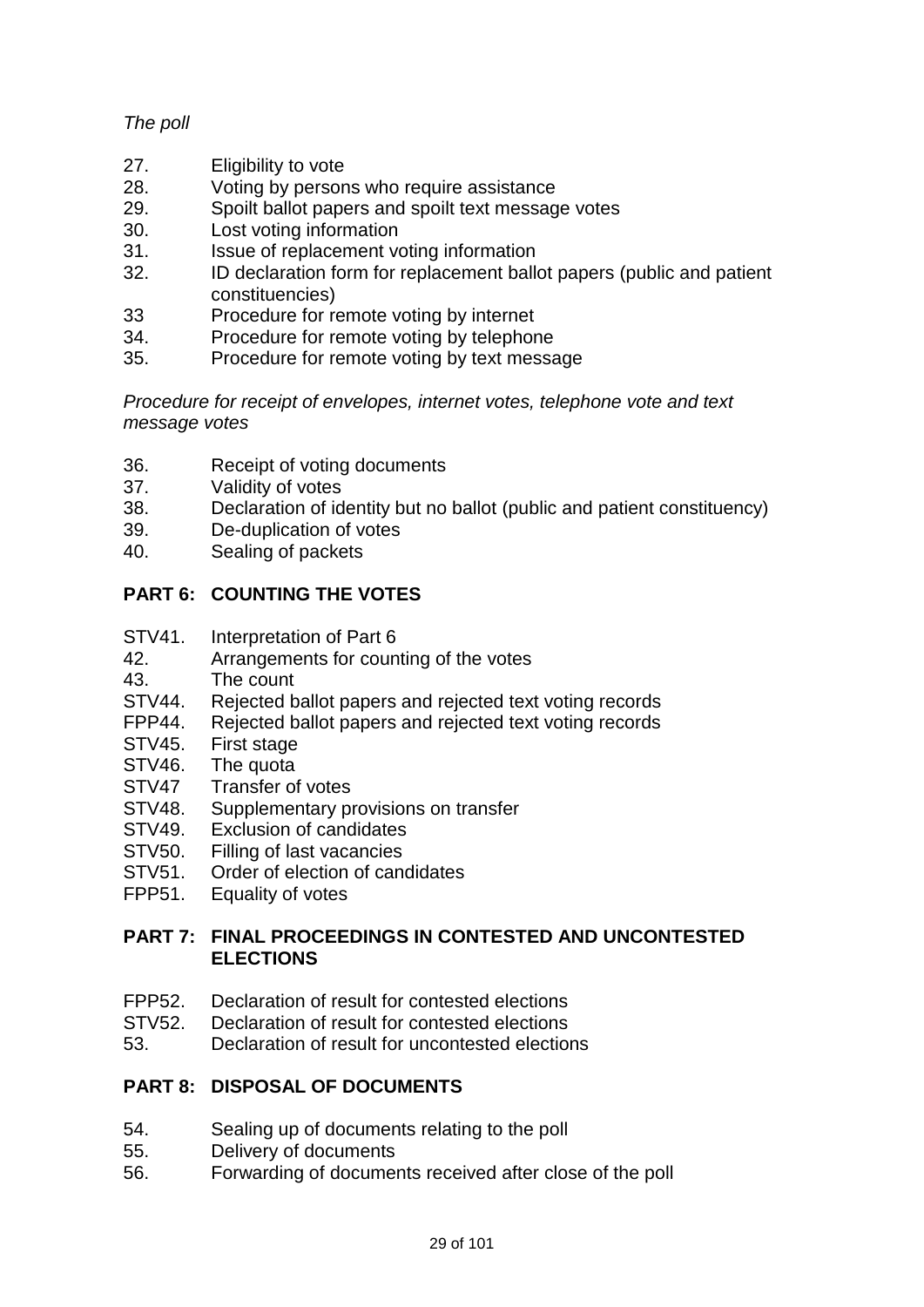# *The poll*

- 27. Eligibility to vote
- 28. Voting by persons who require assistance
- 29. Spoilt ballot papers and spoilt text message votes
- 30. Lost voting information
- 31. Issue of replacement voting information
- 32. ID declaration form for replacement ballot papers (public and patient constituencies)
- 33 Procedure for remote voting by internet
- 34. Procedure for remote voting by telephone
- 35. Procedure for remote voting by text message

*Procedure for receipt of envelopes, internet votes, telephone vote and text message votes*

- 36. Receipt of voting documents
- 37. Validity of votes<br>38. Declaration of id
- Declaration of identity but no ballot (public and patient constituency)
- 39. De-duplication of votes
- 40. Sealing of packets

# **PART 6: COUNTING THE VOTES**

- STV41. Interpretation of Part 6
- 42. Arrangements for counting of the votes
- 43. The count
- STV44. Rejected ballot papers and rejected text voting records
- FPP44. Rejected ballot papers and rejected text voting records
- STV45. First stage
- STV46. The quota
- STV47 Transfer of votes
- STV48. Supplementary provisions on transfer
- STV49. Exclusion of candidates
- STV50. Filling of last vacancies
- STV51. Order of election of candidates
- FPP51. Equality of votes

### **PART 7: FINAL PROCEEDINGS IN CONTESTED AND UNCONTESTED ELECTIONS**

- FPP52. Declaration of result for contested elections
- STV52. Declaration of result for contested elections
- 53. Declaration of result for uncontested elections

#### **PART 8: DISPOSAL OF DOCUMENTS**

- 54. Sealing up of documents relating to the poll
- 55. Delivery of documents
- 56. Forwarding of documents received after close of the poll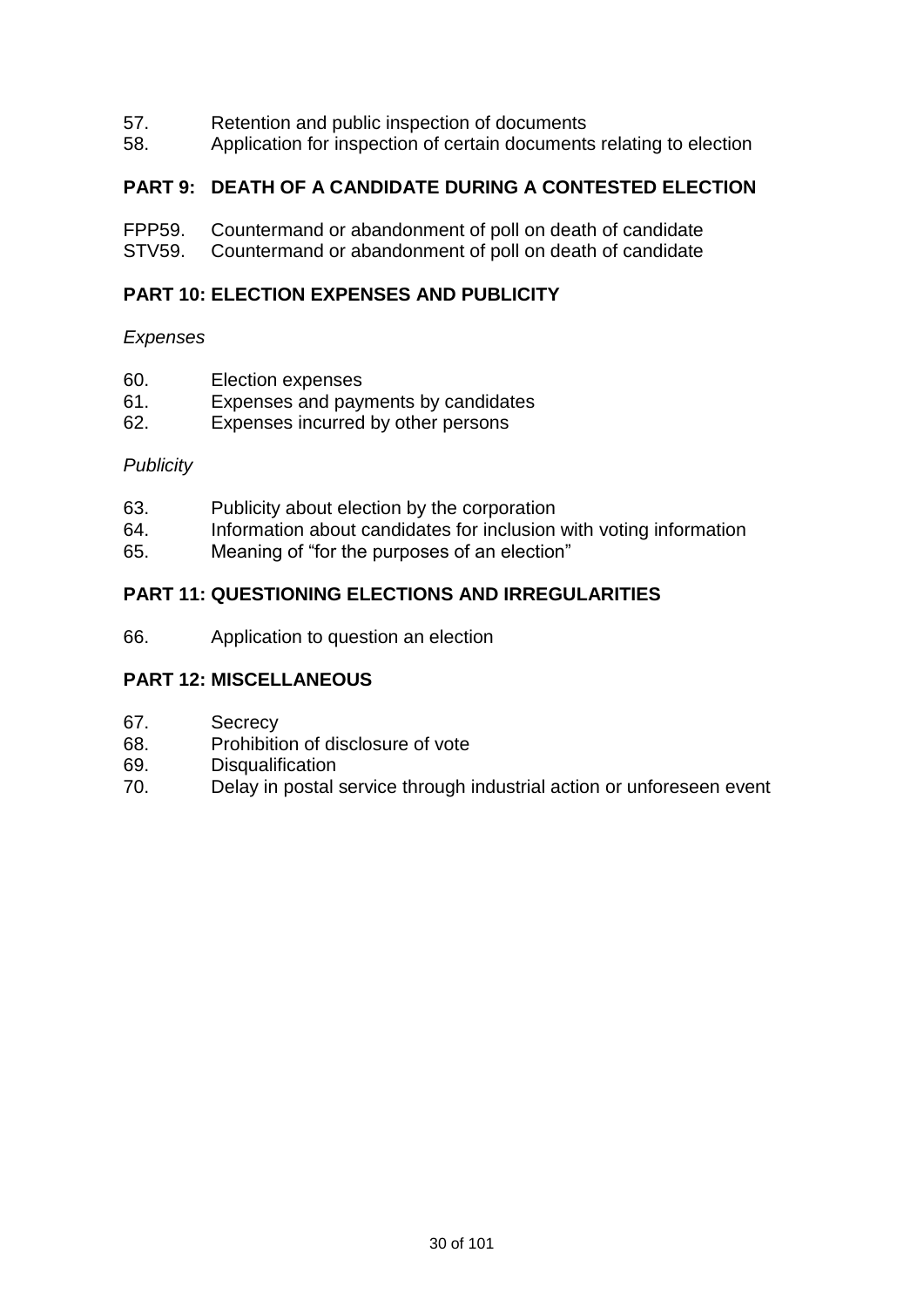- 57. Retention and public inspection of documents<br>58. Application for inspection of certain documents
- Application for inspection of certain documents relating to election

#### **PART 9: DEATH OF A CANDIDATE DURING A CONTESTED ELECTION**

- FPP59. Countermand or abandonment of poll on death of candidate
- STV59. Countermand or abandonment of poll on death of candidate

#### **PART 10: ELECTION EXPENSES AND PUBLICITY**

#### *Expenses*

- 60. Election expenses
- 61. Expenses and payments by candidates
- 62. Expenses incurred by other persons

#### *Publicity*

- 63. Publicity about election by the corporation
- 64. Information about candidates for inclusion with voting information
- 65. Meaning of "for the purposes of an election"

#### **PART 11: QUESTIONING ELECTIONS AND IRREGULARITIES**

66. Application to question an election

#### **PART 12: MISCELLANEOUS**

- 67. Secrecy
- 68. Prohibition of disclosure of vote
- 69. Disqualification
- 70. Delay in postal service through industrial action or unforeseen event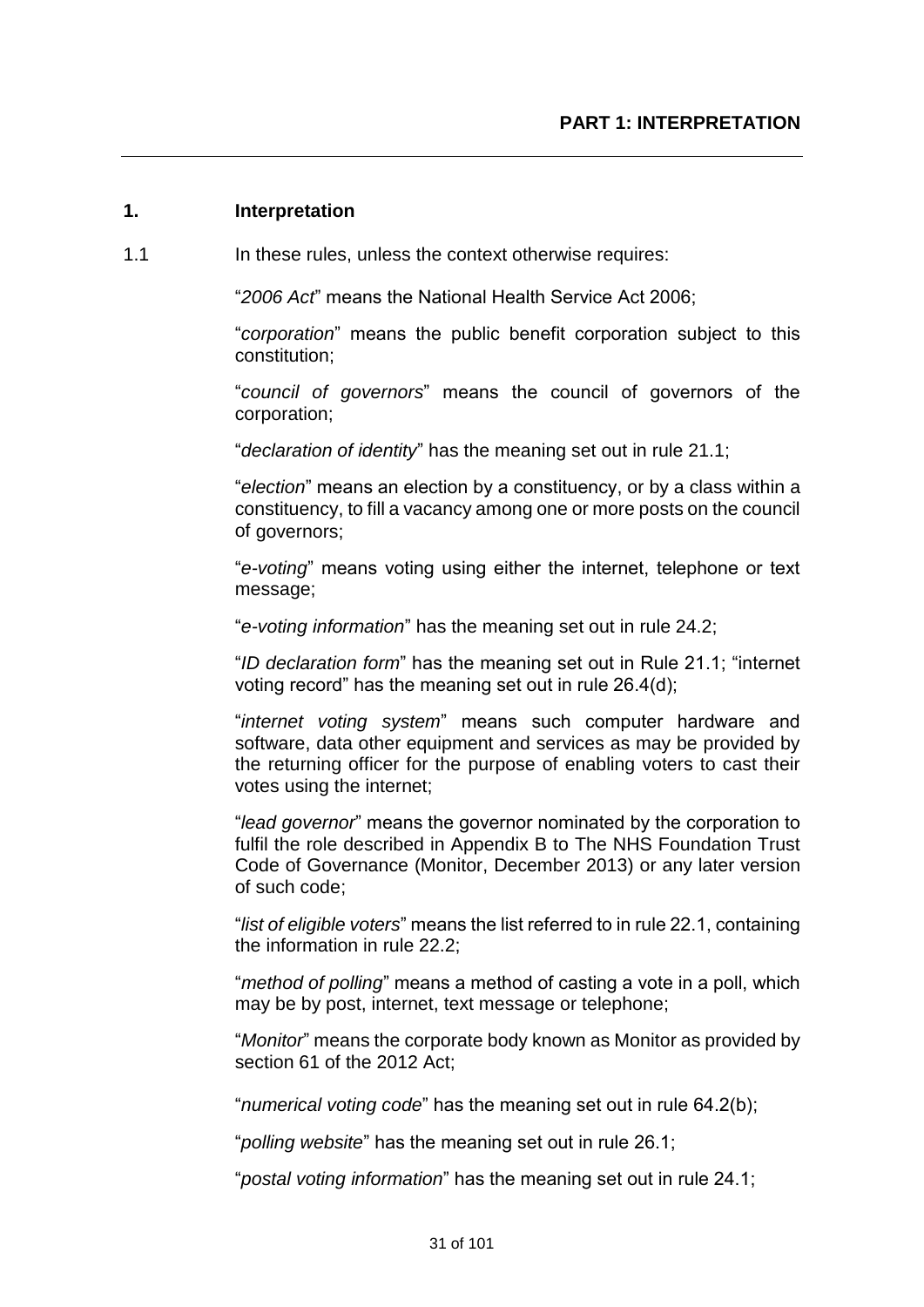#### **1. Interpretation**

1.1 In these rules, unless the context otherwise requires:

"*2006 Act*" means the National Health Service Act 2006;

"*corporation*" means the public benefit corporation subject to this constitution;

"*council of governors*" means the council of governors of the corporation;

"*declaration of identity*" has the meaning set out in rule 21.1;

"*election*" means an election by a constituency, or by a class within a constituency, to fill a vacancy among one or more posts on the council of governors;

"*e-voting*" means voting using either the internet, telephone or text message;

"*e-voting information*" has the meaning set out in rule 24.2;

"*ID declaration form*" has the meaning set out in Rule 21.1; "internet voting record" has the meaning set out in rule 26.4(d);

"*internet voting system*" means such computer hardware and software, data other equipment and services as may be provided by the returning officer for the purpose of enabling voters to cast their votes using the internet;

"*lead governor*" means the governor nominated by the corporation to fulfil the role described in Appendix B to The NHS Foundation Trust Code of Governance (Monitor, December 2013) or any later version of such code;

"*list of eligible voters*" means the list referred to in rule 22.1, containing the information in rule 22.2;

"*method of polling*" means a method of casting a vote in a poll, which may be by post, internet, text message or telephone;

"*Monitor*" means the corporate body known as Monitor as provided by section 61 of the 2012 Act;

"*numerical voting code*" has the meaning set out in rule 64.2(b);

"*polling website*" has the meaning set out in rule 26.1;

"*postal voting information*" has the meaning set out in rule 24.1;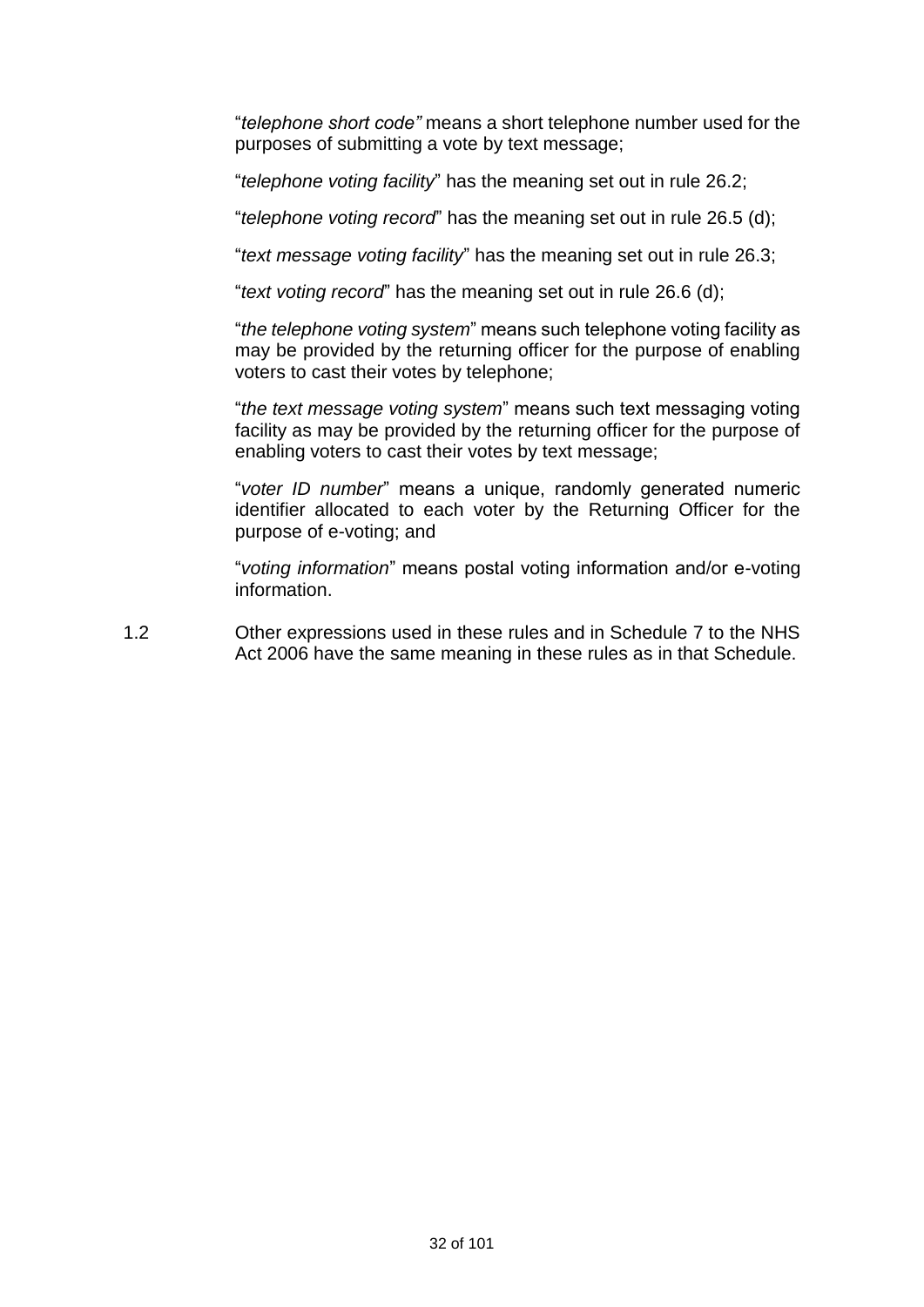"*telephone short code"* means a short telephone number used for the purposes of submitting a vote by text message;

"*telephone voting facility*" has the meaning set out in rule 26.2;

"*telephone voting record*" has the meaning set out in rule 26.5 (d);

"*text message voting facility*" has the meaning set out in rule 26.3;

"*text voting record*" has the meaning set out in rule 26.6 (d);

"*the telephone voting system*" means such telephone voting facility as may be provided by the returning officer for the purpose of enabling voters to cast their votes by telephone;

"*the text message voting system*" means such text messaging voting facility as may be provided by the returning officer for the purpose of enabling voters to cast their votes by text message;

"*voter ID number*" means a unique, randomly generated numeric identifier allocated to each voter by the Returning Officer for the purpose of e-voting; and

"*voting information*" means postal voting information and/or e-voting information.

1.2 Other expressions used in these rules and in Schedule 7 to the NHS Act 2006 have the same meaning in these rules as in that Schedule.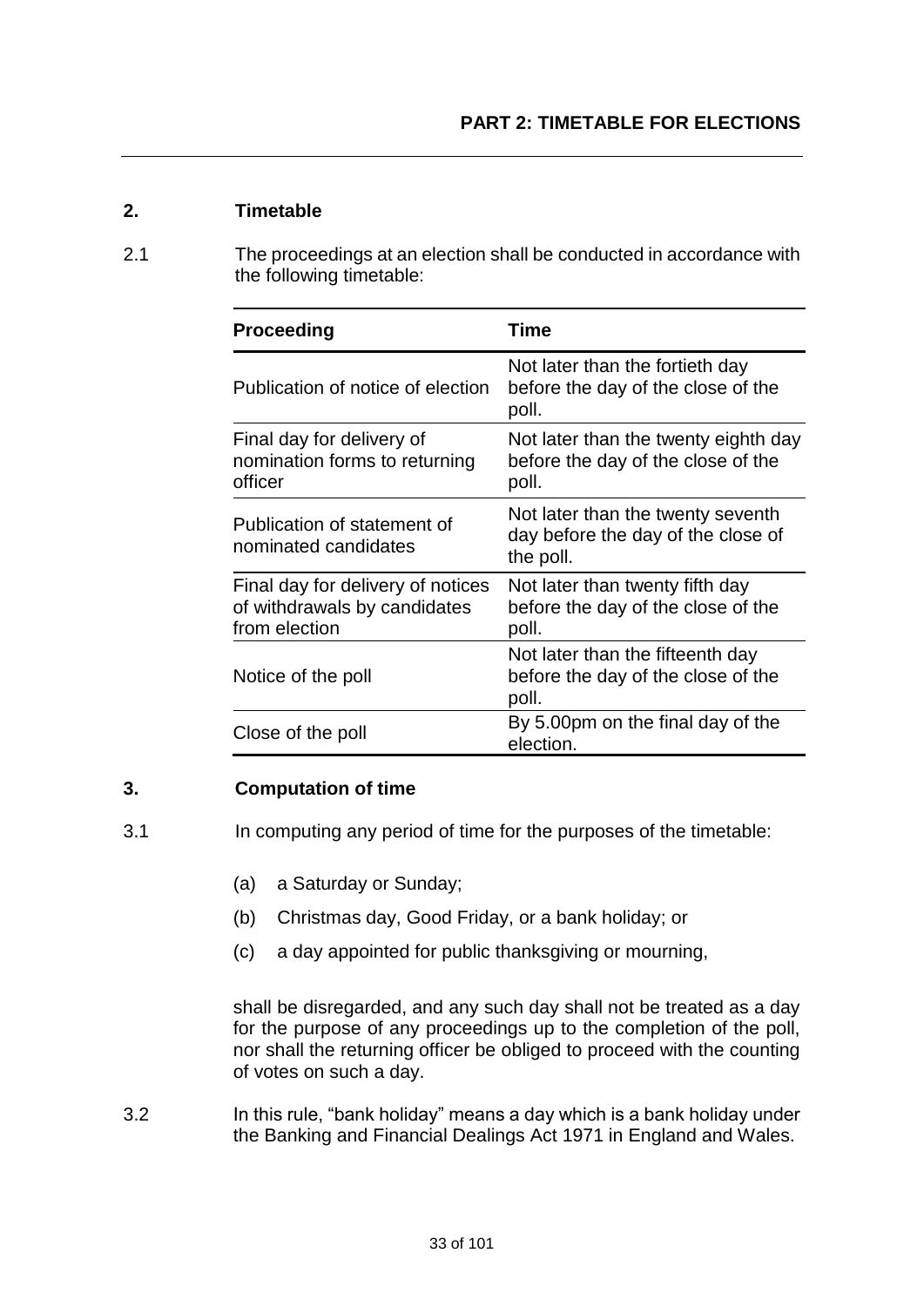#### **2. Timetable**

2.1 The proceedings at an election shall be conducted in accordance with the following timetable:

| <b>Proceeding</b>                                                                  | Time                                                                                 |
|------------------------------------------------------------------------------------|--------------------------------------------------------------------------------------|
| Publication of notice of election                                                  | Not later than the fortieth day<br>before the day of the close of the<br>poll.       |
| Final day for delivery of<br>nomination forms to returning<br>officer              | Not later than the twenty eighth day<br>before the day of the close of the<br>poll.  |
| Publication of statement of<br>nominated candidates                                | Not later than the twenty seventh<br>day before the day of the close of<br>the poll. |
| Final day for delivery of notices<br>of withdrawals by candidates<br>from election | Not later than twenty fifth day<br>before the day of the close of the<br>poll.       |
| Notice of the poll                                                                 | Not later than the fifteenth day<br>before the day of the close of the<br>poll.      |
| Close of the poll                                                                  | By 5.00pm on the final day of the<br>election.                                       |

#### **3. Computation of time**

- 3.1 In computing any period of time for the purposes of the timetable:
	- (a) a Saturday or Sunday;
	- (b) Christmas day, Good Friday, or a bank holiday; or
	- (c) a day appointed for public thanksgiving or mourning,

shall be disregarded, and any such day shall not be treated as a day for the purpose of any proceedings up to the completion of the poll, nor shall the returning officer be obliged to proceed with the counting of votes on such a day.

3.2 In this rule, "bank holiday" means a day which is a bank holiday under the Banking and Financial Dealings Act 1971 in England and Wales.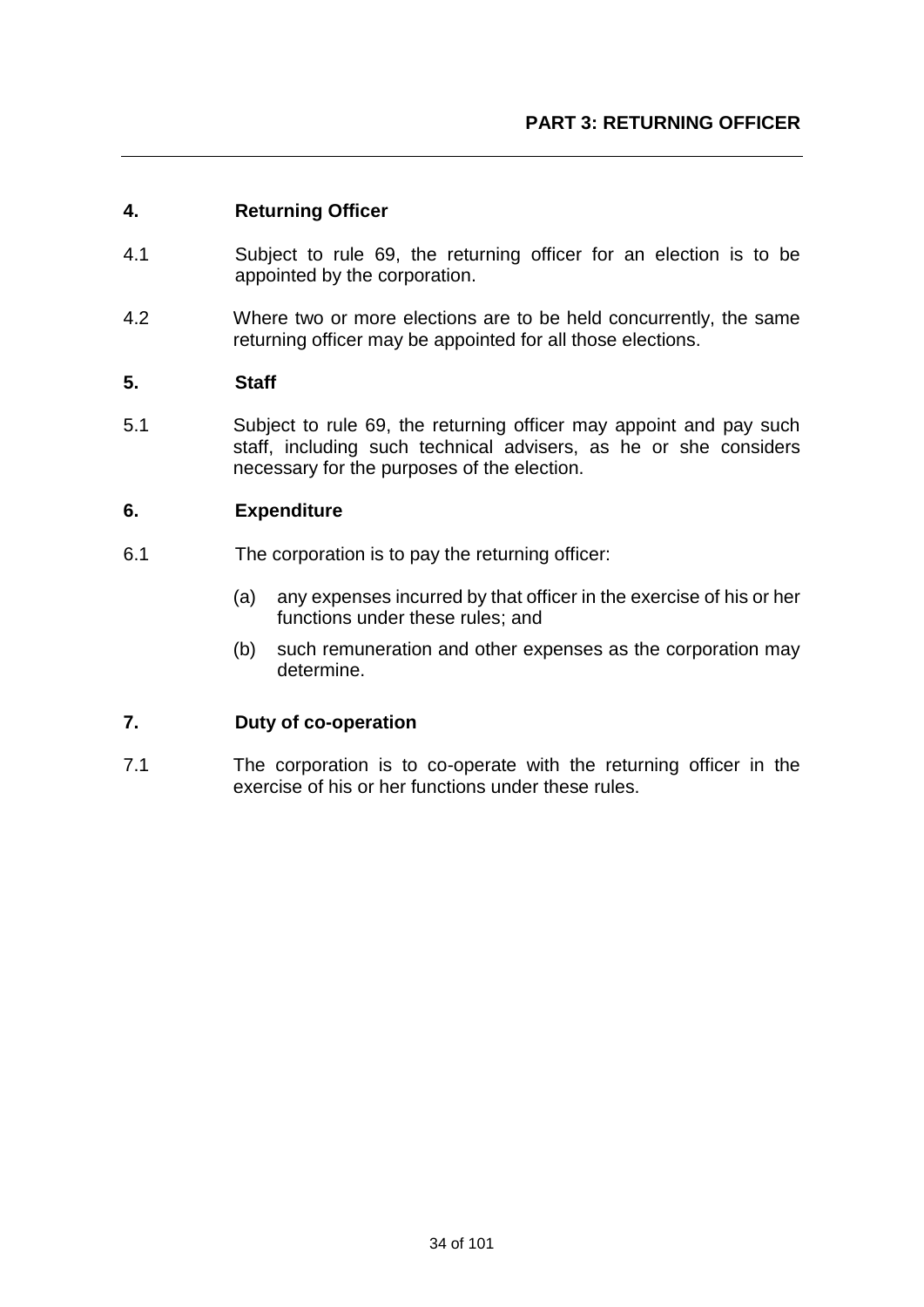#### **4. Returning Officer**

- 4.1 Subject to rule 69, the returning officer for an election is to be appointed by the corporation.
- 4.2 Where two or more elections are to be held concurrently, the same returning officer may be appointed for all those elections.

#### **5. Staff**

5.1 Subject to rule 69, the returning officer may appoint and pay such staff, including such technical advisers, as he or she considers necessary for the purposes of the election.

#### **6. Expenditure**

- 6.1 The corporation is to pay the returning officer:
	- (a) any expenses incurred by that officer in the exercise of his or her functions under these rules; and
	- (b) such remuneration and other expenses as the corporation may determine.

#### **7. Duty of co-operation**

7.1 The corporation is to co-operate with the returning officer in the exercise of his or her functions under these rules.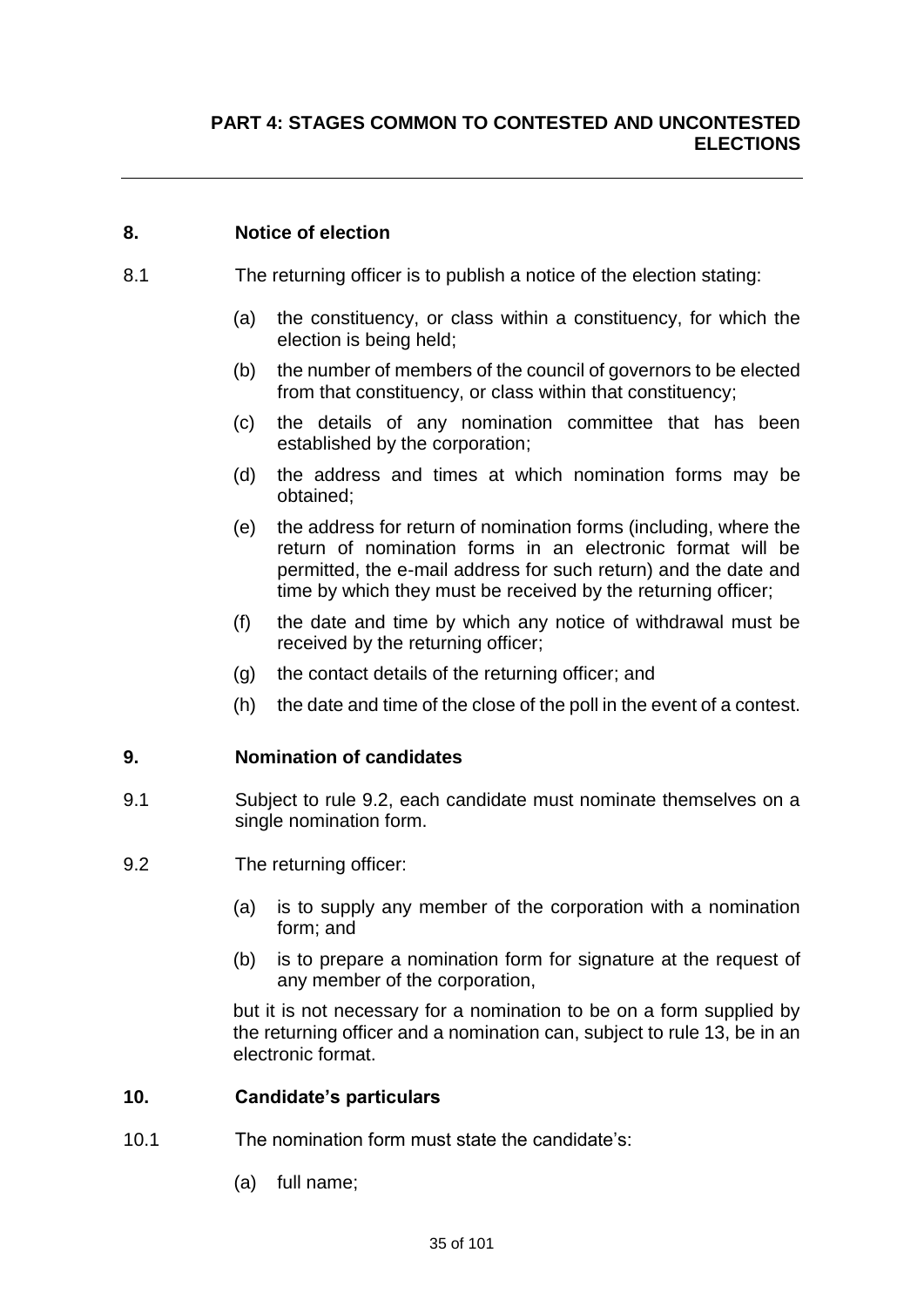#### **8. Notice of election**

- 8.1 The returning officer is to publish a notice of the election stating:
	- (a) the constituency, or class within a constituency, for which the election is being held;
	- (b) the number of members of the council of governors to be elected from that constituency, or class within that constituency;
	- (c) the details of any nomination committee that has been established by the corporation;
	- (d) the address and times at which nomination forms may be obtained;
	- (e) the address for return of nomination forms (including, where the return of nomination forms in an electronic format will be permitted, the e-mail address for such return) and the date and time by which they must be received by the returning officer;
	- (f) the date and time by which any notice of withdrawal must be received by the returning officer;
	- (g) the contact details of the returning officer; and
	- (h) the date and time of the close of the poll in the event of a contest.

#### **9. Nomination of candidates**

- 9.1 Subject to rule 9.2, each candidate must nominate themselves on a single nomination form.
- 9.2 The returning officer:
	- (a) is to supply any member of the corporation with a nomination form; and
	- (b) is to prepare a nomination form for signature at the request of any member of the corporation,

but it is not necessary for a nomination to be on a form supplied by the returning officer and a nomination can, subject to rule 13, be in an electronic format.

#### **10. Candidate's particulars**

- 10.1 The nomination form must state the candidate's:
	- (a) full name;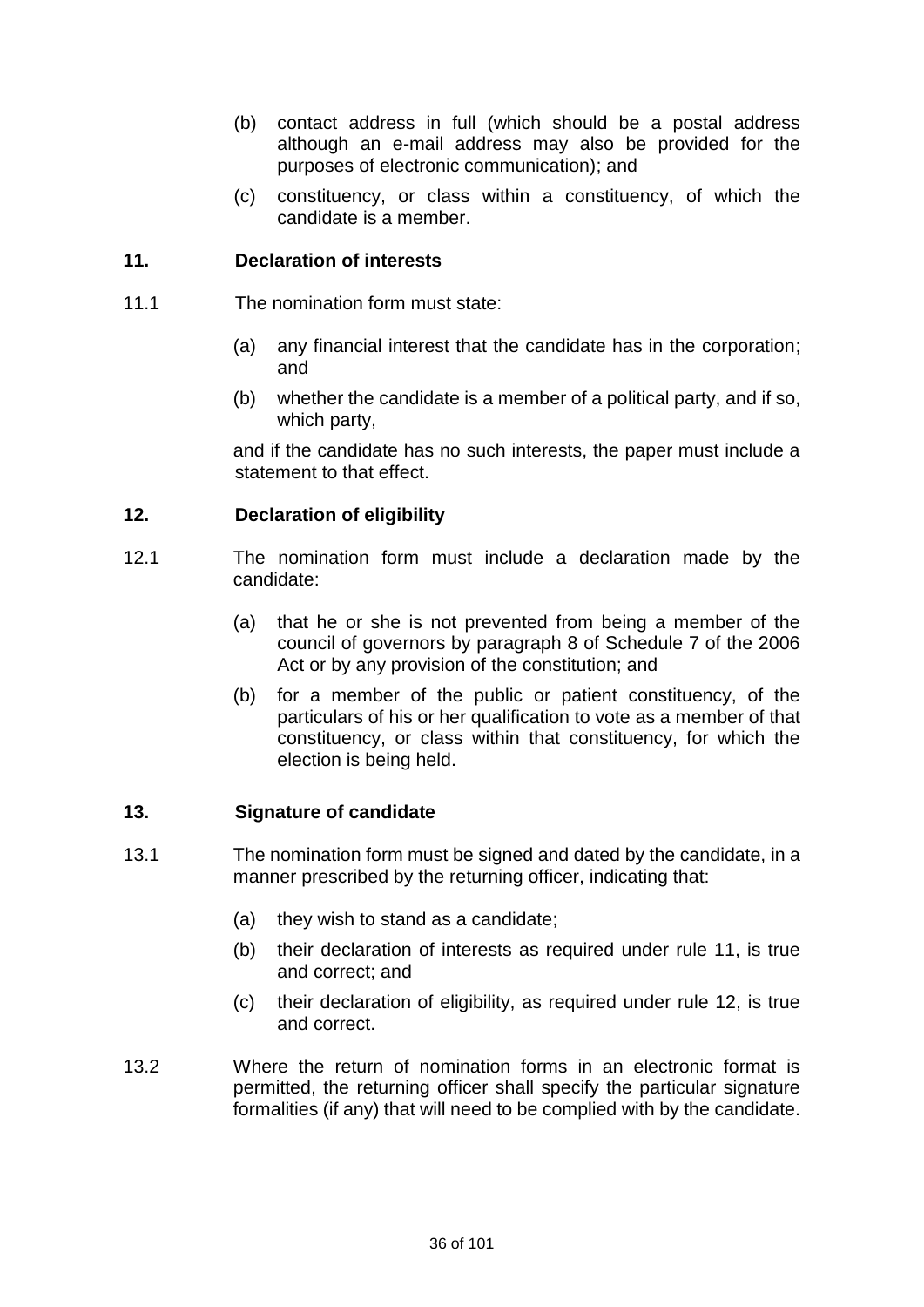- (b) contact address in full (which should be a postal address although an e-mail address may also be provided for the purposes of electronic communication); and
- (c) constituency, or class within a constituency, of which the candidate is a member.

#### **11. Declaration of interests**

- 11.1 The nomination form must state:
	- (a) any financial interest that the candidate has in the corporation; and
	- (b) whether the candidate is a member of a political party, and if so, which party,

and if the candidate has no such interests, the paper must include a statement to that effect.

#### **12. Declaration of eligibility**

- 12.1 The nomination form must include a declaration made by the candidate:
	- (a) that he or she is not prevented from being a member of the council of governors by paragraph 8 of Schedule 7 of the 2006 Act or by any provision of the constitution; and
	- (b) for a member of the public or patient constituency, of the particulars of his or her qualification to vote as a member of that constituency, or class within that constituency, for which the election is being held.

#### **13. Signature of candidate**

- 13.1 The nomination form must be signed and dated by the candidate, in a manner prescribed by the returning officer, indicating that:
	- (a) they wish to stand as a candidate;
	- (b) their declaration of interests as required under rule 11, is true and correct; and
	- (c) their declaration of eligibility, as required under rule 12, is true and correct.
- 13.2 Where the return of nomination forms in an electronic format is permitted, the returning officer shall specify the particular signature formalities (if any) that will need to be complied with by the candidate.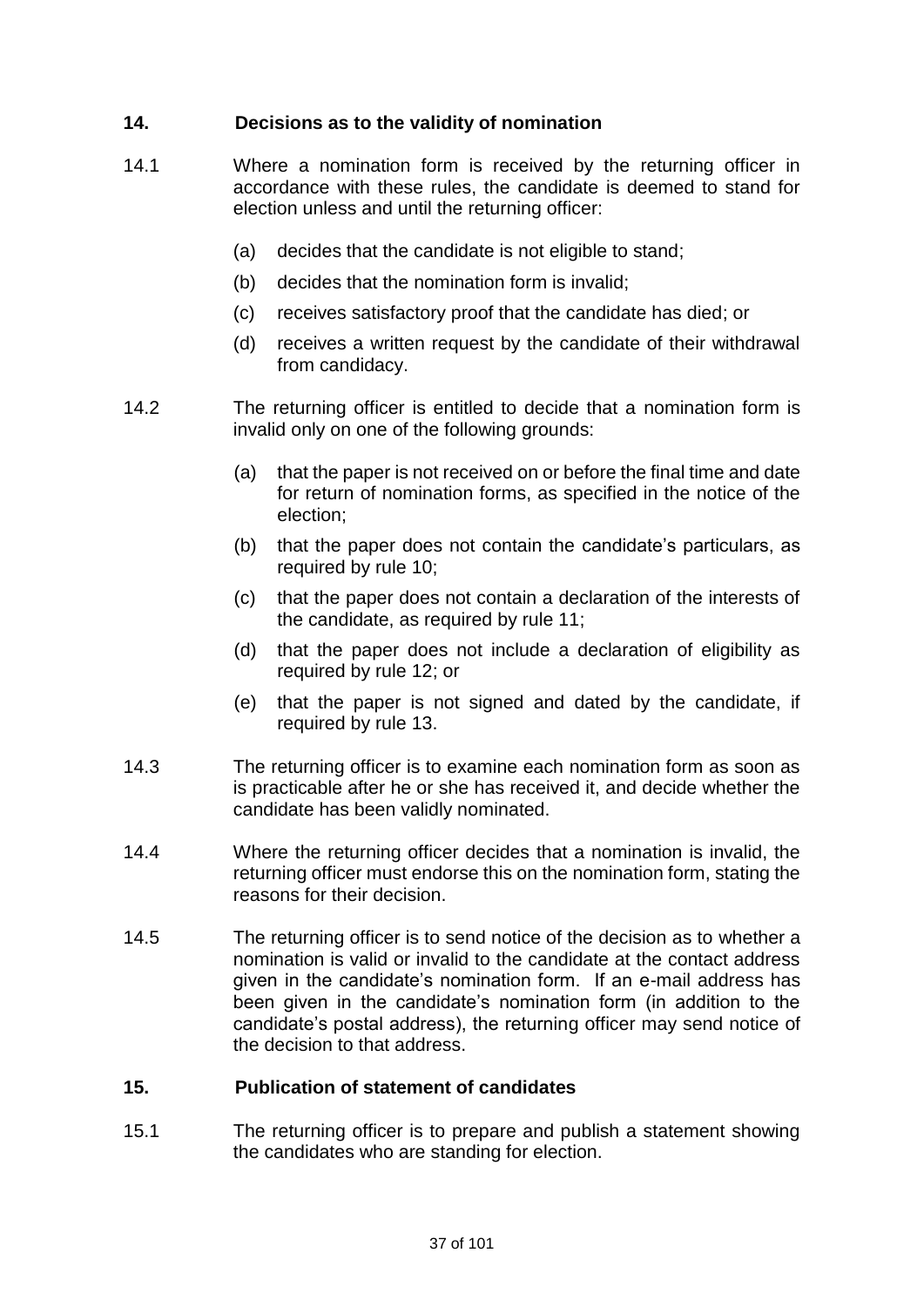# **14. Decisions as to the validity of nomination**

- 14.1 Where a nomination form is received by the returning officer in accordance with these rules, the candidate is deemed to stand for election unless and until the returning officer:
	- (a) decides that the candidate is not eligible to stand;
	- (b) decides that the nomination form is invalid;
	- (c) receives satisfactory proof that the candidate has died; or
	- (d) receives a written request by the candidate of their withdrawal from candidacy.
- 14.2 The returning officer is entitled to decide that a nomination form is invalid only on one of the following grounds:
	- (a) that the paper is not received on or before the final time and date for return of nomination forms, as specified in the notice of the election;
	- (b) that the paper does not contain the candidate's particulars, as required by rule 10;
	- (c) that the paper does not contain a declaration of the interests of the candidate, as required by rule 11;
	- (d) that the paper does not include a declaration of eligibility as required by rule 12; or
	- (e) that the paper is not signed and dated by the candidate, if required by rule 13.
- 14.3 The returning officer is to examine each nomination form as soon as is practicable after he or she has received it, and decide whether the candidate has been validly nominated.
- 14.4 Where the returning officer decides that a nomination is invalid, the returning officer must endorse this on the nomination form, stating the reasons for their decision.
- 14.5 The returning officer is to send notice of the decision as to whether a nomination is valid or invalid to the candidate at the contact address given in the candidate's nomination form. If an e-mail address has been given in the candidate's nomination form (in addition to the candidate's postal address), the returning officer may send notice of the decision to that address.

## **15. Publication of statement of candidates**

15.1 The returning officer is to prepare and publish a statement showing the candidates who are standing for election.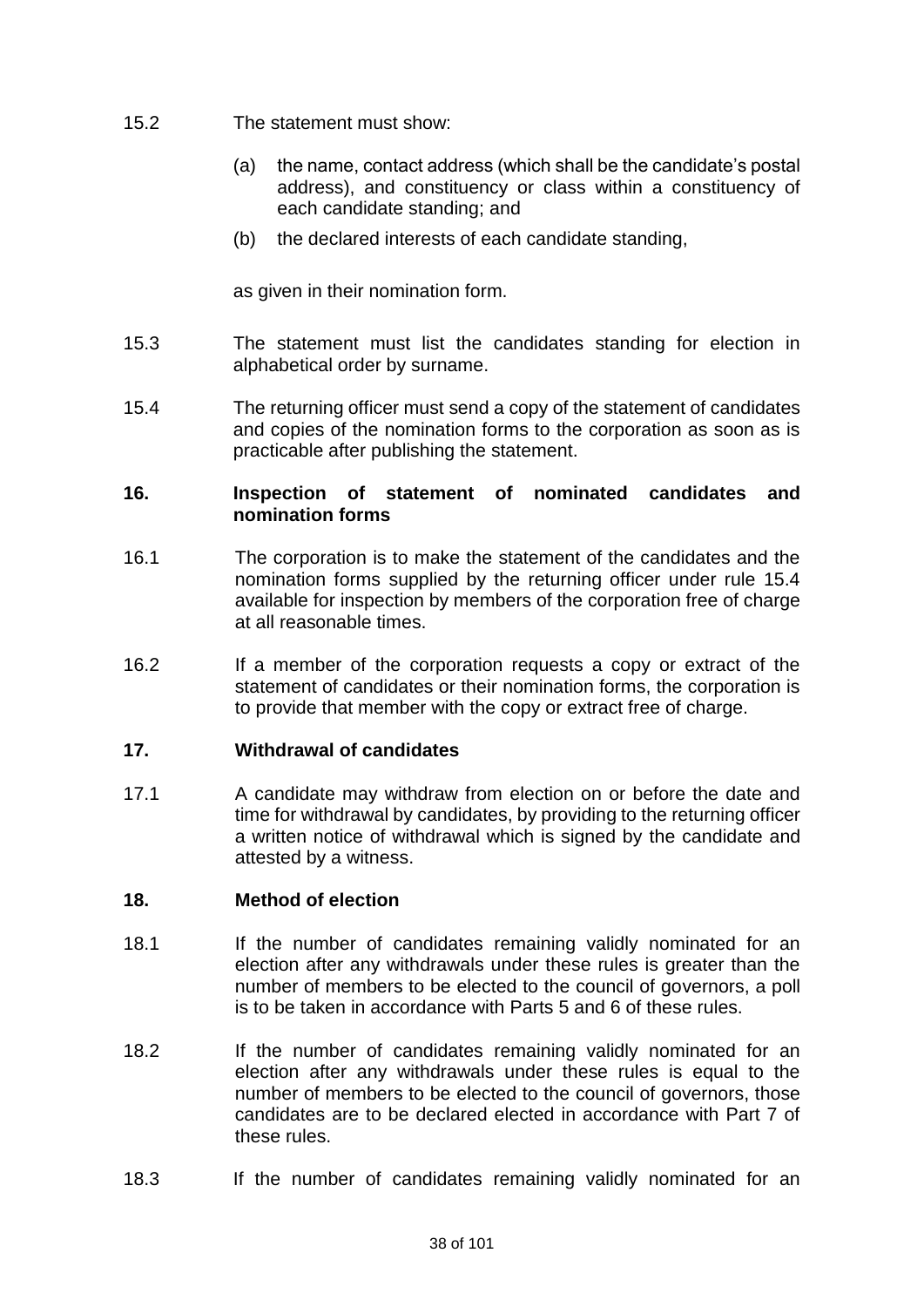- 15.2 The statement must show:
	- (a) the name, contact address (which shall be the candidate's postal address), and constituency or class within a constituency of each candidate standing; and
	- (b) the declared interests of each candidate standing,

as given in their nomination form.

- 15.3 The statement must list the candidates standing for election in alphabetical order by surname.
- 15.4 The returning officer must send a copy of the statement of candidates and copies of the nomination forms to the corporation as soon as is practicable after publishing the statement.

### **16. Inspection of statement of nominated candidates and nomination forms**

- 16.1 The corporation is to make the statement of the candidates and the nomination forms supplied by the returning officer under rule 15.4 available for inspection by members of the corporation free of charge at all reasonable times.
- 16.2 If a member of the corporation requests a copy or extract of the statement of candidates or their nomination forms, the corporation is to provide that member with the copy or extract free of charge.

## **17. Withdrawal of candidates**

17.1 A candidate may withdraw from election on or before the date and time for withdrawal by candidates, by providing to the returning officer a written notice of withdrawal which is signed by the candidate and attested by a witness.

### **18. Method of election**

- 18.1 If the number of candidates remaining validly nominated for an election after any withdrawals under these rules is greater than the number of members to be elected to the council of governors, a poll is to be taken in accordance with Parts 5 and 6 of these rules.
- 18.2 If the number of candidates remaining validly nominated for an election after any withdrawals under these rules is equal to the number of members to be elected to the council of governors, those candidates are to be declared elected in accordance with Part 7 of these rules.
- 18.3 If the number of candidates remaining validly nominated for an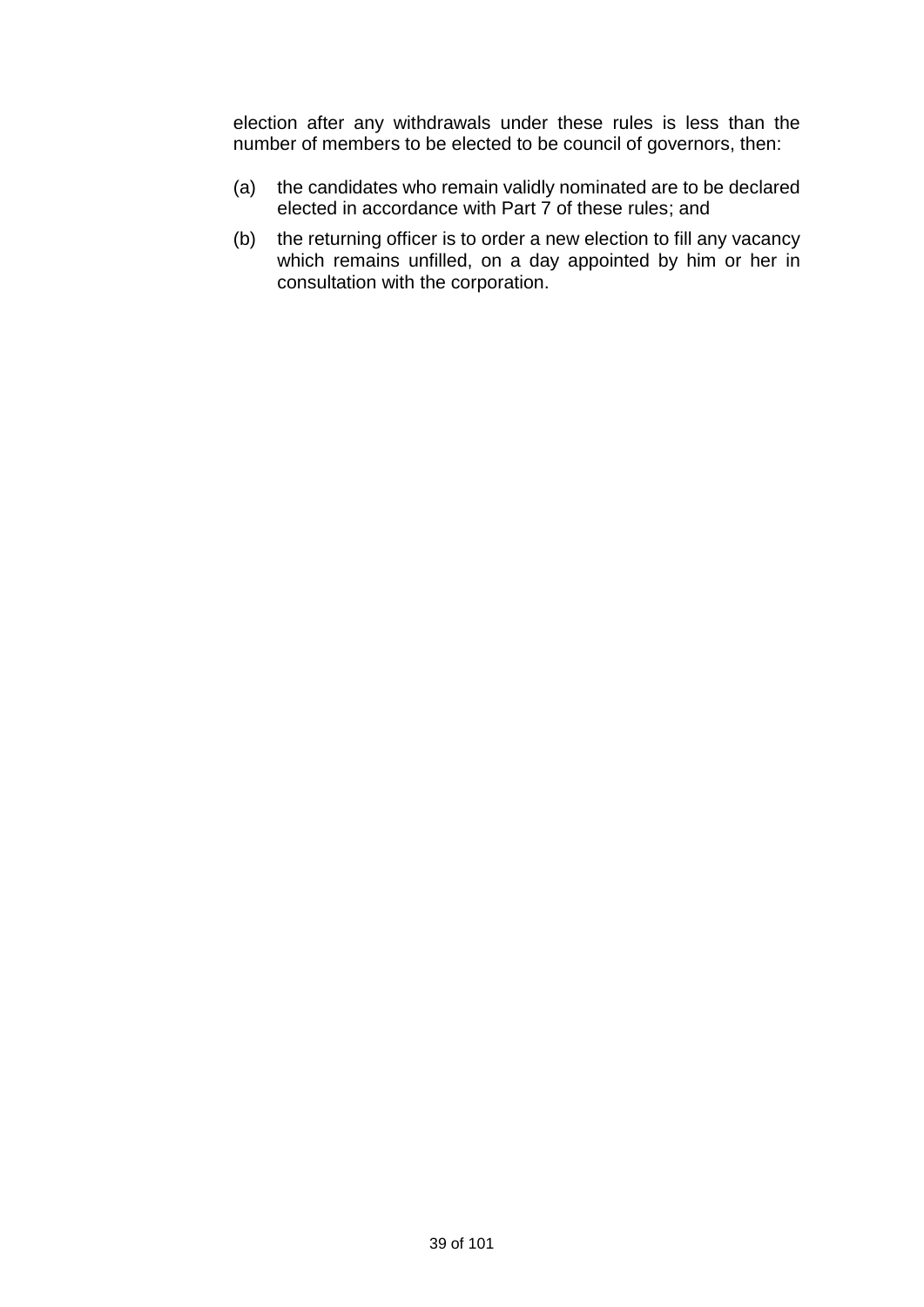election after any withdrawals under these rules is less than the number of members to be elected to be council of governors, then:

- (a) the candidates who remain validly nominated are to be declared elected in accordance with Part 7 of these rules; and
- (b) the returning officer is to order a new election to fill any vacancy which remains unfilled, on a day appointed by him or her in consultation with the corporation.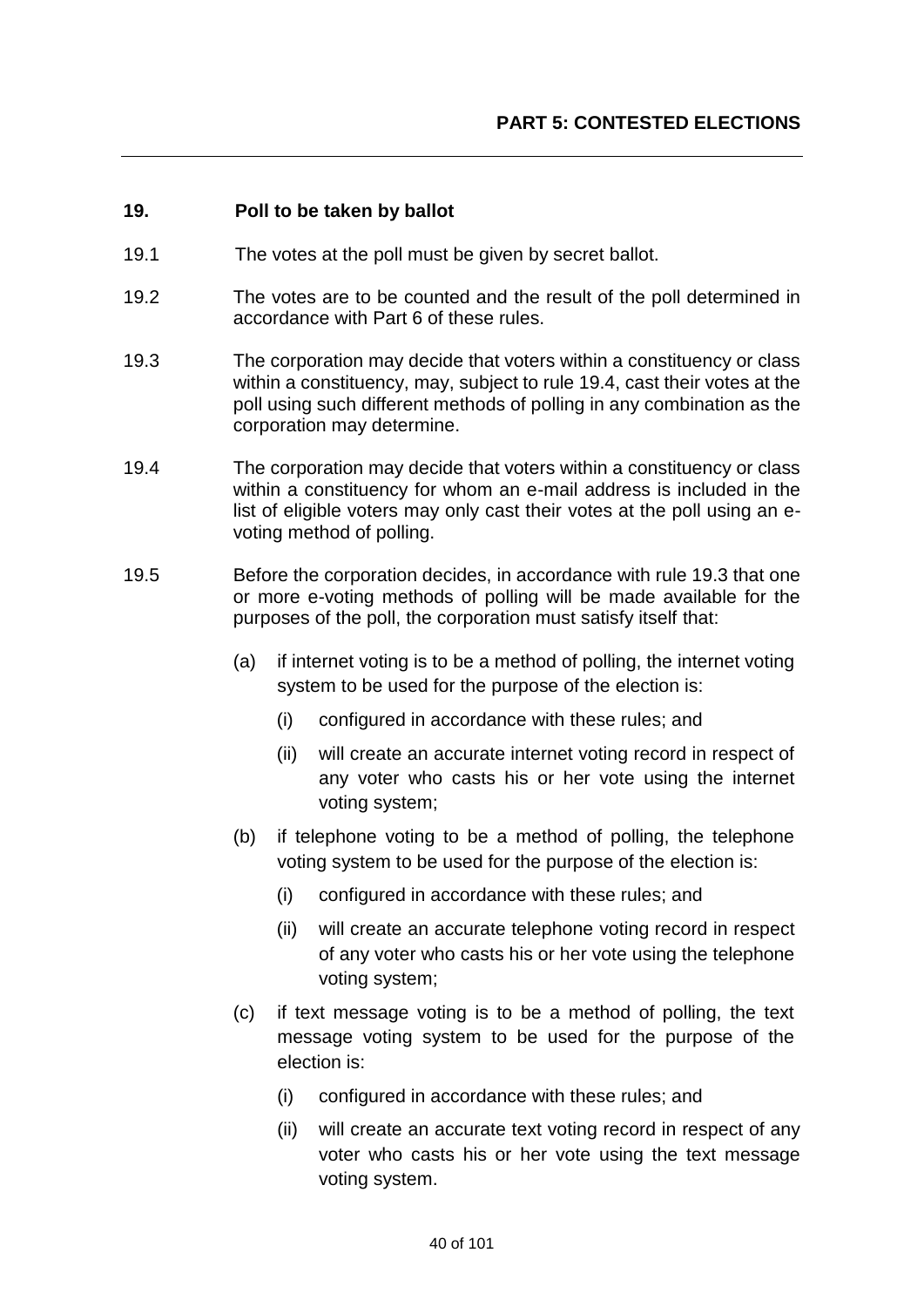## **19. Poll to be taken by ballot**

- 19.1 The votes at the poll must be given by secret ballot.
- 19.2 The votes are to be counted and the result of the poll determined in accordance with Part 6 of these rules.
- 19.3 The corporation may decide that voters within a constituency or class within a constituency, may, subject to rule 19.4, cast their votes at the poll using such different methods of polling in any combination as the corporation may determine.
- 19.4 The corporation may decide that voters within a constituency or class within a constituency for whom an e-mail address is included in the list of eligible voters may only cast their votes at the poll using an evoting method of polling.
- 19.5 Before the corporation decides, in accordance with rule 19.3 that one or more e-voting methods of polling will be made available for the purposes of the poll, the corporation must satisfy itself that:
	- (a) if internet voting is to be a method of polling, the internet voting system to be used for the purpose of the election is:
		- (i) configured in accordance with these rules; and
		- (ii) will create an accurate internet voting record in respect of any voter who casts his or her vote using the internet voting system;
	- (b) if telephone voting to be a method of polling, the telephone voting system to be used for the purpose of the election is:
		- (i) configured in accordance with these rules; and
		- (ii) will create an accurate telephone voting record in respect of any voter who casts his or her vote using the telephone voting system;
	- (c) if text message voting is to be a method of polling, the text message voting system to be used for the purpose of the election is:
		- (i) configured in accordance with these rules; and
		- (ii) will create an accurate text voting record in respect of any voter who casts his or her vote using the text message voting system.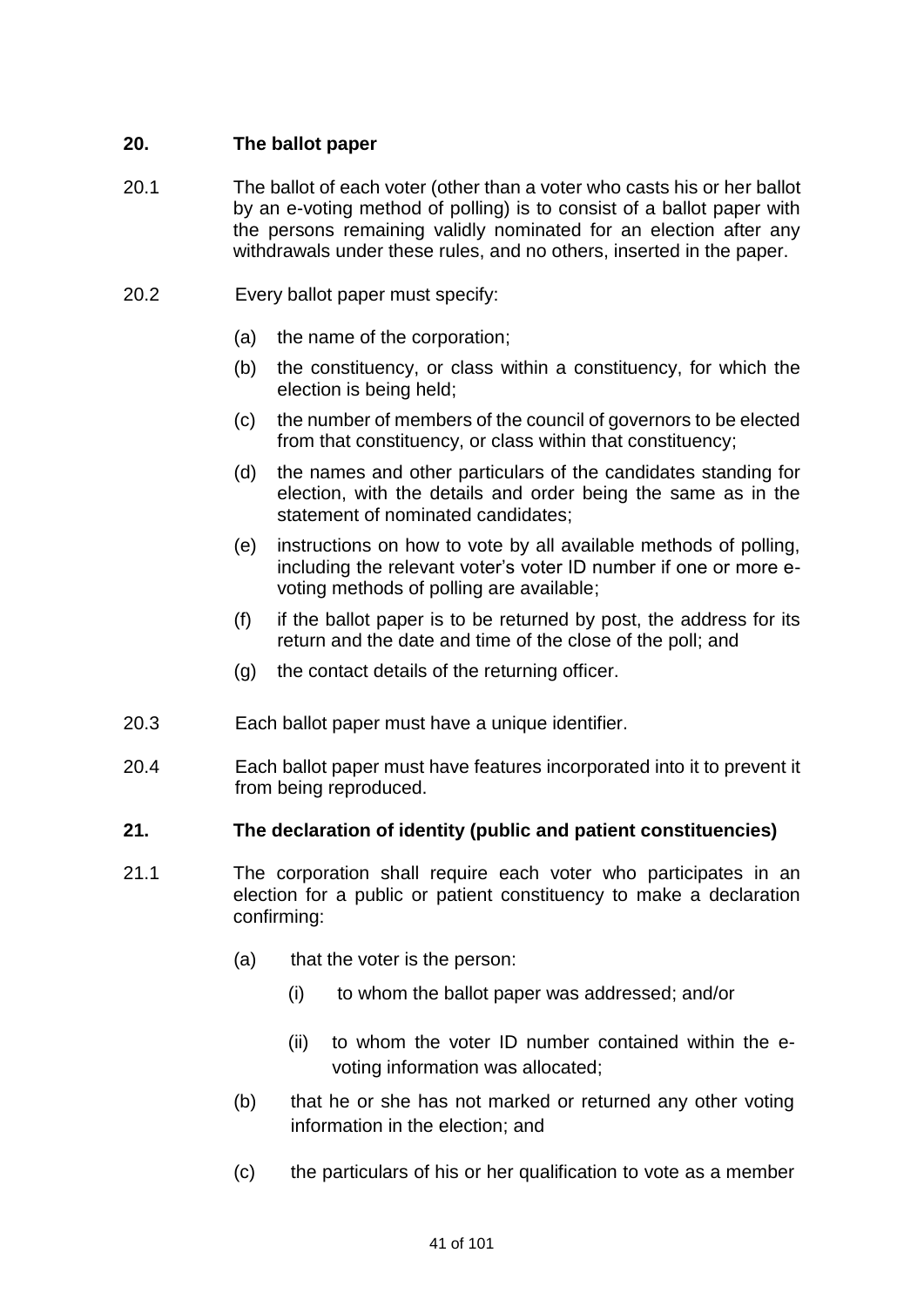# **20. The ballot paper**

- 20.1 The ballot of each voter (other than a voter who casts his or her ballot by an e-voting method of polling) is to consist of a ballot paper with the persons remaining validly nominated for an election after any withdrawals under these rules, and no others, inserted in the paper.
- 20.2 Every ballot paper must specify:
	- (a) the name of the corporation;
	- (b) the constituency, or class within a constituency, for which the election is being held;
	- (c) the number of members of the council of governors to be elected from that constituency, or class within that constituency;
	- (d) the names and other particulars of the candidates standing for election, with the details and order being the same as in the statement of nominated candidates;
	- (e) instructions on how to vote by all available methods of polling, including the relevant voter's voter ID number if one or more evoting methods of polling are available;
	- (f) if the ballot paper is to be returned by post, the address for its return and the date and time of the close of the poll; and
	- (g) the contact details of the returning officer.
- 20.3 Each ballot paper must have a unique identifier.
- 20.4 Each ballot paper must have features incorporated into it to prevent it from being reproduced.

## **21. The declaration of identity (public and patient constituencies)**

- 21.1 The corporation shall require each voter who participates in an election for a public or patient constituency to make a declaration confirming:
	- (a) that the voter is the person:
		- (i) to whom the ballot paper was addressed; and/or
		- (ii) to whom the voter ID number contained within the evoting information was allocated;
	- (b) that he or she has not marked or returned any other voting information in the election; and
	- (c) the particulars of his or her qualification to vote as a member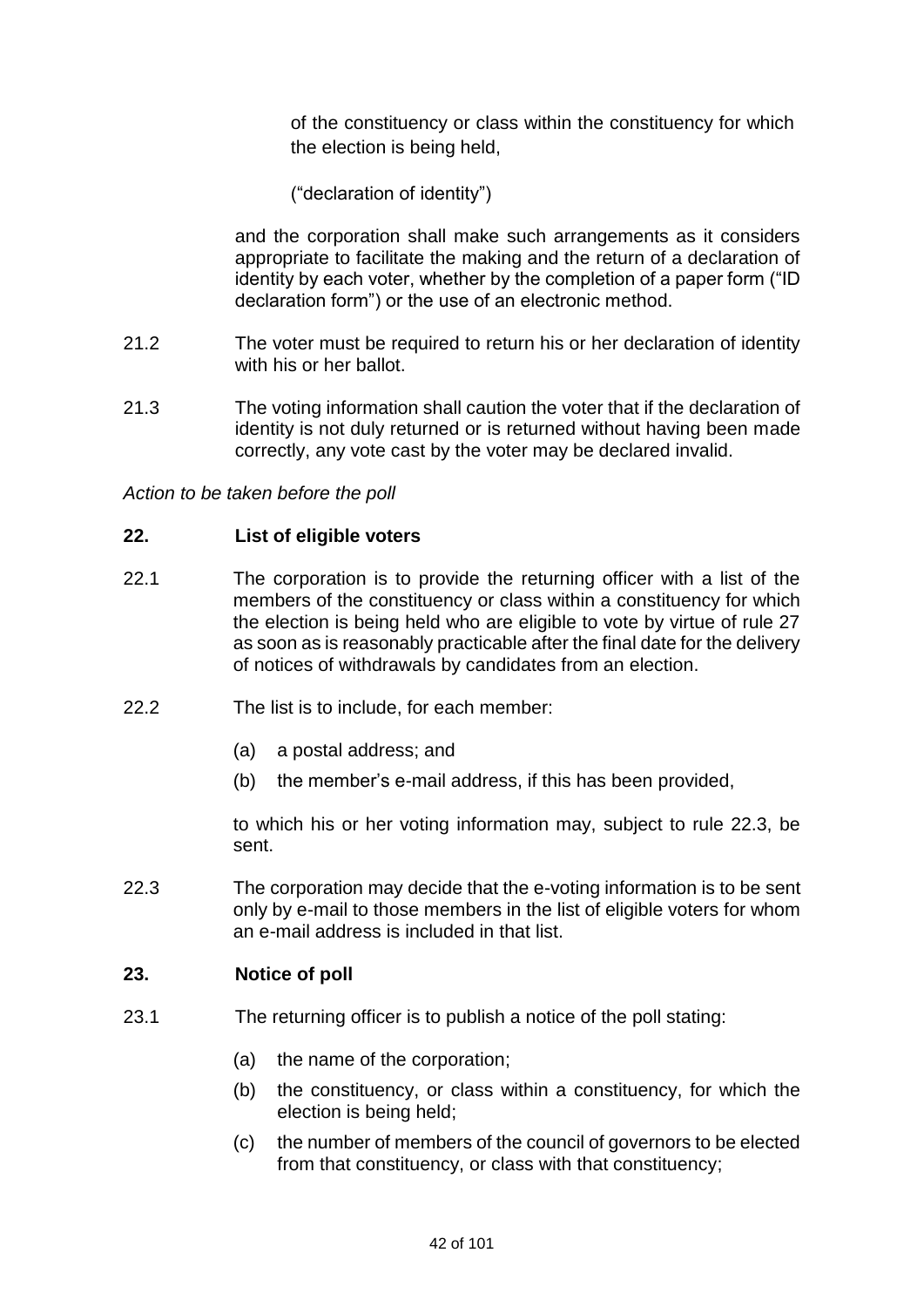of the constituency or class within the constituency for which the election is being held,

("declaration of identity")

and the corporation shall make such arrangements as it considers appropriate to facilitate the making and the return of a declaration of identity by each voter, whether by the completion of a paper form ("ID declaration form") or the use of an electronic method.

- 21.2 The voter must be required to return his or her declaration of identity with his or her ballot.
- 21.3 The voting information shall caution the voter that if the declaration of identity is not duly returned or is returned without having been made correctly, any vote cast by the voter may be declared invalid.

*Action to be taken before the poll*

### **22. List of eligible voters**

- 22.1 The corporation is to provide the returning officer with a list of the members of the constituency or class within a constituency for which the election is being held who are eligible to vote by virtue of rule 27 as soon as is reasonably practicable after the final date for the delivery of notices of withdrawals by candidates from an election.
- 22.2 The list is to include, for each member:
	- (a) a postal address; and
	- (b) the member's e-mail address, if this has been provided,

to which his or her voting information may, subject to rule 22.3, be sent.

22.3 The corporation may decide that the e-voting information is to be sent only by e-mail to those members in the list of eligible voters for whom an e-mail address is included in that list.

## **23. Notice of poll**

- 23.1 The returning officer is to publish a notice of the poll stating:
	- (a) the name of the corporation;
	- (b) the constituency, or class within a constituency, for which the election is being held;
	- (c) the number of members of the council of governors to be elected from that constituency, or class with that constituency;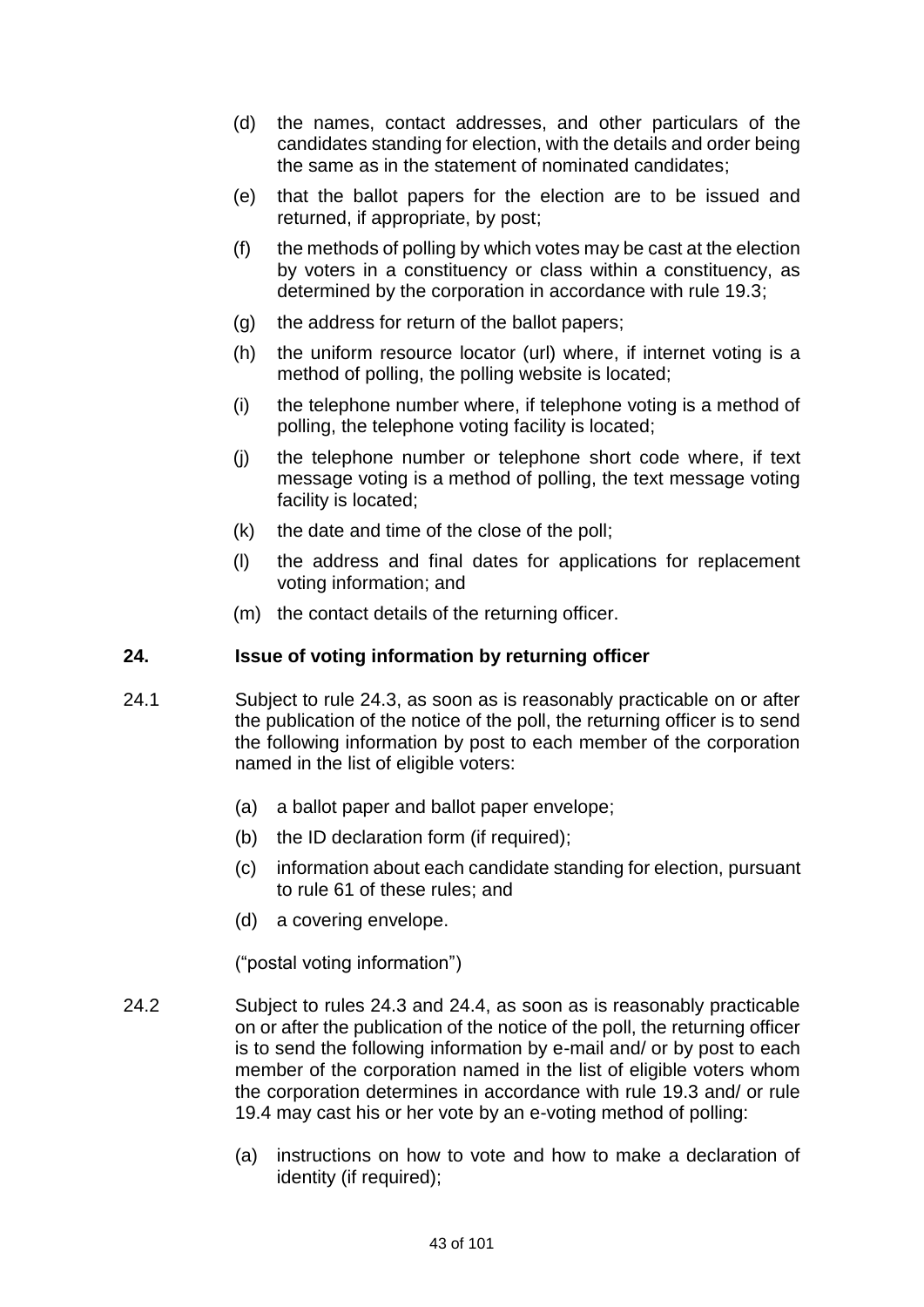- (d) the names, contact addresses, and other particulars of the candidates standing for election, with the details and order being the same as in the statement of nominated candidates;
- (e) that the ballot papers for the election are to be issued and returned, if appropriate, by post;
- (f) the methods of polling by which votes may be cast at the election by voters in a constituency or class within a constituency, as determined by the corporation in accordance with rule 19.3;
- (g) the address for return of the ballot papers;
- (h) the uniform resource locator (url) where, if internet voting is a method of polling, the polling website is located;
- (i) the telephone number where, if telephone voting is a method of polling, the telephone voting facility is located;
- (j) the telephone number or telephone short code where, if text message voting is a method of polling, the text message voting facility is located;
- (k) the date and time of the close of the poll;
- (l) the address and final dates for applications for replacement voting information; and
- (m) the contact details of the returning officer.

## **24. Issue of voting information by returning officer**

- 24.1 Subject to rule 24.3, as soon as is reasonably practicable on or after the publication of the notice of the poll, the returning officer is to send the following information by post to each member of the corporation named in the list of eligible voters:
	- (a) a ballot paper and ballot paper envelope;
	- (b) the ID declaration form (if required);
	- (c) information about each candidate standing for election, pursuant to rule 61 of these rules; and
	- (d) a covering envelope.

("postal voting information")

- 24.2 Subject to rules 24.3 and 24.4, as soon as is reasonably practicable on or after the publication of the notice of the poll, the returning officer is to send the following information by e-mail and/ or by post to each member of the corporation named in the list of eligible voters whom the corporation determines in accordance with rule 19.3 and/ or rule 19.4 may cast his or her vote by an e-voting method of polling:
	- (a) instructions on how to vote and how to make a declaration of identity (if required);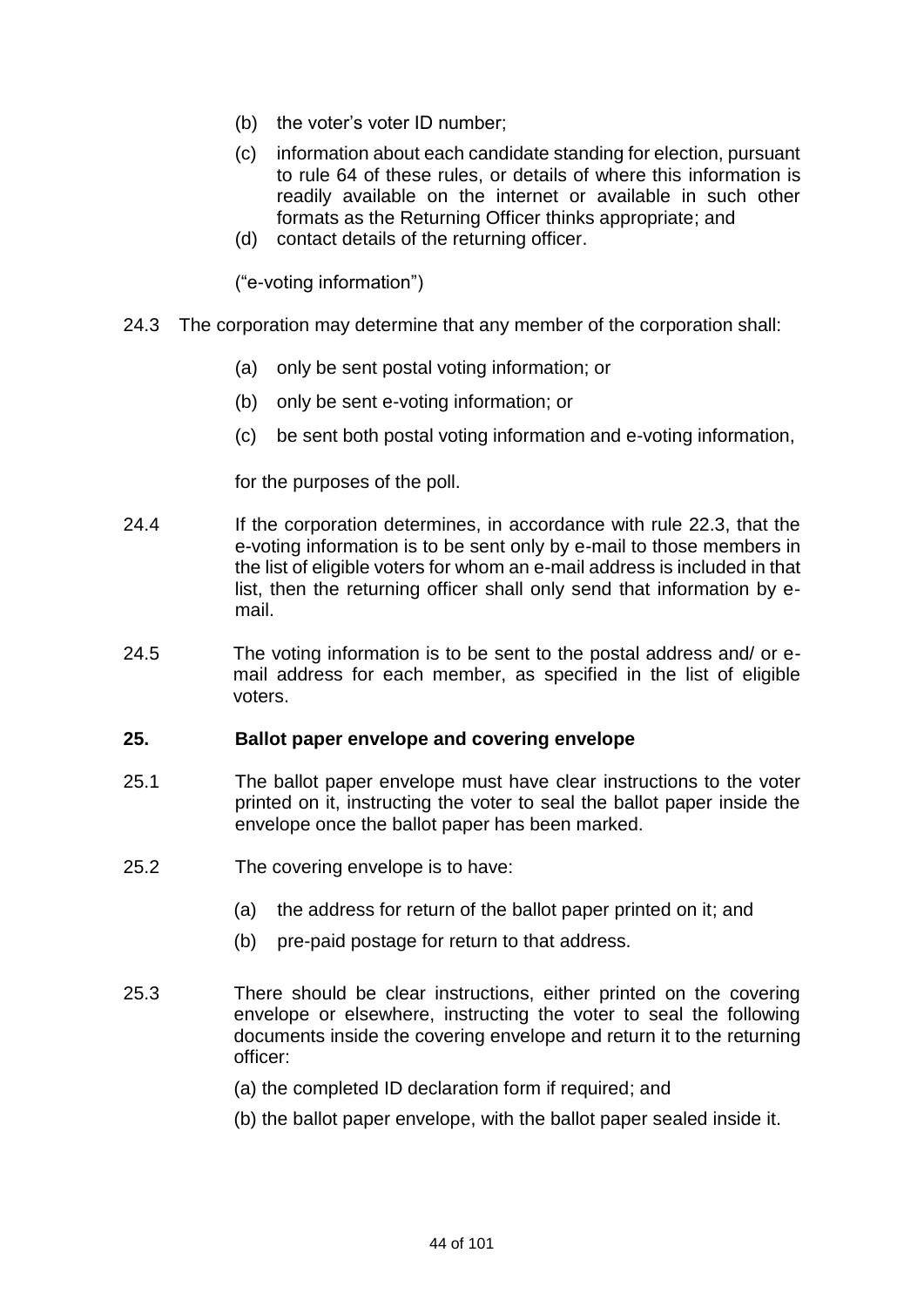- (b) the voter's voter ID number;
- (c) information about each candidate standing for election, pursuant to rule 64 of these rules, or details of where this information is readily available on the internet or available in such other formats as the Returning Officer thinks appropriate; and
- (d) contact details of the returning officer.

("e-voting information")

- 24.3 The corporation may determine that any member of the corporation shall:
	- (a) only be sent postal voting information; or
	- (b) only be sent e-voting information; or
	- (c) be sent both postal voting information and e-voting information,

for the purposes of the poll.

- 24.4 If the corporation determines, in accordance with rule 22.3, that the e-voting information is to be sent only by e-mail to those members in the list of eligible voters for whom an e-mail address is included in that list, then the returning officer shall only send that information by email.
- 24.5 The voting information is to be sent to the postal address and/ or email address for each member, as specified in the list of eligible voters.

### **25. Ballot paper envelope and covering envelope**

- 25.1 The ballot paper envelope must have clear instructions to the voter printed on it, instructing the voter to seal the ballot paper inside the envelope once the ballot paper has been marked.
- 25.2 The covering envelope is to have:
	- (a) the address for return of the ballot paper printed on it; and
	- (b) pre-paid postage for return to that address.
- 25.3 There should be clear instructions, either printed on the covering envelope or elsewhere, instructing the voter to seal the following documents inside the covering envelope and return it to the returning officer:
	- (a) the completed ID declaration form if required; and
	- (b) the ballot paper envelope, with the ballot paper sealed inside it.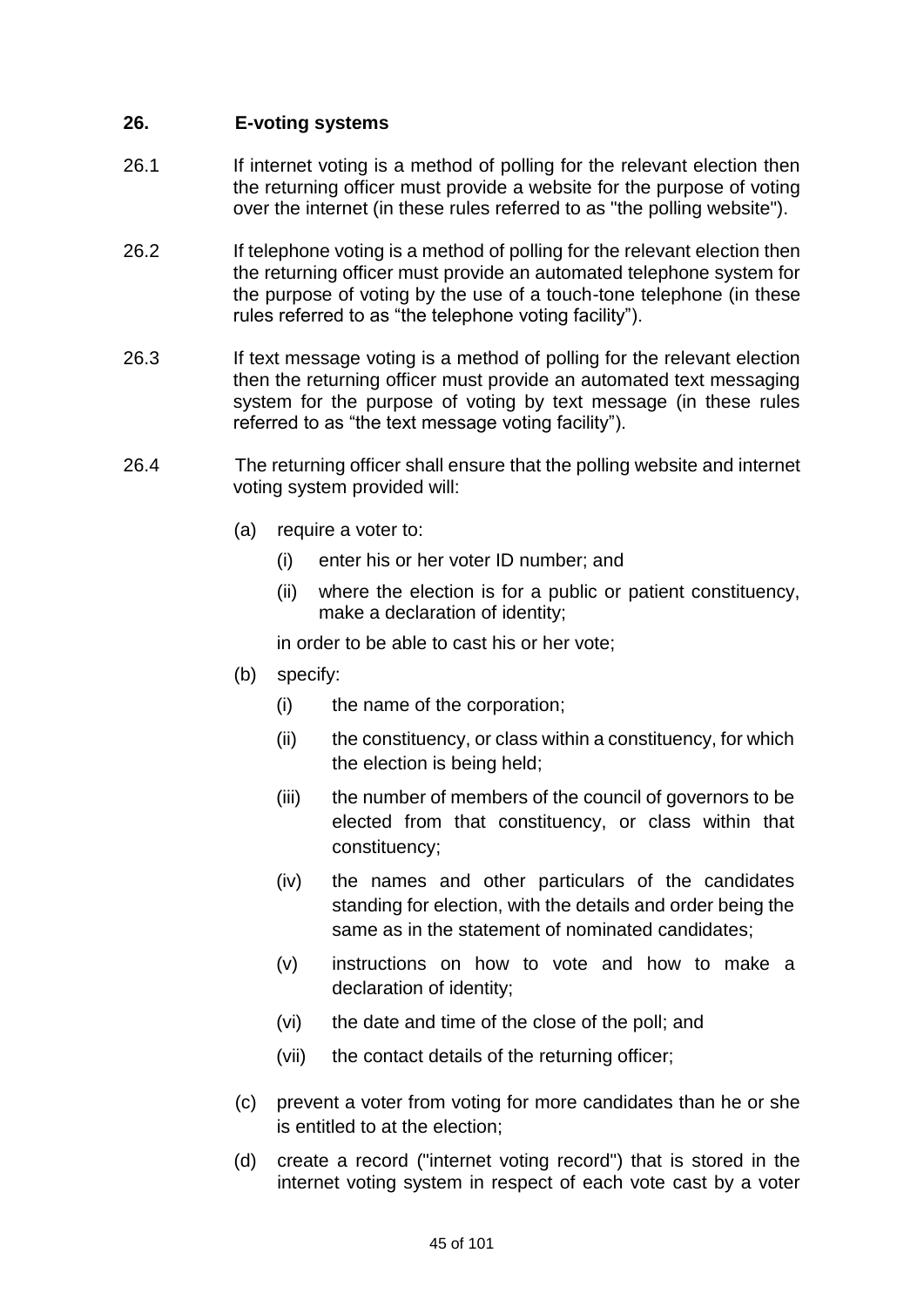# **26. E-voting systems**

- 26.1 If internet voting is a method of polling for the relevant election then the returning officer must provide a website for the purpose of voting over the internet (in these rules referred to as "the polling website").
- 26.2 If telephone voting is a method of polling for the relevant election then the returning officer must provide an automated telephone system for the purpose of voting by the use of a touch-tone telephone (in these rules referred to as "the telephone voting facility").
- 26.3 If text message voting is a method of polling for the relevant election then the returning officer must provide an automated text messaging system for the purpose of voting by text message (in these rules referred to as "the text message voting facility").
- 26.4 The returning officer shall ensure that the polling website and internet voting system provided will:
	- (a) require a voter to:
		- (i) enter his or her voter ID number; and
		- (ii) where the election is for a public or patient constituency, make a declaration of identity;

in order to be able to cast his or her vote;

- (b) specify:
	- (i) the name of the corporation;
	- (ii) the constituency, or class within a constituency, for which the election is being held;
	- (iii) the number of members of the council of governors to be elected from that constituency, or class within that constituency;
	- (iv) the names and other particulars of the candidates standing for election, with the details and order being the same as in the statement of nominated candidates;
	- (v) instructions on how to vote and how to make a declaration of identity;
	- (vi) the date and time of the close of the poll; and
	- (vii) the contact details of the returning officer;
- (c) prevent a voter from voting for more candidates than he or she is entitled to at the election;
- (d) create a record ("internet voting record") that is stored in the internet voting system in respect of each vote cast by a voter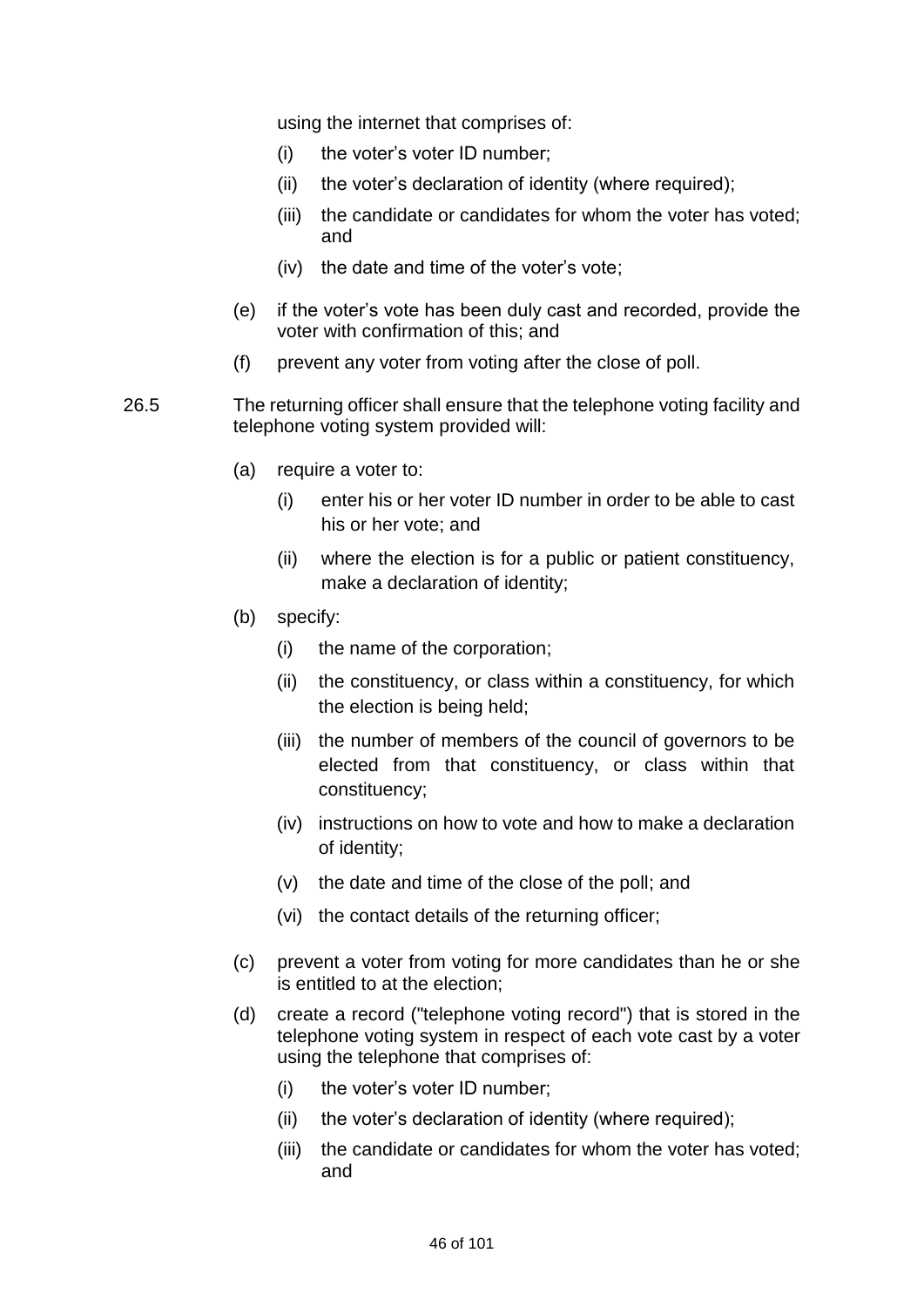using the internet that comprises of:

- (i) the voter's voter ID number;
- (ii) the voter's declaration of identity (where required);
- (iii) the candidate or candidates for whom the voter has voted; and
- (iv) the date and time of the voter's vote;
- (e) if the voter's vote has been duly cast and recorded, provide the voter with confirmation of this; and
- (f) prevent any voter from voting after the close of poll.
- 26.5 The returning officer shall ensure that the telephone voting facility and telephone voting system provided will:
	- (a) require a voter to:
		- (i) enter his or her voter ID number in order to be able to cast his or her vote; and
		- (ii) where the election is for a public or patient constituency, make a declaration of identity;
	- (b) specify:
		- (i) the name of the corporation;
		- (ii) the constituency, or class within a constituency, for which the election is being held;
		- (iii) the number of members of the council of governors to be elected from that constituency, or class within that constituency;
		- (iv) instructions on how to vote and how to make a declaration of identity;
		- (v) the date and time of the close of the poll; and
		- (vi) the contact details of the returning officer;
	- (c) prevent a voter from voting for more candidates than he or she is entitled to at the election;
	- (d) create a record ("telephone voting record") that is stored in the telephone voting system in respect of each vote cast by a voter using the telephone that comprises of:
		- (i) the voter's voter ID number;
		- (ii) the voter's declaration of identity (where required);
		- (iii) the candidate or candidates for whom the voter has voted; and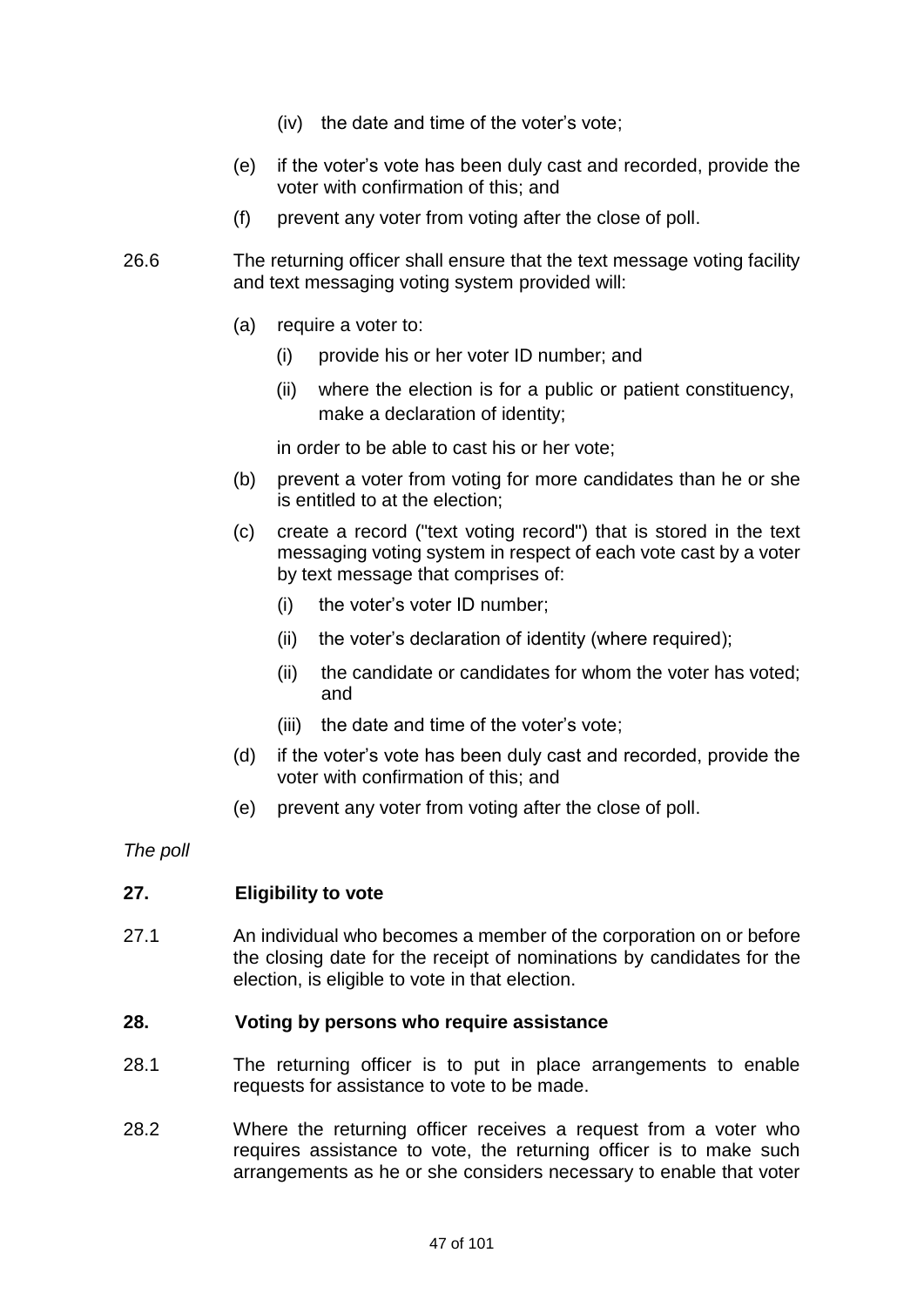- (iv) the date and time of the voter's vote;
- (e) if the voter's vote has been duly cast and recorded, provide the voter with confirmation of this; and
- (f) prevent any voter from voting after the close of poll.
- 26.6 The returning officer shall ensure that the text message voting facility and text messaging voting system provided will:
	- (a) require a voter to:
		- (i) provide his or her voter ID number; and
		- (ii) where the election is for a public or patient constituency, make a declaration of identity;

in order to be able to cast his or her vote;

- (b) prevent a voter from voting for more candidates than he or she is entitled to at the election;
- (c) create a record ("text voting record") that is stored in the text messaging voting system in respect of each vote cast by a voter by text message that comprises of:
	- (i) the voter's voter ID number;
	- (ii) the voter's declaration of identity (where required);
	- (ii) the candidate or candidates for whom the voter has voted; and
	- (iii) the date and time of the voter's vote;
- (d) if the voter's vote has been duly cast and recorded, provide the voter with confirmation of this; and
- (e) prevent any voter from voting after the close of poll.

*The poll*

## **27. Eligibility to vote**

27.1 An individual who becomes a member of the corporation on or before the closing date for the receipt of nominations by candidates for the election, is eligible to vote in that election.

### **28. Voting by persons who require assistance**

- 28.1 The returning officer is to put in place arrangements to enable requests for assistance to vote to be made.
- 28.2 Where the returning officer receives a request from a voter who requires assistance to vote, the returning officer is to make such arrangements as he or she considers necessary to enable that voter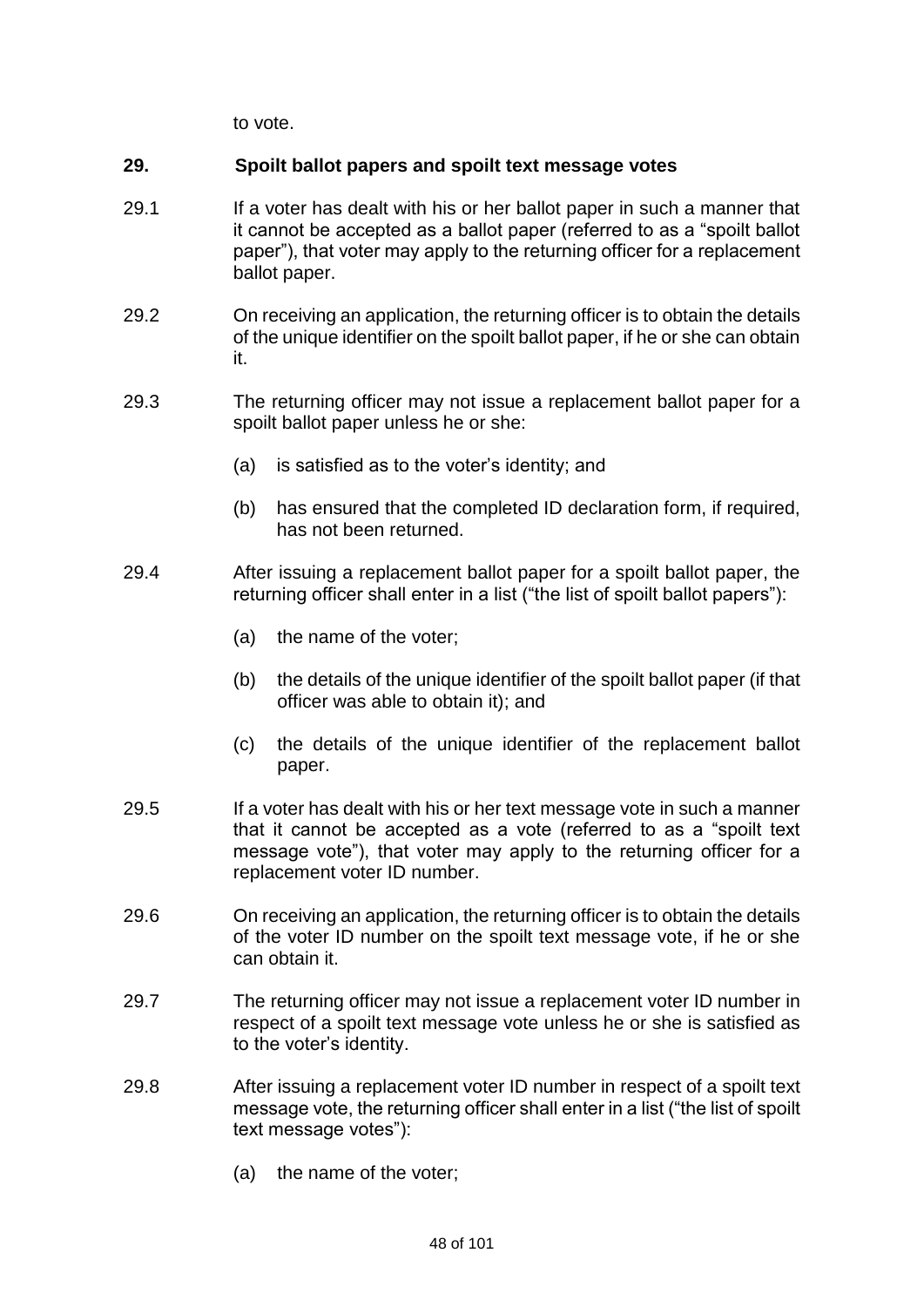to vote.

## **29. Spoilt ballot papers and spoilt text message votes**

- 29.1 If a voter has dealt with his or her ballot paper in such a manner that it cannot be accepted as a ballot paper (referred to as a "spoilt ballot paper"), that voter may apply to the returning officer for a replacement ballot paper.
- 29.2 On receiving an application, the returning officer is to obtain the details of the unique identifier on the spoilt ballot paper, if he or she can obtain it.
- 29.3 The returning officer may not issue a replacement ballot paper for a spoilt ballot paper unless he or she:
	- (a) is satisfied as to the voter's identity; and
	- (b) has ensured that the completed ID declaration form, if required, has not been returned.
- 29.4 After issuing a replacement ballot paper for a spoilt ballot paper, the returning officer shall enter in a list ("the list of spoilt ballot papers"):
	- (a) the name of the voter;
	- (b) the details of the unique identifier of the spoilt ballot paper (if that officer was able to obtain it); and
	- (c) the details of the unique identifier of the replacement ballot paper.
- 29.5 If a voter has dealt with his or her text message vote in such a manner that it cannot be accepted as a vote (referred to as a "spoilt text message vote"), that voter may apply to the returning officer for a replacement voter ID number.
- 29.6 On receiving an application, the returning officer is to obtain the details of the voter ID number on the spoilt text message vote, if he or she can obtain it.
- 29.7 The returning officer may not issue a replacement voter ID number in respect of a spoilt text message vote unless he or she is satisfied as to the voter's identity.
- 29.8 After issuing a replacement voter ID number in respect of a spoilt text message vote, the returning officer shall enter in a list ("the list of spoilt text message votes"):
	- (a) the name of the voter;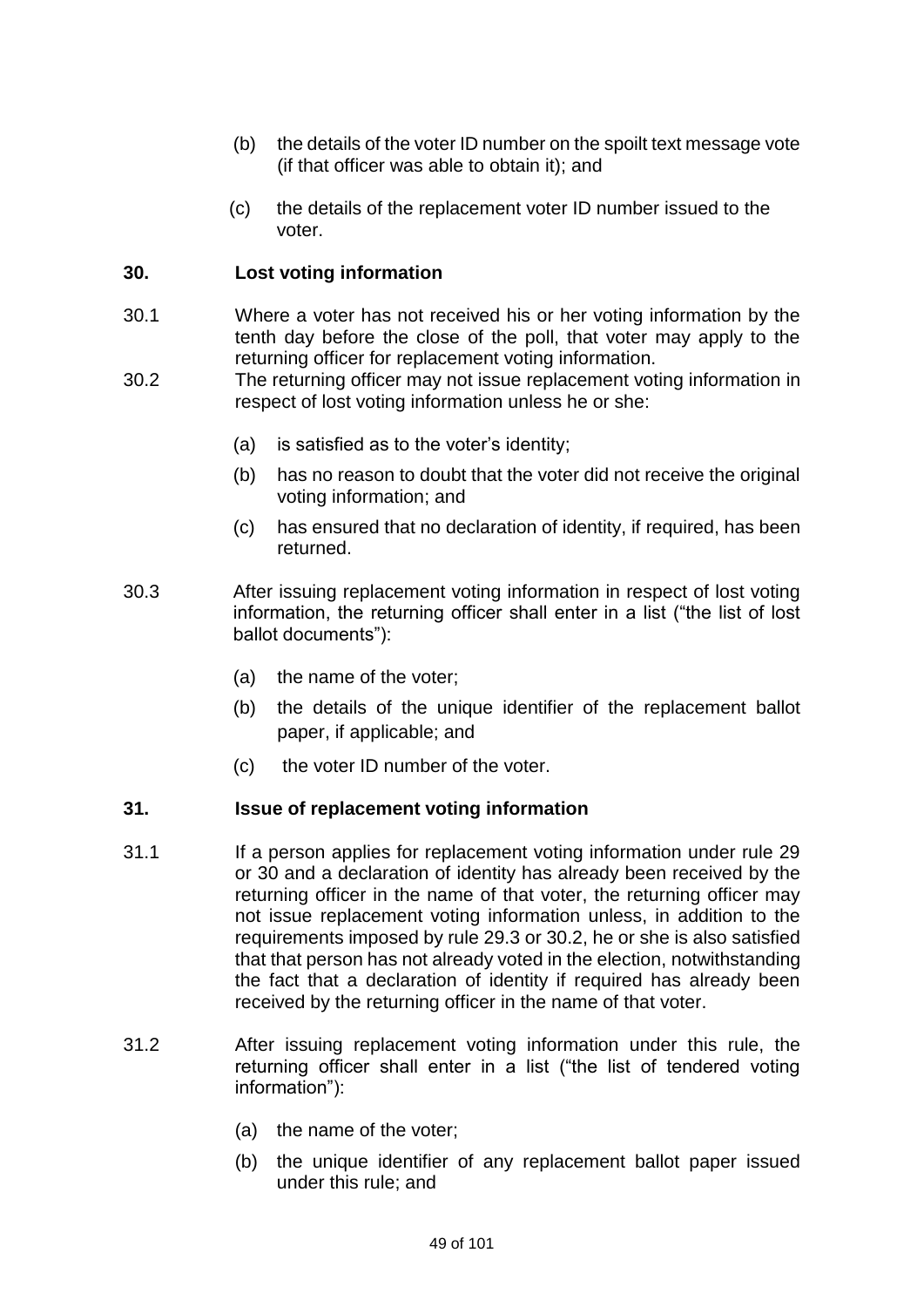- (b) the details of the voter ID number on the spoilt text message vote (if that officer was able to obtain it); and
- (c) the details of the replacement voter ID number issued to the voter.

## **30. Lost voting information**

- 30.1 Where a voter has not received his or her voting information by the tenth day before the close of the poll, that voter may apply to the returning officer for replacement voting information.
- 30.2 The returning officer may not issue replacement voting information in respect of lost voting information unless he or she:
	- (a) is satisfied as to the voter's identity;
	- (b) has no reason to doubt that the voter did not receive the original voting information; and
	- (c) has ensured that no declaration of identity, if required, has been returned.
- 30.3 After issuing replacement voting information in respect of lost voting information, the returning officer shall enter in a list ("the list of lost ballot documents"):
	- (a) the name of the voter;
	- (b) the details of the unique identifier of the replacement ballot paper, if applicable; and
	- (c) the voter ID number of the voter.

## **31. Issue of replacement voting information**

- 31.1 If a person applies for replacement voting information under rule 29 or 30 and a declaration of identity has already been received by the returning officer in the name of that voter, the returning officer may not issue replacement voting information unless, in addition to the requirements imposed by rule 29.3 or 30.2, he or she is also satisfied that that person has not already voted in the election, notwithstanding the fact that a declaration of identity if required has already been received by the returning officer in the name of that voter.
- 31.2 After issuing replacement voting information under this rule, the returning officer shall enter in a list ("the list of tendered voting information"):
	- (a) the name of the voter;
	- (b) the unique identifier of any replacement ballot paper issued under this rule; and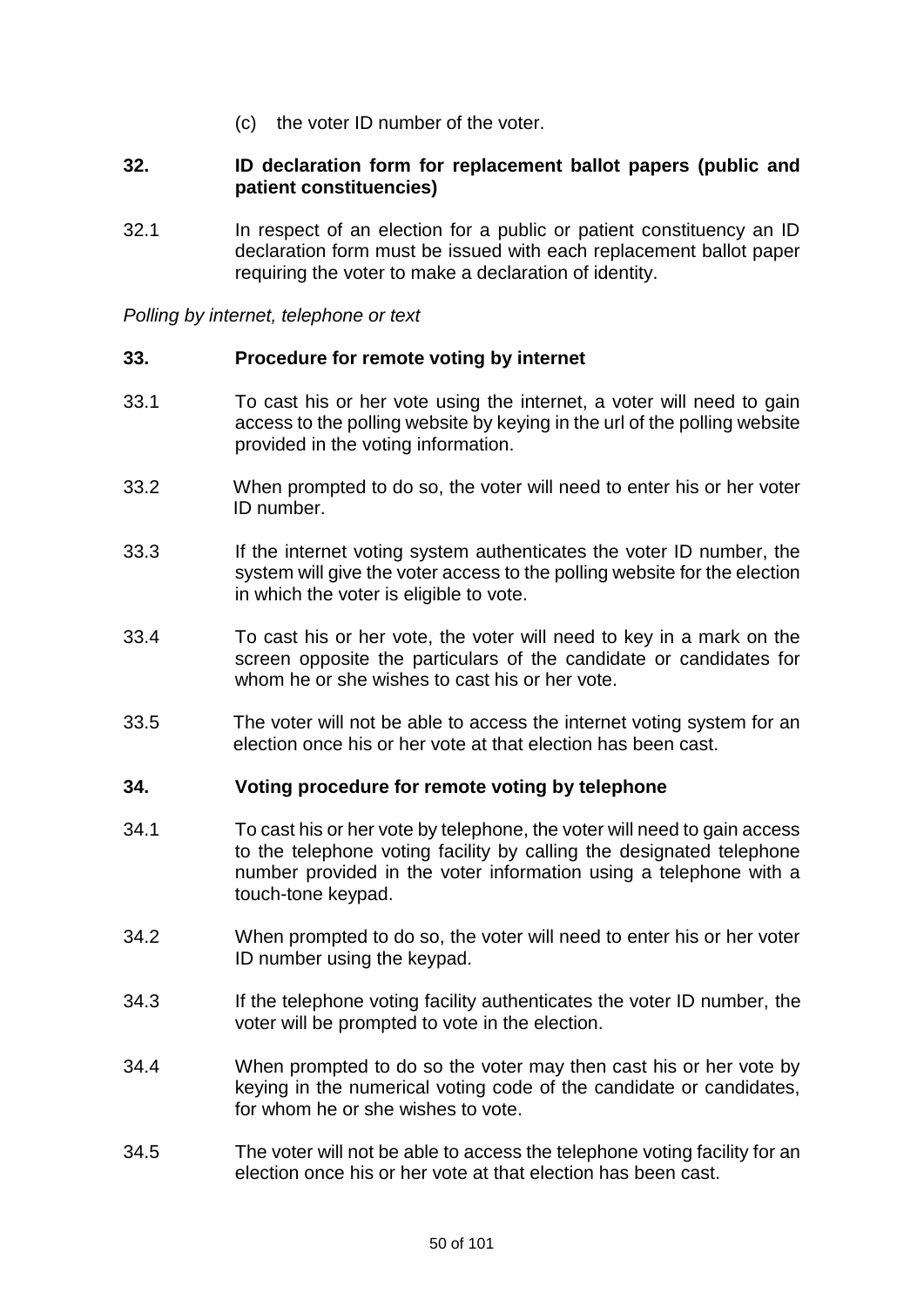(c) the voter ID number of the voter.

### **32. ID declaration form for replacement ballot papers (public and patient constituencies)**

32.1 In respect of an election for a public or patient constituency an ID declaration form must be issued with each replacement ballot paper requiring the voter to make a declaration of identity.

*Polling by internet, telephone or text*

### **33. Procedure for remote voting by internet**

- 33.1 To cast his or her vote using the internet, a voter will need to gain access to the polling website by keying in the url of the polling website provided in the voting information.
- 33.2 When prompted to do so, the voter will need to enter his or her voter ID number.
- 33.3 If the internet voting system authenticates the voter ID number, the system will give the voter access to the polling website for the election in which the voter is eligible to vote.
- 33.4 To cast his or her vote, the voter will need to key in a mark on the screen opposite the particulars of the candidate or candidates for whom he or she wishes to cast his or her vote.
- 33.5 The voter will not be able to access the internet voting system for an election once his or her vote at that election has been cast.

## **34. Voting procedure for remote voting by telephone**

- 34.1 To cast his or her vote by telephone, the voter will need to gain access to the telephone voting facility by calling the designated telephone number provided in the voter information using a telephone with a touch-tone keypad.
- 34.2 When prompted to do so, the voter will need to enter his or her voter ID number using the keypad.
- 34.3 If the telephone voting facility authenticates the voter ID number, the voter will be prompted to vote in the election.
- 34.4 When prompted to do so the voter may then cast his or her vote by keying in the numerical voting code of the candidate or candidates, for whom he or she wishes to vote.
- 34.5 The voter will not be able to access the telephone voting facility for an election once his or her vote at that election has been cast.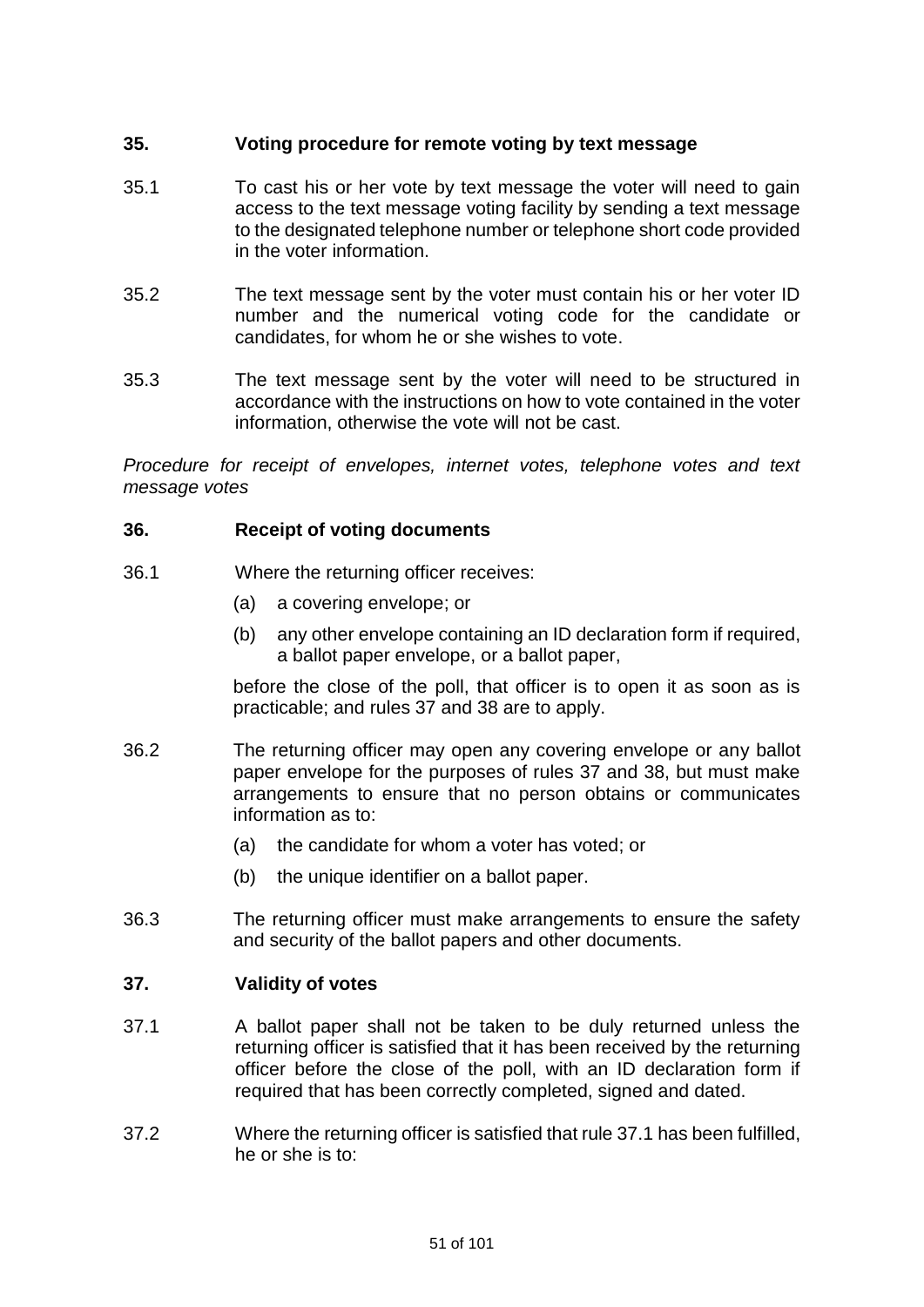# **35. Voting procedure for remote voting by text message**

- 35.1 To cast his or her vote by text message the voter will need to gain access to the text message voting facility by sending a text message to the designated telephone number or telephone short code provided in the voter information.
- 35.2 The text message sent by the voter must contain his or her voter ID number and the numerical voting code for the candidate or candidates, for whom he or she wishes to vote.
- 35.3 The text message sent by the voter will need to be structured in accordance with the instructions on how to vote contained in the voter information, otherwise the vote will not be cast.

*Procedure for receipt of envelopes, internet votes, telephone votes and text message votes*

## **36. Receipt of voting documents**

- 36.1 Where the returning officer receives:
	- (a) a covering envelope; or
	- (b) any other envelope containing an ID declaration form if required, a ballot paper envelope, or a ballot paper,

before the close of the poll, that officer is to open it as soon as is practicable; and rules 37 and 38 are to apply.

- 36.2 The returning officer may open any covering envelope or any ballot paper envelope for the purposes of rules 37 and 38, but must make arrangements to ensure that no person obtains or communicates information as to:
	- (a) the candidate for whom a voter has voted; or
	- (b) the unique identifier on a ballot paper.
- 36.3 The returning officer must make arrangements to ensure the safety and security of the ballot papers and other documents.

## **37. Validity of votes**

- 37.1 A ballot paper shall not be taken to be duly returned unless the returning officer is satisfied that it has been received by the returning officer before the close of the poll, with an ID declaration form if required that has been correctly completed, signed and dated.
- 37.2 Where the returning officer is satisfied that rule 37.1 has been fulfilled, he or she is to: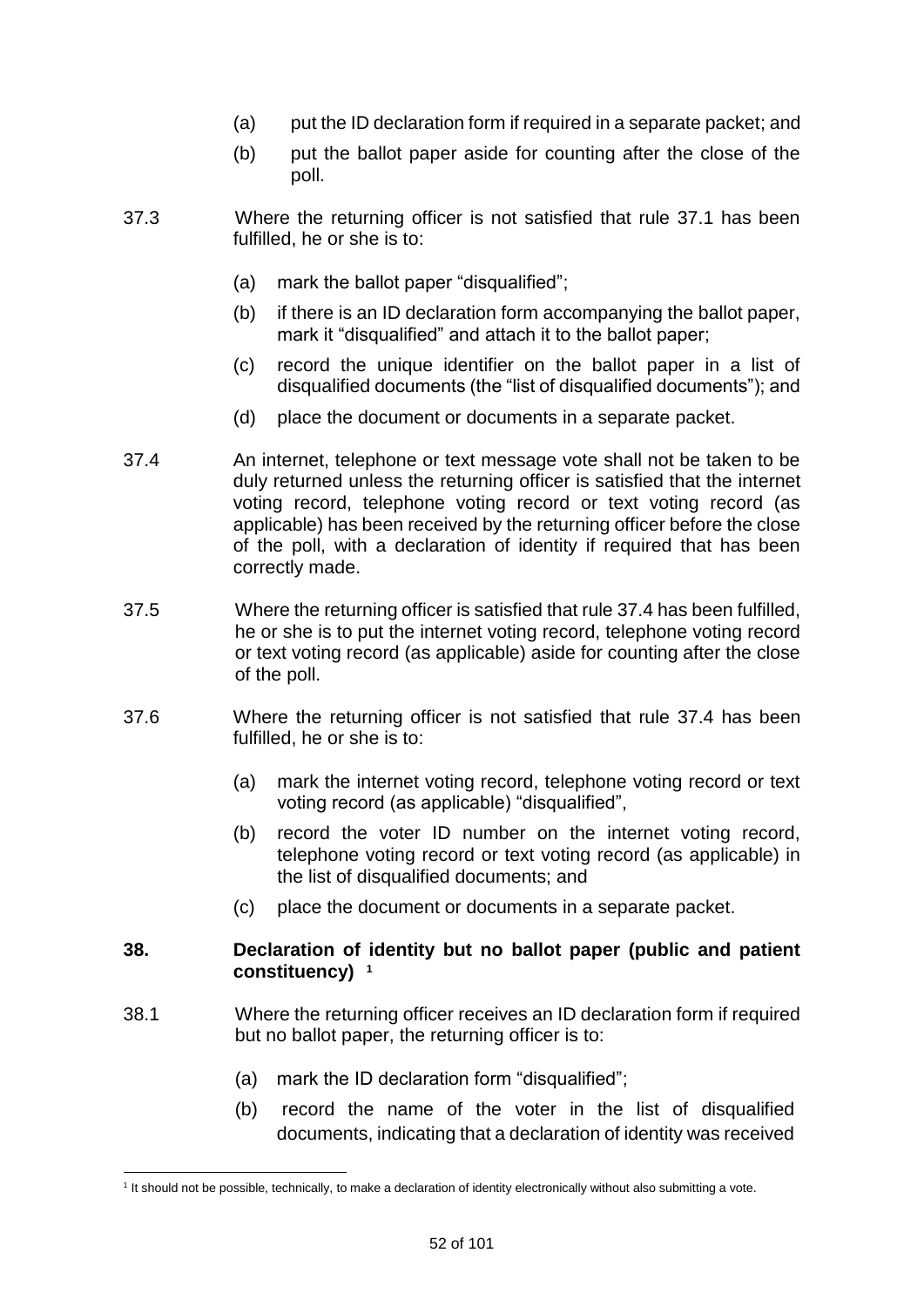- (a) put the ID declaration form if required in a separate packet; and
- (b) put the ballot paper aside for counting after the close of the poll.
- 37.3 Where the returning officer is not satisfied that rule 37.1 has been fulfilled, he or she is to:
	- (a) mark the ballot paper "disqualified";
	- (b) if there is an ID declaration form accompanying the ballot paper, mark it "disqualified" and attach it to the ballot paper;
	- (c) record the unique identifier on the ballot paper in a list of disqualified documents (the "list of disqualified documents"); and
	- (d) place the document or documents in a separate packet.
- 37.4 An internet, telephone or text message vote shall not be taken to be duly returned unless the returning officer is satisfied that the internet voting record, telephone voting record or text voting record (as applicable) has been received by the returning officer before the close of the poll, with a declaration of identity if required that has been correctly made.
- 37.5 Where the returning officer is satisfied that rule 37.4 has been fulfilled, he or she is to put the internet voting record, telephone voting record or text voting record (as applicable) aside for counting after the close of the poll.
- 37.6 Where the returning officer is not satisfied that rule 37.4 has been fulfilled, he or she is to:
	- (a) mark the internet voting record, telephone voting record or text voting record (as applicable) "disqualified",
	- (b) record the voter ID number on the internet voting record, telephone voting record or text voting record (as applicable) in the list of disqualified documents; and
	- (c) place the document or documents in a separate packet.

## **38. Declaration of identity but no ballot paper (public and patient constituency) 2 1**

- 38.1 Where the returning officer receives an ID declaration form if required but no ballot paper, the returning officer is to:
	- (a) mark the ID declaration form "disqualified";
	- (b) record the name of the voter in the list of disqualified documents, indicating that a declaration of identity was received

<sup>&</sup>lt;u>.</u> 1 It should not be possible, technically, to make a declaration of identity electronically without also submitting a vote.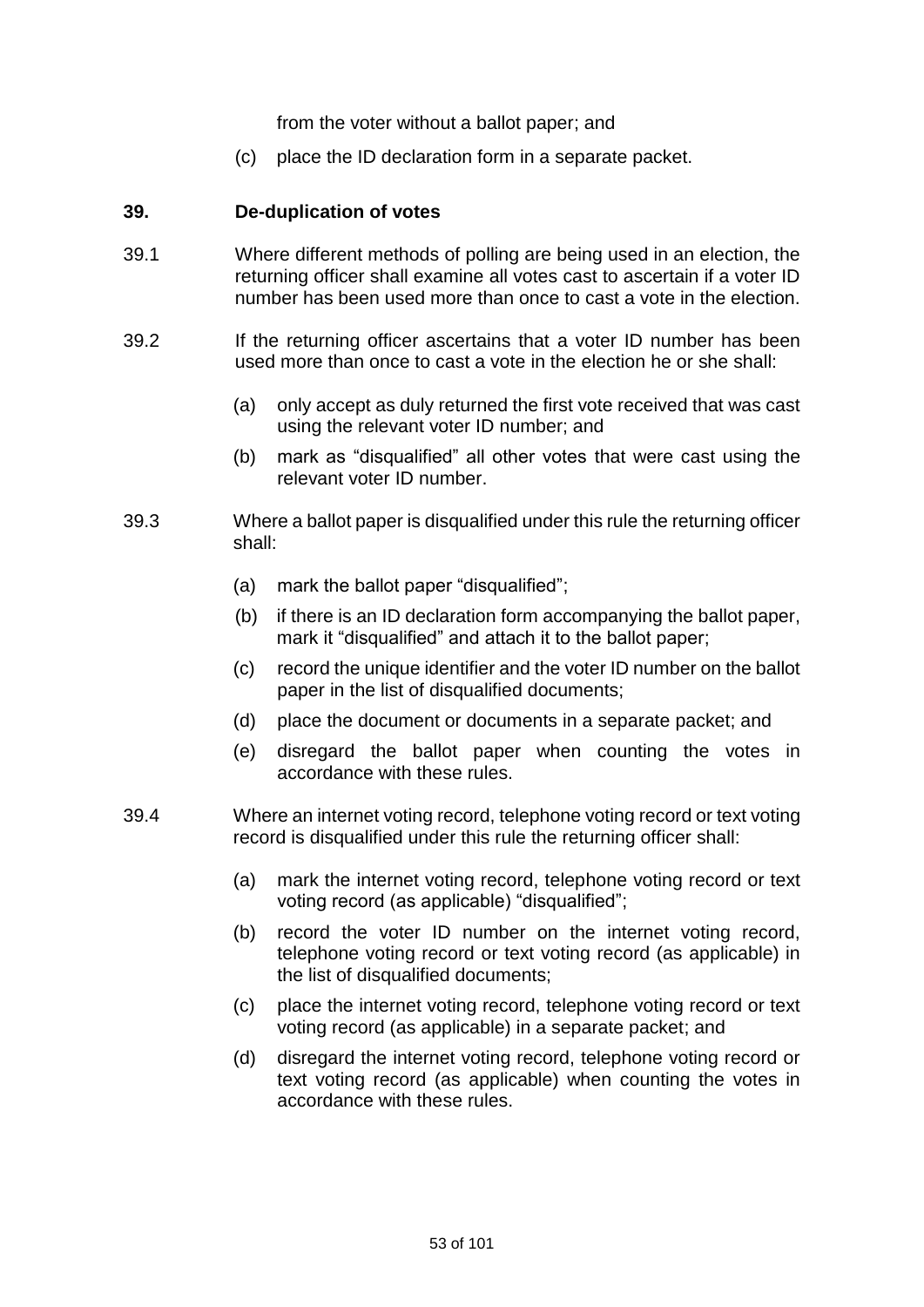from the voter without a ballot paper; and

(c) place the ID declaration form in a separate packet.

### **39. De-duplication of votes**

- 39.1 Where different methods of polling are being used in an election, the returning officer shall examine all votes cast to ascertain if a voter ID number has been used more than once to cast a vote in the election.
- 39.2 If the returning officer ascertains that a voter ID number has been used more than once to cast a vote in the election he or she shall:
	- (a) only accept as duly returned the first vote received that was cast using the relevant voter ID number; and
	- (b) mark as "disqualified" all other votes that were cast using the relevant voter ID number.
- 39.3 Where a ballot paper is disqualified under this rule the returning officer shall:
	- (a) mark the ballot paper "disqualified";
	- (b) if there is an ID declaration form accompanying the ballot paper, mark it "disqualified" and attach it to the ballot paper;
	- (c) record the unique identifier and the voter ID number on the ballot paper in the list of disqualified documents;
	- (d) place the document or documents in a separate packet; and
	- (e) disregard the ballot paper when counting the votes in accordance with these rules.
- 39.4 Where an internet voting record, telephone voting record or text voting record is disqualified under this rule the returning officer shall:
	- (a) mark the internet voting record, telephone voting record or text voting record (as applicable) "disqualified";
	- (b) record the voter ID number on the internet voting record, telephone voting record or text voting record (as applicable) in the list of disqualified documents;
	- (c) place the internet voting record, telephone voting record or text voting record (as applicable) in a separate packet; and
	- (d) disregard the internet voting record, telephone voting record or text voting record (as applicable) when counting the votes in accordance with these rules.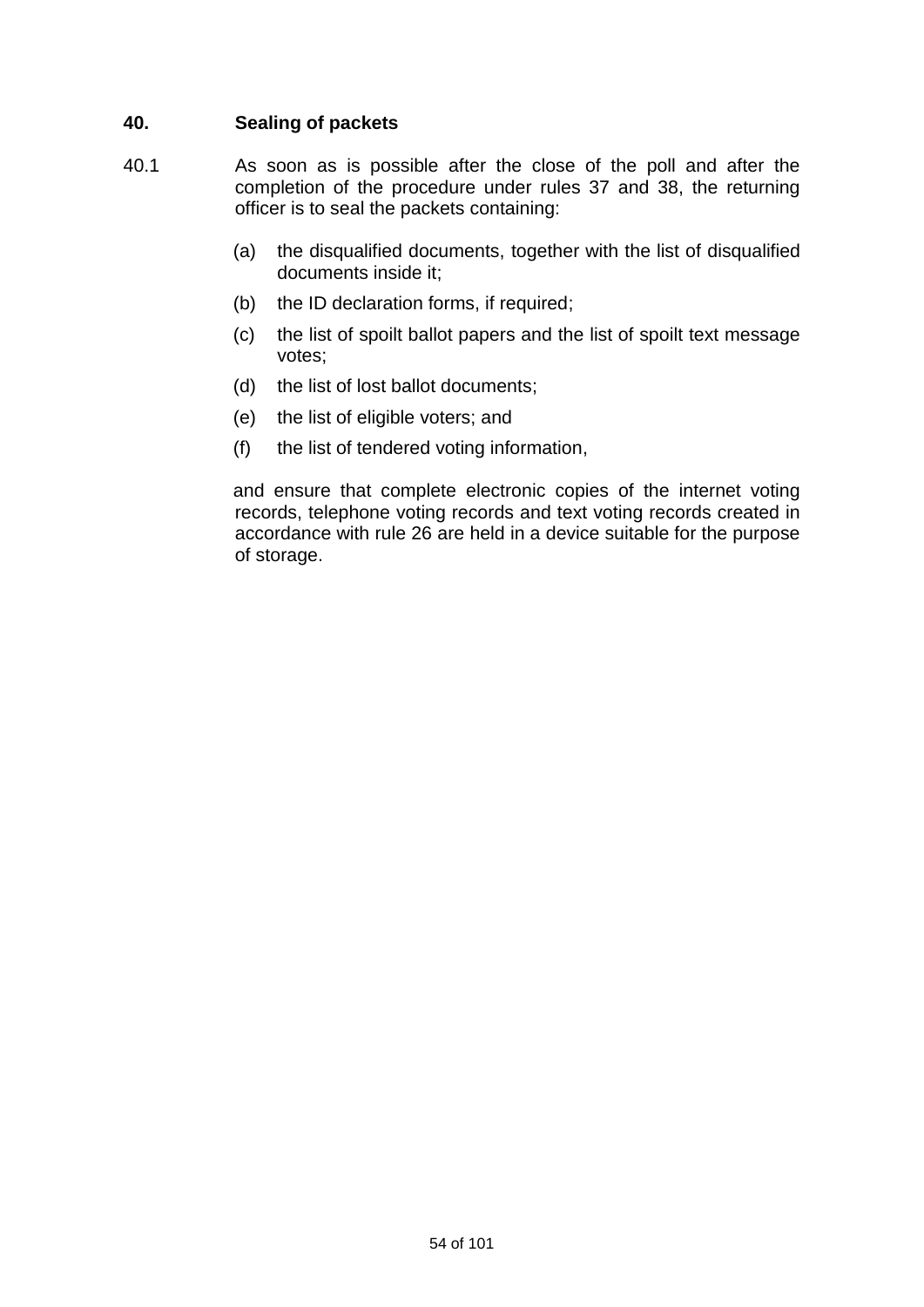# **40. Sealing of packets**

- 40.1 As soon as is possible after the close of the poll and after the completion of the procedure under rules 37 and 38, the returning officer is to seal the packets containing:
	- (a) the disqualified documents, together with the list of disqualified documents inside it;
	- (b) the ID declaration forms, if required;
	- (c) the list of spoilt ballot papers and the list of spoilt text message votes;
	- (d) the list of lost ballot documents;
	- (e) the list of eligible voters; and
	- (f) the list of tendered voting information,

and ensure that complete electronic copies of the internet voting records, telephone voting records and text voting records created in accordance with rule 26 are held in a device suitable for the purpose of storage.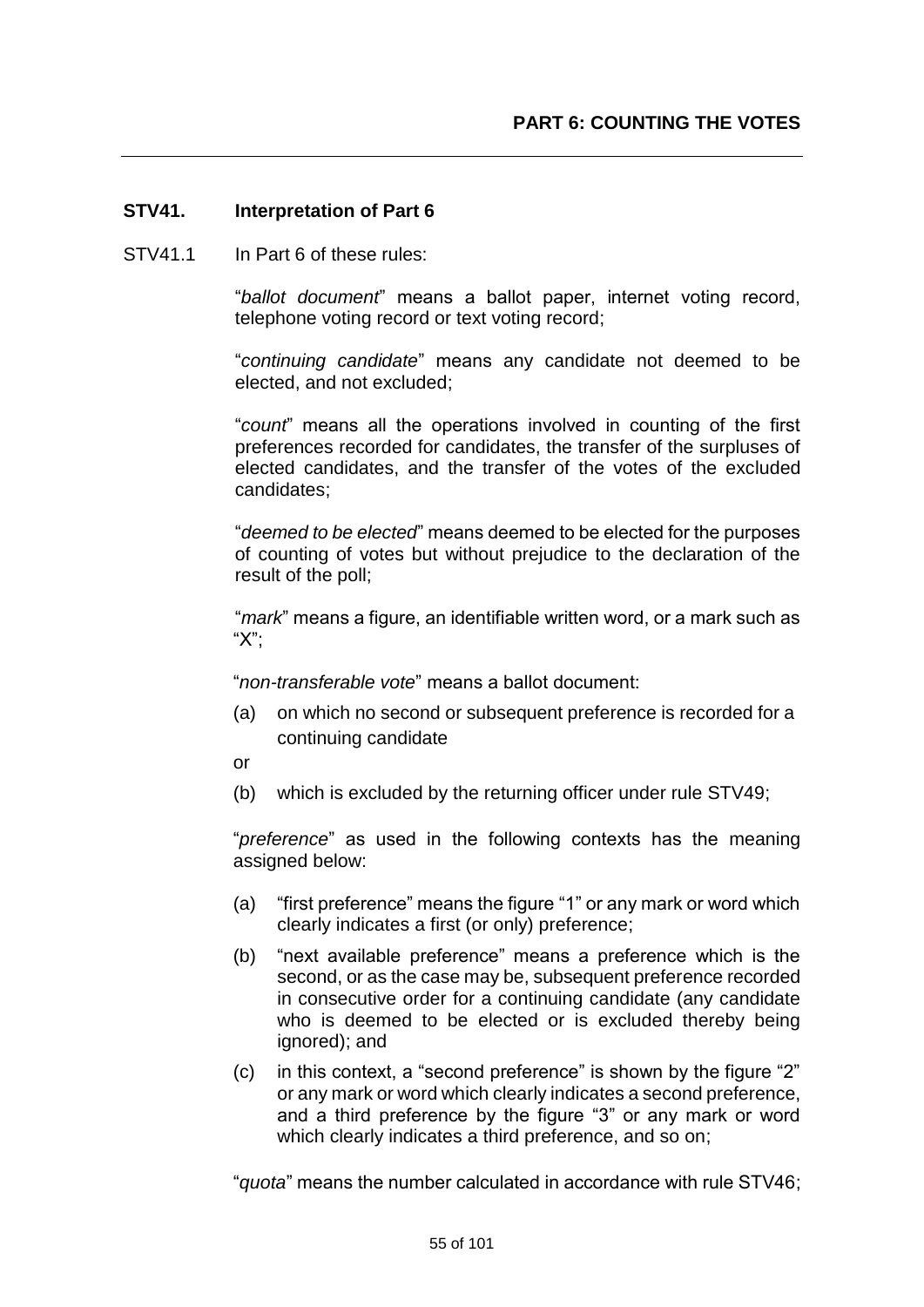## **STV41. Interpretation of Part 6**

STV41.1 In Part 6 of these rules:

"*ballot document*" means a ballot paper, internet voting record, telephone voting record or text voting record;

"*continuing candidate*" means any candidate not deemed to be elected, and not excluded;

"*count*" means all the operations involved in counting of the first preferences recorded for candidates, the transfer of the surpluses of elected candidates, and the transfer of the votes of the excluded candidates;

"*deemed to be elected*" means deemed to be elected for the purposes of counting of votes but without prejudice to the declaration of the result of the poll;

"*mark*" means a figure, an identifiable written word, or a mark such as "X";

"*non-transferable vote*" means a ballot document:

- (a) on which no second or subsequent preference is recorded for a continuing candidate
- or
- (b) which is excluded by the returning officer under rule STV49;

"*preference*" as used in the following contexts has the meaning assigned below:

- (a) "first preference" means the figure "1" or any mark or word which clearly indicates a first (or only) preference;
- (b) "next available preference" means a preference which is the second, or as the case may be, subsequent preference recorded in consecutive order for a continuing candidate (any candidate who is deemed to be elected or is excluded thereby being ignored); and
- (c) in this context, a "second preference" is shown by the figure "2" or any mark or word which clearly indicates a second preference, and a third preference by the figure "3" or any mark or word which clearly indicates a third preference, and so on;

"*quota*" means the number calculated in accordance with rule STV46;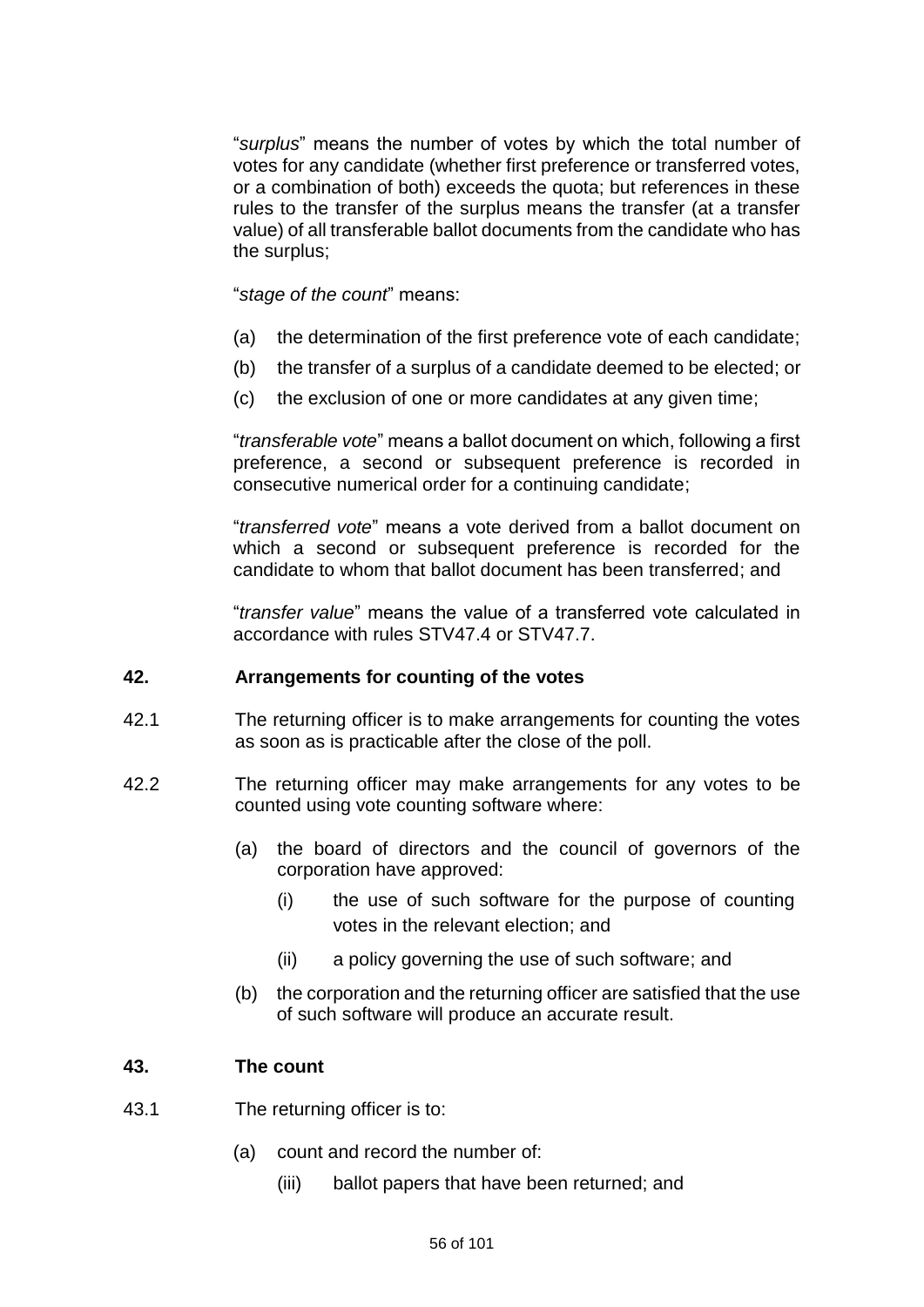"*surplus*" means the number of votes by which the total number of votes for any candidate (whether first preference or transferred votes, or a combination of both) exceeds the quota; but references in these rules to the transfer of the surplus means the transfer (at a transfer value) of all transferable ballot documents from the candidate who has the surplus;

"*stage of the count*" means:

- (a) the determination of the first preference vote of each candidate;
- (b) the transfer of a surplus of a candidate deemed to be elected; or
- (c) the exclusion of one or more candidates at any given time;

"*transferable vote*" means a ballot document on which, following a first preference, a second or subsequent preference is recorded in consecutive numerical order for a continuing candidate;

"*transferred vote*" means a vote derived from a ballot document on which a second or subsequent preference is recorded for the candidate to whom that ballot document has been transferred; and

"*transfer value*" means the value of a transferred vote calculated in accordance with rules STV47.4 or STV47.7.

### **42. Arrangements for counting of the votes**

- 42.1 The returning officer is to make arrangements for counting the votes as soon as is practicable after the close of the poll.
- 42.2 The returning officer may make arrangements for any votes to be counted using vote counting software where:
	- (a) the board of directors and the council of governors of the corporation have approved:
		- (i) the use of such software for the purpose of counting votes in the relevant election; and
		- (ii) a policy governing the use of such software; and
	- (b) the corporation and the returning officer are satisfied that the use of such software will produce an accurate result.

### **43. The count**

- 43.1 The returning officer is to:
	- (a) count and record the number of:
		- (iii) ballot papers that have been returned; and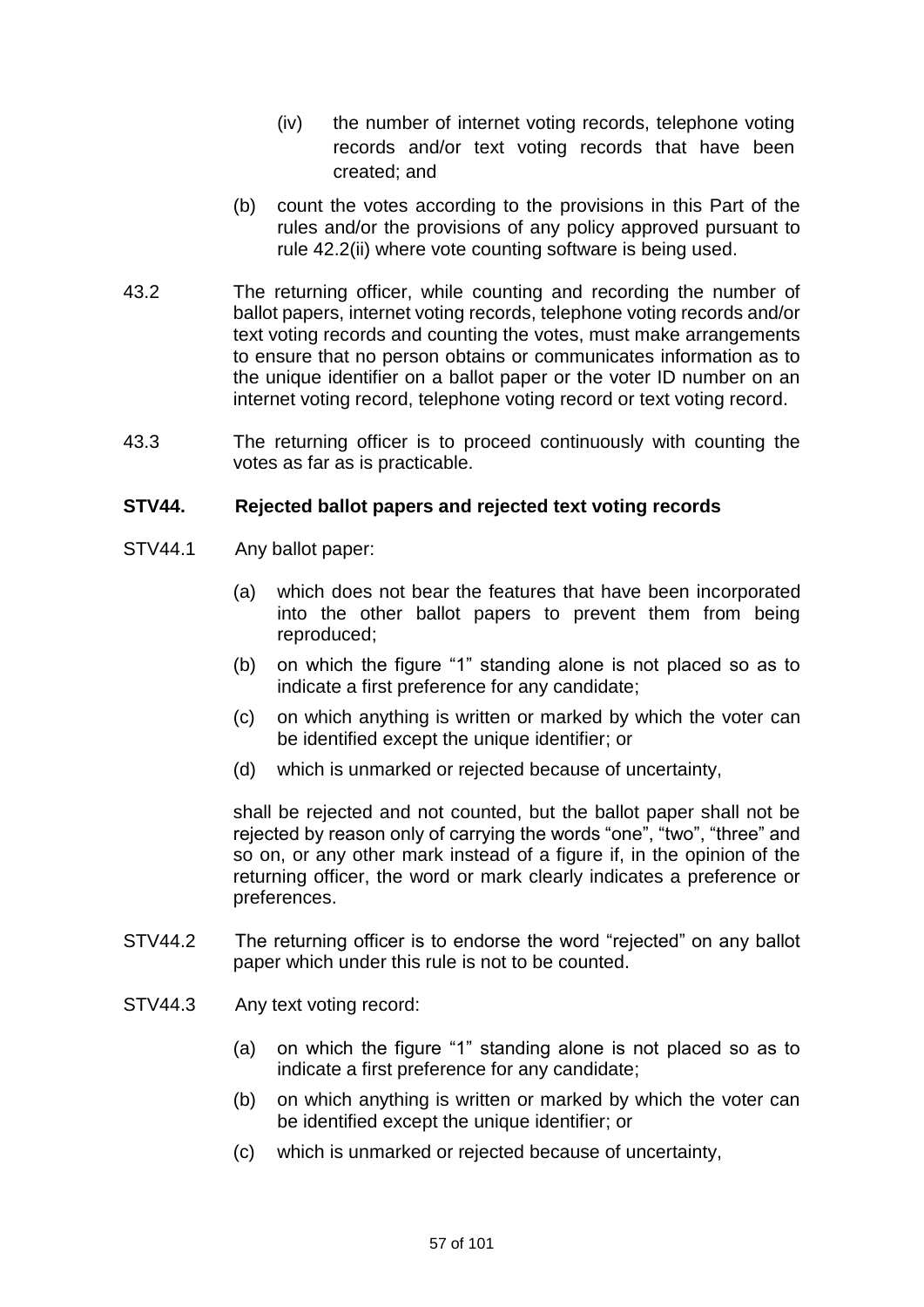- (iv) the number of internet voting records, telephone voting records and/or text voting records that have been created; and
- (b) count the votes according to the provisions in this Part of the rules and/or the provisions of any policy approved pursuant to rule 42.2(ii) where vote counting software is being used.
- 43.2 The returning officer, while counting and recording the number of ballot papers, internet voting records, telephone voting records and/or text voting records and counting the votes, must make arrangements to ensure that no person obtains or communicates information as to the unique identifier on a ballot paper or the voter ID number on an internet voting record, telephone voting record or text voting record.
- 43.3 The returning officer is to proceed continuously with counting the votes as far as is practicable.

## **STV44. Rejected ballot papers and rejected text voting records**

- STV44.1 Any ballot paper:
	- (a) which does not bear the features that have been incorporated into the other ballot papers to prevent them from being reproduced;
	- (b) on which the figure "1" standing alone is not placed so as to indicate a first preference for any candidate;
	- (c) on which anything is written or marked by which the voter can be identified except the unique identifier; or
	- (d) which is unmarked or rejected because of uncertainty,

shall be rejected and not counted, but the ballot paper shall not be rejected by reason only of carrying the words "one", "two", "three" and so on, or any other mark instead of a figure if, in the opinion of the returning officer, the word or mark clearly indicates a preference or preferences.

- STV44.2 The returning officer is to endorse the word "rejected" on any ballot paper which under this rule is not to be counted.
- STV44.3 Any text voting record:
	- (a) on which the figure "1" standing alone is not placed so as to indicate a first preference for any candidate;
	- (b) on which anything is written or marked by which the voter can be identified except the unique identifier; or
	- (c) which is unmarked or rejected because of uncertainty,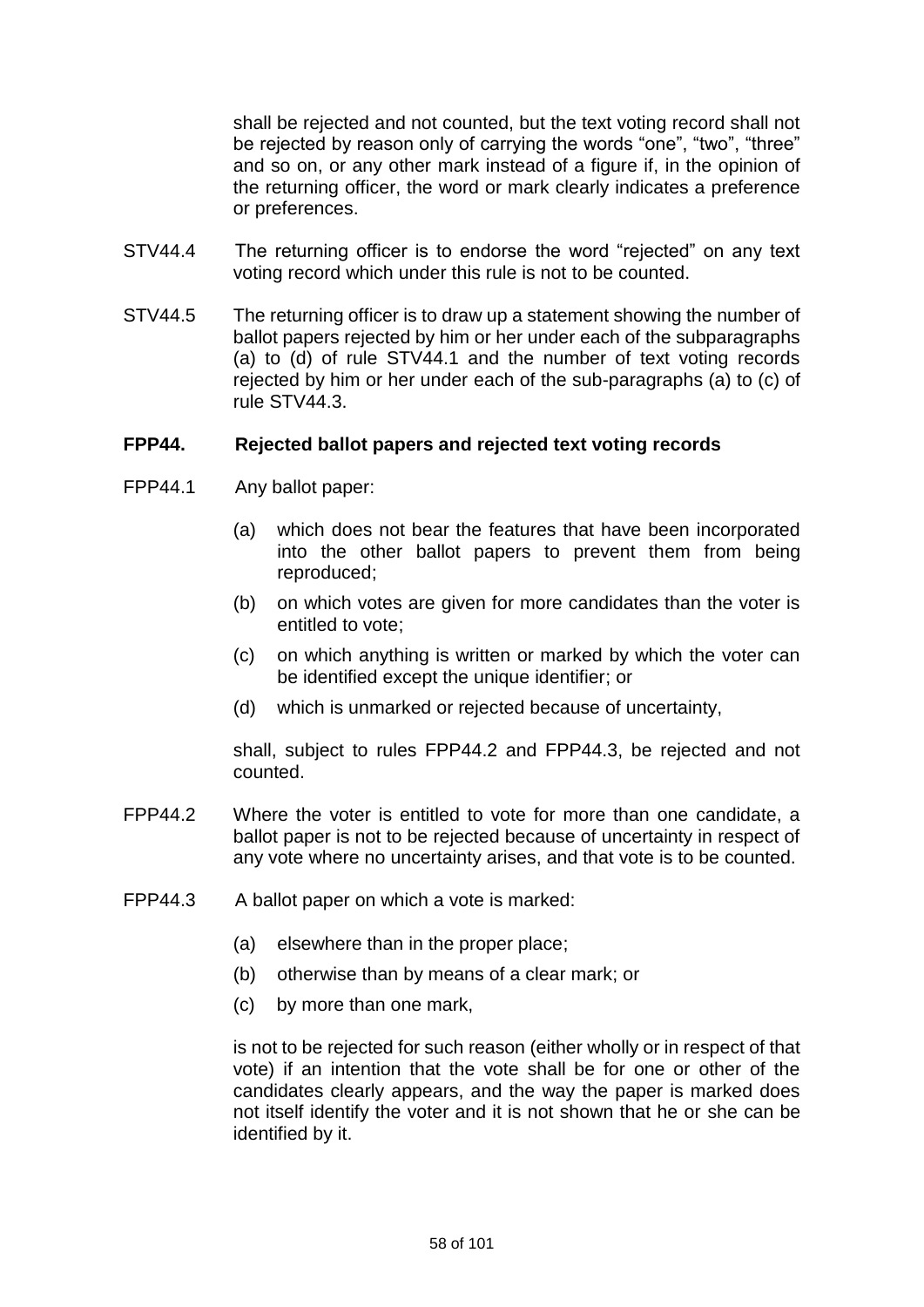shall be rejected and not counted, but the text voting record shall not be rejected by reason only of carrying the words "one", "two", "three" and so on, or any other mark instead of a figure if, in the opinion of the returning officer, the word or mark clearly indicates a preference or preferences.

- STV44.4 The returning officer is to endorse the word "rejected" on any text voting record which under this rule is not to be counted.
- STV44.5 The returning officer is to draw up a statement showing the number of ballot papers rejected by him or her under each of the subparagraphs (a) to (d) of rule STV44.1 and the number of text voting records rejected by him or her under each of the sub-paragraphs (a) to (c) of rule STV44.3.

### **FPP44. Rejected ballot papers and rejected text voting records**

- FPP44.1 Any ballot paper:
	- (a) which does not bear the features that have been incorporated into the other ballot papers to prevent them from being reproduced;
	- (b) on which votes are given for more candidates than the voter is entitled to vote;
	- (c) on which anything is written or marked by which the voter can be identified except the unique identifier; or
	- (d) which is unmarked or rejected because of uncertainty,

shall, subject to rules FPP44.2 and FPP44.3, be rejected and not counted.

- FPP44.2 Where the voter is entitled to vote for more than one candidate, a ballot paper is not to be rejected because of uncertainty in respect of any vote where no uncertainty arises, and that vote is to be counted.
- FPP44.3 A ballot paper on which a vote is marked:
	- (a) elsewhere than in the proper place;
	- (b) otherwise than by means of a clear mark; or
	- (c) by more than one mark,

is not to be rejected for such reason (either wholly or in respect of that vote) if an intention that the vote shall be for one or other of the candidates clearly appears, and the way the paper is marked does not itself identify the voter and it is not shown that he or she can be identified by it.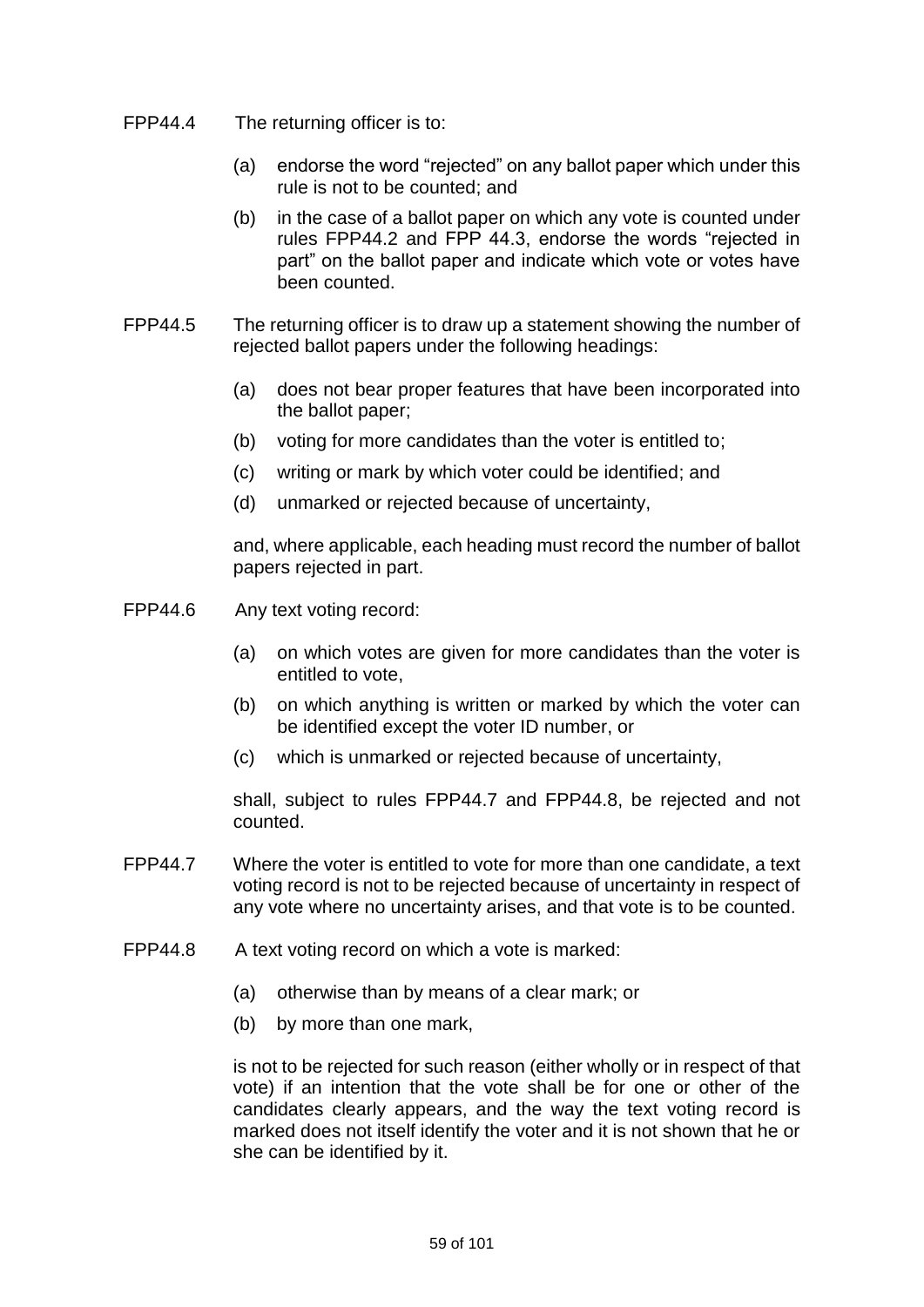- FPP44.4 The returning officer is to:
	- (a) endorse the word "rejected" on any ballot paper which under this rule is not to be counted; and
	- (b) in the case of a ballot paper on which any vote is counted under rules FPP44.2 and FPP 44.3, endorse the words "rejected in part" on the ballot paper and indicate which vote or votes have been counted.
- FPP44.5 The returning officer is to draw up a statement showing the number of rejected ballot papers under the following headings:
	- (a) does not bear proper features that have been incorporated into the ballot paper;
	- (b) voting for more candidates than the voter is entitled to;
	- (c) writing or mark by which voter could be identified; and
	- (d) unmarked or rejected because of uncertainty,

and, where applicable, each heading must record the number of ballot papers rejected in part.

- FPP44.6 Any text voting record:
	- (a) on which votes are given for more candidates than the voter is entitled to vote,
	- (b) on which anything is written or marked by which the voter can be identified except the voter ID number, or
	- (c) which is unmarked or rejected because of uncertainty,

shall, subject to rules FPP44.7 and FPP44.8, be rejected and not counted.

- FPP44.7 Where the voter is entitled to vote for more than one candidate, a text voting record is not to be rejected because of uncertainty in respect of any vote where no uncertainty arises, and that vote is to be counted.
- FPP44.8 A text voting record on which a vote is marked:
	- (a) otherwise than by means of a clear mark; or
	- (b) by more than one mark,

is not to be rejected for such reason (either wholly or in respect of that vote) if an intention that the vote shall be for one or other of the candidates clearly appears, and the way the text voting record is marked does not itself identify the voter and it is not shown that he or she can be identified by it.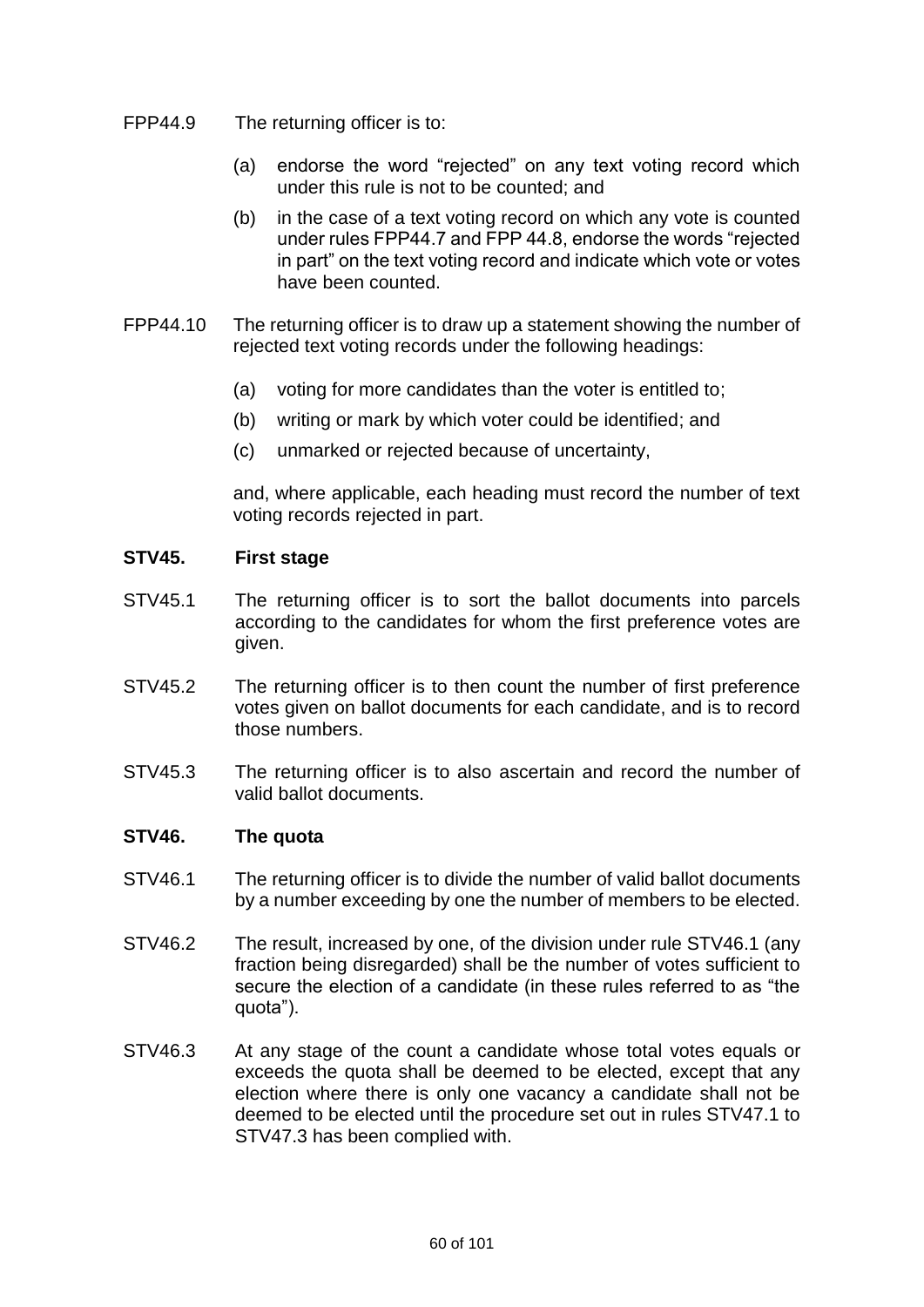- FPP44.9 The returning officer is to:
	- (a) endorse the word "rejected" on any text voting record which under this rule is not to be counted; and
	- (b) in the case of a text voting record on which any vote is counted under rules FPP44.7 and FPP 44.8, endorse the words "rejected in part" on the text voting record and indicate which vote or votes have been counted.
- FPP44.10 The returning officer is to draw up a statement showing the number of rejected text voting records under the following headings:
	- (a) voting for more candidates than the voter is entitled to;
	- (b) writing or mark by which voter could be identified; and
	- (c) unmarked or rejected because of uncertainty,

and, where applicable, each heading must record the number of text voting records rejected in part.

## **STV45. First stage**

- STV45.1 The returning officer is to sort the ballot documents into parcels according to the candidates for whom the first preference votes are given.
- STV45.2 The returning officer is to then count the number of first preference votes given on ballot documents for each candidate, and is to record those numbers.
- STV45.3 The returning officer is to also ascertain and record the number of valid ballot documents.

### **STV46. The quota**

- STV46.1 The returning officer is to divide the number of valid ballot documents by a number exceeding by one the number of members to be elected.
- STV46.2 The result, increased by one, of the division under rule STV46.1 (any fraction being disregarded) shall be the number of votes sufficient to secure the election of a candidate (in these rules referred to as "the quota").
- STV46.3 At any stage of the count a candidate whose total votes equals or exceeds the quota shall be deemed to be elected, except that any election where there is only one vacancy a candidate shall not be deemed to be elected until the procedure set out in rules STV47.1 to STV47.3 has been complied with.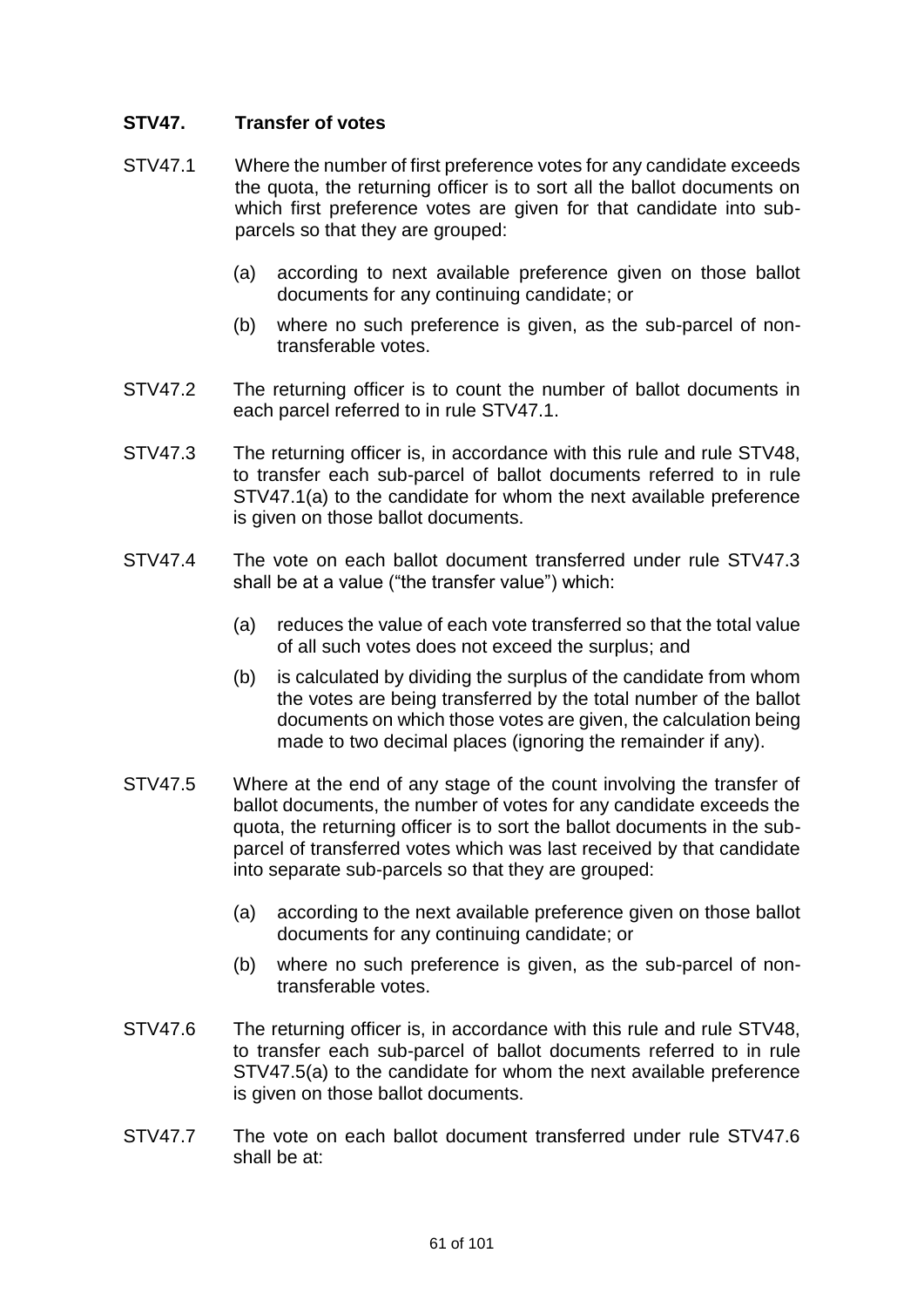# **STV47. Transfer of votes**

- STV47.1 Where the number of first preference votes for any candidate exceeds the quota, the returning officer is to sort all the ballot documents on which first preference votes are given for that candidate into subparcels so that they are grouped:
	- (a) according to next available preference given on those ballot documents for any continuing candidate; or
	- (b) where no such preference is given, as the sub-parcel of nontransferable votes.
- STV47.2 The returning officer is to count the number of ballot documents in each parcel referred to in rule STV47.1.
- STV47.3 The returning officer is, in accordance with this rule and rule STV48, to transfer each sub-parcel of ballot documents referred to in rule STV47.1(a) to the candidate for whom the next available preference is given on those ballot documents.
- STV47.4 The vote on each ballot document transferred under rule STV47.3 shall be at a value ("the transfer value") which:
	- (a) reduces the value of each vote transferred so that the total value of all such votes does not exceed the surplus; and
	- (b) is calculated by dividing the surplus of the candidate from whom the votes are being transferred by the total number of the ballot documents on which those votes are given, the calculation being made to two decimal places (ignoring the remainder if any).
- STV47.5 Where at the end of any stage of the count involving the transfer of ballot documents, the number of votes for any candidate exceeds the quota, the returning officer is to sort the ballot documents in the subparcel of transferred votes which was last received by that candidate into separate sub-parcels so that they are grouped:
	- (a) according to the next available preference given on those ballot documents for any continuing candidate; or
	- (b) where no such preference is given, as the sub-parcel of nontransferable votes.
- STV47.6 The returning officer is, in accordance with this rule and rule STV48, to transfer each sub-parcel of ballot documents referred to in rule STV47.5(a) to the candidate for whom the next available preference is given on those ballot documents.
- STV47.7 The vote on each ballot document transferred under rule STV47.6 shall be at: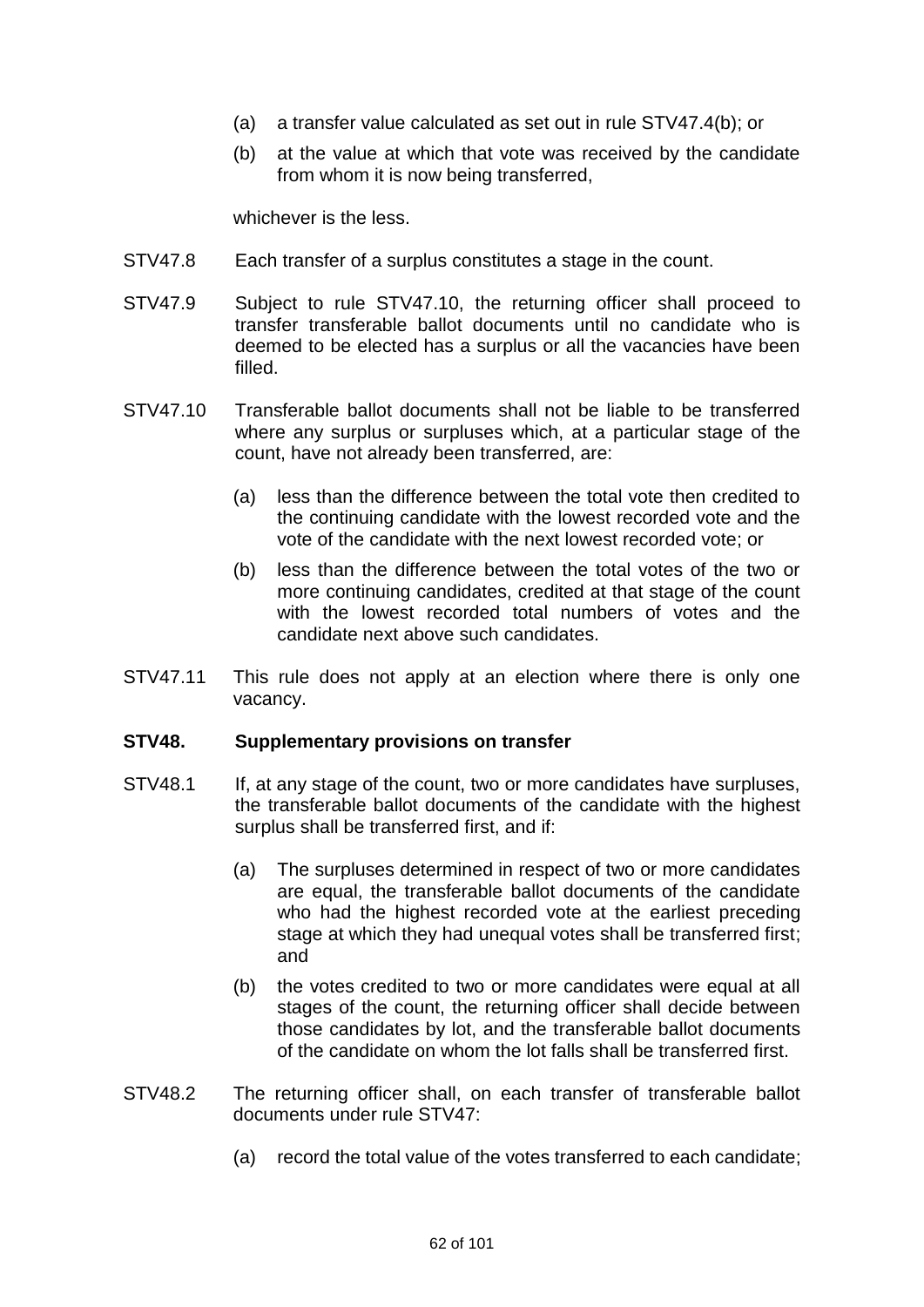- (a) a transfer value calculated as set out in rule STV47.4(b); or
- (b) at the value at which that vote was received by the candidate from whom it is now being transferred,

whichever is the less.

- STV47.8 Each transfer of a surplus constitutes a stage in the count.
- STV47.9 Subject to rule STV47.10, the returning officer shall proceed to transfer transferable ballot documents until no candidate who is deemed to be elected has a surplus or all the vacancies have been filled.
- STV47.10 Transferable ballot documents shall not be liable to be transferred where any surplus or surpluses which, at a particular stage of the count, have not already been transferred, are:
	- (a) less than the difference between the total vote then credited to the continuing candidate with the lowest recorded vote and the vote of the candidate with the next lowest recorded vote; or
	- (b) less than the difference between the total votes of the two or more continuing candidates, credited at that stage of the count with the lowest recorded total numbers of votes and the candidate next above such candidates.
- STV47.11 This rule does not apply at an election where there is only one vacancy.

### **STV48. Supplementary provisions on transfer**

- STV48.1 If, at any stage of the count, two or more candidates have surpluses, the transferable ballot documents of the candidate with the highest surplus shall be transferred first, and if:
	- (a) The surpluses determined in respect of two or more candidates are equal, the transferable ballot documents of the candidate who had the highest recorded vote at the earliest preceding stage at which they had unequal votes shall be transferred first; and
	- (b) the votes credited to two or more candidates were equal at all stages of the count, the returning officer shall decide between those candidates by lot, and the transferable ballot documents of the candidate on whom the lot falls shall be transferred first.
- STV48.2 The returning officer shall, on each transfer of transferable ballot documents under rule STV47:
	- (a) record the total value of the votes transferred to each candidate;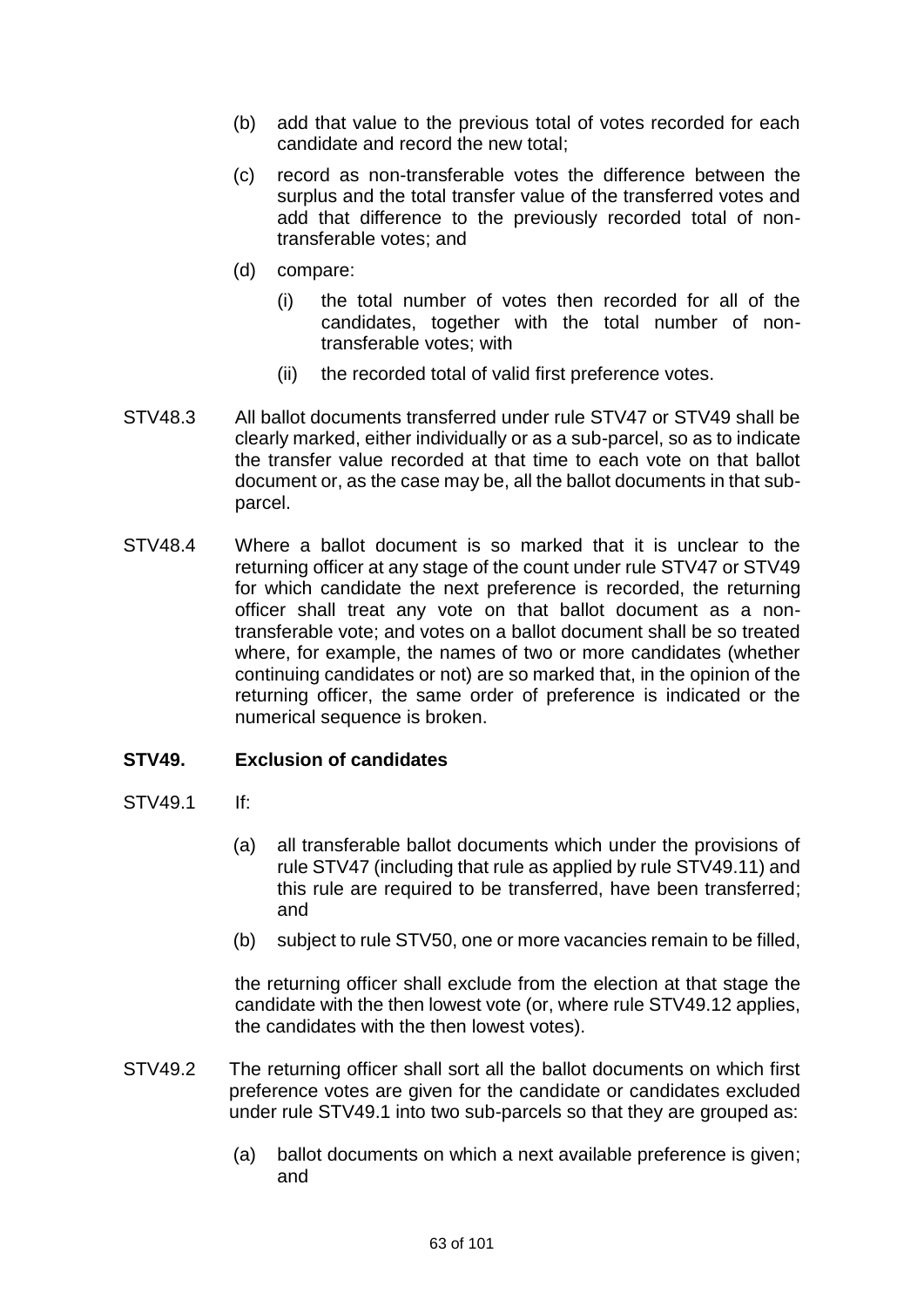- (b) add that value to the previous total of votes recorded for each candidate and record the new total;
- (c) record as non-transferable votes the difference between the surplus and the total transfer value of the transferred votes and add that difference to the previously recorded total of nontransferable votes; and
- (d) compare:
	- (i) the total number of votes then recorded for all of the candidates, together with the total number of nontransferable votes; with
	- (ii) the recorded total of valid first preference votes.
- STV48.3 All ballot documents transferred under rule STV47 or STV49 shall be clearly marked, either individually or as a sub-parcel, so as to indicate the transfer value recorded at that time to each vote on that ballot document or, as the case may be, all the ballot documents in that subparcel.
- STV48.4 Where a ballot document is so marked that it is unclear to the returning officer at any stage of the count under rule STV47 or STV49 for which candidate the next preference is recorded, the returning officer shall treat any vote on that ballot document as a nontransferable vote; and votes on a ballot document shall be so treated where, for example, the names of two or more candidates (whether continuing candidates or not) are so marked that, in the opinion of the returning officer, the same order of preference is indicated or the numerical sequence is broken.

## **STV49. Exclusion of candidates**

- STV49.1 If:
	- (a) all transferable ballot documents which under the provisions of rule STV47 (including that rule as applied by rule STV49.11) and this rule are required to be transferred, have been transferred; and
	- (b) subject to rule STV50, one or more vacancies remain to be filled,

the returning officer shall exclude from the election at that stage the candidate with the then lowest vote (or, where rule STV49.12 applies, the candidates with the then lowest votes).

- STV49.2 The returning officer shall sort all the ballot documents on which first preference votes are given for the candidate or candidates excluded under rule STV49.1 into two sub-parcels so that they are grouped as:
	- (a) ballot documents on which a next available preference is given; and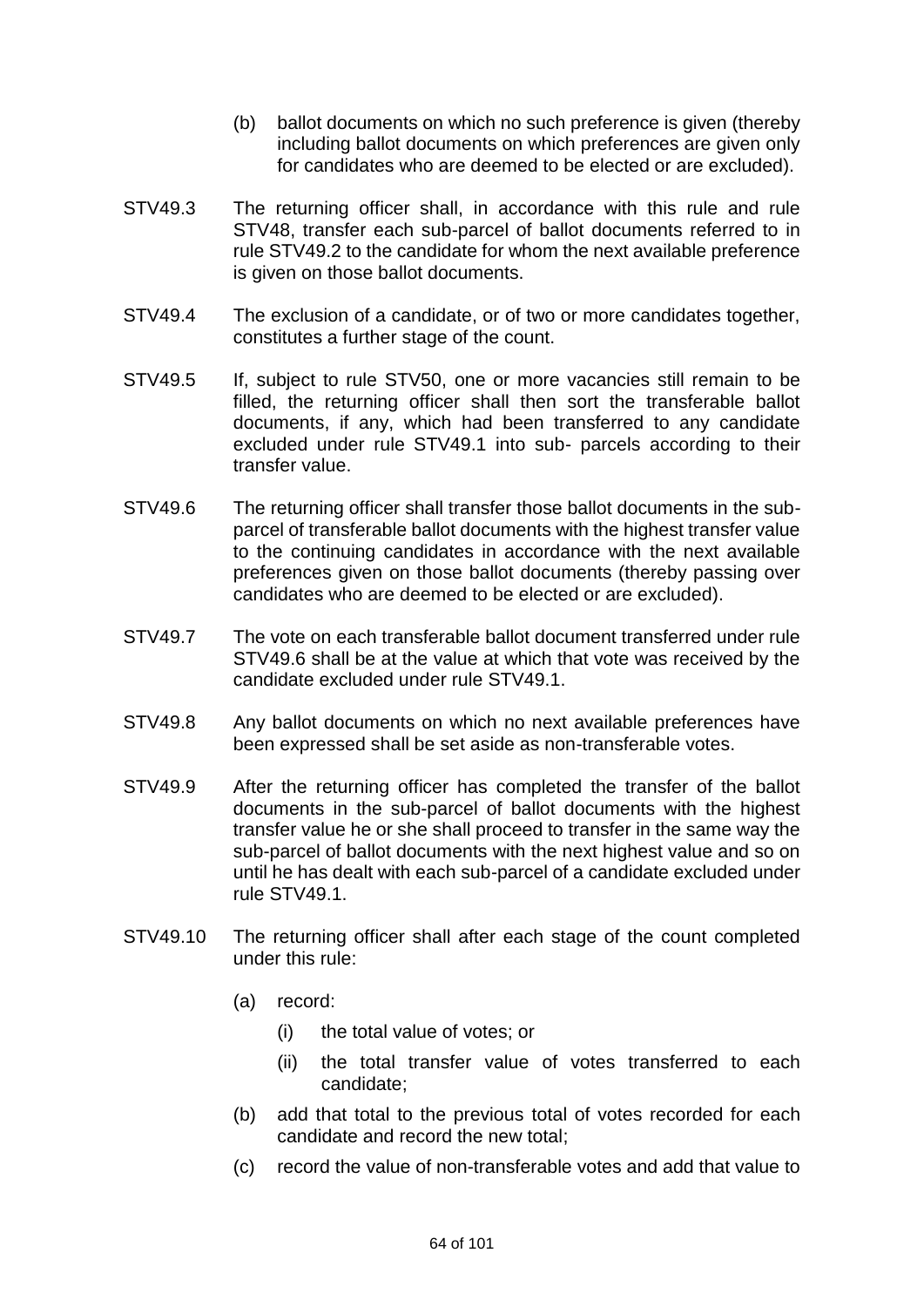- (b) ballot documents on which no such preference is given (thereby including ballot documents on which preferences are given only for candidates who are deemed to be elected or are excluded).
- STV49.3 The returning officer shall, in accordance with this rule and rule STV48, transfer each sub-parcel of ballot documents referred to in rule STV49.2 to the candidate for whom the next available preference is given on those ballot documents.
- STV49.4 The exclusion of a candidate, or of two or more candidates together, constitutes a further stage of the count.
- STV49.5 If, subject to rule STV50, one or more vacancies still remain to be filled, the returning officer shall then sort the transferable ballot documents, if any, which had been transferred to any candidate excluded under rule STV49.1 into sub- parcels according to their transfer value.
- STV49.6 The returning officer shall transfer those ballot documents in the subparcel of transferable ballot documents with the highest transfer value to the continuing candidates in accordance with the next available preferences given on those ballot documents (thereby passing over candidates who are deemed to be elected or are excluded).
- STV49.7 The vote on each transferable ballot document transferred under rule STV49.6 shall be at the value at which that vote was received by the candidate excluded under rule STV49.1.
- STV49.8 Any ballot documents on which no next available preferences have been expressed shall be set aside as non-transferable votes.
- STV49.9 After the returning officer has completed the transfer of the ballot documents in the sub-parcel of ballot documents with the highest transfer value he or she shall proceed to transfer in the same way the sub-parcel of ballot documents with the next highest value and so on until he has dealt with each sub-parcel of a candidate excluded under rule STV49.1.
- STV49.10 The returning officer shall after each stage of the count completed under this rule:
	- (a) record:
		- (i) the total value of votes; or
		- (ii) the total transfer value of votes transferred to each candidate;
	- (b) add that total to the previous total of votes recorded for each candidate and record the new total;
	- (c) record the value of non-transferable votes and add that value to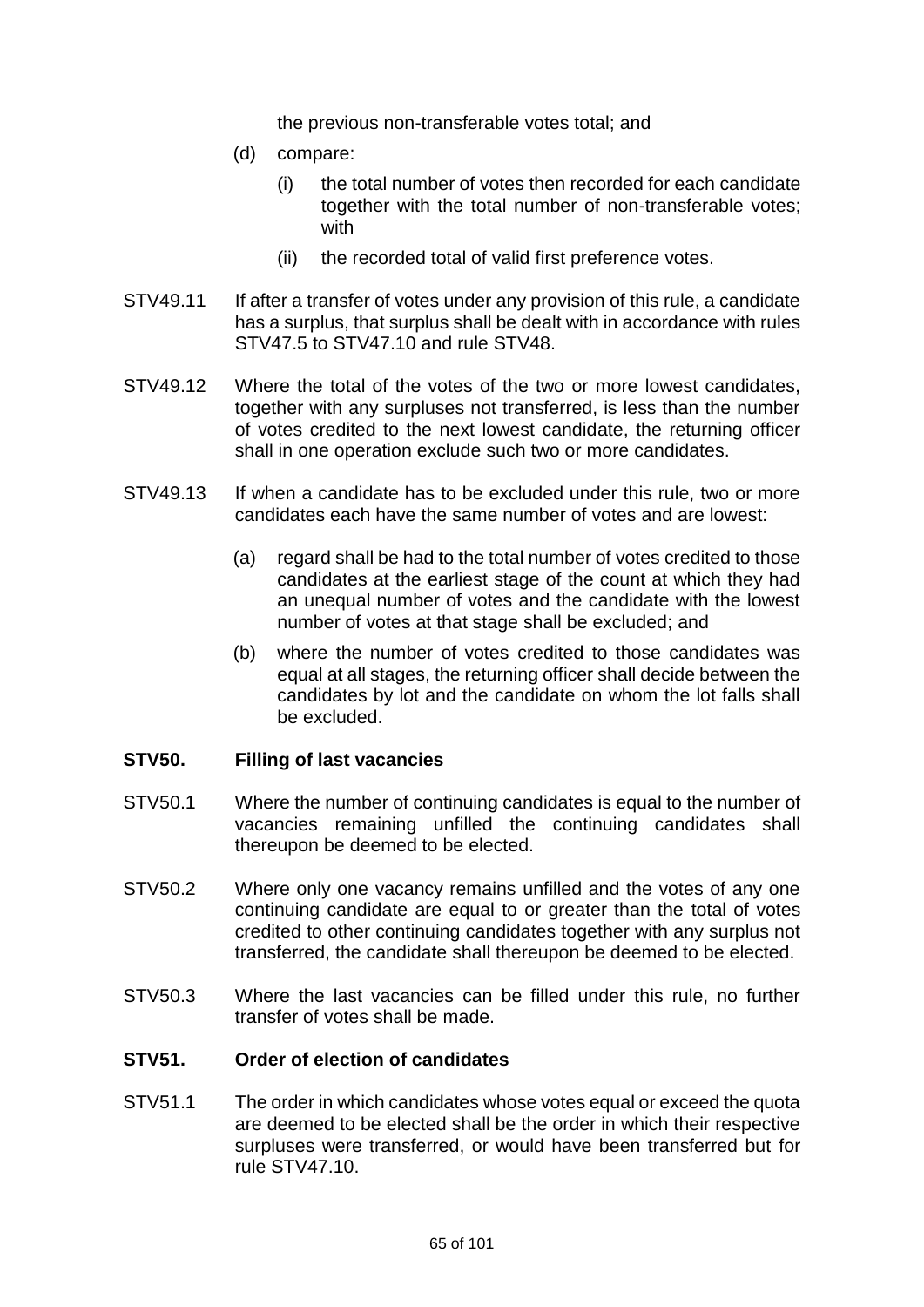the previous non-transferable votes total; and

- (d) compare:
	- (i) the total number of votes then recorded for each candidate together with the total number of non-transferable votes; with
	- (ii) the recorded total of valid first preference votes.
- STV49.11 If after a transfer of votes under any provision of this rule, a candidate has a surplus, that surplus shall be dealt with in accordance with rules STV47.5 to STV47.10 and rule STV48.
- STV49.12 Where the total of the votes of the two or more lowest candidates, together with any surpluses not transferred, is less than the number of votes credited to the next lowest candidate, the returning officer shall in one operation exclude such two or more candidates.
- STV49.13 If when a candidate has to be excluded under this rule, two or more candidates each have the same number of votes and are lowest:
	- (a) regard shall be had to the total number of votes credited to those candidates at the earliest stage of the count at which they had an unequal number of votes and the candidate with the lowest number of votes at that stage shall be excluded; and
	- (b) where the number of votes credited to those candidates was equal at all stages, the returning officer shall decide between the candidates by lot and the candidate on whom the lot falls shall be excluded.

## **STV50. Filling of last vacancies**

- STV50.1 Where the number of continuing candidates is equal to the number of vacancies remaining unfilled the continuing candidates shall thereupon be deemed to be elected.
- STV50.2 Where only one vacancy remains unfilled and the votes of any one continuing candidate are equal to or greater than the total of votes credited to other continuing candidates together with any surplus not transferred, the candidate shall thereupon be deemed to be elected.
- STV50.3 Where the last vacancies can be filled under this rule, no further transfer of votes shall be made.

## **STV51. Order of election of candidates**

STV51.1 The order in which candidates whose votes equal or exceed the quota are deemed to be elected shall be the order in which their respective surpluses were transferred, or would have been transferred but for rule STV47.10.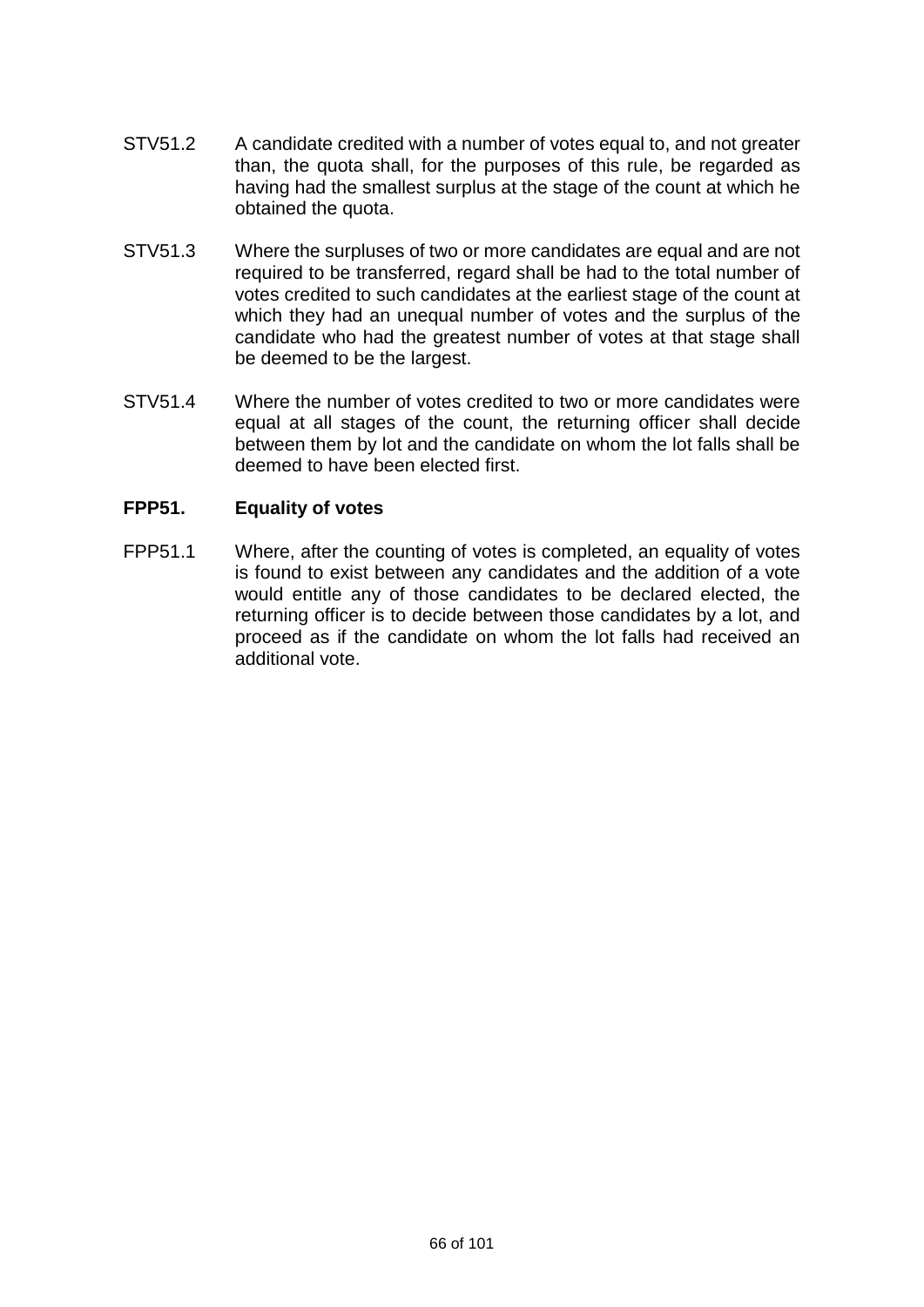- STV51.2 A candidate credited with a number of votes equal to, and not greater than, the quota shall, for the purposes of this rule, be regarded as having had the smallest surplus at the stage of the count at which he obtained the quota.
- STV51.3 Where the surpluses of two or more candidates are equal and are not required to be transferred, regard shall be had to the total number of votes credited to such candidates at the earliest stage of the count at which they had an unequal number of votes and the surplus of the candidate who had the greatest number of votes at that stage shall be deemed to be the largest.
- STV51.4 Where the number of votes credited to two or more candidates were equal at all stages of the count, the returning officer shall decide between them by lot and the candidate on whom the lot falls shall be deemed to have been elected first.

# **FPP51. Equality of votes**

FPP51.1 Where, after the counting of votes is completed, an equality of votes is found to exist between any candidates and the addition of a vote would entitle any of those candidates to be declared elected, the returning officer is to decide between those candidates by a lot, and proceed as if the candidate on whom the lot falls had received an additional vote.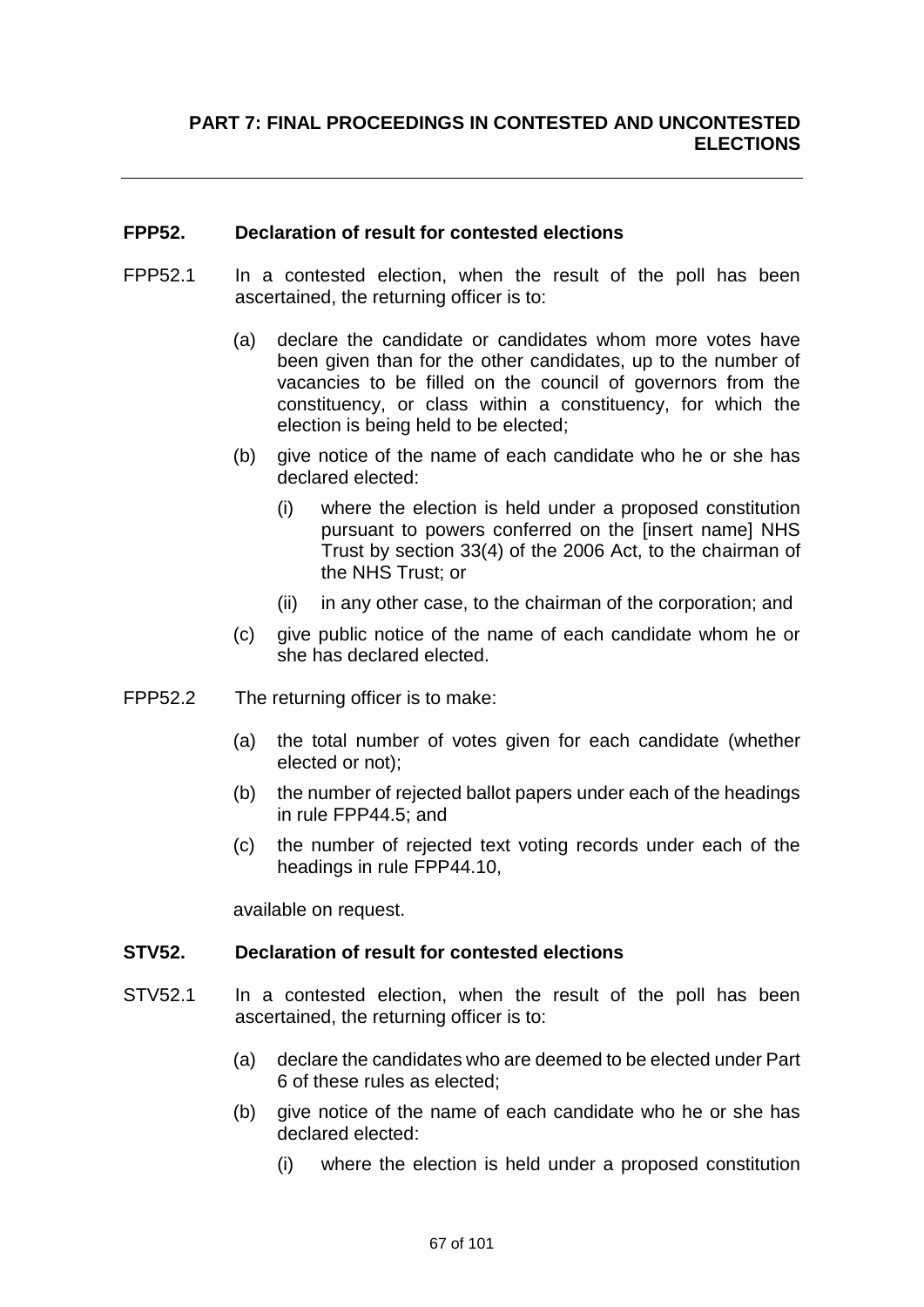## **FPP52. Declaration of result for contested elections**

- FPP52.1 In a contested election, when the result of the poll has been ascertained, the returning officer is to:
	- (a) declare the candidate or candidates whom more votes have been given than for the other candidates, up to the number of vacancies to be filled on the council of governors from the constituency, or class within a constituency, for which the election is being held to be elected;
	- (b) give notice of the name of each candidate who he or she has declared elected:
		- (i) where the election is held under a proposed constitution pursuant to powers conferred on the [insert name] NHS Trust by section 33(4) of the 2006 Act, to the chairman of the NHS Trust; or
		- (ii) in any other case, to the chairman of the corporation; and
	- (c) give public notice of the name of each candidate whom he or she has declared elected.
- FPP52.2 The returning officer is to make:
	- (a) the total number of votes given for each candidate (whether elected or not);
	- (b) the number of rejected ballot papers under each of the headings in rule FPP44.5; and
	- (c) the number of rejected text voting records under each of the headings in rule FPP44.10,

available on request.

### **STV52. Declaration of result for contested elections**

- STV52.1 In a contested election, when the result of the poll has been ascertained, the returning officer is to:
	- (a) declare the candidates who are deemed to be elected under Part 6 of these rules as elected;
	- (b) give notice of the name of each candidate who he or she has declared elected:
		- (i) where the election is held under a proposed constitution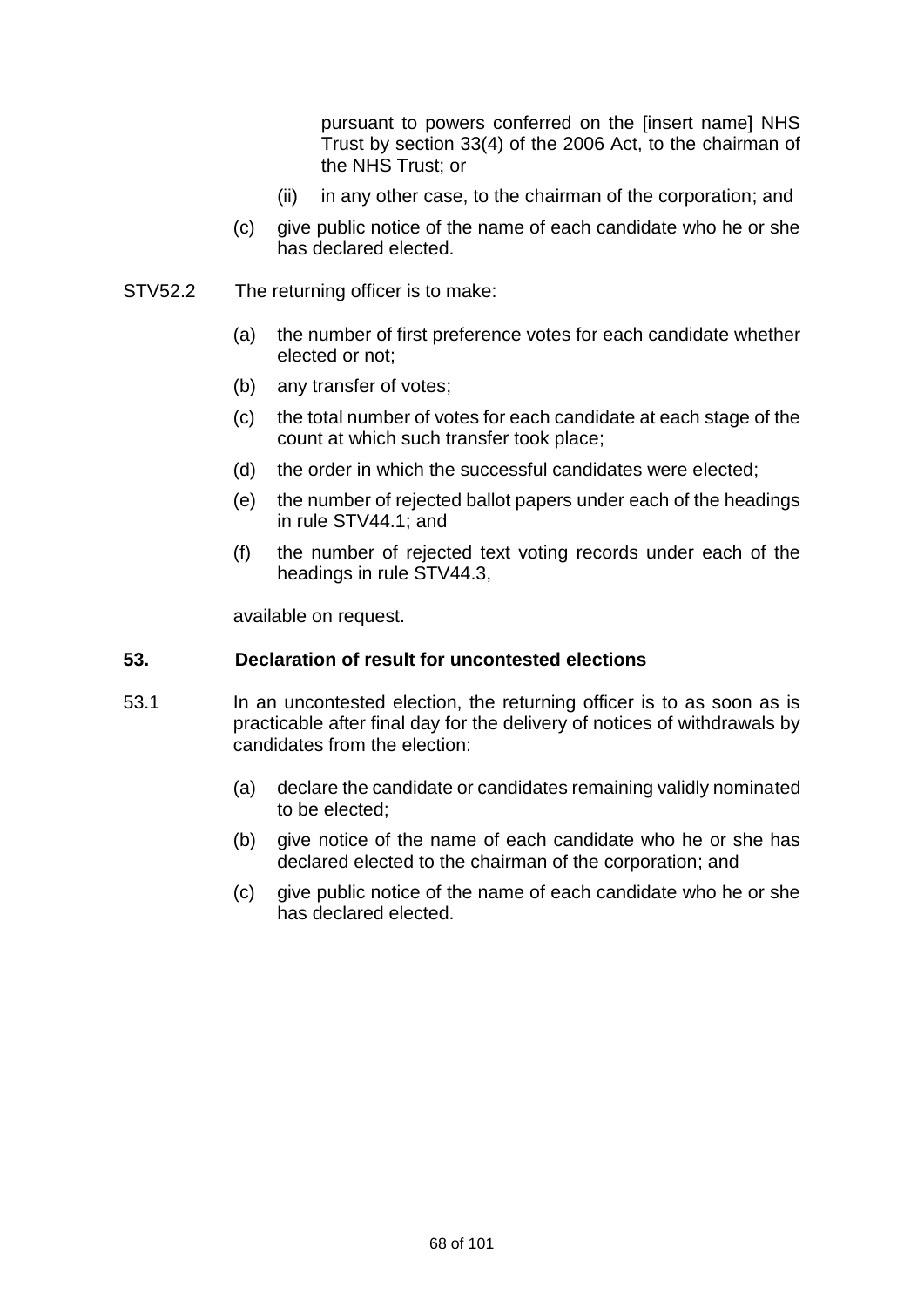pursuant to powers conferred on the [insert name] NHS Trust by section 33(4) of the 2006 Act, to the chairman of the NHS Trust; or

- (ii) in any other case, to the chairman of the corporation; and
- (c) give public notice of the name of each candidate who he or she has declared elected.
- STV52.2 The returning officer is to make:
	- (a) the number of first preference votes for each candidate whether elected or not;
	- (b) any transfer of votes;
	- (c) the total number of votes for each candidate at each stage of the count at which such transfer took place;
	- (d) the order in which the successful candidates were elected;
	- (e) the number of rejected ballot papers under each of the headings in rule STV44.1; and
	- (f) the number of rejected text voting records under each of the headings in rule STV44.3,

available on request.

### **53. Declaration of result for uncontested elections**

- 53.1 In an uncontested election, the returning officer is to as soon as is practicable after final day for the delivery of notices of withdrawals by candidates from the election:
	- (a) declare the candidate or candidates remaining validly nominated to be elected;
	- (b) give notice of the name of each candidate who he or she has declared elected to the chairman of the corporation; and
	- (c) give public notice of the name of each candidate who he or she has declared elected.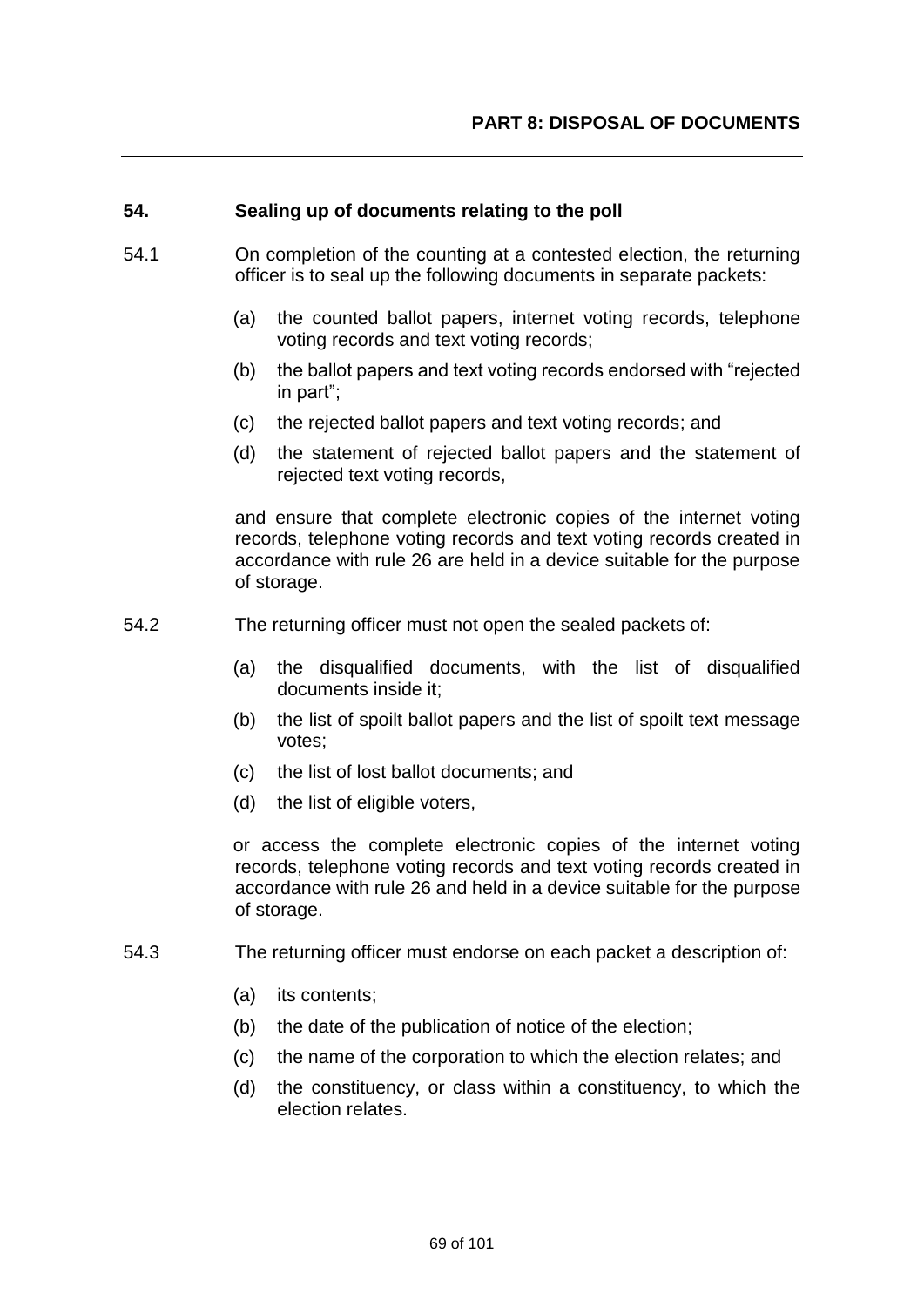### **54. Sealing up of documents relating to the poll**

- 54.1 On completion of the counting at a contested election, the returning officer is to seal up the following documents in separate packets:
	- (a) the counted ballot papers, internet voting records, telephone voting records and text voting records;
	- (b) the ballot papers and text voting records endorsed with "rejected in part";
	- (c) the rejected ballot papers and text voting records; and
	- (d) the statement of rejected ballot papers and the statement of rejected text voting records,

and ensure that complete electronic copies of the internet voting records, telephone voting records and text voting records created in accordance with rule 26 are held in a device suitable for the purpose of storage.

- 54.2 The returning officer must not open the sealed packets of:
	- (a) the disqualified documents, with the list of disqualified documents inside it;
	- (b) the list of spoilt ballot papers and the list of spoilt text message votes;
	- (c) the list of lost ballot documents; and
	- (d) the list of eligible voters,

or access the complete electronic copies of the internet voting records, telephone voting records and text voting records created in accordance with rule 26 and held in a device suitable for the purpose of storage.

- 54.3 The returning officer must endorse on each packet a description of:
	- (a) its contents;
	- (b) the date of the publication of notice of the election;
	- (c) the name of the corporation to which the election relates; and
	- (d) the constituency, or class within a constituency, to which the election relates.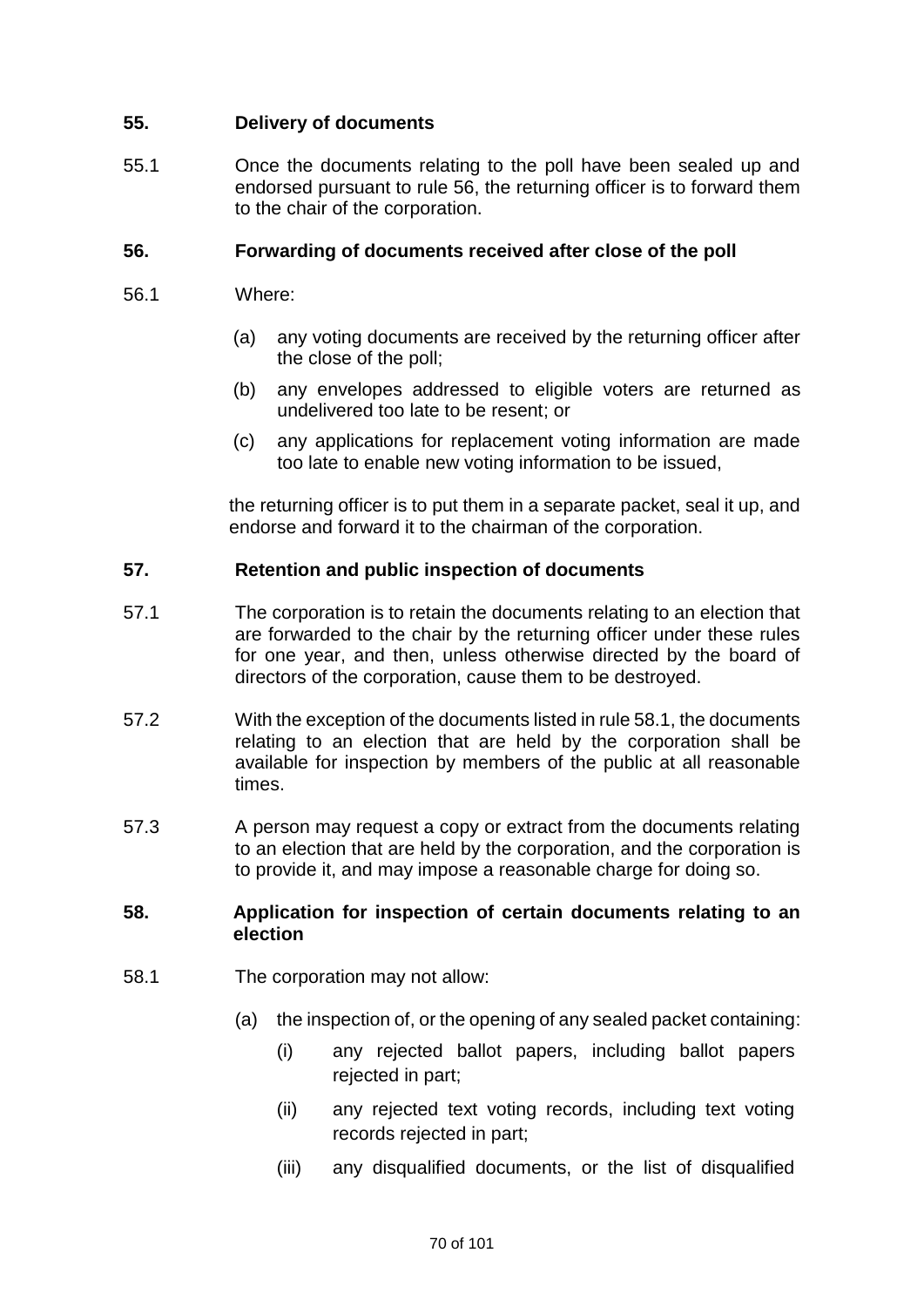# **55. Delivery of documents**

55.1 Once the documents relating to the poll have been sealed up and endorsed pursuant to rule 56, the returning officer is to forward them to the chair of the corporation.

## **56. Forwarding of documents received after close of the poll**

- 56.1 Where:
	- (a) any voting documents are received by the returning officer after the close of the poll;
	- (b) any envelopes addressed to eligible voters are returned as undelivered too late to be resent; or
	- (c) any applications for replacement voting information are made too late to enable new voting information to be issued,

the returning officer is to put them in a separate packet, seal it up, and endorse and forward it to the chairman of the corporation.

## **57. Retention and public inspection of documents**

- 57.1 The corporation is to retain the documents relating to an election that are forwarded to the chair by the returning officer under these rules for one year, and then, unless otherwise directed by the board of directors of the corporation, cause them to be destroyed.
- 57.2 With the exception of the documents listed in rule 58.1, the documents relating to an election that are held by the corporation shall be available for inspection by members of the public at all reasonable times.
- 57.3 A person may request a copy or extract from the documents relating to an election that are held by the corporation, and the corporation is to provide it, and may impose a reasonable charge for doing so.

## **58. Application for inspection of certain documents relating to an election**

- 58.1 The corporation may not allow:
	- (a) the inspection of, or the opening of any sealed packet containing:
		- (i) any rejected ballot papers, including ballot papers rejected in part;
		- (ii) any rejected text voting records, including text voting records rejected in part;
		- (iii) any disqualified documents, or the list of disqualified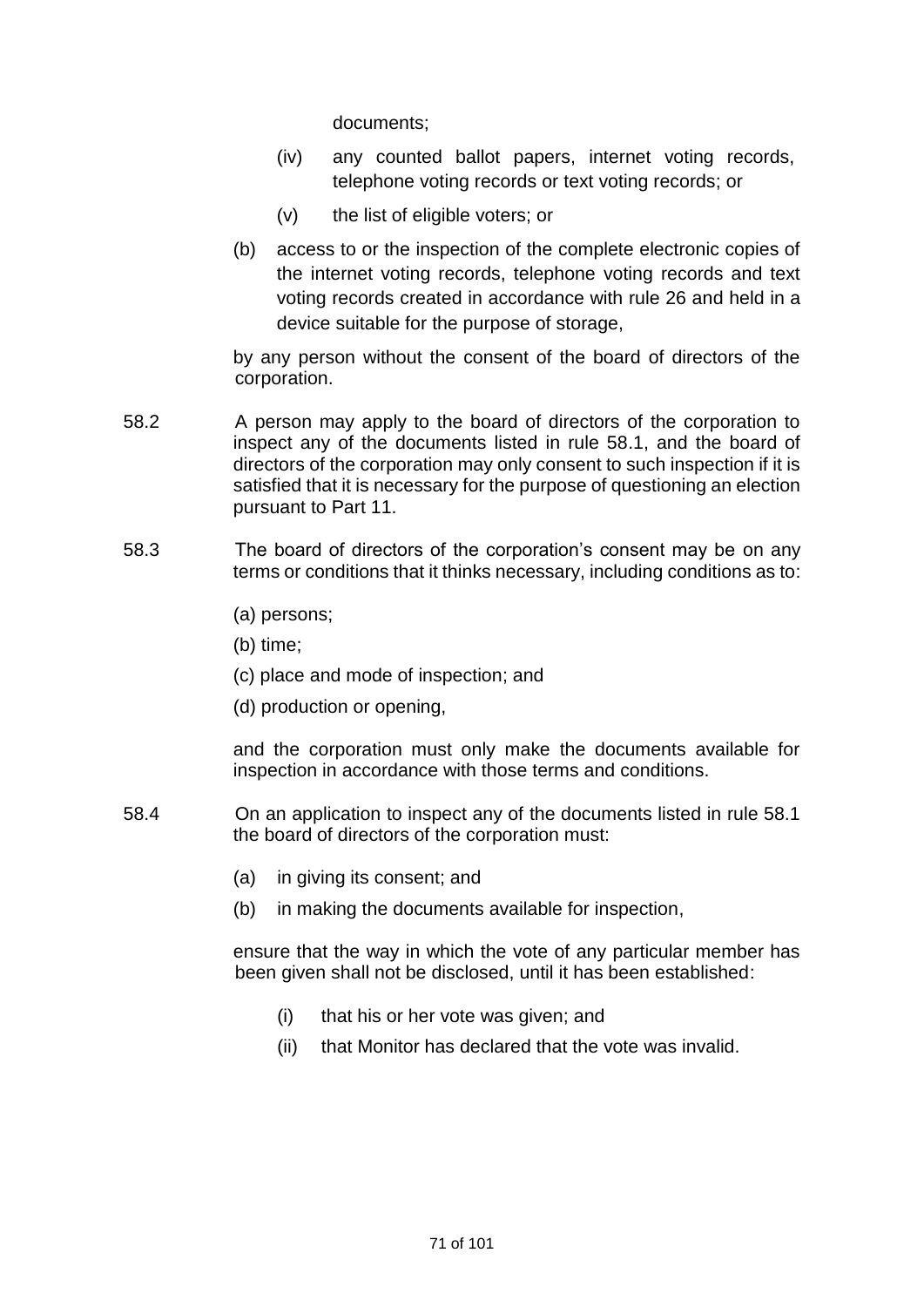documents;

- (iv) any counted ballot papers, internet voting records, telephone voting records or text voting records; or
- (v) the list of eligible voters; or
- (b) access to or the inspection of the complete electronic copies of the internet voting records, telephone voting records and text voting records created in accordance with rule 26 and held in a device suitable for the purpose of storage,

by any person without the consent of the board of directors of the corporation.

- 58.2 A person may apply to the board of directors of the corporation to inspect any of the documents listed in rule 58.1, and the board of directors of the corporation may only consent to such inspection if it is satisfied that it is necessary for the purpose of questioning an election pursuant to Part 11.
- 58.3 The board of directors of the corporation's consent may be on any terms or conditions that it thinks necessary, including conditions as to:
	- (a) persons;
	- (b) time;
	- (c) place and mode of inspection; and
	- (d) production or opening,

and the corporation must only make the documents available for inspection in accordance with those terms and conditions.

- 58.4 On an application to inspect any of the documents listed in rule 58.1 the board of directors of the corporation must:
	- (a) in giving its consent; and
	- (b) in making the documents available for inspection,

ensure that the way in which the vote of any particular member has been given shall not be disclosed, until it has been established:

- (i) that his or her vote was given; and
- (ii) that Monitor has declared that the vote was invalid.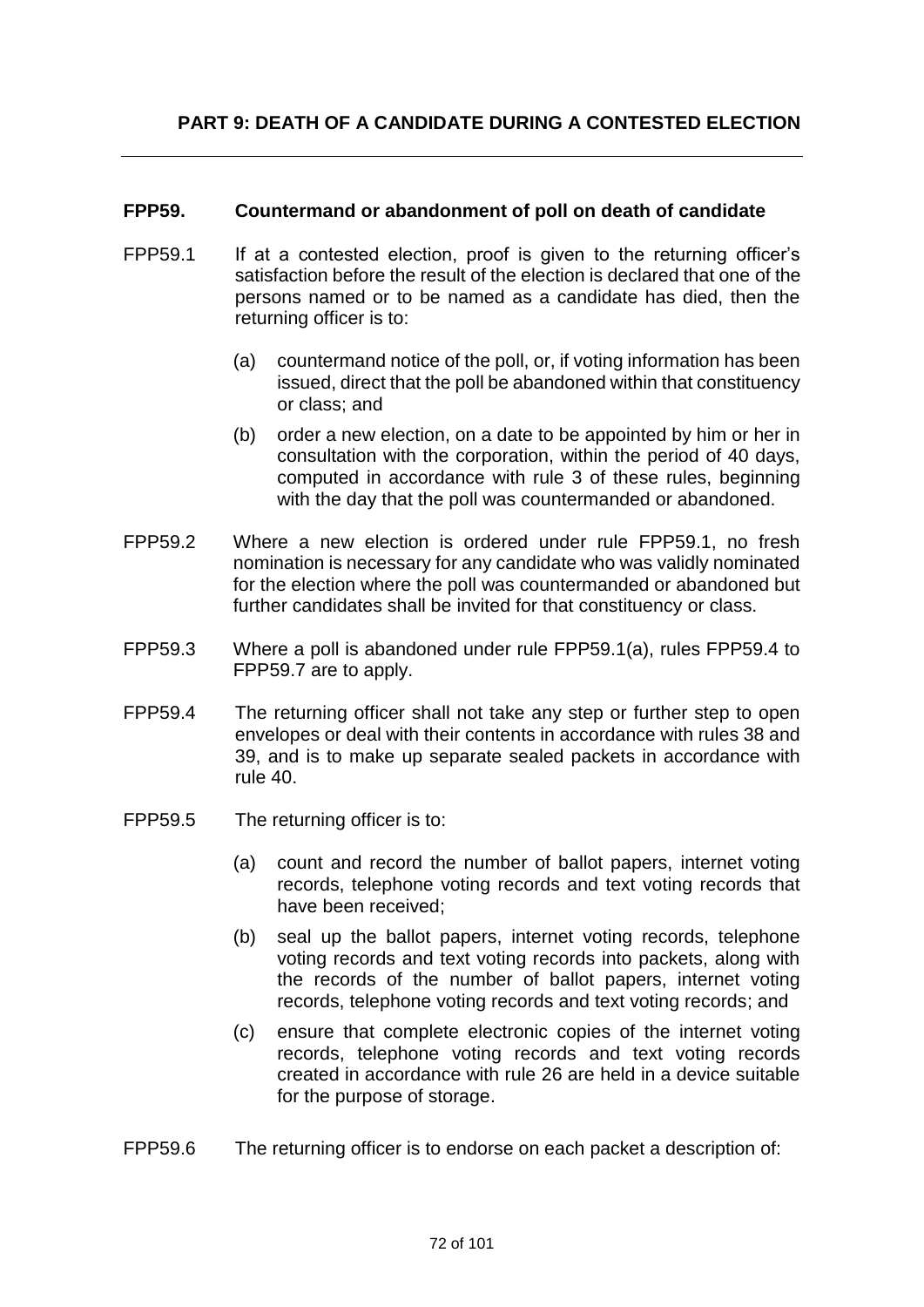## **FPP59. Countermand or abandonment of poll on death of candidate**

- FPP59.1 If at a contested election, proof is given to the returning officer's satisfaction before the result of the election is declared that one of the persons named or to be named as a candidate has died, then the returning officer is to:
	- (a) countermand notice of the poll, or, if voting information has been issued, direct that the poll be abandoned within that constituency or class; and
	- (b) order a new election, on a date to be appointed by him or her in consultation with the corporation, within the period of 40 days, computed in accordance with rule 3 of these rules, beginning with the day that the poll was countermanded or abandoned.
- FPP59.2 Where a new election is ordered under rule FPP59.1, no fresh nomination is necessary for any candidate who was validly nominated for the election where the poll was countermanded or abandoned but further candidates shall be invited for that constituency or class.
- FPP59.3 Where a poll is abandoned under rule FPP59.1(a), rules FPP59.4 to FPP59.7 are to apply.
- FPP59.4 The returning officer shall not take any step or further step to open envelopes or deal with their contents in accordance with rules 38 and 39, and is to make up separate sealed packets in accordance with rule 40.
- FPP59.5 The returning officer is to:
	- (a) count and record the number of ballot papers, internet voting records, telephone voting records and text voting records that have been received;
	- (b) seal up the ballot papers, internet voting records, telephone voting records and text voting records into packets, along with the records of the number of ballot papers, internet voting records, telephone voting records and text voting records; and
	- (c) ensure that complete electronic copies of the internet voting records, telephone voting records and text voting records created in accordance with rule 26 are held in a device suitable for the purpose of storage.
- FPP59.6 The returning officer is to endorse on each packet a description of: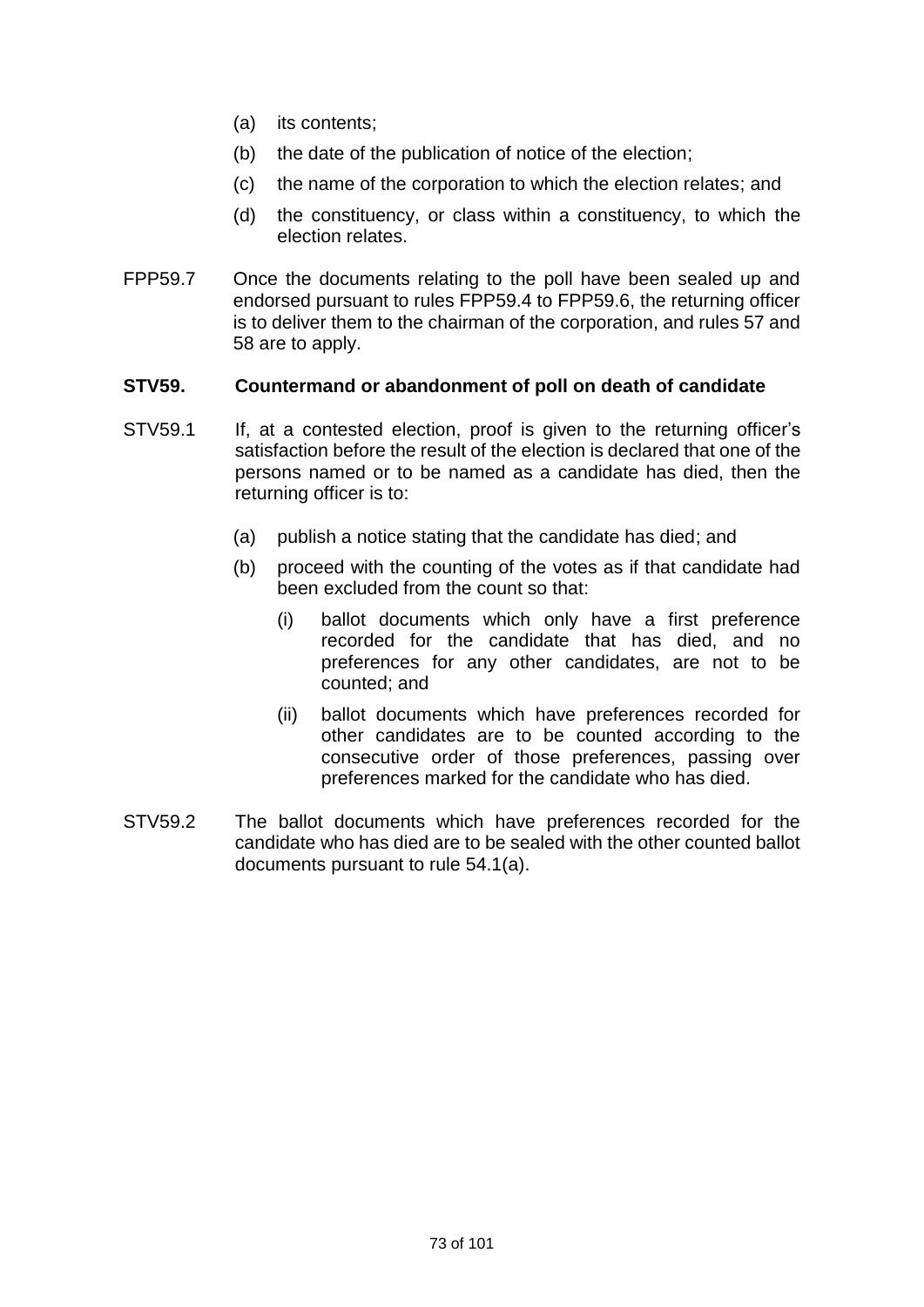- (a) its contents;
- (b) the date of the publication of notice of the election;
- (c) the name of the corporation to which the election relates; and
- (d) the constituency, or class within a constituency, to which the election relates.
- FPP59.7 Once the documents relating to the poll have been sealed up and endorsed pursuant to rules FPP59.4 to FPP59.6, the returning officer is to deliver them to the chairman of the corporation, and rules 57 and 58 are to apply.

#### **STV59. Countermand or abandonment of poll on death of candidate**

- STV59.1 If, at a contested election, proof is given to the returning officer's satisfaction before the result of the election is declared that one of the persons named or to be named as a candidate has died, then the returning officer is to:
	- (a) publish a notice stating that the candidate has died; and
	- (b) proceed with the counting of the votes as if that candidate had been excluded from the count so that:
		- (i) ballot documents which only have a first preference recorded for the candidate that has died, and no preferences for any other candidates, are not to be counted; and
		- (ii) ballot documents which have preferences recorded for other candidates are to be counted according to the consecutive order of those preferences, passing over preferences marked for the candidate who has died.
- STV59.2 The ballot documents which have preferences recorded for the candidate who has died are to be sealed with the other counted ballot documents pursuant to rule 54.1(a).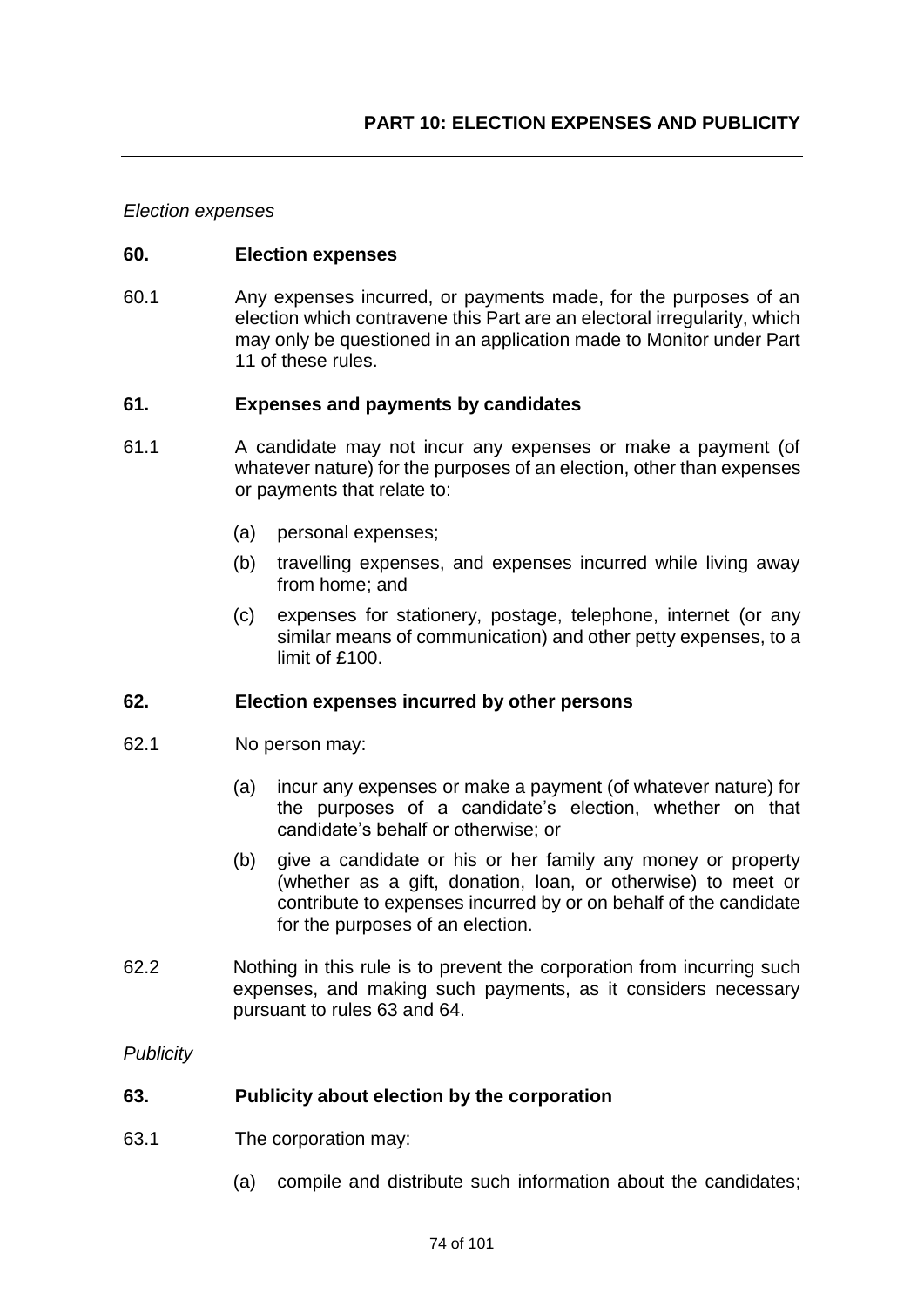#### *Election expenses*

#### **60. Election expenses**

60.1 Any expenses incurred, or payments made, for the purposes of an election which contravene this Part are an electoral irregularity, which may only be questioned in an application made to Monitor under Part 11 of these rules.

#### **61. Expenses and payments by candidates**

- 61.1 A candidate may not incur any expenses or make a payment (of whatever nature) for the purposes of an election, other than expenses or payments that relate to:
	- (a) personal expenses;
	- (b) travelling expenses, and expenses incurred while living away from home; and
	- (c) expenses for stationery, postage, telephone, internet (or any similar means of communication) and other petty expenses, to a limit of £100.

## **62. Election expenses incurred by other persons**

- 62.1 No person may:
	- (a) incur any expenses or make a payment (of whatever nature) for the purposes of a candidate's election, whether on that candidate's behalf or otherwise; or
	- (b) give a candidate or his or her family any money or property (whether as a gift, donation, loan, or otherwise) to meet or contribute to expenses incurred by or on behalf of the candidate for the purposes of an election.
- 62.2 Nothing in this rule is to prevent the corporation from incurring such expenses, and making such payments, as it considers necessary pursuant to rules 63 and 64.

*Publicity*

#### **63. Publicity about election by the corporation**

- 63.1 The corporation may:
	- (a) compile and distribute such information about the candidates;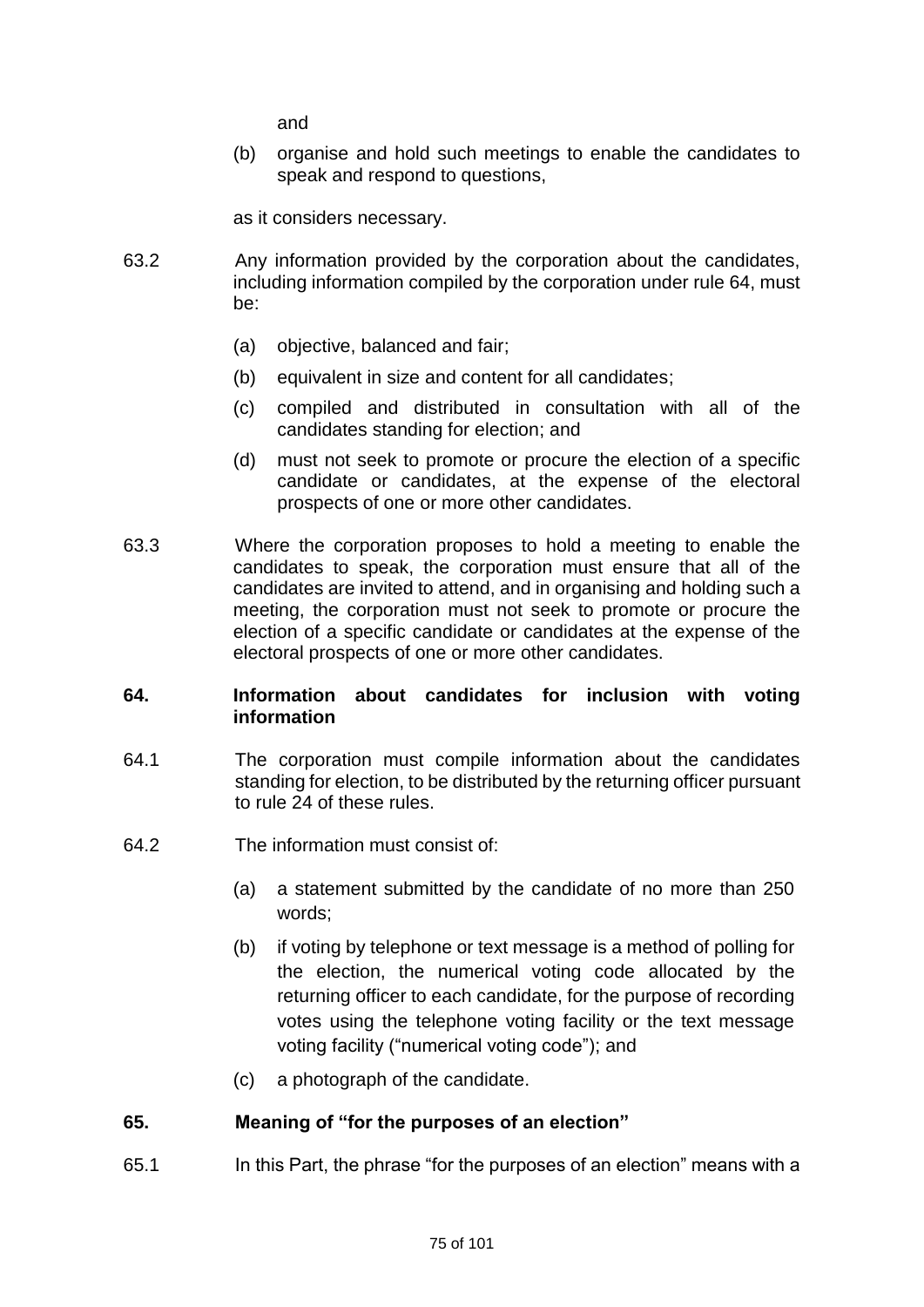and

(b) organise and hold such meetings to enable the candidates to speak and respond to questions,

as it considers necessary.

- 63.2 Any information provided by the corporation about the candidates, including information compiled by the corporation under rule 64, must be:
	- (a) objective, balanced and fair;
	- (b) equivalent in size and content for all candidates;
	- (c) compiled and distributed in consultation with all of the candidates standing for election; and
	- (d) must not seek to promote or procure the election of a specific candidate or candidates, at the expense of the electoral prospects of one or more other candidates.
- 63.3 Where the corporation proposes to hold a meeting to enable the candidates to speak, the corporation must ensure that all of the candidates are invited to attend, and in organising and holding such a meeting, the corporation must not seek to promote or procure the election of a specific candidate or candidates at the expense of the electoral prospects of one or more other candidates.

## **64. Information about candidates for inclusion with voting information**

- 64.1 The corporation must compile information about the candidates standing for election, to be distributed by the returning officer pursuant to rule 24 of these rules.
- 64.2 The information must consist of:
	- (a) a statement submitted by the candidate of no more than 250 words;
	- (b) if voting by telephone or text message is a method of polling for the election, the numerical voting code allocated by the returning officer to each candidate, for the purpose of recording votes using the telephone voting facility or the text message voting facility ("numerical voting code"); and
	- (c) a photograph of the candidate.

## **65. Meaning of "for the purposes of an election"**

65.1 In this Part, the phrase "for the purposes of an election" means with a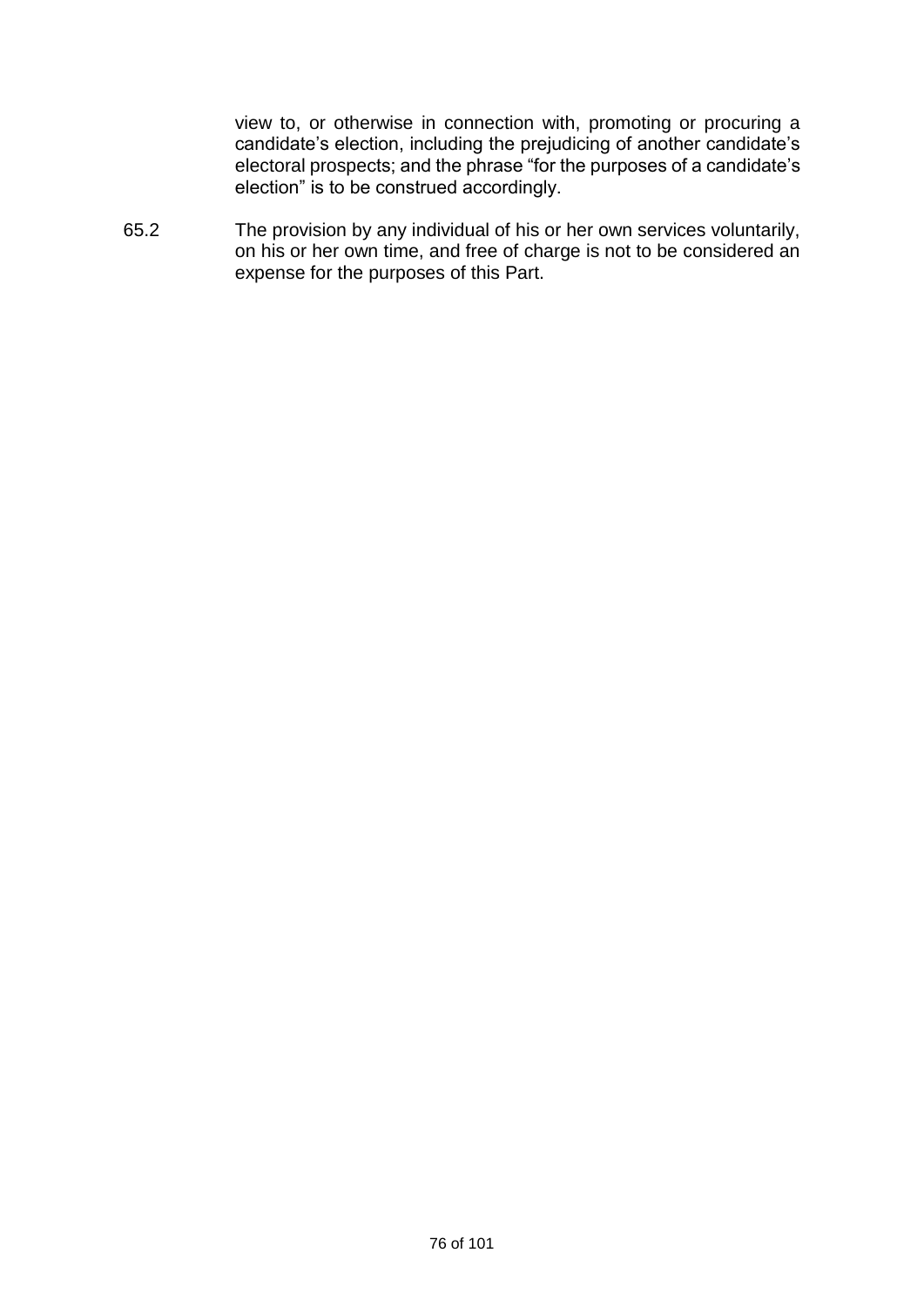view to, or otherwise in connection with, promoting or procuring a candidate's election, including the prejudicing of another candidate's electoral prospects; and the phrase "for the purposes of a candidate's election" is to be construed accordingly.

65.2 The provision by any individual of his or her own services voluntarily, on his or her own time, and free of charge is not to be considered an expense for the purposes of this Part.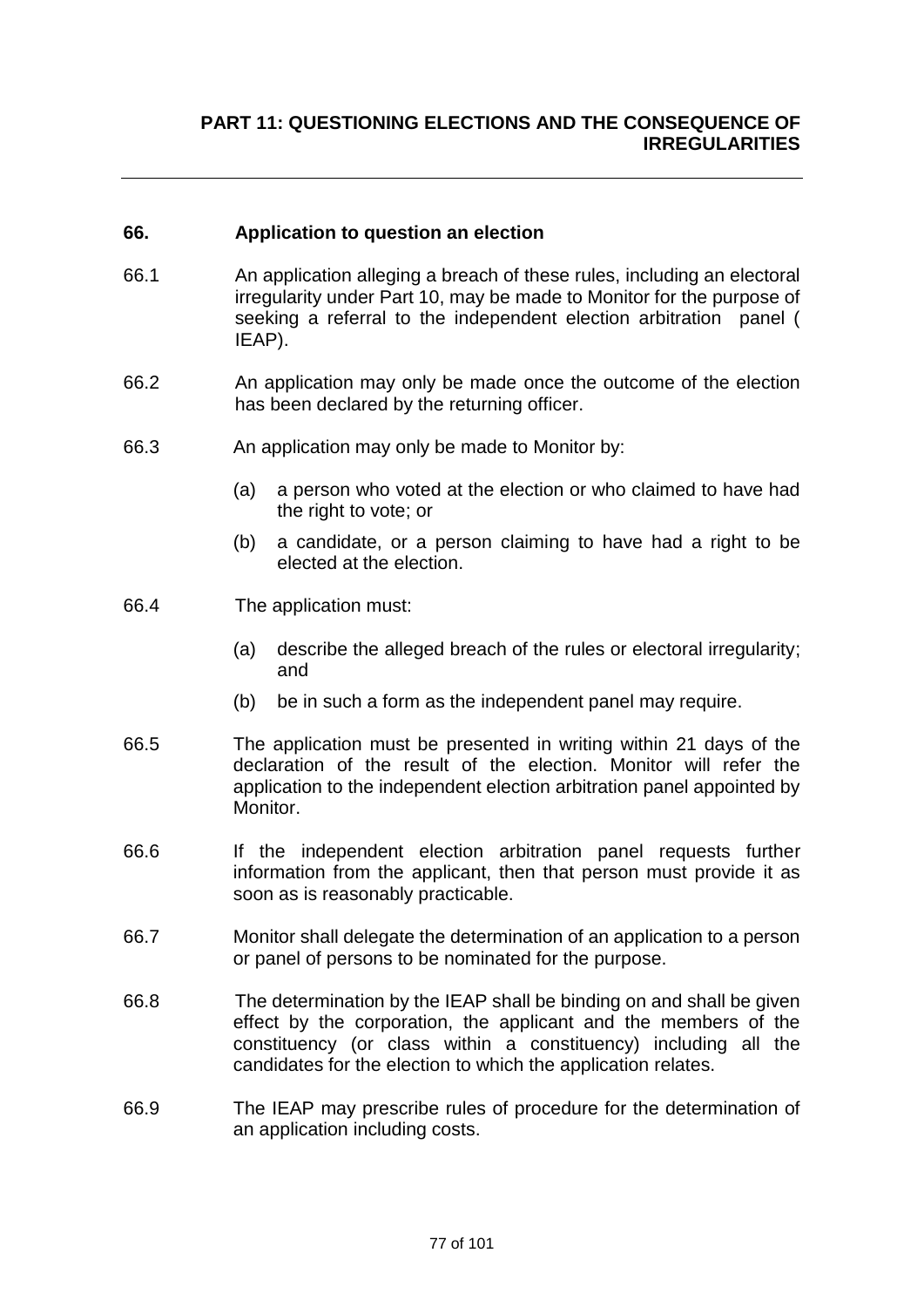#### **66. Application to question an election**

- 66.1 An application alleging a breach of these rules, including an electoral irregularity under Part 10, may be made to Monitor for the purpose of seeking a referral to the independent election arbitration panel ( IEAP).
- 66.2 An application may only be made once the outcome of the election has been declared by the returning officer.
- 66.3 An application may only be made to Monitor by:
	- (a) a person who voted at the election or who claimed to have had the right to vote; or
	- (b) a candidate, or a person claiming to have had a right to be elected at the election.
- 66.4 The application must:
	- (a) describe the alleged breach of the rules or electoral irregularity; and
	- (b) be in such a form as the independent panel may require.
- 66.5 The application must be presented in writing within 21 days of the declaration of the result of the election. Monitor will refer the application to the independent election arbitration panel appointed by Monitor.
- 66.6 If the independent election arbitration panel requests further information from the applicant, then that person must provide it as soon as is reasonably practicable.
- 66.7 Monitor shall delegate the determination of an application to a person or panel of persons to be nominated for the purpose.
- 66.8 The determination by the IEAP shall be binding on and shall be given effect by the corporation, the applicant and the members of the constituency (or class within a constituency) including all the candidates for the election to which the application relates.
- 66.9 The IEAP may prescribe rules of procedure for the determination of an application including costs.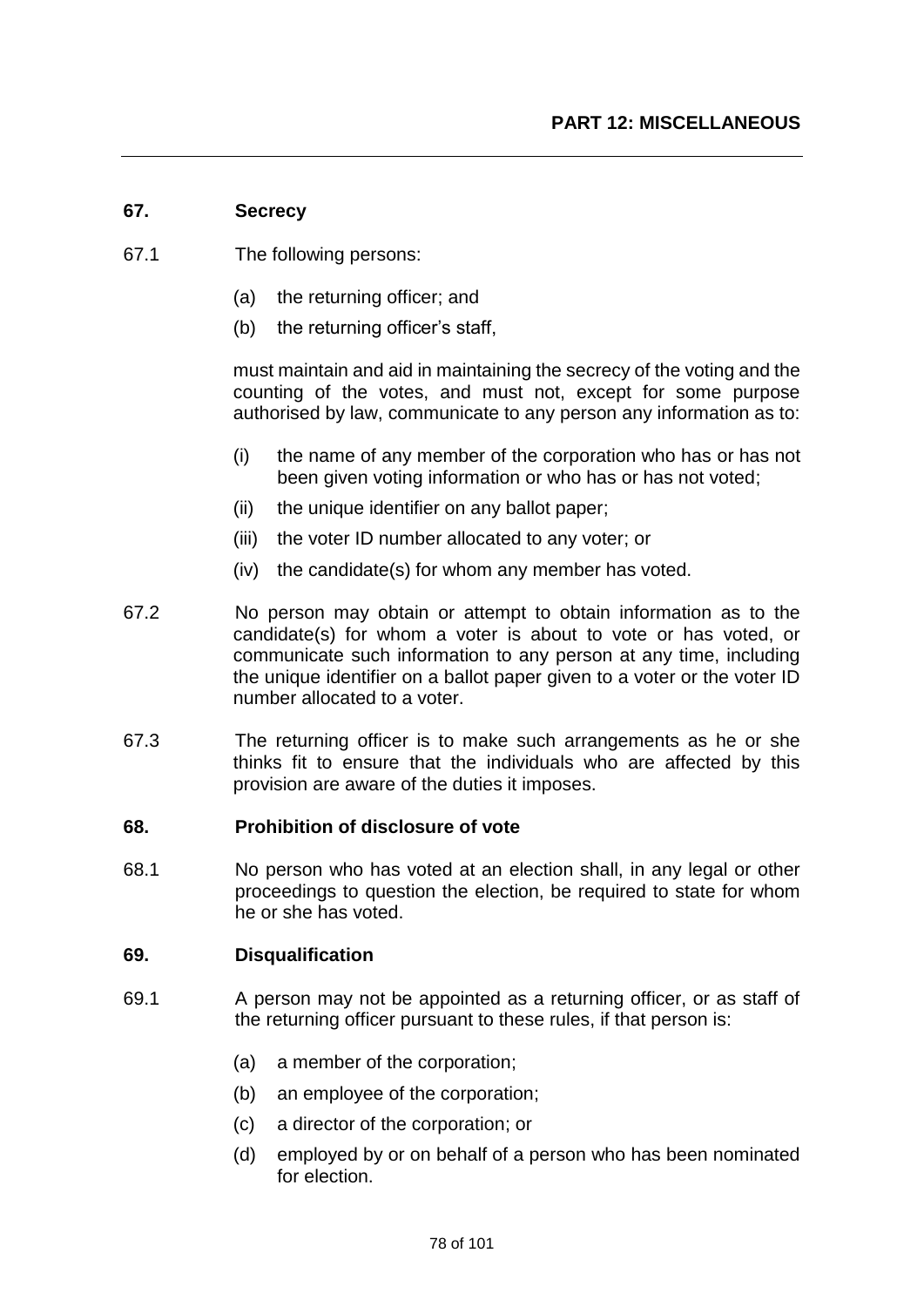#### **67. Secrecy**

- 67.1 The following persons:
	- (a) the returning officer; and
	- (b) the returning officer's staff,

must maintain and aid in maintaining the secrecy of the voting and the counting of the votes, and must not, except for some purpose authorised by law, communicate to any person any information as to:

- (i) the name of any member of the corporation who has or has not been given voting information or who has or has not voted;
- (ii) the unique identifier on any ballot paper;
- (iii) the voter ID number allocated to any voter; or
- (iv) the candidate(s) for whom any member has voted.
- 67.2 No person may obtain or attempt to obtain information as to the candidate(s) for whom a voter is about to vote or has voted, or communicate such information to any person at any time, including the unique identifier on a ballot paper given to a voter or the voter ID number allocated to a voter.
- 67.3 The returning officer is to make such arrangements as he or she thinks fit to ensure that the individuals who are affected by this provision are aware of the duties it imposes.

#### **68. Prohibition of disclosure of vote**

68.1 No person who has voted at an election shall, in any legal or other proceedings to question the election, be required to state for whom he or she has voted.

#### **69. Disqualification**

- 69.1 A person may not be appointed as a returning officer, or as staff of the returning officer pursuant to these rules, if that person is:
	- (a) a member of the corporation;
	- (b) an employee of the corporation;
	- (c) a director of the corporation; or
	- (d) employed by or on behalf of a person who has been nominated for election.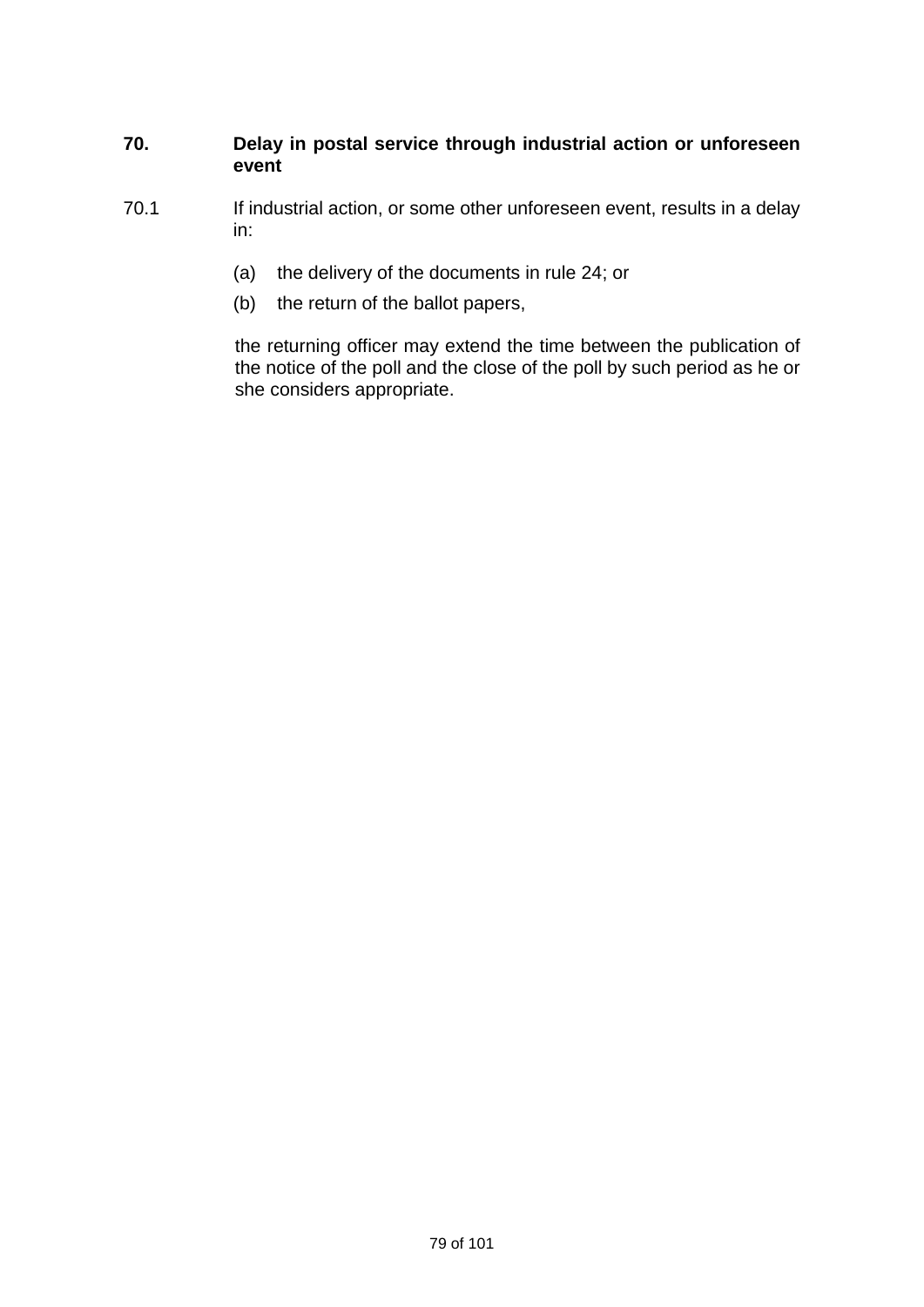## **70. Delay in postal service through industrial action or unforeseen event**

- 70.1 If industrial action, or some other unforeseen event, results in a delay in:
	- (a) the delivery of the documents in rule 24; or
	- (b) the return of the ballot papers,

the returning officer may extend the time between the publication of the notice of the poll and the close of the poll by such period as he or she considers appropriate.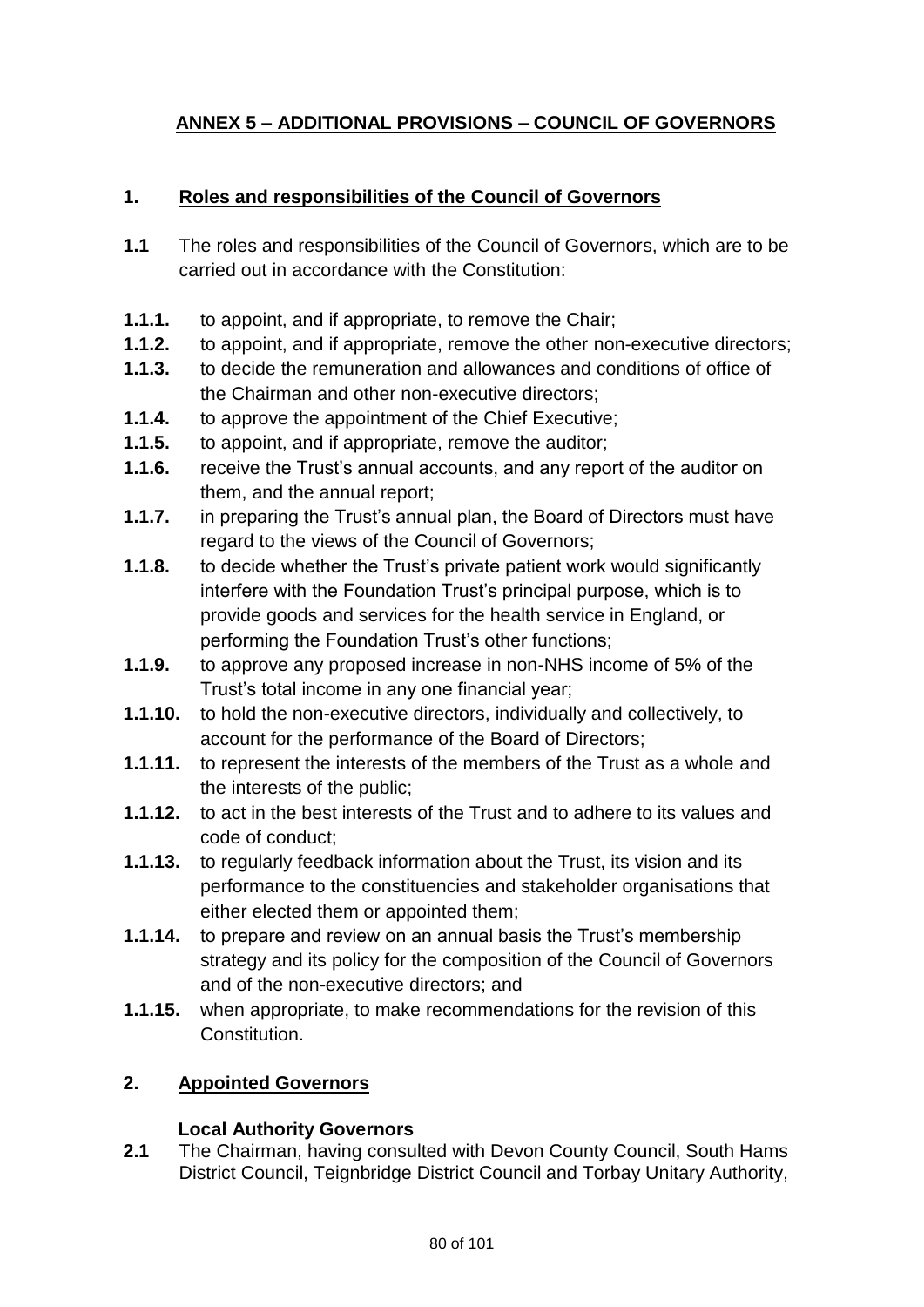# **ANNEX 5 – ADDITIONAL PROVISIONS – COUNCIL OF GOVERNORS**

## **1. Roles and responsibilities of the Council of Governors**

- **1.1** The roles and responsibilities of the Council of Governors, which are to be carried out in accordance with the Constitution:
- **1.1.1.** to appoint, and if appropriate, to remove the Chair;
- **1.1.2.** to appoint, and if appropriate, remove the other non-executive directors;
- **1.1.3.** to decide the remuneration and allowances and conditions of office of the Chairman and other non-executive directors;
- **1.1.4.** to approve the appointment of the Chief Executive;
- **1.1.5.** to appoint, and if appropriate, remove the auditor;
- **1.1.6.** receive the Trust's annual accounts, and any report of the auditor on them, and the annual report;
- **1.1.7.** in preparing the Trust's annual plan, the Board of Directors must have regard to the views of the Council of Governors;
- **1.1.8.** to decide whether the Trust's private patient work would significantly interfere with the Foundation Trust's principal purpose, which is to provide goods and services for the health service in England, or performing the Foundation Trust's other functions;
- **1.1.9.** to approve any proposed increase in non-NHS income of 5% of the Trust's total income in any one financial year;
- **1.1.10.** to hold the non-executive directors, individually and collectively, to account for the performance of the Board of Directors;
- **1.1.11.** to represent the interests of the members of the Trust as a whole and the interests of the public;
- **1.1.12.** to act in the best interests of the Trust and to adhere to its values and code of conduct;
- **1.1.13.** to regularly feedback information about the Trust, its vision and its performance to the constituencies and stakeholder organisations that either elected them or appointed them;
- **1.1.14.** to prepare and review on an annual basis the Trust's membership strategy and its policy for the composition of the Council of Governors and of the non-executive directors; and
- **1.1.15.** when appropriate, to make recommendations for the revision of this Constitution.

# **2. Appointed Governors**

## **Local Authority Governors**

**2.1** The Chairman, having consulted with Devon County Council, South Hams District Council, Teignbridge District Council and Torbay Unitary Authority,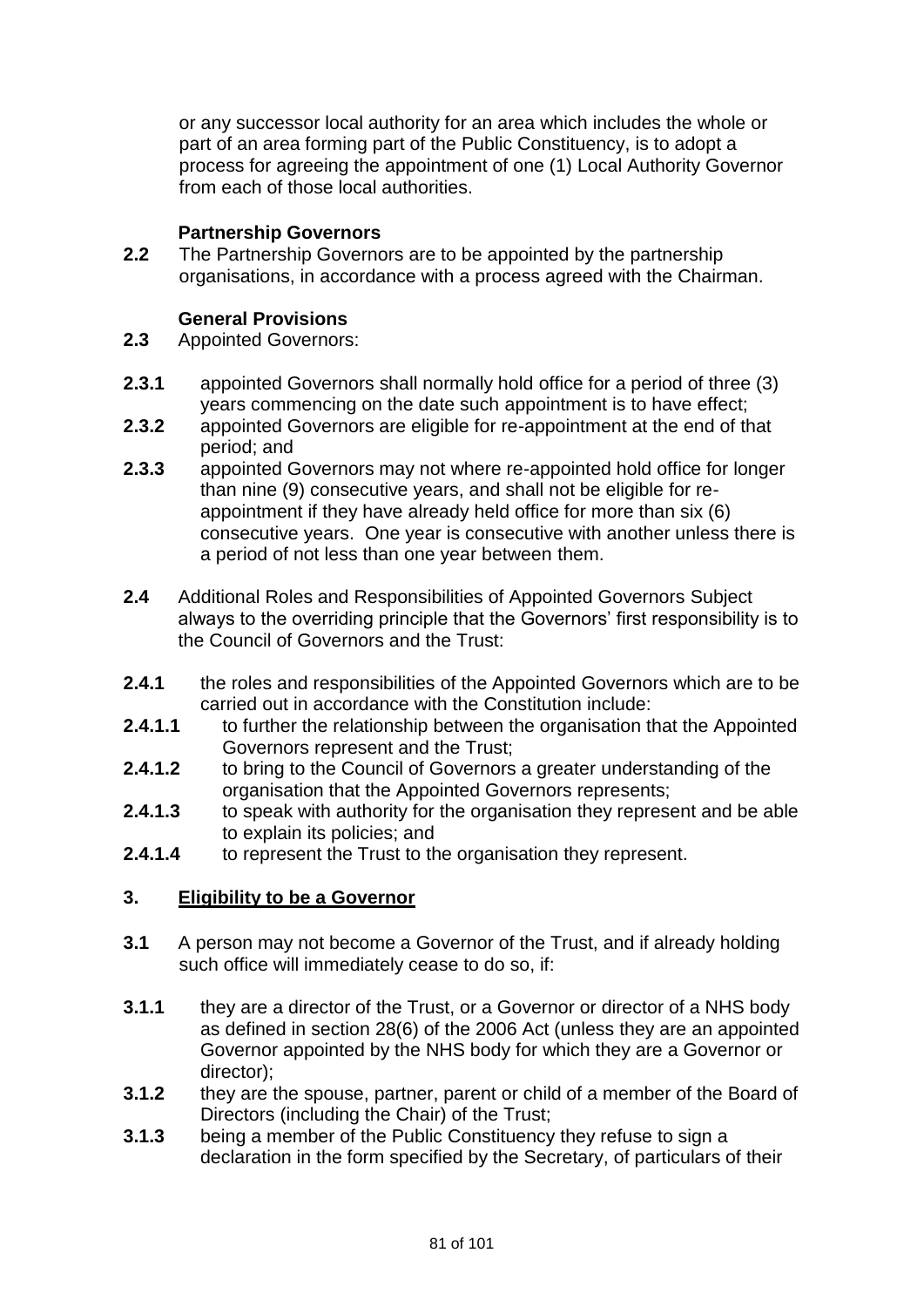or any successor local authority for an area which includes the whole or part of an area forming part of the Public Constituency, is to adopt a process for agreeing the appointment of one (1) Local Authority Governor from each of those local authorities.

## **Partnership Governors**

**2.2** The Partnership Governors are to be appointed by the partnership organisations, in accordance with a process agreed with the Chairman.

## **General Provisions**

- **2.3** Appointed Governors:
- **2.3.1** appointed Governors shall normally hold office for a period of three (3) years commencing on the date such appointment is to have effect;
- **2.3.2** appointed Governors are eligible for re-appointment at the end of that period; and
- **2.3.3** appointed Governors may not where re-appointed hold office for longer than nine (9) consecutive years, and shall not be eligible for reappointment if they have already held office for more than six (6) consecutive years. One year is consecutive with another unless there is a period of not less than one year between them.
- **2.4** Additional Roles and Responsibilities of Appointed Governors Subject always to the overriding principle that the Governors' first responsibility is to the Council of Governors and the Trust:
- **2.4.1** the roles and responsibilities of the Appointed Governors which are to be carried out in accordance with the Constitution include:
- **2.4.1.1** to further the relationship between the organisation that the Appointed Governors represent and the Trust;
- **2.4.1.2** to bring to the Council of Governors a greater understanding of the organisation that the Appointed Governors represents;
- **2.4.1.3** to speak with authority for the organisation they represent and be able to explain its policies; and
- **2.4.1.4** to represent the Trust to the organisation they represent.

## **3. Eligibility to be a Governor**

- **3.1** A person may not become a Governor of the Trust, and if already holding such office will immediately cease to do so, if:
- **3.1.1** they are a director of the Trust, or a Governor or director of a NHS body as defined in section 28(6) of the 2006 Act (unless they are an appointed Governor appointed by the NHS body for which they are a Governor or director);
- **3.1.2** they are the spouse, partner, parent or child of a member of the Board of Directors (including the Chair) of the Trust;
- **3.1.3** being a member of the Public Constituency they refuse to sign a declaration in the form specified by the Secretary, of particulars of their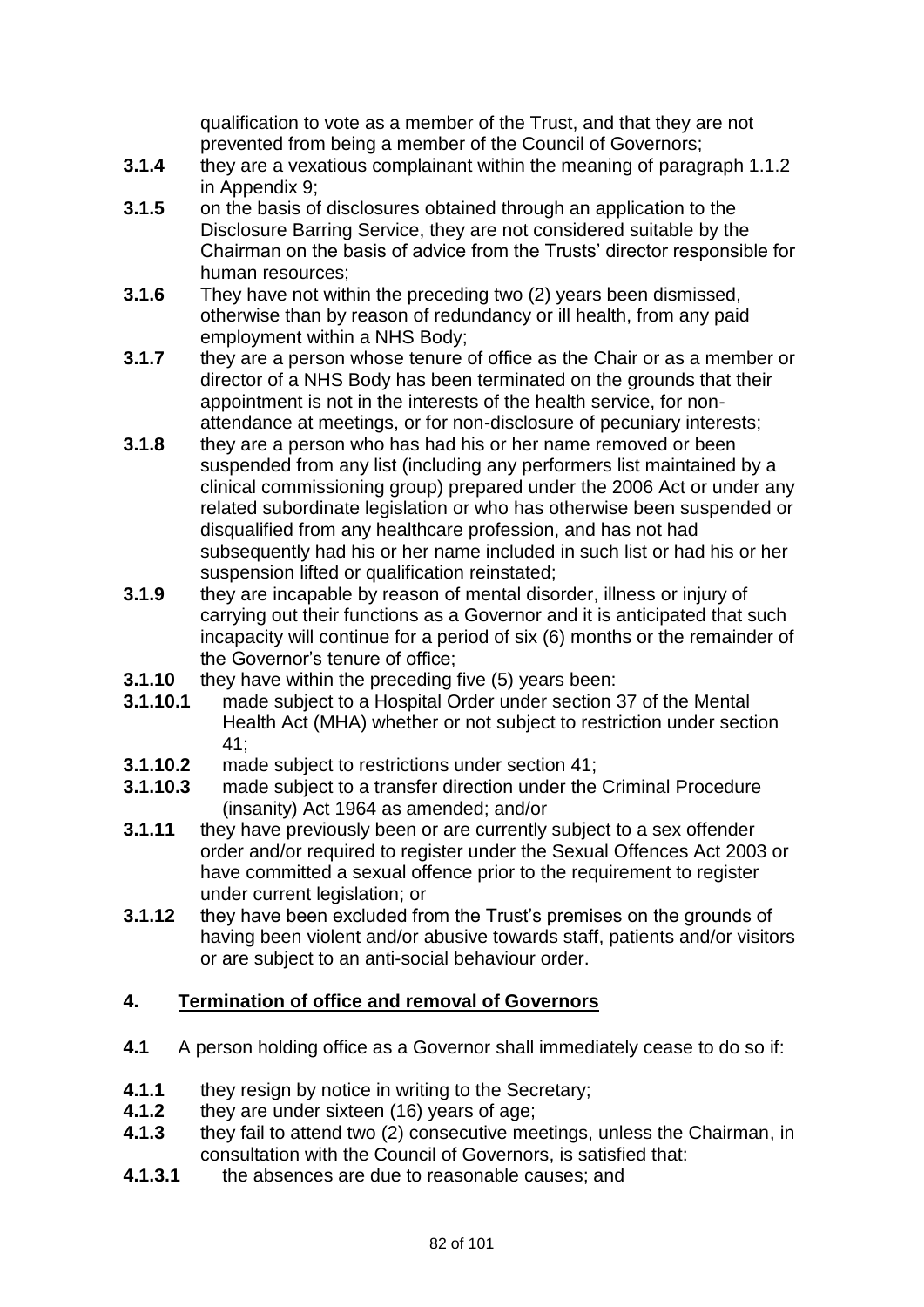qualification to vote as a member of the Trust, and that they are not prevented from being a member of the Council of Governors;

- **3.1.4** they are a vexatious complainant within the meaning of paragraph 1.1.2 in Appendix 9;
- **3.1.5** on the basis of disclosures obtained through an application to the Disclosure Barring Service, they are not considered suitable by the Chairman on the basis of advice from the Trusts' director responsible for human resources;
- **3.1.6** They have not within the preceding two (2) years been dismissed, otherwise than by reason of redundancy or ill health, from any paid employment within a NHS Body;
- **3.1.7** they are a person whose tenure of office as the Chair or as a member or director of a NHS Body has been terminated on the grounds that their appointment is not in the interests of the health service, for nonattendance at meetings, or for non-disclosure of pecuniary interests;
- **3.1.8** they are a person who has had his or her name removed or been suspended from any list (including any performers list maintained by a clinical commissioning group) prepared under the 2006 Act or under any related subordinate legislation or who has otherwise been suspended or disqualified from any healthcare profession, and has not had subsequently had his or her name included in such list or had his or her suspension lifted or qualification reinstated;
- **3.1.9** they are incapable by reason of mental disorder, illness or injury of carrying out their functions as a Governor and it is anticipated that such incapacity will continue for a period of six (6) months or the remainder of the Governor's tenure of office;
- **3.1.10** they have within the preceding five (5) years been:
- **3.1.10.1** made subject to a Hospital Order under section 37 of the Mental Health Act (MHA) whether or not subject to restriction under section 41;
- **3.1.10.2** made subject to restrictions under section 41;
- **3.1.10.3** made subject to a transfer direction under the Criminal Procedure (insanity) Act 1964 as amended; and/or
- **3.1.11** they have previously been or are currently subject to a sex offender order and/or required to register under the Sexual Offences Act 2003 or have committed a sexual offence prior to the requirement to register under current legislation; or
- **3.1.12** they have been excluded from the Trust's premises on the grounds of having been violent and/or abusive towards staff, patients and/or visitors or are subject to an anti-social behaviour order.

## **4. Termination of office and removal of Governors**

- **4.1** A person holding office as a Governor shall immediately cease to do so if:
- **4.1.1** they resign by notice in writing to the Secretary;
- **4.1.2** they are under sixteen (16) years of age;
- **4.1.3** they fail to attend two (2) consecutive meetings, unless the Chairman, in consultation with the Council of Governors, is satisfied that:
- **4.1.3.1** the absences are due to reasonable causes; and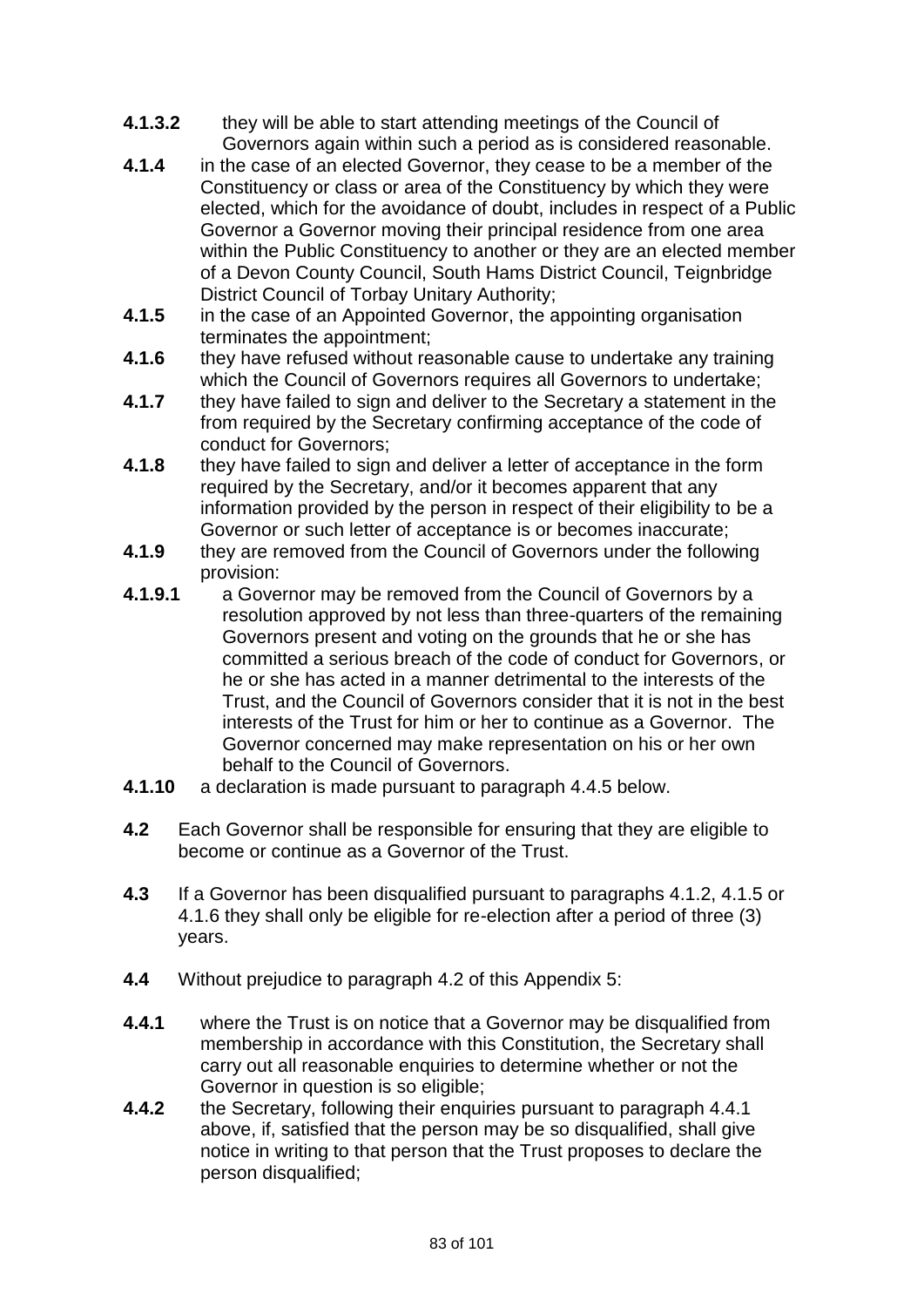- **4.1.3.2** they will be able to start attending meetings of the Council of Governors again within such a period as is considered reasonable.
- **4.1.4** in the case of an elected Governor, they cease to be a member of the Constituency or class or area of the Constituency by which they were elected, which for the avoidance of doubt, includes in respect of a Public Governor a Governor moving their principal residence from one area within the Public Constituency to another or they are an elected member of a Devon County Council, South Hams District Council, Teignbridge District Council of Torbay Unitary Authority;
- **4.1.5** in the case of an Appointed Governor, the appointing organisation terminates the appointment;
- **4.1.6** they have refused without reasonable cause to undertake any training which the Council of Governors requires all Governors to undertake;
- **4.1.7** they have failed to sign and deliver to the Secretary a statement in the from required by the Secretary confirming acceptance of the code of conduct for Governors;
- **4.1.8** they have failed to sign and deliver a letter of acceptance in the form required by the Secretary, and/or it becomes apparent that any information provided by the person in respect of their eligibility to be a Governor or such letter of acceptance is or becomes inaccurate;
- **4.1.9** they are removed from the Council of Governors under the following provision:
- **4.1.9.1** a Governor may be removed from the Council of Governors by a resolution approved by not less than three-quarters of the remaining Governors present and voting on the grounds that he or she has committed a serious breach of the code of conduct for Governors, or he or she has acted in a manner detrimental to the interests of the Trust, and the Council of Governors consider that it is not in the best interests of the Trust for him or her to continue as a Governor. The Governor concerned may make representation on his or her own behalf to the Council of Governors.
- **4.1.10** a declaration is made pursuant to paragraph 4.4.5 below.
- **4.2** Each Governor shall be responsible for ensuring that they are eligible to become or continue as a Governor of the Trust.
- **4.3** If a Governor has been disqualified pursuant to paragraphs 4.1.2, 4.1.5 or 4.1.6 they shall only be eligible for re-election after a period of three (3) years.
- **4.4** Without prejudice to paragraph 4.2 of this Appendix 5:
- **4.4.1** where the Trust is on notice that a Governor may be disqualified from membership in accordance with this Constitution, the Secretary shall carry out all reasonable enquiries to determine whether or not the Governor in question is so eligible;
- **4.4.2** the Secretary, following their enquiries pursuant to paragraph 4.4.1 above, if, satisfied that the person may be so disqualified, shall give notice in writing to that person that the Trust proposes to declare the person disqualified;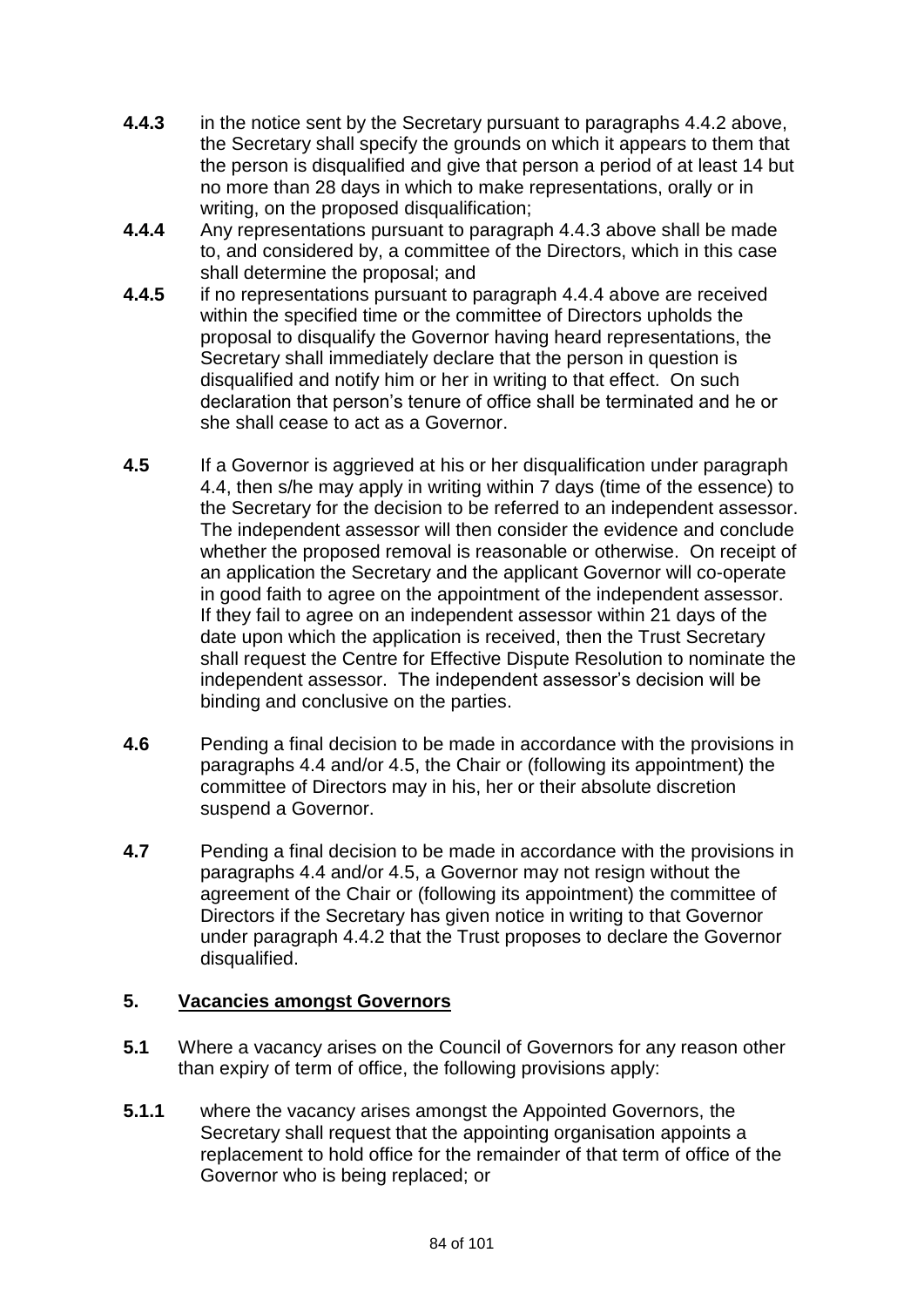- **4.4.3** in the notice sent by the Secretary pursuant to paragraphs 4.4.2 above, the Secretary shall specify the grounds on which it appears to them that the person is disqualified and give that person a period of at least 14 but no more than 28 days in which to make representations, orally or in writing, on the proposed disqualification;
- **4.4.4** Any representations pursuant to paragraph 4.4.3 above shall be made to, and considered by, a committee of the Directors, which in this case shall determine the proposal; and
- **4.4.5** if no representations pursuant to paragraph 4.4.4 above are received within the specified time or the committee of Directors upholds the proposal to disqualify the Governor having heard representations, the Secretary shall immediately declare that the person in question is disqualified and notify him or her in writing to that effect. On such declaration that person's tenure of office shall be terminated and he or she shall cease to act as a Governor.
- **4.5** If a Governor is aggrieved at his or her disqualification under paragraph 4.4, then s/he may apply in writing within 7 days (time of the essence) to the Secretary for the decision to be referred to an independent assessor. The independent assessor will then consider the evidence and conclude whether the proposed removal is reasonable or otherwise. On receipt of an application the Secretary and the applicant Governor will co-operate in good faith to agree on the appointment of the independent assessor. If they fail to agree on an independent assessor within 21 days of the date upon which the application is received, then the Trust Secretary shall request the Centre for Effective Dispute Resolution to nominate the independent assessor. The independent assessor's decision will be binding and conclusive on the parties.
- **4.6** Pending a final decision to be made in accordance with the provisions in paragraphs 4.4 and/or 4.5, the Chair or (following its appointment) the committee of Directors may in his, her or their absolute discretion suspend a Governor.
- **4.7** Pending a final decision to be made in accordance with the provisions in paragraphs 4.4 and/or 4.5, a Governor may not resign without the agreement of the Chair or (following its appointment) the committee of Directors if the Secretary has given notice in writing to that Governor under paragraph 4.4.2 that the Trust proposes to declare the Governor disqualified.

## **5. Vacancies amongst Governors**

- **5.1** Where a vacancy arises on the Council of Governors for any reason other than expiry of term of office, the following provisions apply:
- **5.1.1** where the vacancy arises amongst the Appointed Governors, the Secretary shall request that the appointing organisation appoints a replacement to hold office for the remainder of that term of office of the Governor who is being replaced; or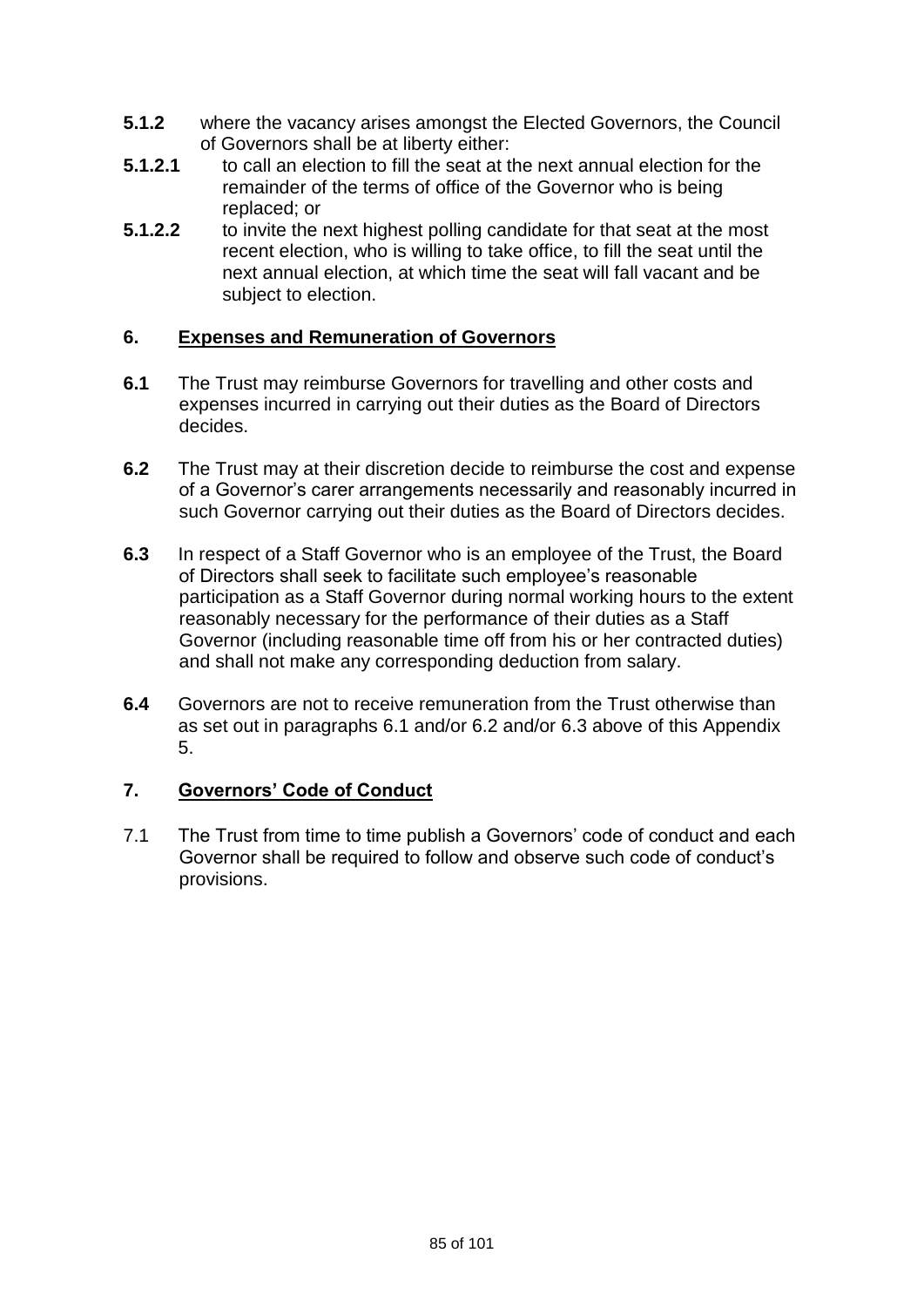- **5.1.2** where the vacancy arises amongst the Elected Governors, the Council of Governors shall be at liberty either:
- **5.1.2.1** to call an election to fill the seat at the next annual election for the remainder of the terms of office of the Governor who is being replaced; or
- **5.1.2.2** to invite the next highest polling candidate for that seat at the most recent election, who is willing to take office, to fill the seat until the next annual election, at which time the seat will fall vacant and be subject to election.

## **6. Expenses and Remuneration of Governors**

- **6.1** The Trust may reimburse Governors for travelling and other costs and expenses incurred in carrying out their duties as the Board of Directors decides.
- **6.2** The Trust may at their discretion decide to reimburse the cost and expense of a Governor's carer arrangements necessarily and reasonably incurred in such Governor carrying out their duties as the Board of Directors decides.
- **6.3** In respect of a Staff Governor who is an employee of the Trust, the Board of Directors shall seek to facilitate such employee's reasonable participation as a Staff Governor during normal working hours to the extent reasonably necessary for the performance of their duties as a Staff Governor (including reasonable time off from his or her contracted duties) and shall not make any corresponding deduction from salary.
- **6.4** Governors are not to receive remuneration from the Trust otherwise than as set out in paragraphs 6.1 and/or 6.2 and/or 6.3 above of this Appendix 5.

## **7. Governors' Code of Conduct**

7.1 The Trust from time to time publish a Governors' code of conduct and each Governor shall be required to follow and observe such code of conduct's provisions.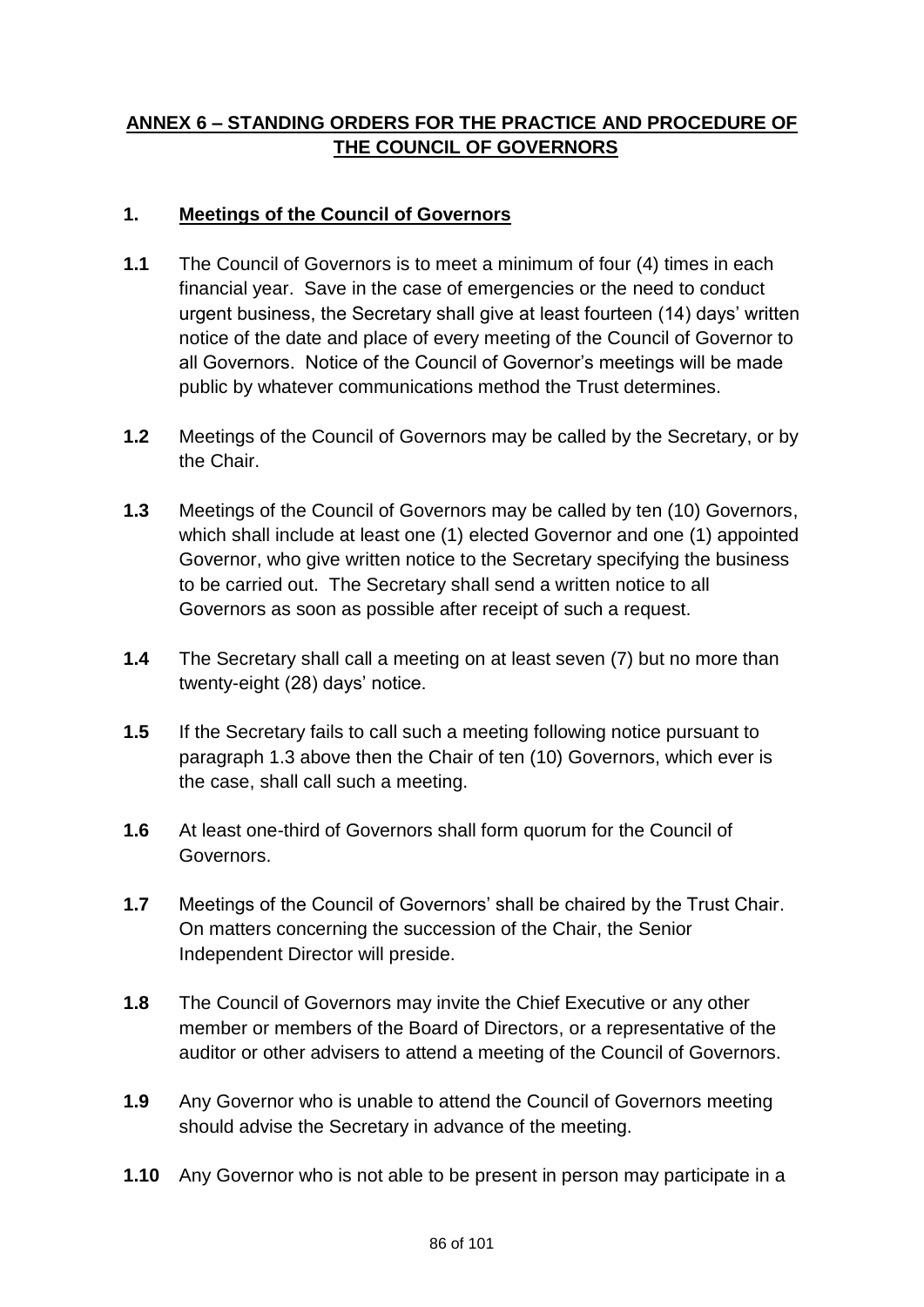# **ANNEX 6 – STANDING ORDERS FOR THE PRACTICE AND PROCEDURE OF THE COUNCIL OF GOVERNORS**

# **1. Meetings of the Council of Governors**

- **1.1** The Council of Governors is to meet a minimum of four (4) times in each financial year. Save in the case of emergencies or the need to conduct urgent business, the Secretary shall give at least fourteen (14) days' written notice of the date and place of every meeting of the Council of Governor to all Governors. Notice of the Council of Governor's meetings will be made public by whatever communications method the Trust determines.
- **1.2** Meetings of the Council of Governors may be called by the Secretary, or by the Chair.
- **1.3** Meetings of the Council of Governors may be called by ten (10) Governors, which shall include at least one (1) elected Governor and one (1) appointed Governor, who give written notice to the Secretary specifying the business to be carried out. The Secretary shall send a written notice to all Governors as soon as possible after receipt of such a request.
- **1.4** The Secretary shall call a meeting on at least seven (7) but no more than twenty-eight (28) days' notice.
- **1.5** If the Secretary fails to call such a meeting following notice pursuant to paragraph 1.3 above then the Chair of ten (10) Governors, which ever is the case, shall call such a meeting.
- **1.6** At least one-third of Governors shall form quorum for the Council of Governors.
- **1.7** Meetings of the Council of Governors' shall be chaired by the Trust Chair. On matters concerning the succession of the Chair, the Senior Independent Director will preside.
- **1.8** The Council of Governors may invite the Chief Executive or any other member or members of the Board of Directors, or a representative of the auditor or other advisers to attend a meeting of the Council of Governors.
- **1.9** Any Governor who is unable to attend the Council of Governors meeting should advise the Secretary in advance of the meeting.
- **1.10** Any Governor who is not able to be present in person may participate in a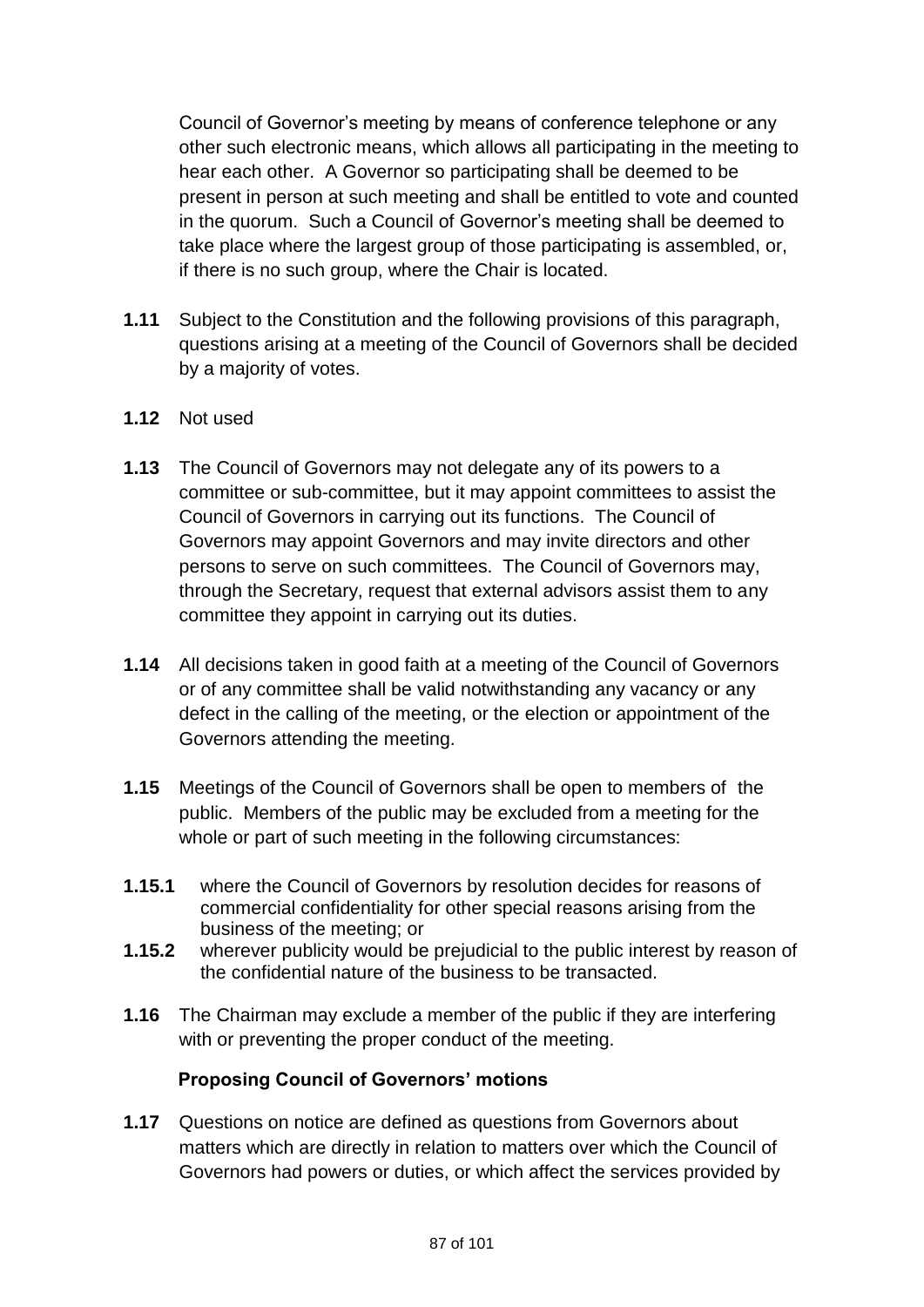Council of Governor's meeting by means of conference telephone or any other such electronic means, which allows all participating in the meeting to hear each other. A Governor so participating shall be deemed to be present in person at such meeting and shall be entitled to vote and counted in the quorum. Such a Council of Governor's meeting shall be deemed to take place where the largest group of those participating is assembled, or, if there is no such group, where the Chair is located.

- **1.11** Subject to the Constitution and the following provisions of this paragraph, questions arising at a meeting of the Council of Governors shall be decided by a majority of votes.
- **1.12** Not used
- **1.13** The Council of Governors may not delegate any of its powers to a committee or sub-committee, but it may appoint committees to assist the Council of Governors in carrying out its functions. The Council of Governors may appoint Governors and may invite directors and other persons to serve on such committees. The Council of Governors may, through the Secretary, request that external advisors assist them to any committee they appoint in carrying out its duties.
- **1.14** All decisions taken in good faith at a meeting of the Council of Governors or of any committee shall be valid notwithstanding any vacancy or any defect in the calling of the meeting, or the election or appointment of the Governors attending the meeting.
- **1.15** Meetings of the Council of Governors shall be open to members of the public. Members of the public may be excluded from a meeting for the whole or part of such meeting in the following circumstances:
- **1.15.1** where the Council of Governors by resolution decides for reasons of commercial confidentiality for other special reasons arising from the business of the meeting; or
- **1.15.2** wherever publicity would be prejudicial to the public interest by reason of the confidential nature of the business to be transacted.
- **1.16** The Chairman may exclude a member of the public if they are interfering with or preventing the proper conduct of the meeting.

## **Proposing Council of Governors' motions**

**1.17** Questions on notice are defined as questions from Governors about matters which are directly in relation to matters over which the Council of Governors had powers or duties, or which affect the services provided by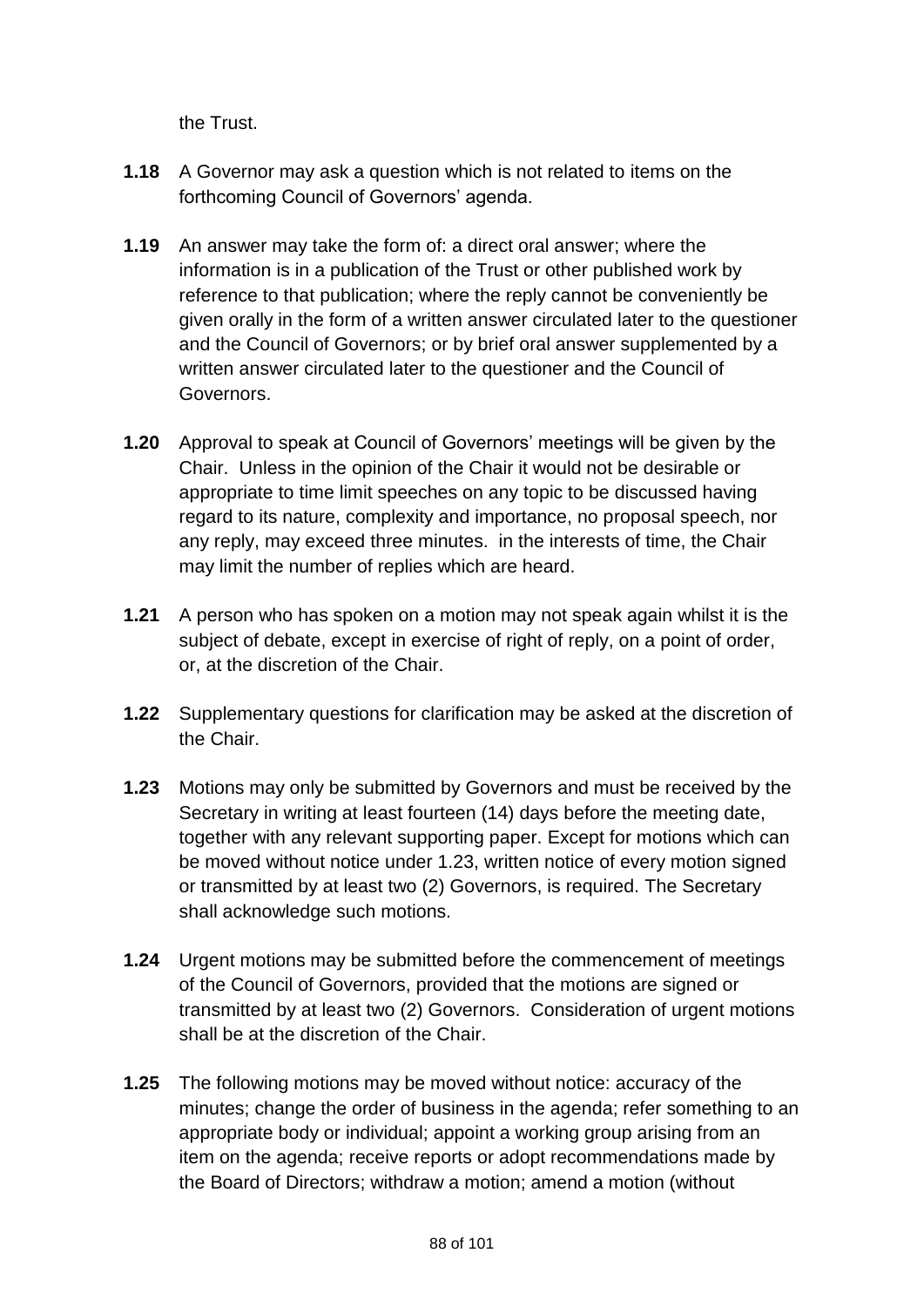the Trust.

- **1.18** A Governor may ask a question which is not related to items on the forthcoming Council of Governors' agenda.
- **1.19** An answer may take the form of: a direct oral answer; where the information is in a publication of the Trust or other published work by reference to that publication; where the reply cannot be conveniently be given orally in the form of a written answer circulated later to the questioner and the Council of Governors; or by brief oral answer supplemented by a written answer circulated later to the questioner and the Council of Governors.
- **1.20** Approval to speak at Council of Governors' meetings will be given by the Chair. Unless in the opinion of the Chair it would not be desirable or appropriate to time limit speeches on any topic to be discussed having regard to its nature, complexity and importance, no proposal speech, nor any reply, may exceed three minutes. in the interests of time, the Chair may limit the number of replies which are heard.
- **1.21** A person who has spoken on a motion may not speak again whilst it is the subject of debate, except in exercise of right of reply, on a point of order, or, at the discretion of the Chair.
- **1.22** Supplementary questions for clarification may be asked at the discretion of the Chair.
- **1.23** Motions may only be submitted by Governors and must be received by the Secretary in writing at least fourteen (14) days before the meeting date, together with any relevant supporting paper. Except for motions which can be moved without notice under 1.23, written notice of every motion signed or transmitted by at least two (2) Governors, is required. The Secretary shall acknowledge such motions.
- **1.24** Urgent motions may be submitted before the commencement of meetings of the Council of Governors, provided that the motions are signed or transmitted by at least two (2) Governors. Consideration of urgent motions shall be at the discretion of the Chair.
- **1.25** The following motions may be moved without notice: accuracy of the minutes; change the order of business in the agenda; refer something to an appropriate body or individual; appoint a working group arising from an item on the agenda; receive reports or adopt recommendations made by the Board of Directors; withdraw a motion; amend a motion (without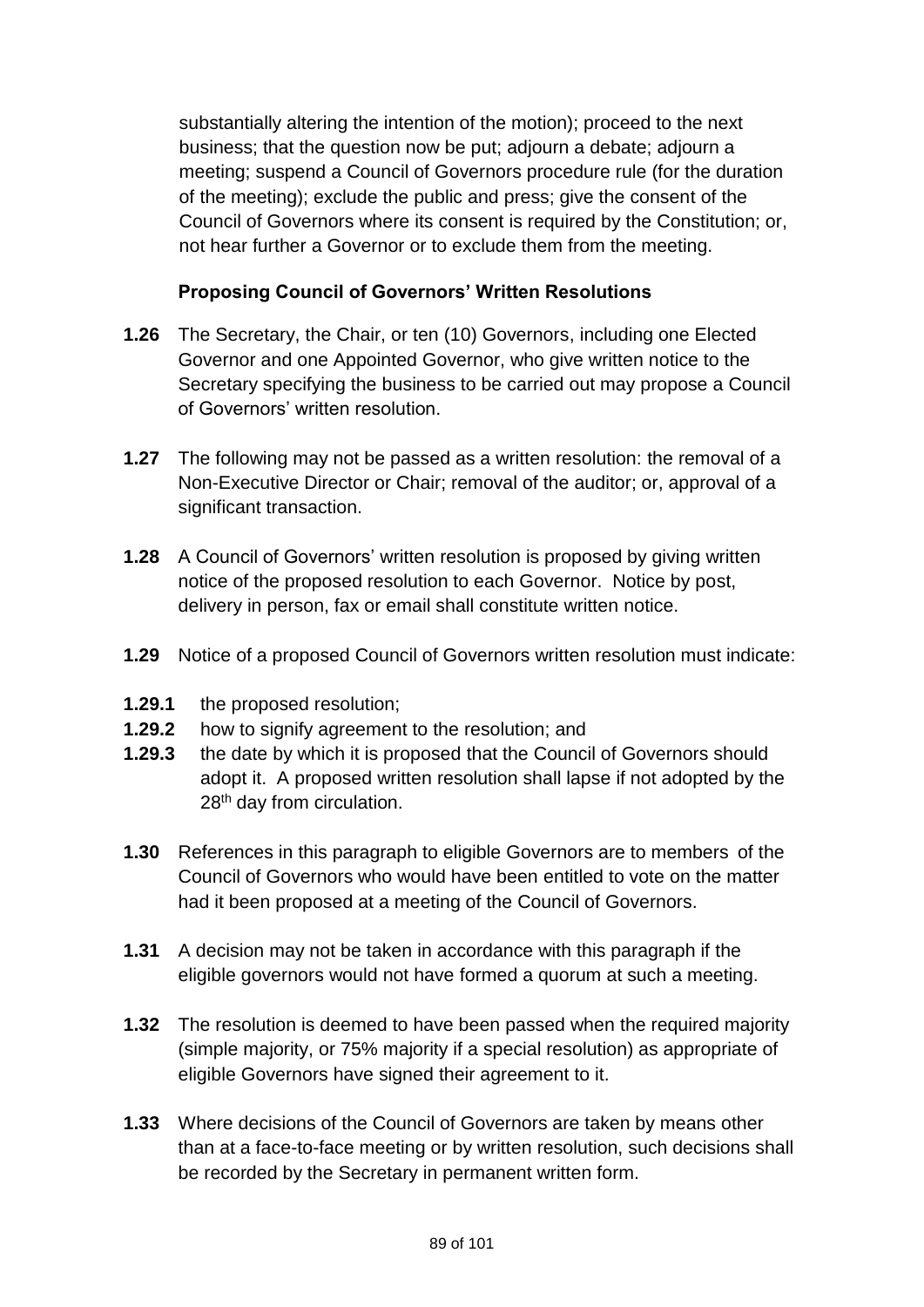substantially altering the intention of the motion); proceed to the next business; that the question now be put; adjourn a debate; adjourn a meeting; suspend a Council of Governors procedure rule (for the duration of the meeting); exclude the public and press; give the consent of the Council of Governors where its consent is required by the Constitution; or, not hear further a Governor or to exclude them from the meeting.

# **Proposing Council of Governors' Written Resolutions**

- **1.26** The Secretary, the Chair, or ten (10) Governors, including one Elected Governor and one Appointed Governor, who give written notice to the Secretary specifying the business to be carried out may propose a Council of Governors' written resolution.
- **1.27** The following may not be passed as a written resolution: the removal of a Non-Executive Director or Chair; removal of the auditor; or, approval of a significant transaction.
- **1.28** A Council of Governors' written resolution is proposed by giving written notice of the proposed resolution to each Governor. Notice by post, delivery in person, fax or email shall constitute written notice.
- **1.29** Notice of a proposed Council of Governors written resolution must indicate:
- **1.29.1** the proposed resolution;
- **1.29.2** how to signify agreement to the resolution; and
- **1.29.3** the date by which it is proposed that the Council of Governors should adopt it. A proposed written resolution shall lapse if not adopted by the 28<sup>th</sup> day from circulation.
- **1.30** References in this paragraph to eligible Governors are to members of the Council of Governors who would have been entitled to vote on the matter had it been proposed at a meeting of the Council of Governors.
- **1.31** A decision may not be taken in accordance with this paragraph if the eligible governors would not have formed a quorum at such a meeting.
- **1.32** The resolution is deemed to have been passed when the required majority (simple majority, or 75% majority if a special resolution) as appropriate of eligible Governors have signed their agreement to it.
- **1.33** Where decisions of the Council of Governors are taken by means other than at a face-to-face meeting or by written resolution, such decisions shall be recorded by the Secretary in permanent written form.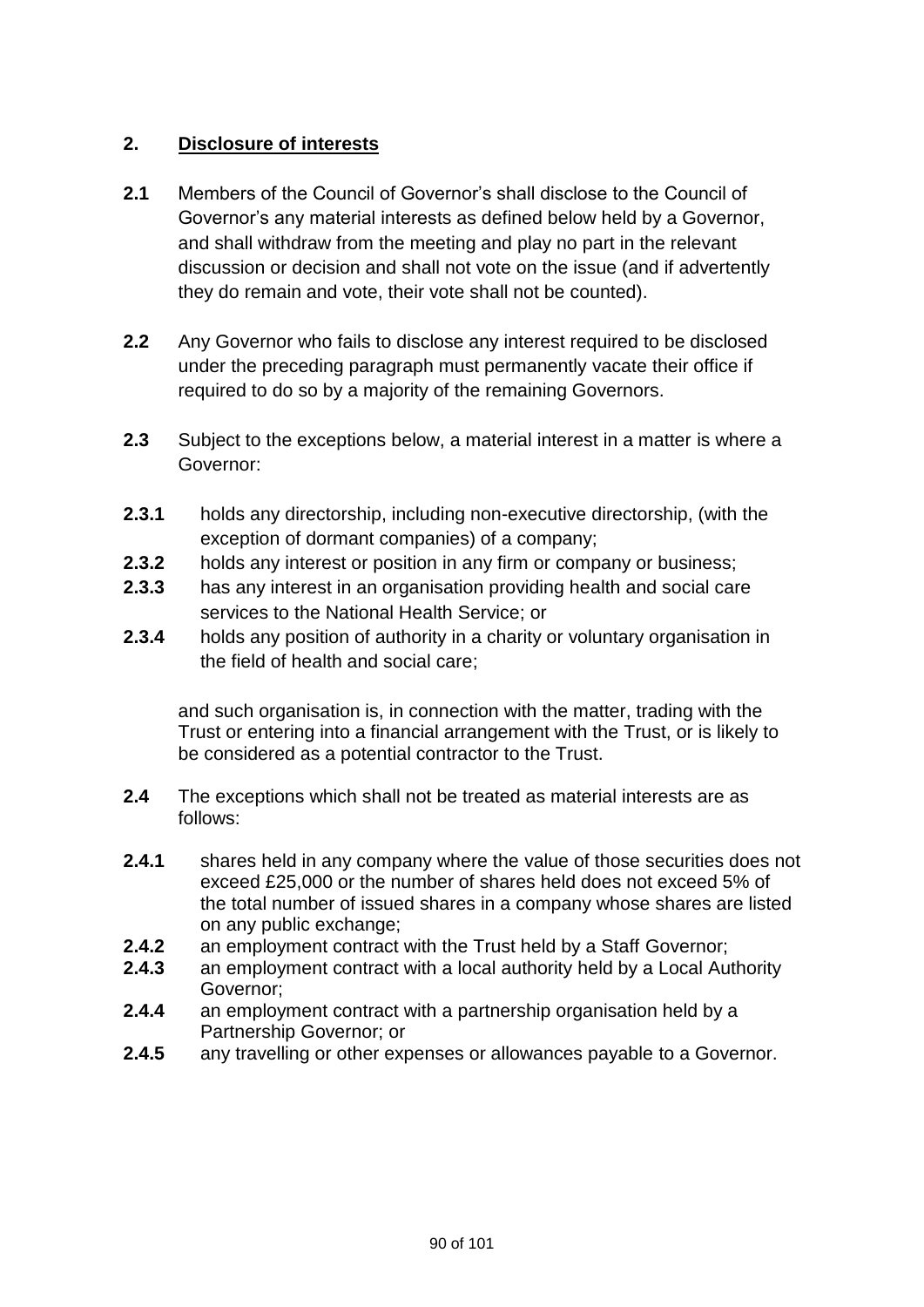# **2. Disclosure of interests**

- **2.1** Members of the Council of Governor's shall disclose to the Council of Governor's any material interests as defined below held by a Governor, and shall withdraw from the meeting and play no part in the relevant discussion or decision and shall not vote on the issue (and if advertently they do remain and vote, their vote shall not be counted).
- **2.2** Any Governor who fails to disclose any interest required to be disclosed under the preceding paragraph must permanently vacate their office if required to do so by a majority of the remaining Governors.
- **2.3** Subject to the exceptions below, a material interest in a matter is where a Governor:
- **2.3.1** holds any directorship, including non-executive directorship, (with the exception of dormant companies) of a company;
- **2.3.2** holds any interest or position in any firm or company or business;
- **2.3.3** has any interest in an organisation providing health and social care services to the National Health Service; or
- **2.3.4** holds any position of authority in a charity or voluntary organisation in the field of health and social care;

and such organisation is, in connection with the matter, trading with the Trust or entering into a financial arrangement with the Trust, or is likely to be considered as a potential contractor to the Trust.

- **2.4** The exceptions which shall not be treated as material interests are as follows:
- **2.4.1** shares held in any company where the value of those securities does not exceed £25,000 or the number of shares held does not exceed 5% of the total number of issued shares in a company whose shares are listed on any public exchange;
- **2.4.2** an employment contract with the Trust held by a Staff Governor;
- **2.4.3** an employment contract with a local authority held by a Local Authority Governor;
- **2.4.4** an employment contract with a partnership organisation held by a Partnership Governor; or
- **2.4.5** any travelling or other expenses or allowances payable to a Governor.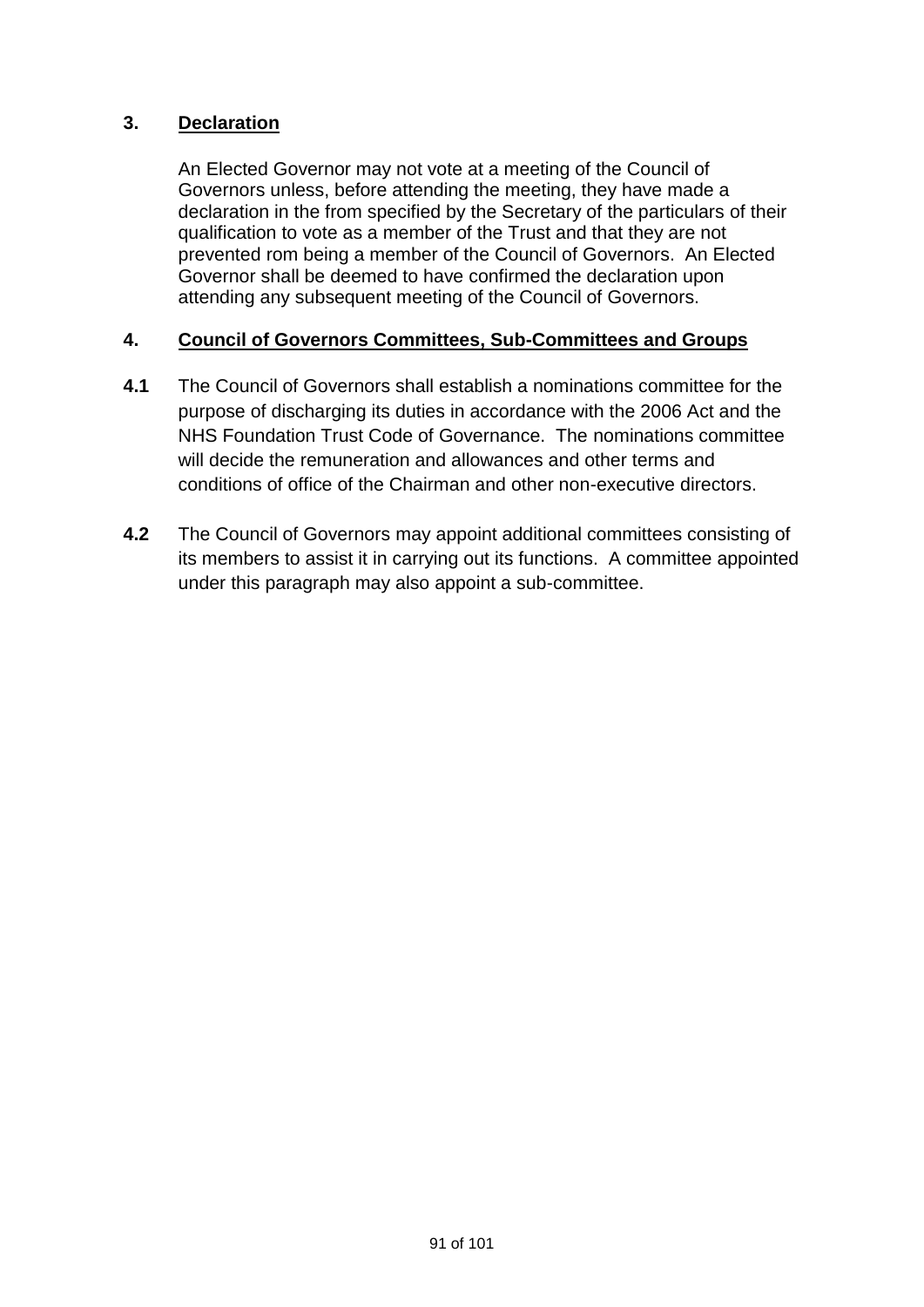## **3. Declaration**

An Elected Governor may not vote at a meeting of the Council of Governors unless, before attending the meeting, they have made a declaration in the from specified by the Secretary of the particulars of their qualification to vote as a member of the Trust and that they are not prevented rom being a member of the Council of Governors. An Elected Governor shall be deemed to have confirmed the declaration upon attending any subsequent meeting of the Council of Governors.

## **4. Council of Governors Committees, Sub-Committees and Groups**

- **4.1** The Council of Governors shall establish a nominations committee for the purpose of discharging its duties in accordance with the 2006 Act and the NHS Foundation Trust Code of Governance. The nominations committee will decide the remuneration and allowances and other terms and conditions of office of the Chairman and other non-executive directors.
- **4.2** The Council of Governors may appoint additional committees consisting of its members to assist it in carrying out its functions. A committee appointed under this paragraph may also appoint a sub-committee.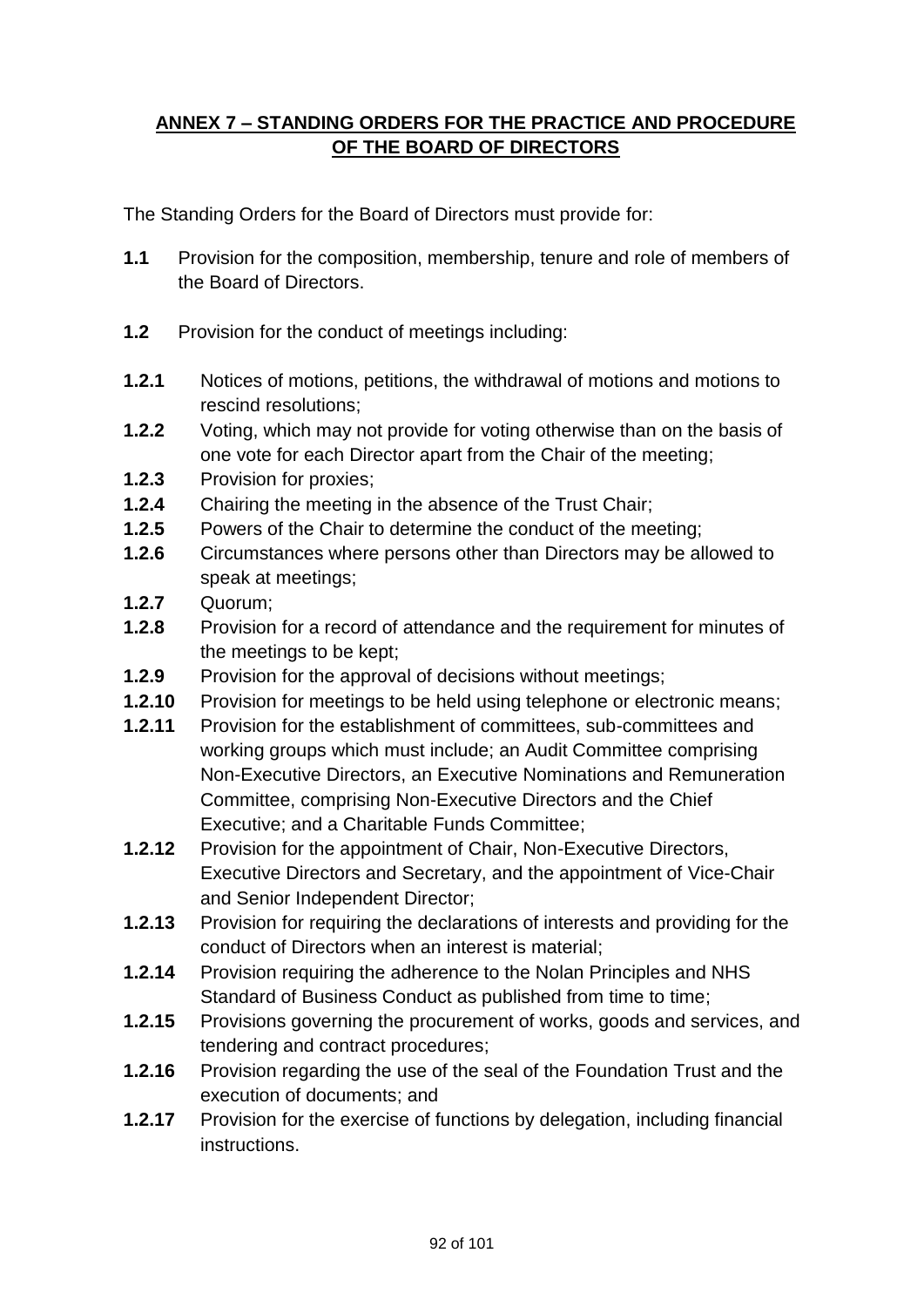# **ANNEX 7 – STANDING ORDERS FOR THE PRACTICE AND PROCEDURE OF THE BOARD OF DIRECTORS**

The Standing Orders for the Board of Directors must provide for:

- **1.1** Provision for the composition, membership, tenure and role of members of the Board of Directors.
- **1.2** Provision for the conduct of meetings including:
- **1.2.1** Notices of motions, petitions, the withdrawal of motions and motions to rescind resolutions;
- **1.2.2** Voting, which may not provide for voting otherwise than on the basis of one vote for each Director apart from the Chair of the meeting;
- **1.2.3** Provision for proxies;
- **1.2.4** Chairing the meeting in the absence of the Trust Chair;
- **1.2.5** Powers of the Chair to determine the conduct of the meeting;
- **1.2.6** Circumstances where persons other than Directors may be allowed to speak at meetings;
- **1.2.7** Quorum;
- **1.2.8** Provision for a record of attendance and the requirement for minutes of the meetings to be kept;
- **1.2.9** Provision for the approval of decisions without meetings;
- **1.2.10** Provision for meetings to be held using telephone or electronic means;
- **1.2.11** Provision for the establishment of committees, sub-committees and working groups which must include; an Audit Committee comprising Non-Executive Directors, an Executive Nominations and Remuneration Committee, comprising Non-Executive Directors and the Chief Executive; and a Charitable Funds Committee;
- **1.2.12** Provision for the appointment of Chair, Non-Executive Directors, Executive Directors and Secretary, and the appointment of Vice-Chair and Senior Independent Director;
- **1.2.13** Provision for requiring the declarations of interests and providing for the conduct of Directors when an interest is material;
- **1.2.14** Provision requiring the adherence to the Nolan Principles and NHS Standard of Business Conduct as published from time to time;
- **1.2.15** Provisions governing the procurement of works, goods and services, and tendering and contract procedures;
- **1.2.16** Provision regarding the use of the seal of the Foundation Trust and the execution of documents; and
- **1.2.17** Provision for the exercise of functions by delegation, including financial instructions.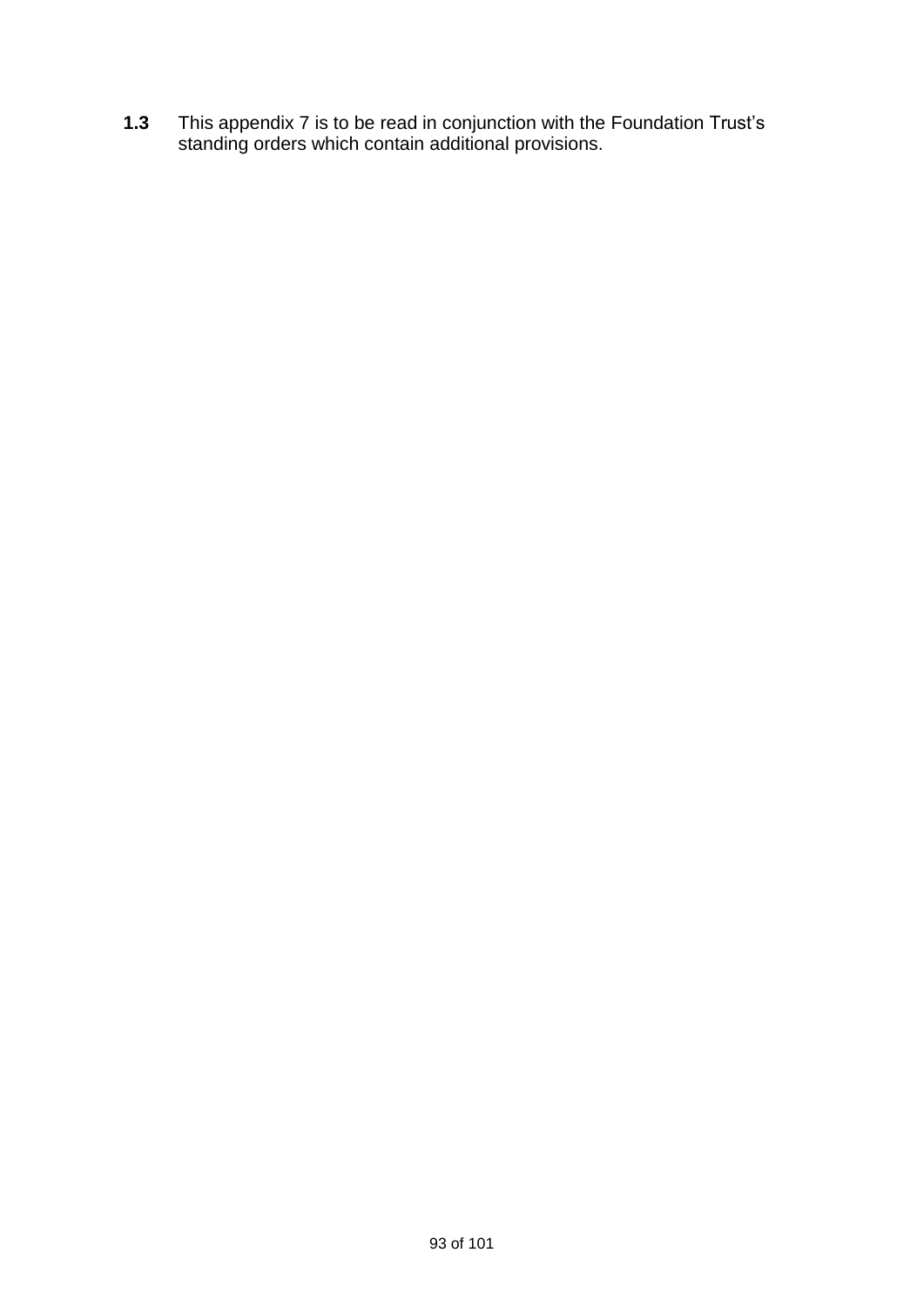**1.3** This appendix 7 is to be read in conjunction with the Foundation Trust's standing orders which contain additional provisions.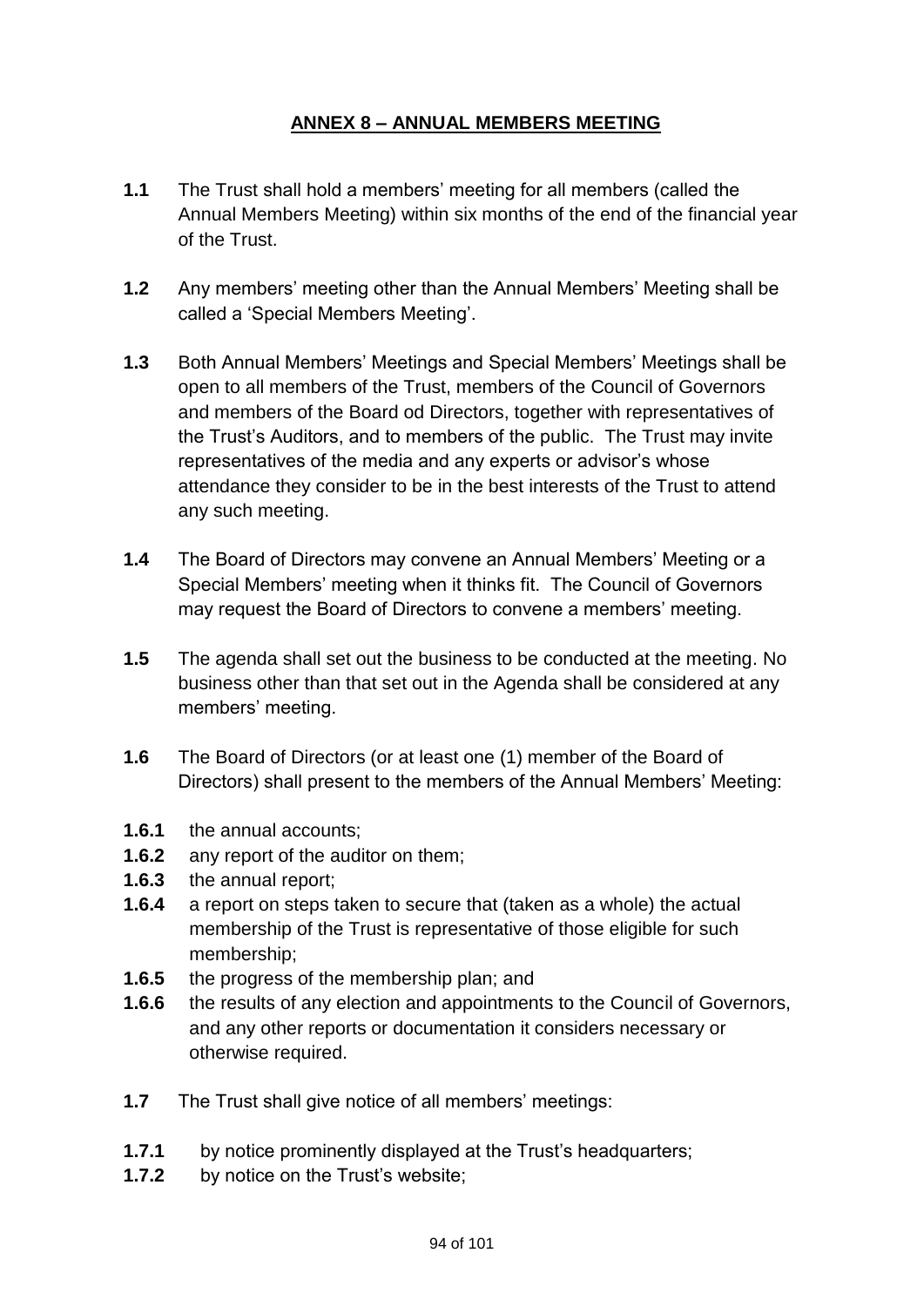# **ANNEX 8 – ANNUAL MEMBERS MEETING**

- **1.1** The Trust shall hold a members' meeting for all members (called the Annual Members Meeting) within six months of the end of the financial year of the Trust.
- **1.2** Any members' meeting other than the Annual Members' Meeting shall be called a 'Special Members Meeting'.
- **1.3** Both Annual Members' Meetings and Special Members' Meetings shall be open to all members of the Trust, members of the Council of Governors and members of the Board od Directors, together with representatives of the Trust's Auditors, and to members of the public. The Trust may invite representatives of the media and any experts or advisor's whose attendance they consider to be in the best interests of the Trust to attend any such meeting.
- **1.4** The Board of Directors may convene an Annual Members' Meeting or a Special Members' meeting when it thinks fit. The Council of Governors may request the Board of Directors to convene a members' meeting.
- **1.5** The agenda shall set out the business to be conducted at the meeting. No business other than that set out in the Agenda shall be considered at any members' meeting.
- **1.6** The Board of Directors (or at least one (1) member of the Board of Directors) shall present to the members of the Annual Members' Meeting:
- **1.6.1** the annual accounts;
- **1.6.2** any report of the auditor on them;
- **1.6.3** the annual report;
- **1.6.4** a report on steps taken to secure that (taken as a whole) the actual membership of the Trust is representative of those eligible for such membership;
- **1.6.5** the progress of the membership plan; and
- **1.6.6** the results of any election and appointments to the Council of Governors, and any other reports or documentation it considers necessary or otherwise required.
- **1.7** The Trust shall give notice of all members' meetings:
- **1.7.1** by notice prominently displayed at the Trust's headquarters;
- **1.7.2** by notice on the Trust's website;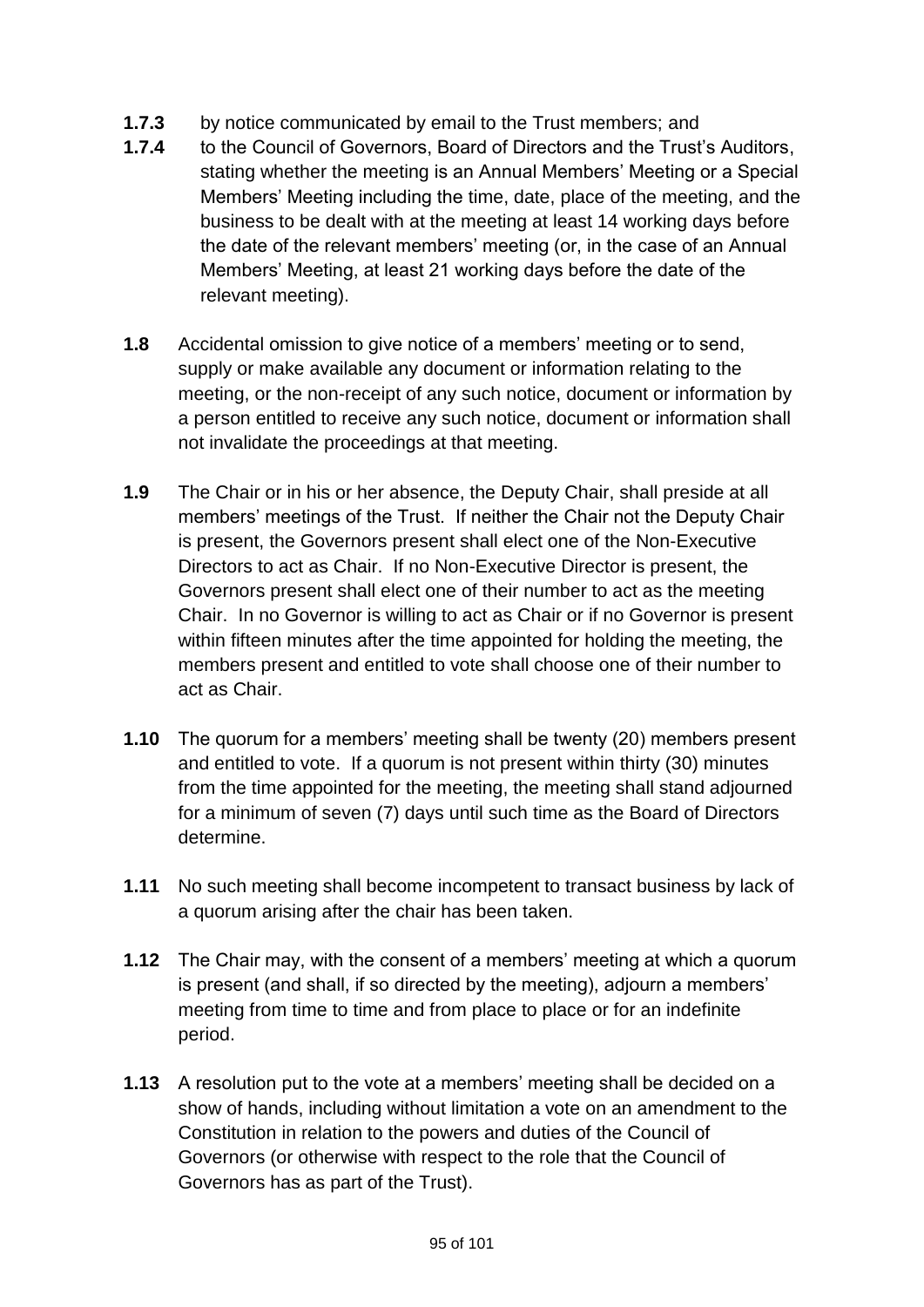- **1.7.3** by notice communicated by email to the Trust members; and
- **1.7.4** to the Council of Governors, Board of Directors and the Trust's Auditors, stating whether the meeting is an Annual Members' Meeting or a Special Members' Meeting including the time, date, place of the meeting, and the business to be dealt with at the meeting at least 14 working days before the date of the relevant members' meeting (or, in the case of an Annual Members' Meeting, at least 21 working days before the date of the relevant meeting).
- **1.8** Accidental omission to give notice of a members' meeting or to send, supply or make available any document or information relating to the meeting, or the non-receipt of any such notice, document or information by a person entitled to receive any such notice, document or information shall not invalidate the proceedings at that meeting.
- **1.9** The Chair or in his or her absence, the Deputy Chair, shall preside at all members' meetings of the Trust. If neither the Chair not the Deputy Chair is present, the Governors present shall elect one of the Non-Executive Directors to act as Chair. If no Non-Executive Director is present, the Governors present shall elect one of their number to act as the meeting Chair. In no Governor is willing to act as Chair or if no Governor is present within fifteen minutes after the time appointed for holding the meeting, the members present and entitled to vote shall choose one of their number to act as Chair.
- **1.10** The quorum for a members' meeting shall be twenty (20) members present and entitled to vote. If a quorum is not present within thirty (30) minutes from the time appointed for the meeting, the meeting shall stand adjourned for a minimum of seven (7) days until such time as the Board of Directors determine.
- **1.11** No such meeting shall become incompetent to transact business by lack of a quorum arising after the chair has been taken.
- **1.12** The Chair may, with the consent of a members' meeting at which a quorum is present (and shall, if so directed by the meeting), adjourn a members' meeting from time to time and from place to place or for an indefinite period.
- **1.13** A resolution put to the vote at a members' meeting shall be decided on a show of hands, including without limitation a vote on an amendment to the Constitution in relation to the powers and duties of the Council of Governors (or otherwise with respect to the role that the Council of Governors has as part of the Trust).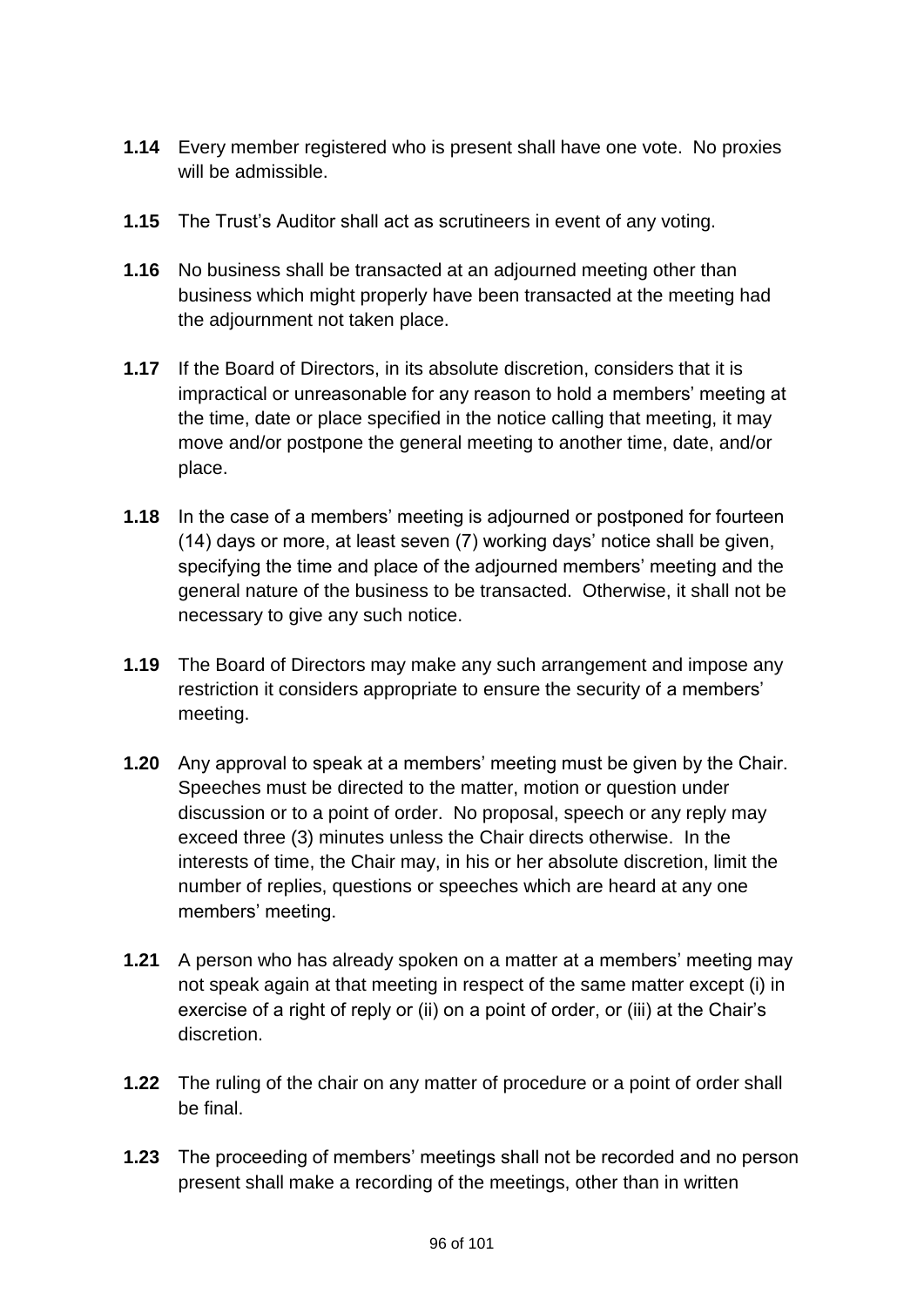- **1.14** Every member registered who is present shall have one vote. No proxies will be admissible.
- **1.15** The Trust's Auditor shall act as scrutineers in event of any voting.
- **1.16** No business shall be transacted at an adjourned meeting other than business which might properly have been transacted at the meeting had the adjournment not taken place.
- **1.17** If the Board of Directors, in its absolute discretion, considers that it is impractical or unreasonable for any reason to hold a members' meeting at the time, date or place specified in the notice calling that meeting, it may move and/or postpone the general meeting to another time, date, and/or place.
- **1.18** In the case of a members' meeting is adjourned or postponed for fourteen (14) days or more, at least seven (7) working days' notice shall be given, specifying the time and place of the adjourned members' meeting and the general nature of the business to be transacted. Otherwise, it shall not be necessary to give any such notice.
- **1.19** The Board of Directors may make any such arrangement and impose any restriction it considers appropriate to ensure the security of a members' meeting.
- **1.20** Any approval to speak at a members' meeting must be given by the Chair. Speeches must be directed to the matter, motion or question under discussion or to a point of order. No proposal, speech or any reply may exceed three (3) minutes unless the Chair directs otherwise. In the interests of time, the Chair may, in his or her absolute discretion, limit the number of replies, questions or speeches which are heard at any one members' meeting.
- **1.21** A person who has already spoken on a matter at a members' meeting may not speak again at that meeting in respect of the same matter except (i) in exercise of a right of reply or (ii) on a point of order, or (iii) at the Chair's discretion.
- **1.22** The ruling of the chair on any matter of procedure or a point of order shall be final.
- **1.23** The proceeding of members' meetings shall not be recorded and no person present shall make a recording of the meetings, other than in written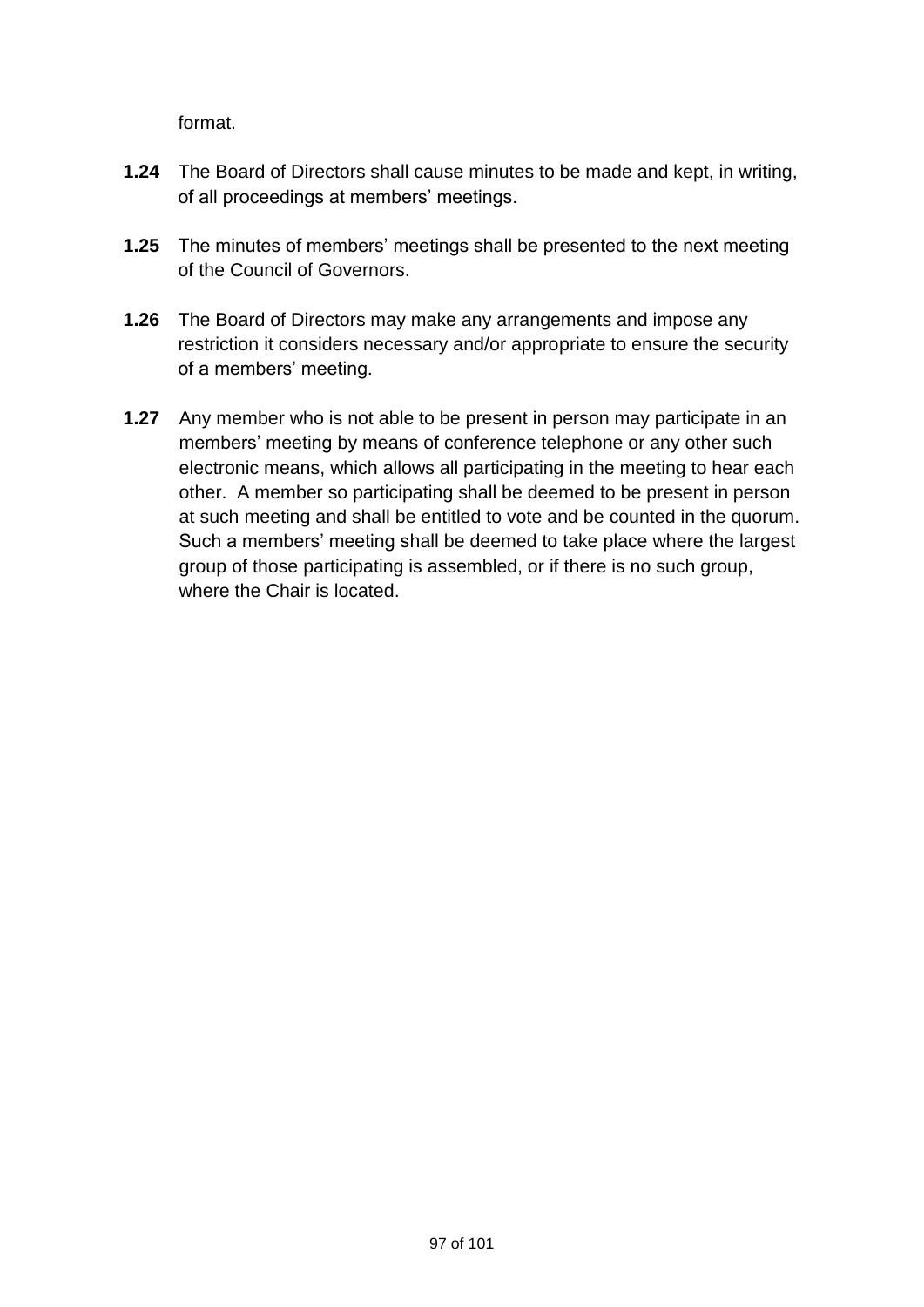format.

- **1.24** The Board of Directors shall cause minutes to be made and kept, in writing, of all proceedings at members' meetings.
- **1.25** The minutes of members' meetings shall be presented to the next meeting of the Council of Governors.
- **1.26** The Board of Directors may make any arrangements and impose any restriction it considers necessary and/or appropriate to ensure the security of a members' meeting.
- **1.27** Any member who is not able to be present in person may participate in an members' meeting by means of conference telephone or any other such electronic means, which allows all participating in the meeting to hear each other. A member so participating shall be deemed to be present in person at such meeting and shall be entitled to vote and be counted in the quorum. Such a members' meeting shall be deemed to take place where the largest group of those participating is assembled, or if there is no such group, where the Chair is located.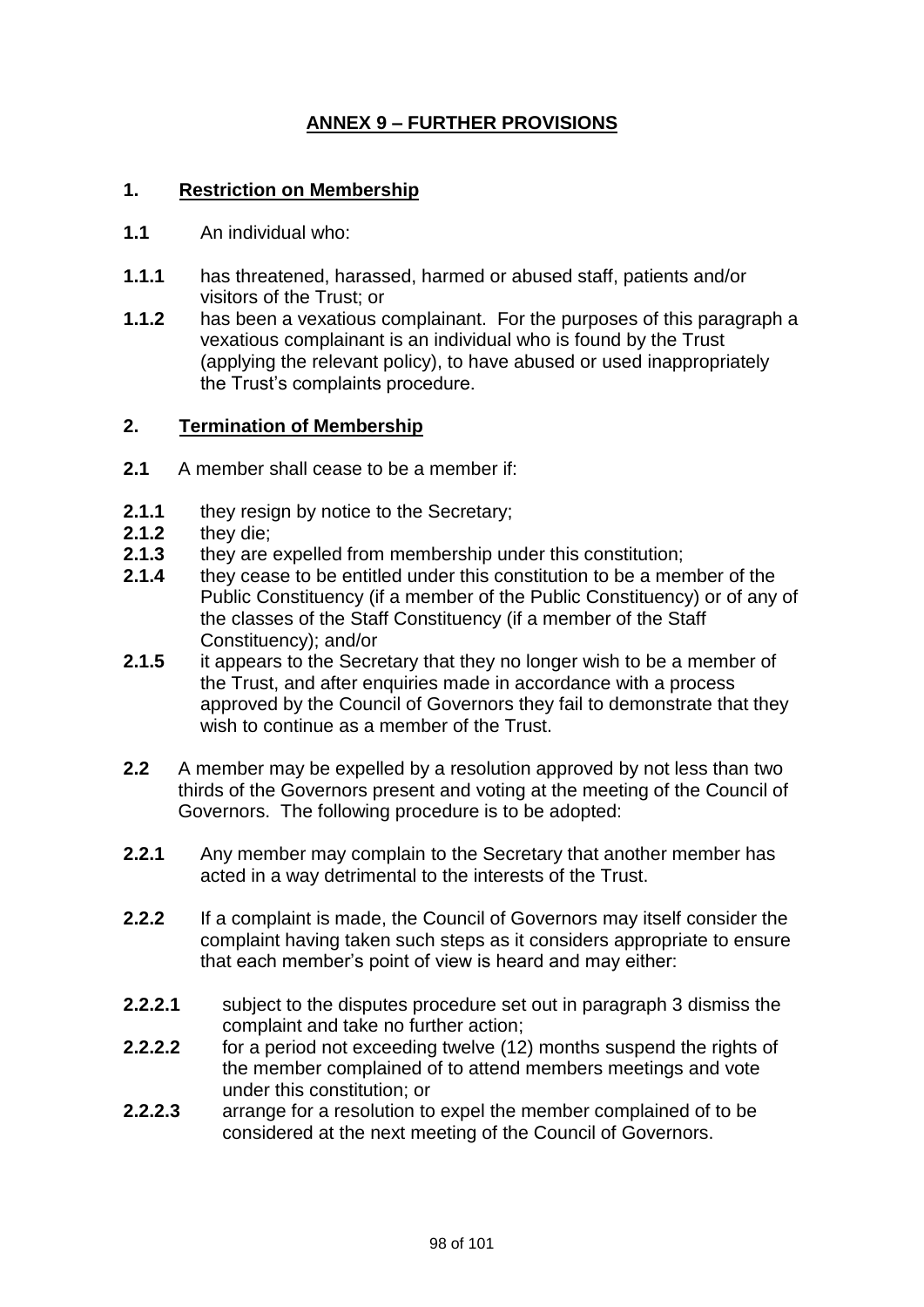# **ANNEX 9 – FURTHER PROVISIONS**

## **1. Restriction on Membership**

- **1.1** An individual who:
- **1.1.1** has threatened, harassed, harmed or abused staff, patients and/or visitors of the Trust; or
- **1.1.2** has been a vexatious complainant. For the purposes of this paragraph a vexatious complainant is an individual who is found by the Trust (applying the relevant policy), to have abused or used inappropriately the Trust's complaints procedure.

#### **2. Termination of Membership**

- **2.1** A member shall cease to be a member if:
- **2.1.1** they resign by notice to the Secretary;
- **2.1.2** they die;
- **2.1.3** they are expelled from membership under this constitution;
- **2.1.4** they cease to be entitled under this constitution to be a member of the Public Constituency (if a member of the Public Constituency) or of any of the classes of the Staff Constituency (if a member of the Staff Constituency); and/or
- **2.1.5** it appears to the Secretary that they no longer wish to be a member of the Trust, and after enquiries made in accordance with a process approved by the Council of Governors they fail to demonstrate that they wish to continue as a member of the Trust.
- **2.2** A member may be expelled by a resolution approved by not less than two thirds of the Governors present and voting at the meeting of the Council of Governors. The following procedure is to be adopted:
- **2.2.1** Any member may complain to the Secretary that another member has acted in a way detrimental to the interests of the Trust.
- **2.2.2** If a complaint is made, the Council of Governors may itself consider the complaint having taken such steps as it considers appropriate to ensure that each member's point of view is heard and may either:
- **2.2.2.1** subject to the disputes procedure set out in paragraph 3 dismiss the complaint and take no further action;
- **2.2.2.2** for a period not exceeding twelve (12) months suspend the rights of the member complained of to attend members meetings and vote under this constitution; or
- **2.2.2.3** arrange for a resolution to expel the member complained of to be considered at the next meeting of the Council of Governors.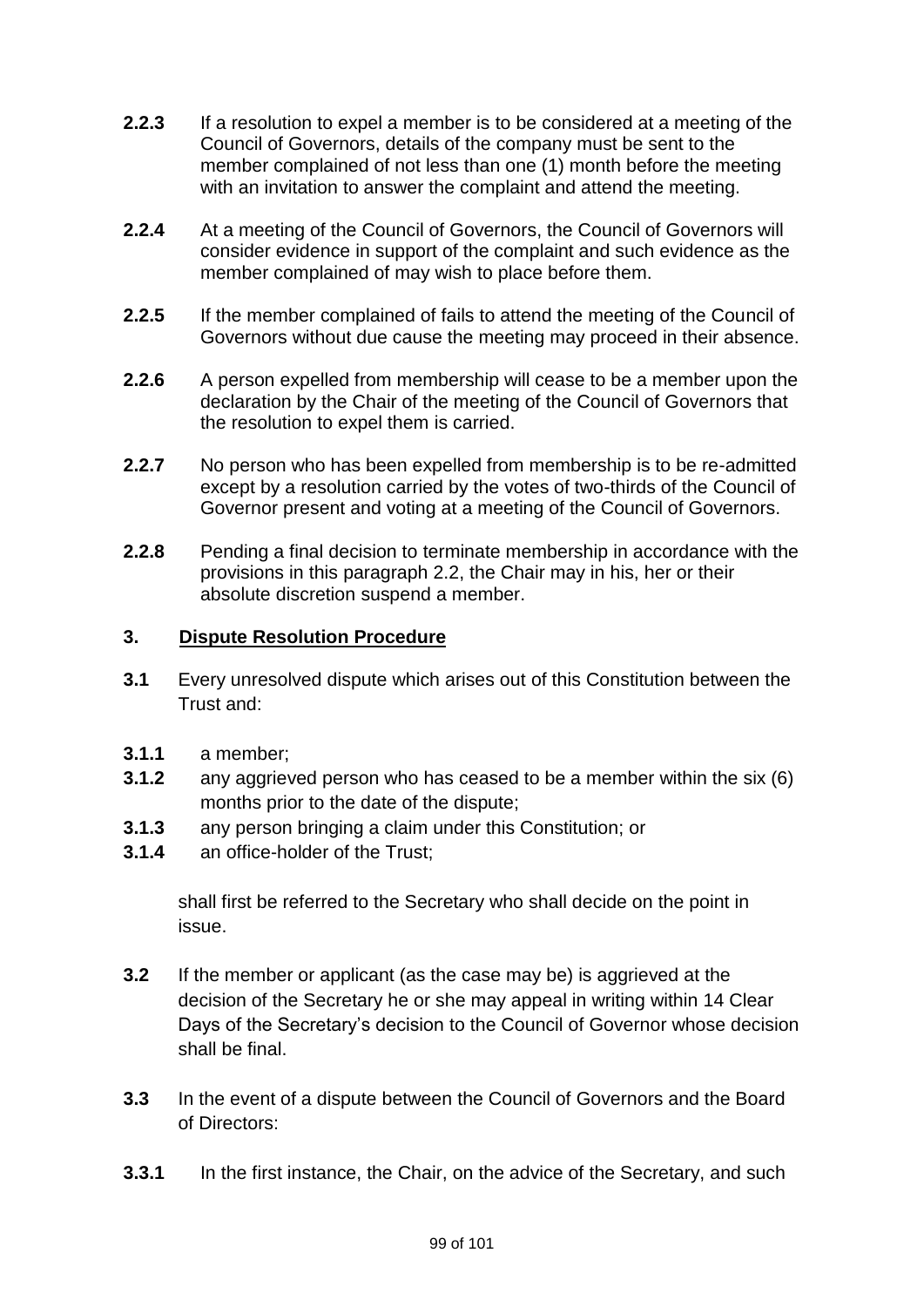- **2.2.3** If a resolution to expel a member is to be considered at a meeting of the Council of Governors, details of the company must be sent to the member complained of not less than one (1) month before the meeting with an invitation to answer the complaint and attend the meeting.
- **2.2.4** At a meeting of the Council of Governors, the Council of Governors will consider evidence in support of the complaint and such evidence as the member complained of may wish to place before them.
- **2.2.5** If the member complained of fails to attend the meeting of the Council of Governors without due cause the meeting may proceed in their absence.
- **2.2.6** A person expelled from membership will cease to be a member upon the declaration by the Chair of the meeting of the Council of Governors that the resolution to expel them is carried.
- **2.2.7** No person who has been expelled from membership is to be re-admitted except by a resolution carried by the votes of two-thirds of the Council of Governor present and voting at a meeting of the Council of Governors.
- **2.2.8** Pending a final decision to terminate membership in accordance with the provisions in this paragraph 2.2, the Chair may in his, her or their absolute discretion suspend a member.

## **3. Dispute Resolution Procedure**

- **3.1** Every unresolved dispute which arises out of this Constitution between the Trust and:
- **3.1.1** a member;
- **3.1.2** any aggrieved person who has ceased to be a member within the six (6) months prior to the date of the dispute;
- **3.1.3** any person bringing a claim under this Constitution; or
- **3.1.4** an office-holder of the Trust;

shall first be referred to the Secretary who shall decide on the point in issue.

- **3.2** If the member or applicant (as the case may be) is aggrieved at the decision of the Secretary he or she may appeal in writing within 14 Clear Days of the Secretary's decision to the Council of Governor whose decision shall be final.
- **3.3** In the event of a dispute between the Council of Governors and the Board of Directors:
- **3.3.1** In the first instance, the Chair, on the advice of the Secretary, and such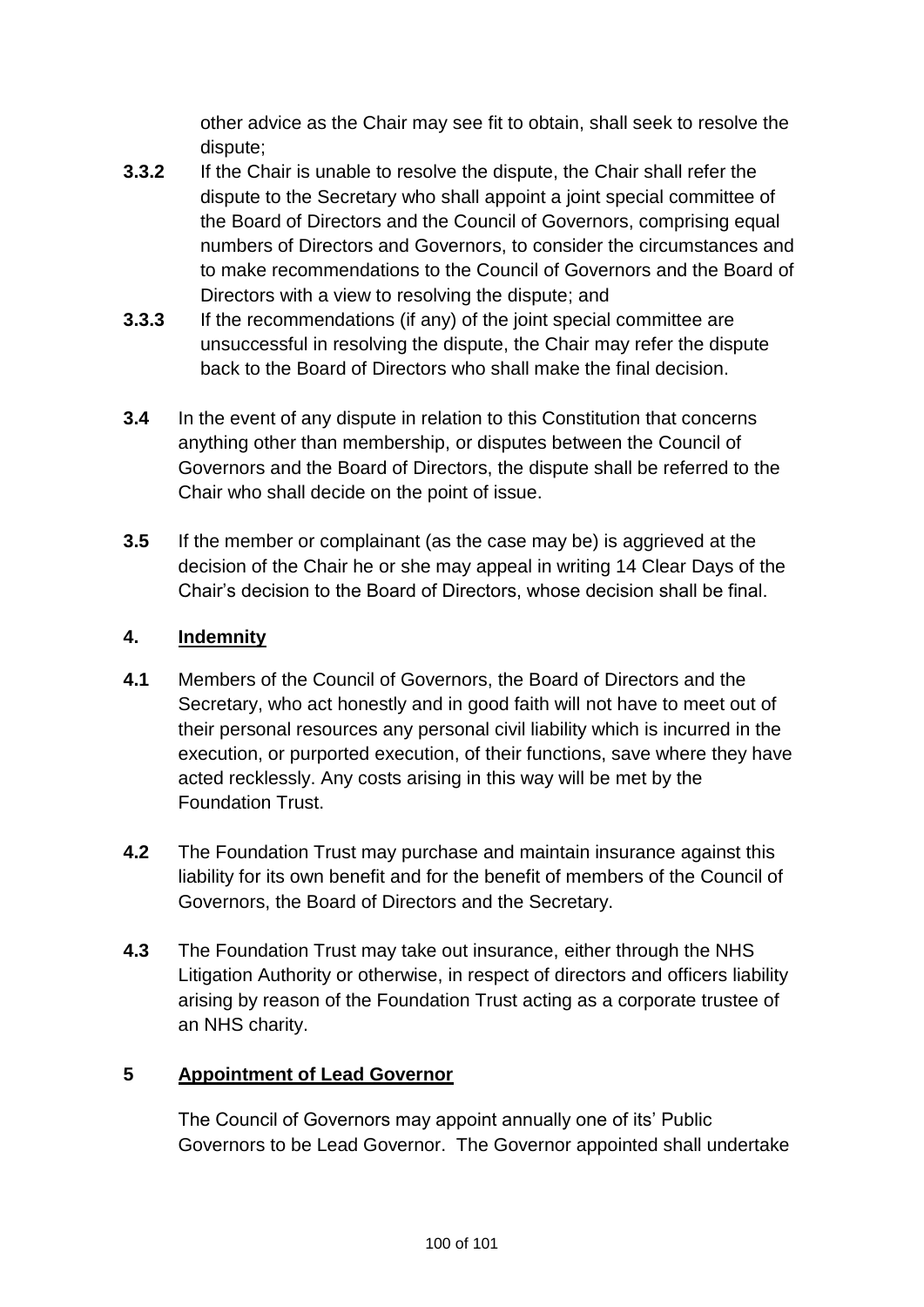other advice as the Chair may see fit to obtain, shall seek to resolve the dispute;

- **3.3.2** If the Chair is unable to resolve the dispute, the Chair shall refer the dispute to the Secretary who shall appoint a joint special committee of the Board of Directors and the Council of Governors, comprising equal numbers of Directors and Governors, to consider the circumstances and to make recommendations to the Council of Governors and the Board of Directors with a view to resolving the dispute; and
- **3.3.3** If the recommendations (if any) of the joint special committee are unsuccessful in resolving the dispute, the Chair may refer the dispute back to the Board of Directors who shall make the final decision.
- **3.4** In the event of any dispute in relation to this Constitution that concerns anything other than membership, or disputes between the Council of Governors and the Board of Directors, the dispute shall be referred to the Chair who shall decide on the point of issue.
- **3.5** If the member or complainant (as the case may be) is aggrieved at the decision of the Chair he or she may appeal in writing 14 Clear Days of the Chair's decision to the Board of Directors, whose decision shall be final.

# **4. Indemnity**

- **4.1** Members of the Council of Governors, the Board of Directors and the Secretary, who act honestly and in good faith will not have to meet out of their personal resources any personal civil liability which is incurred in the execution, or purported execution, of their functions, save where they have acted recklessly. Any costs arising in this way will be met by the Foundation Trust.
- **4.2** The Foundation Trust may purchase and maintain insurance against this liability for its own benefit and for the benefit of members of the Council of Governors, the Board of Directors and the Secretary.
- **4.3** The Foundation Trust may take out insurance, either through the NHS Litigation Authority or otherwise, in respect of directors and officers liability arising by reason of the Foundation Trust acting as a corporate trustee of an NHS charity.

## **5 Appointment of Lead Governor**

The Council of Governors may appoint annually one of its' Public Governors to be Lead Governor. The Governor appointed shall undertake